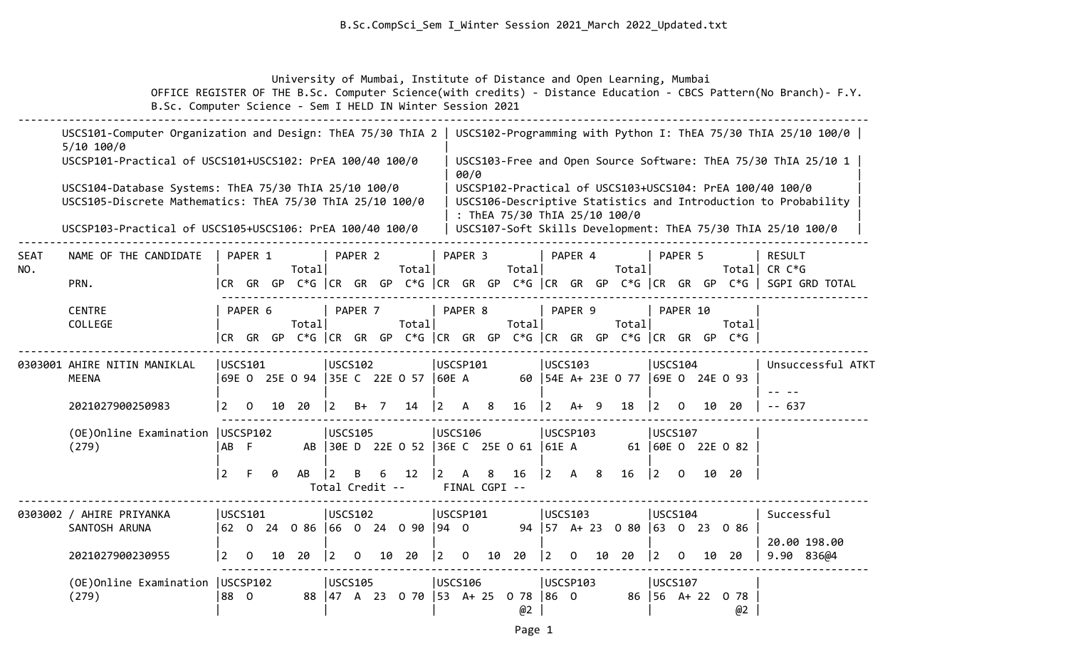### B.Sc.CompSci\_Sem I\_Winter Session 2021\_March 2022\_Updated.txt

University of Mumbai, Institute of Distance and Open Learning, Mumbai

 OFFICE REGISTER OF THE B.Sc. Computer Science(with credits) - Distance Education - CBCS Pattern(No Branch)- F.Y. B.Sc. Computer Science - Sem I HELD IN Winter Session 2021

|                    | USCS101-Computer Organization and Design: ThEA 75/30 ThIA 2<br>$5/10$ 100/0                                        |                 |                      |    |                                  |                        |          |                |                                     |                    |                    |                |                               |           |              |    |                                                                             |                                      |          |    |                       | USCS102-Programming with Python I: ThEA 75/30 ThIA 25/10 100/0                                                             |
|--------------------|--------------------------------------------------------------------------------------------------------------------|-----------------|----------------------|----|----------------------------------|------------------------|----------|----------------|-------------------------------------|--------------------|--------------------|----------------|-------------------------------|-----------|--------------|----|-----------------------------------------------------------------------------|--------------------------------------|----------|----|-----------------------|----------------------------------------------------------------------------------------------------------------------------|
|                    | USCSP101-Practical of USCS101+USCS102: PrEA 100/40 100/0                                                           |                 |                      |    |                                  |                        |          |                |                                     |                    | 00/0               |                |                               |           |              |    |                                                                             |                                      |          |    |                       | USCS103-Free and Open Source Software: ThEA 75/30 ThIA 25/10 1                                                             |
|                    | USCS104-Database Systems: ThEA 75/30 ThIA 25/10 100/0<br>USCS105-Discrete Mathematics: ThEA 75/30 ThIA 25/10 100/0 |                 |                      |    |                                  |                        |          |                |                                     |                    |                    |                | : ThEA 75/30 ThIA 25/10 100/0 |           |              |    |                                                                             |                                      |          |    |                       | USCSP102-Practical of USCS103+USCS104: PrEA 100/40 100/0<br>USCS106-Descriptive Statistics and Introduction to Probability |
|                    | USCSP103-Practical of USCS105+USCS106: PrEA 100/40 100/0                                                           |                 |                      |    |                                  |                        |          |                |                                     |                    |                    |                |                               |           |              |    |                                                                             |                                      |          |    |                       | USCS107-Soft Skills Development: ThEA 75/30 ThIA 25/10 100/0                                                               |
| <b>SEAT</b><br>NO. | NAME OF THE CANDIDATE                                                                                              |                 | PAPER 1              |    | Total                            |                        | PAPER 2  |                | Total                               |                    | PAPER <sub>3</sub> |                | Total                         |           | PAPER 4      |    | Total                                                                       |                                      | PAPER 5  |    | Totall                | <b>RESULT</b><br>CR C*G                                                                                                    |
|                    | PRN.                                                                                                               |                 | ICR GR GP            |    |                                  |                        |          |                |                                     |                    |                    |                |                               |           |              |    |                                                                             |                                      |          |    |                       | <code>C*G</code> $ $ CR GR GP C*G $ $ CR GR GP C*G $ $ CR GR GP C*G $ $ CR GR GP C*G $ $ SGPI GRD TOTAL                    |
|                    | <b>CENTRE</b><br>COLLEGE                                                                                           |                 | PAPER 6<br>ICR GR GP |    | Total                            |                        | PAPER 7  |                | Total                               |                    | PAPER 8            |                | Total                         |           | PAPER 9      |    | Total<br>C*G $ CR$ GR GP C*G $ CR$ GR GP C*G $ CR$ GR GP C*G $ CR$ GR GR GP |                                      | PAPER 10 |    | Totall<br>$C*G$       |                                                                                                                            |
|                    |                                                                                                                    |                 |                      |    |                                  |                        |          |                |                                     |                    |                    |                |                               |           |              |    |                                                                             |                                      |          |    |                       |                                                                                                                            |
|                    | 0303001 AHIRE NITIN MANIKLAL<br>USCS101<br><b>MEENA</b><br>69E O 25E O 94                                          |                 |                      |    |                                  | <b>USCS102</b>         |          |                | 35E C 22E 0 57                      | USCSP101<br>160E A |                    |                |                               |           | USCS103      |    | 60   54E A+ 23E 0 77   69E 0 24E 0 93                                       | USCS104                              |          |    |                       | Unsuccessful ATKT                                                                                                          |
|                    | 2021027900250983                                                                                                   | 2               | 0                    | 10 | -20                              | $\overline{2}$         | $B+$     | $\overline{7}$ | 14                                  | <u> 2</u>          | $\mathsf{A}$       | 8 <sup>8</sup> | 16                            | $\vert$ 2 | $A+ 9$       |    | 18                                                                          | 12.                                  | $\Omega$ | 10 | 20                    | - 637                                                                                                                      |
|                    | (OE) Online Examination   USCSP102<br>(279)                                                                        | IAB F           |                      |    | AB                               | <b>USCS105</b>         |          |                | 30E D 22E 0 52 36E C 25E 0 61 61E A | <b>USCS106</b>     |                    |                |                               |           | USCSP103     |    |                                                                             | <b>USCS107</b>                       |          |    | 61 60E 0 22E 0 82     |                                                                                                                            |
|                    |                                                                                                                    | $\vert 2 \vert$ | F                    | ø  | AB                               | 12.<br>Total Credit -- | B        | 6              | 12                                  | $\overline{2}$     | A<br>FINAL CGPI -- | 8              | 16                            | 2         | A            | 8  | 16                                                                          | $\vert$ 2                            | $\Omega$ |    | 10 20                 |                                                                                                                            |
|                    | 0303002 / AHIRE PRIYANKA                                                                                           |                 | USCS101              |    |                                  | USCS102                |          |                |                                     | USCSP101           |                    |                |                               |           | USCS103      |    |                                                                             | USCS104                              |          |    |                       | Successful                                                                                                                 |
|                    | SANTOSH ARUNA                                                                                                      |                 |                      |    | 62 0 24 0 86  66 0 24 0 90  94 0 |                        |          |                |                                     |                    |                    |                |                               |           |              |    | 94   57 A + 23 0 80   63 0 23 0 86                                          |                                      |          |    |                       | 20.00 198.00                                                                                                               |
|                    | 2021027900230955                                                                                                   | 2               | 0                    | 10 | 20                               | 2                      | $\Omega$ | 10             | - 20                                | $\overline{2}$     | $\Omega$           | 10             | 20                            | 2         | <sup>o</sup> | 10 | 20                                                                          | $\frac{12}{2}$                       | 0        | 10 | -20                   | 9.90 836@4                                                                                                                 |
|                    | (OE) Online Examination   USCSP102<br>(279)                                                                        | 88 0            |                      |    | 88                               | <b>USCS105</b>         |          |                | 47 A 23 O 70   53 A+ 25             | USCS106            |                    |                | 0 <sub>78</sub><br>@2         | 86 0      | USCSP103     |    |                                                                             | USCS107<br>$86 \mid 56 \quad A + 22$ |          |    | 0 <sub>78</sub><br>@2 |                                                                                                                            |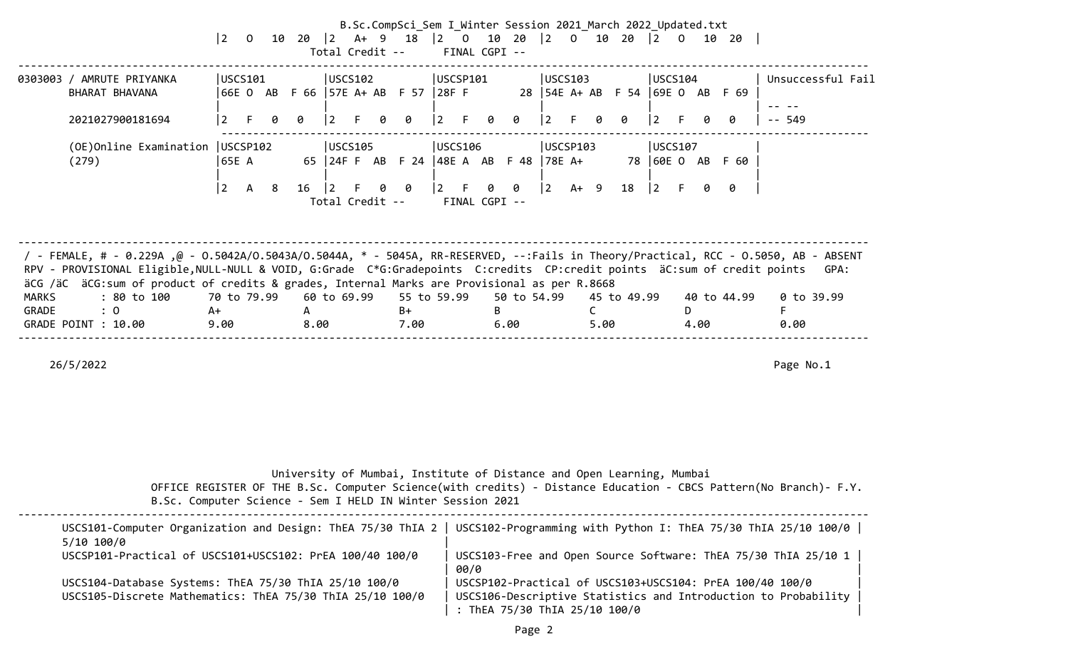|                |                                                                                                                                                                                                                                                                                                                                                                                                                        |                           |             |               |                         |            | B.Sc.CompSci_Sem I Winter Session 2021 March 2022 Updated.txt<br>Total Credit -- FINAL CGPI -- |    |                     |                      |      |             |                                                                                    |            |             |                                  |
|----------------|------------------------------------------------------------------------------------------------------------------------------------------------------------------------------------------------------------------------------------------------------------------------------------------------------------------------------------------------------------------------------------------------------------------------|---------------------------|-------------|---------------|-------------------------|------------|------------------------------------------------------------------------------------------------|----|---------------------|----------------------|------|-------------|------------------------------------------------------------------------------------|------------|-------------|----------------------------------|
|                | 0303003 / AMRUTE PRIYANKA<br>BHARAT BHAVANA<br>2021027900181694                                                                                                                                                                                                                                                                                                                                                        | USCS101<br>$\overline{2}$ | 0           | $\theta$      | USCS102<br>$ 2 \rangle$ | 0          | USCSP101<br>66E O AB F 66   57E A+ AB F 57   28F F<br>$ 2 \tF$                                 | 0  | 0                   | USCS103<br>$\vert$ 2 | F.   | o o         | USCS104<br>28   54E A + AB F 54   69E O AB F 69<br>$ 2 \rangle$                    |            | ø           | Unsuccessful Fail<br>$- - 549$   |
|                | (OE) Online Examination   USCSP102<br>(279)                                                                                                                                                                                                                                                                                                                                                                            | 65E A<br>$\overline{2}$   | 8<br>A      | $16 \quad  2$ | USCS105                 | 00         | USCS106<br>65 24FF ABF 24 48EA ABF 48 78EA+<br>$ 2 \tF$<br>Total Credit -- FINAL CGPI --       |    | 0 0                 | USCSP103             |      |             | USCS107<br>78 60E O AB F 60<br>$\begin{vmatrix} 2 & A+ & 9 & 18 \end{vmatrix}$ 2 F | Ø.         | 0           |                                  |
| MARKS<br>GRADE | / FEMALE, # - 0.229A ,@ - 0.5042A/0.5043A/0.5044A, * - 5045A, RR-RESERVED, --:Fails in Theory/Practical, RCC - 0.5050, AB - ABSENT<br>RPV - PROVISIONAL Eligible, NULL-NULL & VOID, G:Grade C*G:Gradepoints C:credits CP:credit points äC:sum of credit points<br>äCG /äC äCG:sum of product of credits & grades, Internal Marks are Provisional as per R.8668<br>: 80 to 100<br>$\therefore$ 0<br>GRADE POINT : 10.00 | A+<br>9.00                | 70 to 79.99 | A<br>8.00     |                         | B+<br>7.00 | 60 to 69.99 55 to 59.99                                                                        | B. | 50 to 54.99<br>6.00 |                      | 5.00 | 45 to 49.99 |                                                                                    | D.<br>4.00 | 40 to 44.99 | GPA:<br>0 to 39.99<br>F.<br>0.00 |

| B.Sc. Computer Science - Sem I HELD IN Winter Session 2021                                                                            | University of Mumbai, Institute of Distance and Open Learning, Mumbai<br>OFFICE REGISTER OF THE B.Sc. Computer Science(with credits) - Distance Education - CBCS Pattern(No Branch)- F.Y. |
|---------------------------------------------------------------------------------------------------------------------------------------|-------------------------------------------------------------------------------------------------------------------------------------------------------------------------------------------|
| USCS101-Computer Organization and Design: ThEA 75/30 ThIA 2<br>5/10 100/0<br>USCSP101-Practical of USCS101+USCS102: PrEA 100/40 100/0 | USCS102-Programming with Python I: ThEA 75/30 ThIA 25/10 100/0<br>USCS103-Free and Open Source Software: ThEA 75/30 ThIA 25/10 1                                                          |
| USCS104-Database Systems: ThEA 75/30 ThIA 25/10 100/0<br>USCS105-Discrete Mathematics: ThEA 75/30 ThIA 25/10 100/0                    | 00/0<br>USCSP102-Practical of USCS103+USCS104: PrEA 100/40 100/0<br>USCS106-Descriptive Statistics and Introduction to Probability<br>: ThEA 75/30 ThIA 25/10 100/0                       |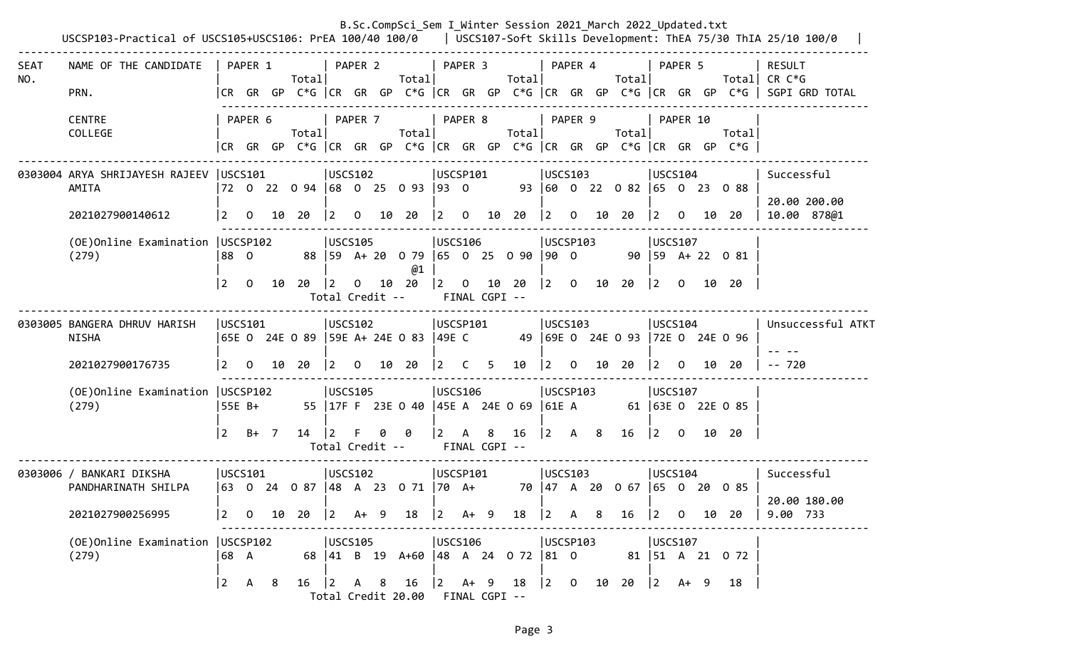|                    | USCSP103-Practical of USCS105+USCS106: PrEA 100/40 100/0   USCS107-Soft Skills Development: ThEA 75/30 ThIA 25/10 100/0 |                            |                |    |                                                                                        |                                           |              |     |                                                                       |                             |                |                    |                                                  |                                                       |              |    | B.Sc.CompSci_Sem I Winter Session 2021 March 2022 Updated.txt |                                                  |          |    |                                                                                |                                                                                                                    |
|--------------------|-------------------------------------------------------------------------------------------------------------------------|----------------------------|----------------|----|----------------------------------------------------------------------------------------|-------------------------------------------|--------------|-----|-----------------------------------------------------------------------|-----------------------------|----------------|--------------------|--------------------------------------------------|-------------------------------------------------------|--------------|----|---------------------------------------------------------------|--------------------------------------------------|----------|----|--------------------------------------------------------------------------------|--------------------------------------------------------------------------------------------------------------------|
| <b>SEAT</b><br>NO. | NAME OF THE CANDIDATE<br>PRN.                                                                                           |                            | PAPER 1        |    | Totall                                                                                 |                                           | PAPER 2      |     | Totall                                                                |                             | PAPER 3        |                    | Total                                            | PAPER 4                                               |              |    | Total                                                         |                                                  | PAPER 5  |    |                                                                                | RESULT<br>Total CR $C*G$<br> CR GR GP C*G  CR GR GP C*G  CR GR GP C*G  CR GR GP C*G  CR GR GP C*G   SGPI GRD TOTAL |
|                    | <b>CENTRE</b><br>COLLEGE                                                                                                |                            | PAPER 6        |    | Total                                                                                  |                                           | PAPER 7      |     | Total                                                                 |                             | PAPER 8        |                    | Totall                                           | PAPER 9                                               |              |    | Total                                                         |                                                  | PAPER 10 |    | Total<br> CR GR GP C*G  CR GR GP C*G  CR GR GP C*G  CR GR GP C*G  CR GR GP C*G |                                                                                                                    |
|                    | 0303004 ARYA SHRIJAYESH RAJEEV USCS101<br>AMITA<br>2021027900140612                                                     | $\vert$ 2                  | $\overline{O}$ |    | 72 0 22 0 94 68 0 25 0 93 93 0<br>10 20                                                | USCS102 <br>$ 2\rangle$                   | $\mathbf{0}$ |     | 10 20                                                                 | USCSP101<br>$\vert 2 \vert$ | $\overline{0}$ | 10                 | 20                                               | USCS103<br>$ 2\rangle$                                | $\mathbf{O}$ |    | 93 60 0 22 0 82 65 0 23 0 88<br>10 20                         | USCS104<br>$ 2\rangle$                           | $\Omega$ |    | 10 20                                                                          | Successful<br>20.00 200.00<br>10.00 878@1                                                                          |
|                    | (OE) Online Examination   USCSP102<br>(279)                                                                             | 88 0<br> 2                 | $\Omega$       | 10 | 20                                                                                     | USCS105<br>$ 2\rangle$                    | $\mathsf{O}$ |     | 88 59 A + 20 0 79 65 0 25 0 90 90 0<br>@1<br>10 20<br>Total Credit -- | <b>USCS106</b>              |                | FINAL CGPI --      | $\begin{array}{ccc} 2 & 0 & 10 & 20 \end{array}$ | USCSP103                                              |              |    | $\begin{vmatrix} 2 & 0 & 10 & 20 \end{vmatrix}$               | USCS107<br> 2                                    | $\Omega$ |    | 90 59 A+ 22 0 81<br>10 20                                                      |                                                                                                                    |
|                    | 0303005 BANGERA DHRUV HARISH<br><b>NISHA</b><br>2021027900176735                                                        | USCS101<br>$\vert$ 2       | $\mathbf{0}$   |    | 65E 0 24E 0 89   59E A+ 24E 0 83   49E C 49   69E 0 24E 0 93   72E 0 24E 0 96<br>10 20 | USCS102<br>l 2.                           | $\mathbf{O}$ |     | 10 20                                                                 | USCSP101<br>$\vert$ 2       | $\overline{C}$ | 5.                 | 10                                               | USCS103<br> 2                                         | $\mathbf{O}$ |    | 10 20                                                         | USCS104<br>12.                                   | $\Omega$ | 10 | -20                                                                            | Unsuccessful ATKT<br>$-- 720$                                                                                      |
|                    | (OE) Online Examination   USCSP102<br>(279)                                                                             | 55E B+<br>$\overline{2}$   | $B+$ 7         |    | 14                                                                                     | USCS105<br>$ 2\rangle$<br>Total Credit -- | F            | 0   | 55   17F F 23E 0 40   45E A 24E 0 69   61E A<br>- 0                   | USCS106<br>$\vert 2 \vert$  | $\mathsf{A}$   | 8<br>FINAL CGPI -- | 16                                               | USCSP103<br>$\begin{vmatrix} 2 & A & 8 \end{vmatrix}$ |              |    | 16                                                            | USCS107<br>$\begin{vmatrix} 2 & 0 \end{vmatrix}$ |          |    | 61 63E 0 22E 0 85<br>10 20                                                     |                                                                                                                    |
|                    | 0303006 / BANKARI DIKSHA<br>PANDHARINATH SHILPA<br>2021027900256995                                                     | USCS101<br>$\vert 2 \vert$ | 0              | 10 | 63 0 24 0 87 48 A 23 0 71 70 A+<br>20                                                  | <b>USCS102</b><br>$ 2\rangle$             | A+           | - 9 | 18                                                                    | USCSP101<br>$\vert 2 \vert$ | $A+ 9$         |                    | 18                                               | USCS103<br>$ 2\rangle$                                |              | 8  | 16                                                            | USCS104<br>$\vert$ 2                             | 0        | 10 | 70 47 A 20 0 67 65 0 20 0 85<br>20                                             | Successful<br>20.00 180.00<br>9.00 733                                                                             |
|                    | (OE) Online Examination   USCSP102<br>(279)                                                                             | 68 A<br>$ 2\rangle$        | A              | -8 | 16                                                                                     | USCS105<br>$ 2\rangle$                    | A 8          |     | 68 41 B 19 A+60 48 A 24 0 72 81 0<br>16<br>Total Credit 20.00         | USCS106<br>$ 2 \tA+ 9$      |                | FINAL CGPI --      | 18                                               | USCSP103<br>$\begin{vmatrix} 2 & 0 \end{vmatrix}$     |              | 10 | 20                                                            | USCS107<br>$ 2\rangle$                           | A+ 9     |    | 81   51 A 21 0 72<br>18                                                        |                                                                                                                    |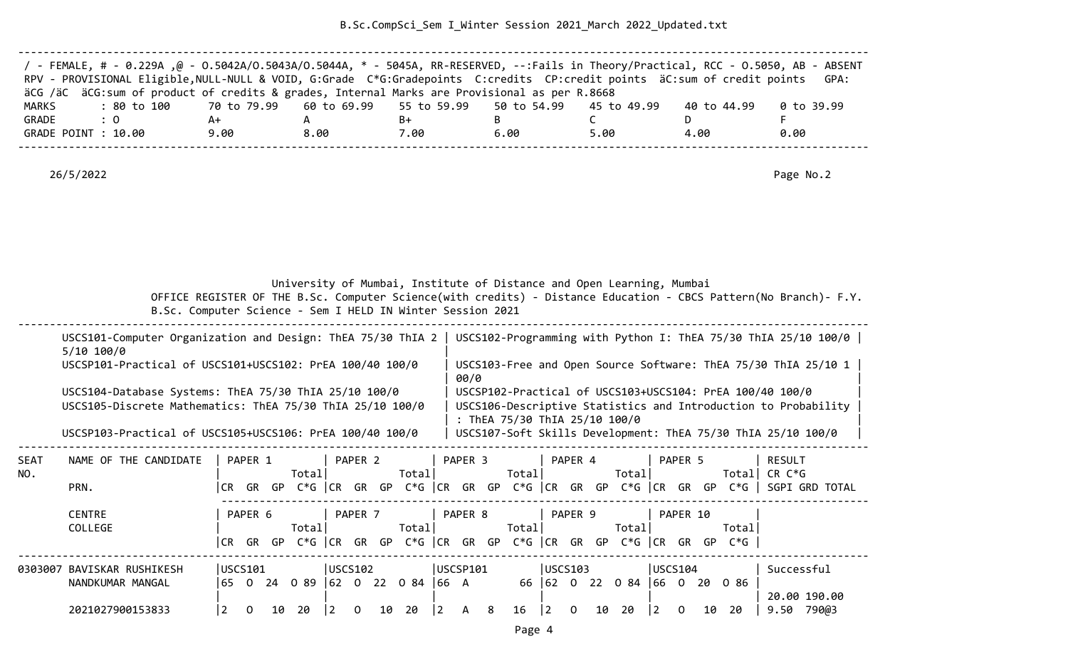B.Sc.CompSci\_Sem I\_Winter Session 2021\_March 2022\_Updated.txt

| / - FEMALE, # - 0.229A ,@ - 0.5042A/0.5043A/0.5044A, * - 5045A, RR-RESERVED, --:Fails in Theory/Practical, RCC - 0.5050, AB - ABSENT |      |      |      |      |      |             |            |
|--------------------------------------------------------------------------------------------------------------------------------------|------|------|------|------|------|-------------|------------|
| RPV - PROVISIONAL Eligible, NULL-NULL & VOID, G:Grade C*G:Gradepoints C:credits CP:credit points äC:sum of credit points             |      |      |      |      |      |             | GPA:       |
| äCG /äC äCG:sum of product of credits & grades, Internal Marks are Provisional as per R.8668                                         |      |      |      |      |      |             |            |
| : 80 to 100    70 to 79.99   60 to 69.99   55 to 59.99   50 to 54.99   45 to 49.99<br>MARKS                                          |      |      |      |      |      | 40 to 44.99 | 0 to 39.99 |
| GRADE<br>$\therefore$ 0                                                                                                              | A+   |      | B+   |      |      |             |            |
| GRADE POINT : 10.00                                                                                                                  | 9.00 | 8.00 | 7.00 | 6.00 | 5.00 | 4.00        | 0.00       |
|                                                                                                                                      |      |      |      |      |      |             |            |

26/5/2022 Page No.2

University of Mumbai, Institute of Distance and Open Learning, Mumbai

 OFFICE REGISTER OF THE B.Sc. Computer Science(with credits) - Distance Education - CBCS Pattern(No Branch)- F.Y. B.Sc. Computer Science - Sem I HELD IN Winter Session 2021

| $5/10$ $100/0$                                                                                                     | USCS101-Computer Organization and Design: ThEA 75/30 ThIA 2   USCS102-Programming with Python I: ThEA 75/30 ThIA 25/10 100/0                                |  |
|--------------------------------------------------------------------------------------------------------------------|-------------------------------------------------------------------------------------------------------------------------------------------------------------|--|
| USCSP101-Practical of USCS101+USCS102: PrEA 100/40 100/0                                                           | USCS103-Free and Open Source Software: ThEA 75/30 ThIA 25/10 1<br>00/0                                                                                      |  |
| USCS104-Database Systems: ThEA 75/30 ThIA 25/10 100/0<br>USCS105-Discrete Mathematics: ThEA 75/30 ThIA 25/10 100/0 | USCSP102-Practical of USCS103+USCS104: PrEA 100/40 100/0<br>USCS106-Descriptive Statistics and Introduction to Probability<br>: ThEA 75/30 ThIA 25/10 100/0 |  |
| USCSP103-Practical of USCS105+USCS106: PrEA 100/40 100/0                                                           | USCS107-Soft Skills Development: ThEA 75/30 ThIA 25/10 100/0                                                                                                |  |
|                                                                                                                    |                                                                                                                                                             |  |

| <b>SEAT</b> | NAME OF THE CANDIDATE |         | PAPER 1 |    |             |                   | PAPER 2            |      |             |    | PAPER <sub>3</sub> |    |             |    | PAPER 4 |     |             |         | PAPER 5  |    |        | <b>RESULT</b>  |
|-------------|-----------------------|---------|---------|----|-------------|-------------------|--------------------|------|-------------|----|--------------------|----|-------------|----|---------|-----|-------------|---------|----------|----|--------|----------------|
| NO.         |                       |         |         |    | Totall      |                   |                    |      | Total       |    |                    |    | Total       |    |         |     | Total       |         |          |    | Total  | CR C*G         |
|             | PRN.                  | CR.     | GR      | GP | $C*G$ $ CR$ |                   | GR.                | GP   | $C*G$       | CR | GR                 | GP | $C*G$ $ CR$ |    | GR      | GP  | $C*G$ $ CR$ |         | GR       | GP | $C*G$  | SGPI GRD TOTAL |
|             | <b>CENTRE</b>         |         | PAPER 6 |    |             |                   | PAPER <sub>7</sub> |      |             |    | PAPER 8            |    |             |    | PAPER 9 |     |             |         | PAPER 10 |    |        |                |
|             | COLLEGE               |         |         |    | Total       |                   |                    |      | Total       |    |                    |    | Total       |    |         |     | Total       |         |          |    | Total∣ |                |
|             |                       | CR.     | GR      | GP | $C*G$ $ CR$ |                   | GR                 | GP   | $C*G$ $ CR$ |    | GR                 | GP | $C*G$       | CR | GR      | GP  | $C*G$ $ CR$ |         | GR       | GP | $C*G$  |                |
| 0303007     | BAVISKAR RUSHIKESH    | USCS101 |         |    |             | $ USCS102\rangle$ |                    |      |             |    | USCSP101           |    |             |    | USCS103 |     |             | USCS104 |          |    |        | Successful     |
|             | NANDKUMAR MANGAL      | 65      |         | 24 | 0 89        | <b>162</b>        | . O                | - 22 | 084         | 66 | A                  |    | 66          | 62 | . O     | -22 | 0 84        | 66      | $\Omega$ | 20 | 086    |                |
|             |                       |         |         |    |             |                   |                    |      |             |    |                    |    |             |    |         |     |             |         |          |    |        | 20.00 190.00   |
|             | 2021027900153833      |         |         | 10 | 20          |                   |                    | 10   | 20          |    | А                  | 8  | 16          |    | 0       | 10  | 20          |         | 0        | 10 | 20     | 9.50<br>790@3  |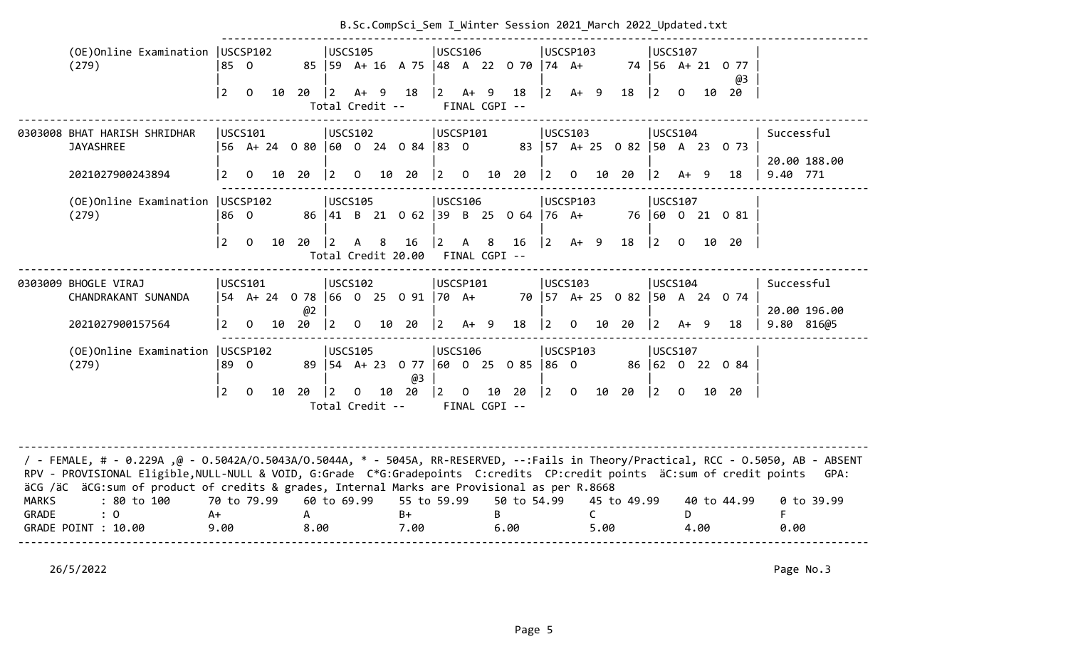|                       |                                                                                                                                                                                                                                                                                                                                                                                                                      |                           |                         |    |           |                                         |                |                | b.sc.compsci_scm i_winter session zozi_naren zozi_opaa |                               |                |   |                                                 |                                               |                                                        |       |             |                                  |                |    |                                          |                                          |
|-----------------------|----------------------------------------------------------------------------------------------------------------------------------------------------------------------------------------------------------------------------------------------------------------------------------------------------------------------------------------------------------------------------------------------------------------------|---------------------------|-------------------------|----|-----------|-----------------------------------------|----------------|----------------|--------------------------------------------------------|-------------------------------|----------------|---|-------------------------------------------------|-----------------------------------------------|--------------------------------------------------------|-------|-------------|----------------------------------|----------------|----|------------------------------------------|------------------------------------------|
|                       | (OE)Online Examination   USCSP102<br>(279)                                                                                                                                                                                                                                                                                                                                                                           | 850                       |                         |    |           | <b>USCS105</b>                          |                |                | 85   59 A + 16 A 75   48 A 22 0 70   74 A +            | <b>USCS106</b>                |                |   |                                                 |                                               | USCSP103                                               |       |             | <b>USCS107</b>                   |                |    | 74 56 A+ 21 0 77<br>@3                   |                                          |
|                       |                                                                                                                                                                                                                                                                                                                                                                                                                      | l 2                       | $\Omega$                | 10 | $20 \t 2$ | Total Credit --                         | $A+ 9$         |                | 18                                                     | $ 2 \tA+ 9$                   |                |   | 18<br>FINAL CGPI --                             | $ 2\rangle$                                   | $A+ 9$                                                 |       | 18          | $ 2\rangle$                      | $\Omega$       | 10 | 20                                       |                                          |
|                       | 0303008 BHAT HARISH SHRIDHAR<br><b>JAYASHREE</b><br>2021027900243894                                                                                                                                                                                                                                                                                                                                                 | $\overline{2}$            | USCS101<br>$\mathbf{O}$ |    | 10 20     | USCS102<br>$ 2\rangle$                  | $\overline{0}$ |                | 56 A+ 24 0 80 60 0 24 0 84 83 0<br>10 20               | USCSP101                      |                |   | $\begin{bmatrix} 2 & 0 & 10 & 20 \end{bmatrix}$ | $ 2\rangle$                                   | USCS103<br>$\overline{0}$                              | 10 20 |             | USCS104<br>$ 2\rangle$           | $A+ 9$         |    | 83   57 A + 25 0 82   50 A 23 0 73<br>18 | Successful<br>20.00 188.00<br>9.40 771   |
|                       | (OE) Online Examination   USCSP102<br>(279)                                                                                                                                                                                                                                                                                                                                                                          | 186 O<br><u> 2</u>        | $\overline{0}$          | 10 | 20   2    | <b>USCS105</b>                          | $\mathsf{A}$   | 8 <sup>8</sup> | 86 41 B 21 0 62 39 B 25 0 64 76 A+<br>16               | <b>USCS106</b><br>$ 2\rangle$ | $\overline{A}$ | 8 | 16                                              |                                               | USCSP103<br>$\begin{vmatrix} 2 & A+ & 9 \end{vmatrix}$ |       | 18          | <b>USCS107</b><br>$ 2\rangle$    | $\overline{0}$ |    | 76 60 0 21 0 81<br>10 20                 |                                          |
|                       |                                                                                                                                                                                                                                                                                                                                                                                                                      |                           |                         |    |           |                                         |                |                | Total Credit 20.00 FINAL CGPI --                       |                               |                |   |                                                 |                                               |                                                        |       |             |                                  |                |    |                                          |                                          |
|                       | 0303009 BHOGLE VIRAJ<br>CHANDRAKANT SUNANDA<br>2021027900157564                                                                                                                                                                                                                                                                                                                                                      | 2                         | USCS101<br>$\mathbf 0$  | 10 | @2<br>20  | <b>USCS102</b><br>$ 2\rangle$           | $\overline{0}$ |                | 54 A+24 078  66 0 25 091  70 A+<br>10 20               | USCSP101<br>$ 2 \tA+ 9$       |                |   | 18                                              | $ 2\rangle$                                   | <b>IUSCS103</b><br>$\mathbf{O}$                        | 10 20 |             | <b>USCS104</b><br>$\overline{2}$ | $A+ 9$         |    | 70   57 A + 25 0 82   50 A 24 0 74<br>18 | Successful<br>20.00 196.00<br>9.80 816@5 |
|                       | (OE) Online Examination   USCSP102<br>(279)                                                                                                                                                                                                                                                                                                                                                                          | 89 O<br> 2                | $\overline{0}$          | 10 | 20        | <b>USCS105</b><br> 2<br>Total Credit -- | $\overline{0}$ |                | 89   54 A + 23 0 77   60 0 25 0 85<br>@3<br>10 20      | USCS106<br>$ 2\rangle$        |                |   | $0$ 10 20<br>FINAL CGPI --                      | 86 O<br>$\begin{vmatrix} 2 & 0 \end{vmatrix}$ | USCSP103                                               | 10    | 20          | <b>USCS107</b><br>$ 2\rangle$    | $\overline{0}$ |    | 86 62 0 22 0 84<br>10 20                 |                                          |
| <b>MARKS</b><br>GRADE | / - FEMALE, # - 0.229A ,@ - 0.5042A/0.5043A/0.5044A, * - 5045A, RR-RESERVED, --:Fails in Theory/Practical, RCC - 0.5050, AB - ABSENT<br>RPV - PROVISIONAL Eligible, NULL-NULL & VOID, G:Grade C*G:Gradepoints C:credits CP:credit points äC:sum of credit points<br>äCG /äC äCG:sum of product of credits & grades, Internal Marks are Provisional as per R.8668<br>: 80 to 100<br>$\colon 0$<br>GRADE POINT : 10.00 | 70 to 79.99<br>A+<br>9.00 |                         |    | A<br>8.00 | 60 to 69.99                             |                |                | 55 to 59.99<br>$B+$<br>7.00                            |                               |                | B | 50 to 54.99<br>6.00                             |                                               | C                                                      | 5.00  | 45 to 49.99 |                                  | D.<br>4.00     |    | 40 to 44.99                              | GPA:<br>0 to 39.99<br>F.<br>0.00         |

# B.Sc.CompSci Sem I Winter Session 2021 March 2022 Updated.txt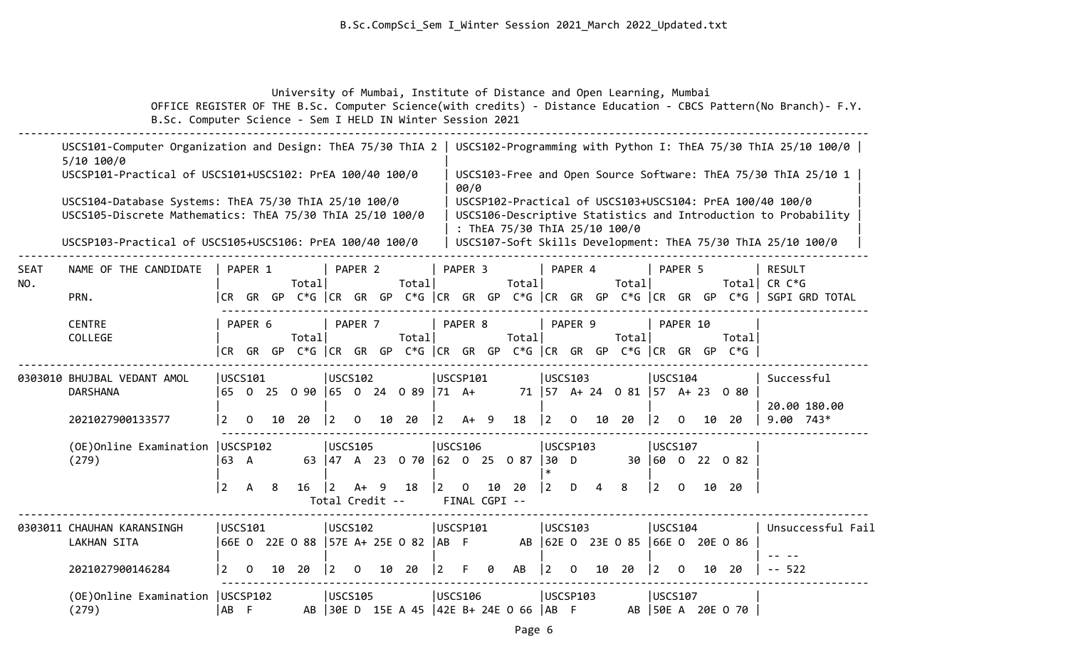University of Mumbai, Institute of Distance and Open Learning, Mumbai

 OFFICE REGISTER OF THE B.Sc. Computer Science(with credits) - Distance Education - CBCS Pattern(No Branch)- F.Y. B.Sc. Computer Science - Sem I HELD IN Winter Session 2021

|                    | USCS101-Computer Organization and Design: ThEA 75/30 ThIA 2<br>$5/10$ 100/0                                        |                                            |              |    |        |                              |                |    |                                                                                  |                |                              |    |                               |             |                 |    |                                      |                |             |    |                   | USCS102-Programming with Python I: ThEA 75/30 ThIA 25/10 100/0                                                             |
|--------------------|--------------------------------------------------------------------------------------------------------------------|--------------------------------------------|--------------|----|--------|------------------------------|----------------|----|----------------------------------------------------------------------------------|----------------|------------------------------|----|-------------------------------|-------------|-----------------|----|--------------------------------------|----------------|-------------|----|-------------------|----------------------------------------------------------------------------------------------------------------------------|
|                    | USCSP101-Practical of USCS101+USCS102: PrEA 100/40 100/0                                                           |                                            |              |    |        |                              |                |    |                                                                                  |                | 00/0                         |    |                               |             |                 |    |                                      |                |             |    |                   | USCS103-Free and Open Source Software: ThEA 75/30 ThIA 25/10 1                                                             |
|                    | USCS104-Database Systems: ThEA 75/30 ThIA 25/10 100/0<br>USCS105-Discrete Mathematics: ThEA 75/30 ThIA 25/10 100/0 |                                            |              |    |        |                              |                |    |                                                                                  |                |                              |    | : ThEA 75/30 ThIA 25/10 100/0 |             |                 |    |                                      |                |             |    |                   | USCSP102-Practical of USCS103+USCS104: PrEA 100/40 100/0<br>USCS106-Descriptive Statistics and Introduction to Probability |
|                    | USCSP103-Practical of USCS105+USCS106: PrEA 100/40 100/0                                                           |                                            |              |    |        |                              |                |    |                                                                                  |                |                              |    |                               |             |                 |    |                                      |                |             |    |                   | USCS107-Soft Skills Development: ThEA 75/30 ThIA 25/10 100/0                                                               |
| <b>SEAT</b><br>NO. | NAME OF THE CANDIDATE                                                                                              |                                            | PAPER 1      |    | Totall |                              | PAPER 2        |    | Totall                                                                           |                | PAPER 3                      |    | Total                         |             | PAPER 4         |    | Totall                               |                | PAPER 5     |    |                   | <b>RESULT</b><br>Total CR C*G                                                                                              |
|                    | PRN.                                                                                                               |                                            |              |    |        |                              |                |    |                                                                                  |                |                              |    |                               |             |                 |    |                                      |                |             |    |                   | CR GR GP C*G   CR GR GP C*G   CR GR GP C*G   CR GR GP C*G   CR GR GP C*G    SGPI GRD TOTAL                                 |
|                    | <b>CENTRE</b><br>COLLEGE                                                                                           |                                            | PAPER 6      |    | Total  |                              | PAPER 7        |    | Total                                                                            |                | PAPER 8                      |    | Total                         |             | PAPER 9         |    | Totall                               |                | PAPER 10    |    | Total             |                                                                                                                            |
|                    |                                                                                                                    |                                            | CR GR GP     |    |        |                              |                |    | C*G $ CR$ GR GP C*G $ CR$ GR GP C*G $ CR$ GR GP C*G $ CR$ GP C*G $ CR$ GR GP C*G |                |                              |    |                               |             |                 |    |                                      |                |             |    |                   |                                                                                                                            |
|                    | 0303010 BHUJBAL VEDANT AMOL<br><b>DARSHANA</b>                                                                     | USCS101                                    |              |    |        | USCS102                      |                |    | 65 0 25 0 90 65 0 24 0 89 71 A+                                                  | USCSP101       |                              |    |                               |             | <b>USCS103</b>  |    | 71   57 A + 24 0 81   57 A + 23 0 80 | USCS104        |             |    |                   | Successful                                                                                                                 |
|                    | 2021027900133577                                                                                                   | $\overline{2}$                             | $\mathbf{0}$ | 10 | 20     | $ 2\rangle$                  | $\mathbf 0$    |    | 10 20                                                                            | $ 2\rangle$    | $A+ 9$                       |    | 18                            | $ 2\rangle$ | $\mathsf{O}$    | 10 | 20                                   | $ 2\rangle$    | $\Omega$    | 10 | 20                | 20.00 180.00<br>$9.00743*$                                                                                                 |
|                    | (OE) Online Examination   USCSP102<br>(279)                                                                        | 63 A                                       |              |    |        | <b>USCS105</b>               |                |    | 63 47 A 23 0 70 62 0 25 0 87 30 D                                                | <b>USCS106</b> |                              |    |                               |             | USCSP103        |    |                                      | <b>USCS107</b> |             |    | 30 60 0 22 0 82   |                                                                                                                            |
|                    |                                                                                                                    | $\overline{2}$                             | A            | 8  | 16     | $\vert$ 2<br>Total Credit -- | $A+ 9$         |    | 18                                                                               | $ 2\rangle$    | $\mathbf 0$<br>FINAL CGPI -- | 10 | 20                            | 2           | D               | 4  | 8                                    | $ 2\rangle$    | $\mathbf 0$ |    | 10 20             |                                                                                                                            |
|                    | 0303011 CHAUHAN KARANSINGH<br>USCS101<br>66E 0 22E 0 88   57E A+ 25E 0 82   AB F<br>LAKHAN SITA                    |                                            |              |    |        | USCS102                      |                |    |                                                                                  | USCSP101       |                              |    |                               |             | USCS103         |    | AB 62E 0 23E 0 85 66E 0 20E 0 86     | USCS104        |             |    |                   | Unsuccessful Fail                                                                                                          |
|                    |                                                                                                                    |                                            |              |    |        |                              |                |    |                                                                                  |                |                              |    |                               |             |                 |    |                                      |                |             |    |                   |                                                                                                                            |
|                    | 2021027900146284                                                                                                   | 2                                          | $\mathbf 0$  | 10 | 20     | $\vert$ 2                    | $\mathbf 0$    | 10 | 20                                                                               | $\overline{2}$ | F                            | 0  | AB                            | 2           | $\Omega$        | 10 | 20                                   | $ 2\rangle$    | $\Omega$    | 10 | 20                | $-- 522$                                                                                                                   |
|                    | (279)                                                                                                              | (OE) Online Examination   USCSP102<br>AB F |              |    |        |                              | <b>USCS105</b> |    | AB 30E D 15E A 45 42E B+ 24E 0 66                                                | <b>USCS106</b> |                              |    |                               | AB          | <b>USCSP103</b> |    |                                      | USCS107        |             |    | AB 50E A 20E 0 70 |                                                                                                                            |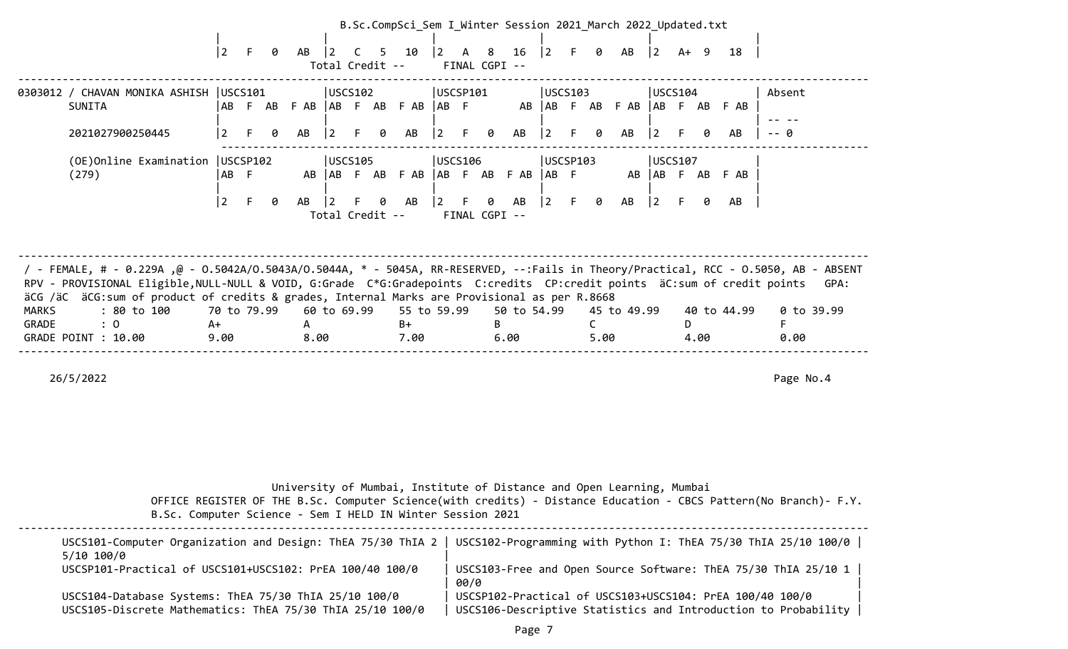|                              |                                                                                                                                                                                                                                                                                                                                                                                                                      |                           |    |   |                          |                                    |              |   | B.Sc.CompSci_Sem I Winter Session 2021 March 2022 Updated.txt      |                                           |   |               |                     |                                                                      |     |      |                                    |                         |    |      |                       |                    |      |
|------------------------------|----------------------------------------------------------------------------------------------------------------------------------------------------------------------------------------------------------------------------------------------------------------------------------------------------------------------------------------------------------------------------------------------------------------------|---------------------------|----|---|--------------------------|------------------------------------|--------------|---|--------------------------------------------------------------------|-------------------------------------------|---|---------------|---------------------|----------------------------------------------------------------------|-----|------|------------------------------------|-------------------------|----|------|-----------------------|--------------------|------|
|                              |                                                                                                                                                                                                                                                                                                                                                                                                                      | $\overline{2}$            | F  | 0 | AB                       | $\vert 2 \vert$<br>Total Credit -- | $\mathsf{C}$ |   | 5 10                                                               | $\begin{vmatrix} 2 & A & 8 \end{vmatrix}$ |   | FINAL CGPI -- | 16                  | $\begin{bmatrix} 2 & F & 0 \end{bmatrix}$                            |     |      | AB                                 | 2                       |    |      | A+ 9 18               |                    |      |
|                              | 0303012 / CHAVAN MONIKA ASHISH   USCS101<br>SUNITA<br>2021027900250445                                                                                                                                                                                                                                                                                                                                               | AB<br>$\overline{2}$      | F. | ø | AB                       | USCS102 <br>$\vert 2 \vert$ F      |              | 0 | F AB F AB   AB F AB F AB   AB F<br>AB                              | USCSP101<br> 2                            |   | F 0           | AB                  | USCS103<br>$ 2\rangle$                                               | F 0 |      | AB AB F AB F AB AB F AB F AB<br>AB | USCS104 <br>$ 2\rangle$ | F  | 0    | AB                    | Absent             |      |
|                              | (OE)Online Examination   USCSP102<br>(279)                                                                                                                                                                                                                                                                                                                                                                           | AB F<br>$\overline{2}$    | F. | ø | AB                       | USCS105<br>$\overline{2}$          |              |   | AB   AB F AB F AB   AB F AB F AB<br>$\Theta$ AB<br>Total Credit -- | USCS106<br> 2                             | F | FINAL CGPI -- | 0 AB                | USCSP103<br>$AB$ F<br>$\begin{bmatrix} 2 & F & \theta \end{bmatrix}$ |     |      | AB                                 | USCS107<br>$ 2\rangle$  | F. | 0    | AB AB F AB F AB<br>AB |                    |      |
| <b>MARKS</b><br><b>GRADE</b> | / - FEMALE, # - 0.229A ,@ - 0.5042A/0.5043A/0.5044A, * - 5045A, RR-RESERVED, --:Fails in Theory/Practical, RCC - 0.5050, AB - ABSENT<br>RPV - PROVISIONAL Eligible, NULL-NULL & VOID, G:Grade C*G:Gradepoints C:credits CP:credit points äC:sum of credit points<br>äCG /äC äCG:sum of product of credits & grades, Internal Marks are Provisional as per R.8668<br>: 80 to 100<br>$\colon$ 0<br>GRADE POINT : 10.00 | 70 to 79.99<br>A+<br>9.00 |    |   | 60 to 69.99<br>A<br>8.00 |                                    |              |   | 55 to 59.99<br>$B+$<br>7.00                                        |                                           |   | B.            | 50 to 54.99<br>6.00 |                                                                      |     | 5.00 | 45 to 49.99                        |                         | D. | 4.00 | 40 to 44.99           | 0 to 39.99<br>0.00 | GPA: |

 University of Mumbai, Institute of Distance and Open Learning, Mumbai OFFICE REGISTER OF THE B.Sc. Computer Science(with credits) - Distance Education - CBCS Pattern(No Branch)- F.Y. B.Sc. Computer Science - Sem I HELD IN Winter Session 2021  $-1-\frac{1}{2}$ 

| $5/10$ $100/0$                                                                                                     | USCS101-Computer Organization and Design: ThEA 75/30 ThIA 2   USCS102-Programming with Python I: ThEA 75/30 ThIA 25/10 100/0 |
|--------------------------------------------------------------------------------------------------------------------|------------------------------------------------------------------------------------------------------------------------------|
| USCSP101-Practical of USCS101+USCS102: PrEA 100/40 100/0                                                           | USCS103-Free and Open Source Software: ThEA 75/30 ThIA 25/10 1<br>00/0                                                       |
| USCS104-Database Systems: ThEA 75/30 ThIA 25/10 100/0<br>USCS105-Discrete Mathematics: ThEA 75/30 ThIA 25/10 100/0 | USCSP102-Practical of USCS103+USCS104: PrEA 100/40 100/0<br>USCS106-Descriptive Statistics and Introduction to Probability   |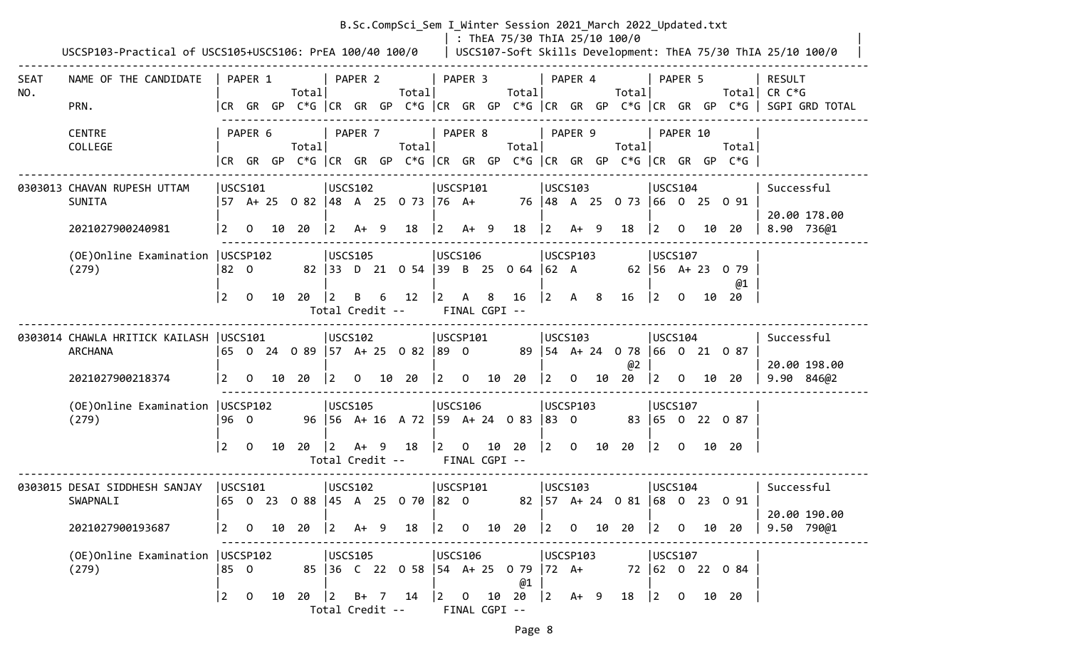|             |                                                           |             |                |    |                                                                                                    |                                |         |   | B.Sc.CompSci_Sem I Winter Session 2021 March 2022 Updated.txt |                 |                    |   | : ThEA 75/30 ThIA 25/10 100/0                    |                 |                                            |                                                 |                                                 |          |                                                                                |                                                                                       |
|-------------|-----------------------------------------------------------|-------------|----------------|----|----------------------------------------------------------------------------------------------------|--------------------------------|---------|---|---------------------------------------------------------------|-----------------|--------------------|---|--------------------------------------------------|-----------------|--------------------------------------------|-------------------------------------------------|-------------------------------------------------|----------|--------------------------------------------------------------------------------|---------------------------------------------------------------------------------------|
|             | USCSP103-Practical of USCS105+USCS106: PrEA 100/40 100/0  |             |                |    |                                                                                                    |                                |         |   |                                                               |                 |                    |   |                                                  |                 |                                            |                                                 |                                                 |          |                                                                                | USCS107-Soft Skills Development: ThEA 75/30 ThIA 25/10 100/0                          |
| SEAT<br>NO. | NAME OF THE CANDIDATE                                     |             | PAPER 1        |    | Totall                                                                                             |                                | PAPER 2 |   | Total                                                         |                 | PAPER 3            |   | Totall                                           |                 | PAPER 4                                    | Totall                                          |                                                 | PAPER 5  |                                                                                | <b>RESULT</b><br>Total  CR C*G                                                        |
|             | PRN.                                                      |             |                |    |                                                                                                    |                                |         |   |                                                               |                 |                    |   |                                                  |                 |                                            |                                                 |                                                 |          |                                                                                | CR GR GP C*G  CR GR GP C*G  CR GR GP C*G  CR GR GP C*G  CR GR GP C*G   SGPI GRD TOTAL |
|             | <b>CENTRE</b><br>COLLEGE                                  |             | PAPER 6        |    | Total                                                                                              | PAPER 7                        |         |   | Total                                                         | PAPER 8         |                    |   | Total                                            |                 | PAPER 9                                    | Total                                           |                                                 | PAPER 10 | Total<br> CR GR GP C*G  CR GR GP C*G  CR GR GP C*G  CR GR GP C*G  CR GR GP C*G |                                                                                       |
|             |                                                           |             |                |    |                                                                                                    |                                |         |   |                                                               |                 |                    |   |                                                  |                 |                                            |                                                 |                                                 |          |                                                                                |                                                                                       |
|             | 0303013 CHAVAN RUPESH UTTAM<br><b>SUNITA</b>              | USCS101     |                |    | 57 A+ 25 0 82  48 A 25 0 73  76 A+                                                                 | USCS102                        |         |   |                                                               | USCSP101        |                    |   |                                                  |                 | USCS103                                    | 76 48 A 25 0 73 66 0 25 0 91                    | USCS104                                         |          |                                                                                | Successful<br>20.00 178.00                                                            |
|             | 2021027900240981                                          | 2           | $\overline{0}$ |    | 10 20                                                                                              | $ 2 \tA+ 9$                    |         |   | 18                                                            | $ 2 \tA+ 9$     |                    |   | 18                                               | $\vert 2 \vert$ | $A+ 9$                                     | 18                                              |                                                 |          | $\begin{bmatrix} 2 & 0 & 10 & 20 \end{bmatrix}$                                | 8.90 736@1                                                                            |
|             | (OE) Online Examination   USCSP102<br>(279)               | 82 O        |                |    |                                                                                                    | USCS105                        |         |   | 82 33 D 21 0 54 39 B 25 0 64                                  | USCS106         |                    |   |                                                  | $ 62 \tA$       | USCSP103                                   |                                                 | USCS107                                         |          | 62   56 A + 23 0 79<br>@1                                                      |                                                                                       |
|             |                                                           | 2           | $\overline{0}$ | 10 | 20                                                                                                 | $ 2\rangle$<br>Total Credit -- | B       | 6 | 12                                                            | $\vert 2 \vert$ | A<br>FINAL CGPI -- | 8 | 16                                               | $ 2\rangle$     | A 8                                        | 16                                              | $ 2\rangle$                                     |          | $0$ 10 20                                                                      |                                                                                       |
|             | 0303014 CHAWLA HRITICK KAILASH  USCS101<br><b>ARCHANA</b> |             |                |    | 65 0 24 0 89 57 A+ 25 0 82 89 0                                                                    | USCS102                        |         |   |                                                               | USCSP101        |                    |   |                                                  |                 | USCS103                                    | 89   54 A + 24 0 78   66 0 21 0 87              | USCS104                                         |          |                                                                                | Successful<br>20.00 198.00                                                            |
|             | 2021027900218374                                          | <u> 2</u>   |                |    | $0$ $10$ $20$                                                                                      | $ 2\rangle$                    |         |   | $0$ 10 20                                                     |                 |                    |   | $\begin{array}{ccc} 2 & 0 & 10 & 20 \end{array}$ | $ 2\rangle$     |                                            | @2<br>$0$ 10 20                                 | $\begin{vmatrix} 2 & 0 \end{vmatrix}$           |          | 10 20                                                                          | 9.90 846@2                                                                            |
|             | (OE) Online Examination   USCSP102<br>(279)               | 196 0       |                |    |                                                                                                    | USCS105                        |         |   | 96 56 A+ 16 A 72 59 A+ 24 0 83 83 0                           | USCS106         |                    |   |                                                  |                 | USCSP103                                   |                                                 | USCS107                                         |          | 83 65 0 22 0 87                                                                |                                                                                       |
|             |                                                           | $\vert$ 2   | $\overline{0}$ | 10 | 20                                                                                                 | $ 2\rangle$                    | $A+ 9$  |   | 18<br>Total Credit --                                         | $ 2\rangle$     | FINAL CGPI --      |   | $0$ 10 20                                        |                 |                                            | $\begin{vmatrix} 2 & 0 & 10 & 20 \end{vmatrix}$ | $\begin{vmatrix} 2 & 0 & 10 & 20 \end{vmatrix}$ |          |                                                                                |                                                                                       |
|             | 0303015 DESAI SIDDHESH SANJAY<br>SWAPNALI                 | USCS101     |                |    | 65 0 23 0 88 45 A 25 0 70 82 0                                                                     | USCS102                        |         |   |                                                               | USCSP101        |                    |   |                                                  |                 | USCS103                                    | 82   57 A + 24 0 81   68 0 23 0 91              | USCS104                                         |          |                                                                                | Successful                                                                            |
|             | 2021027900193687                                          |             |                |    | $\begin{array}{ c c c c c c c c } \hline 2 & 0 & 10 & 20 & 2 & \text{A+} & 9 \ \hline \end{array}$ |                                |         |   | 18                                                            |                 |                    |   | $\begin{vmatrix} 2 & 0 & 10 & 20 \end{vmatrix}$  |                 |                                            | $\begin{vmatrix} 2 & 0 & 10 & 20 \end{vmatrix}$ |                                                 |          | $ 2 \t0 \t10 \t20$                                                             | 20.00 190.00<br>9.50 790@1                                                            |
|             | (OE) Online Examination   USCSP102<br>(279)               | 85 0        |                |    |                                                                                                    | USCS105                        |         |   | 85 36 C 22 0 58 54 A + 25 0 79                                | USCS106         |                    |   | @1                                               |                 | USCSP103<br>$ 72 \tA+$                     |                                                 | USCS107                                         |          | 72 62 0 22 0 84                                                                |                                                                                       |
|             |                                                           | $\boxed{2}$ | $\overline{0}$ | 10 | $20$ $\begin{vmatrix} 2 & 8+ & 7 & 14 \end{vmatrix}$                                               |                                |         |   | Total Credit --                                               |                 | FINAL CGPI --      |   | $ 2 \t0 \t10 \t20$                               |                 | $\begin{vmatrix} 2 & A+ & 9 \end{vmatrix}$ | 18                                              | $\begin{vmatrix} 2 & 0 \end{vmatrix}$           |          | 10 20                                                                          |                                                                                       |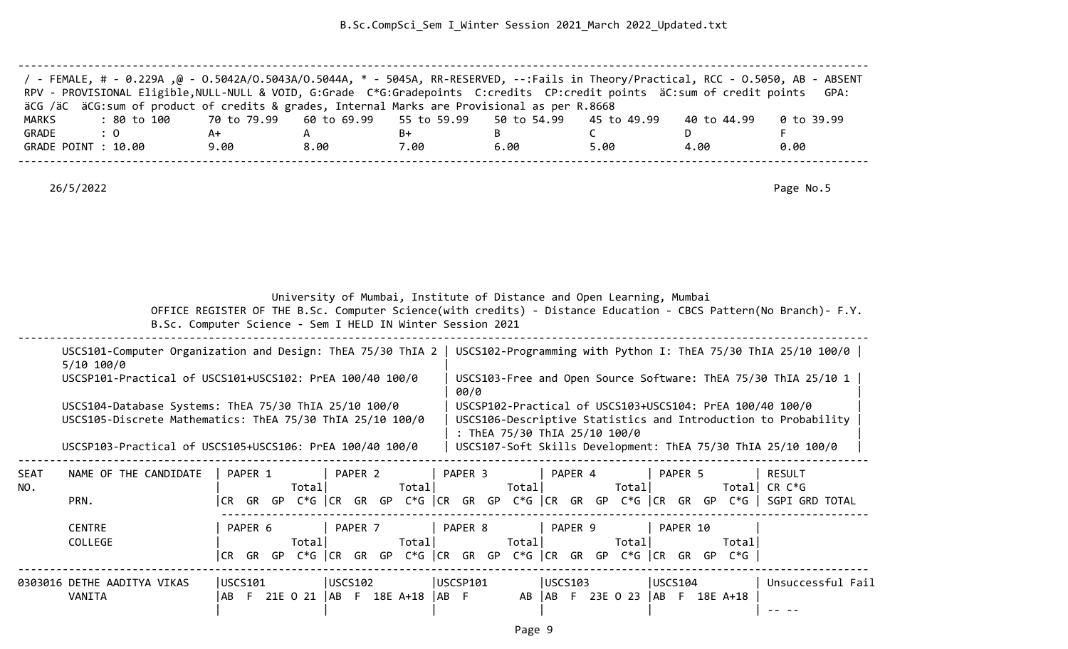| / - FEMALE, # - 0.229A ,@ - 0.5042A/0.5043A/0.5044A, * - 5045A, RR-RESERVED, --:Fails in Theory/Practical, RCC - 0.5050, AB - ABSENT |      |      |      |      |      |             |            |
|--------------------------------------------------------------------------------------------------------------------------------------|------|------|------|------|------|-------------|------------|
| RPV - PROVISIONAL Eligible, NULL-NULL & VOID, G:Grade C*G:Gradepoints C:credits CP:credit points äC:sum of credit points GPA:        |      |      |      |      |      |             |            |
| äCG /äC äCG:sum of product of credits & grades, Internal Marks are Provisional as per R.8668                                         |      |      |      |      |      |             |            |
| : 80 to 100    70 to 79.99   60 to 69.99   55 to 59.99   50 to 54.99   45 to 49.99<br>MARKS                                          |      |      |      |      |      | 40 to 44.99 | 0 to 39.99 |
| GRADE<br>$\therefore$ 0                                                                                                              | A+   |      | B+   |      |      |             |            |
| GRADE POINT : 10.00                                                                                                                  | 9.00 | 8.00 | 7.00 | 6.00 | 5.00 | 4.00        | 0.00       |
|                                                                                                                                      |      |      |      |      |      |             |            |

University of Mumbai, Institute of Distance and Open Learning, Mumbai

 OFFICE REGISTER OF THE B.Sc. Computer Science(with credits) - Distance Education - CBCS Pattern(No Branch)- F.Y. B.Sc. Computer Science - Sem I HELD IN Winter Session 2021

--------------------------------------------------------------------------------------------------------------------------------------

|                                                           | USCS101-Computer Organization and Design: ThEA 75/30 ThIA 2   USCS102-Programming with Python I: ThEA 75/30 ThIA 25/10 100/0 |
|-----------------------------------------------------------|------------------------------------------------------------------------------------------------------------------------------|
| 5/10 100/0                                                |                                                                                                                              |
| USCSP101-Practical of USCS101+USCS102: PrEA 100/40 100/0  | USCS103-Free and Open Source Software: ThEA 75/30 ThIA 25/10 1<br>00/0                                                       |
| USCS104-Database Systems: ThEA 75/30 ThIA 25/10 100/0     | USCSP102-Practical of USCS103+USCS104: PrEA 100/40 100/0                                                                     |
| USCS105-Discrete Mathematics: ThEA 75/30 ThIA 25/10 100/0 | USCS106-Descriptive Statistics and Introduction to Probability                                                               |
| USCSP103-Practical of USCS105+USCS106: PrEA 100/40 100/0  | : ThEA 75/30 ThIA 25/10 100/0<br>USCS107-Soft Skills Development: ThEA 75/30 ThIA 25/10 100/0                                |

| <b>SEAT</b><br>NO. | NAME OF THE CANDIDATE       |         | PAPER 1 |     | Total       |                   | PAPER 2 |    | Total         |       | PAPER 3  |     | Total       |         | PAPER 4 |    | Total    |         | PAPER 5  |    | Total         | <b>RESULT</b><br>CR C*G |  |
|--------------------|-----------------------------|---------|---------|-----|-------------|-------------------|---------|----|---------------|-------|----------|-----|-------------|---------|---------|----|----------|---------|----------|----|---------------|-------------------------|--|
|                    | PRN.                        | CR.     | GR      | GP. | $C*G$ $ CR$ |                   | GR      | GP | C*G  CR       |       | GR       | GP. | $C*G$ $ CR$ |         | GR      | GP | C*G  CR  |         | GR.      | GP | $C*G$         | <b>SGPI GRD TOTAL</b>   |  |
|                    | <b>CENTRE</b><br>COLLEGE    |         | PAPER 6 |     | Totall      |                   | PAPER 7 |    | Total         |       | PAPER 8  |     | Total       |         | PAPER 9 |    | Total    |         | PAPER 10 |    | Total         |                         |  |
|                    |                             | ICR.    | GR      | GP. | C*G  CR     |                   | GR      | GP | C*G  CR       |       | GR       | GP  | C*G  CR     |         | GR      | GP | C*G ICR  |         | GR.      | GP | $C*G$         |                         |  |
|                    | 0303016 DETHE AADITYA VIKAS | USCS101 |         |     |             | $ USCS102\rangle$ |         |    |               |       | USCSP101 |     |             | USCS103 |         |    |          | USCS104 |          |    |               | Unsuccessful Fail       |  |
|                    | VANITA                      | l AB-   |         |     | 21E O 21    |                   |         |    | AB F 18E A+18 | IAB F |          |     | AB          | AB.     |         |    | 23E 0 23 |         |          |    | AB F 18E A+18 |                         |  |

--------------------------------------------------------------------------------------------------------------------------------------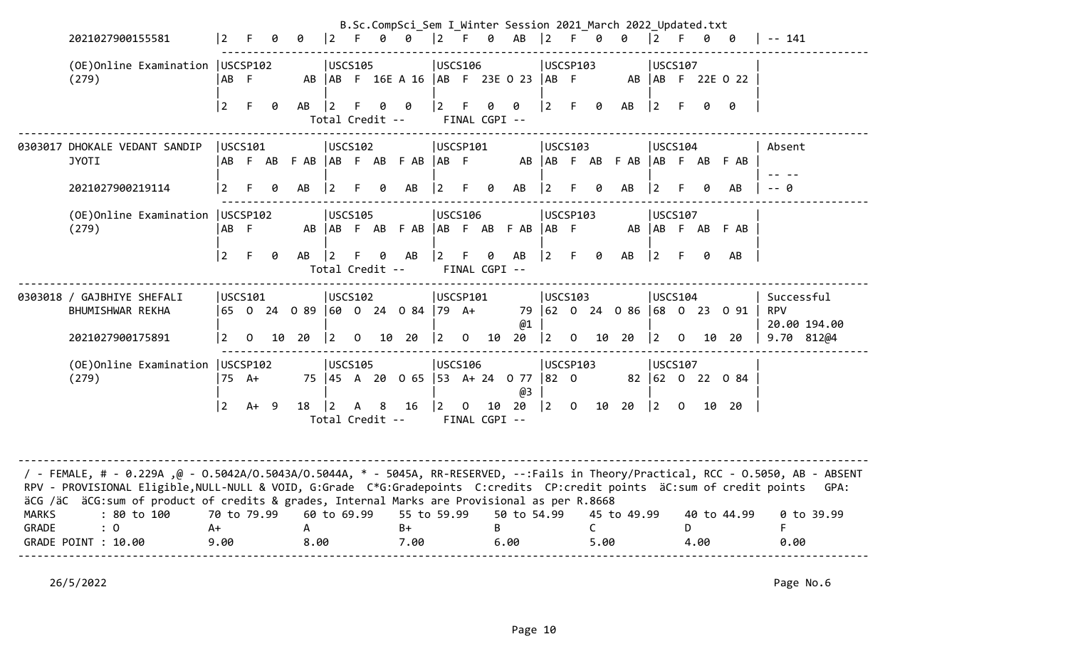|              | 2021027900155581                                                                                                                                                                                                                                                                                                                                                                | $\vert$ 2       |                | 0   | ø                                  | $ 2 \tF$       |                |                      | B.Sc.CompSci_Sem I_Winter Session 2021_March 2022_Updated.txt<br>0 0 2 F 0 AB 2 F 0 0 |                                       |                |               |                     |                                                |    |                      |                                                 | $ 2 \tF$                              |      |      | 0 0                          | -- 141                                   |
|--------------|---------------------------------------------------------------------------------------------------------------------------------------------------------------------------------------------------------------------------------------------------------------------------------------------------------------------------------------------------------------------------------|-----------------|----------------|-----|------------------------------------|----------------|----------------|----------------------|---------------------------------------------------------------------------------------|---------------------------------------|----------------|---------------|---------------------|------------------------------------------------|----|----------------------|-------------------------------------------------|---------------------------------------|------|------|------------------------------|------------------------------------------|
|              | (OE) Online Examination   USCSP102<br>(279)                                                                                                                                                                                                                                                                                                                                     | AB F            |                |     |                                    | <b>USCS105</b> |                |                      | AB   AB F 16E A 16   AB F 23E O 23   AB F                                             | <b>USCS106</b>                        |                |               |                     | USCSP103                                       |    |                      |                                                 | USCS107                               |      |      | AB   AB F 22E 0 22           |                                          |
|              |                                                                                                                                                                                                                                                                                                                                                                                 | $\vert$ 2       | F              | - 0 | AB                                 | $ 2\rangle$    | F.             | 0<br>Total Credit -- | 0                                                                                     | $ 2\rangle$                           | F.             | 0             | 0<br>FINAL CGPI --  | $\vert 2 \vert$                                |    | F 0                  | AB                                              | $ 2\rangle$                           | $-F$ | 0    | 0                            |                                          |
|              | 0303017 DHOKALE VEDANT SANDIP<br><b>JYOTI</b>                                                                                                                                                                                                                                                                                                                                   | USCS101         |                |     | AB F AB F AB   AB F AB F AB   AB F | USCS102        |                |                      |                                                                                       | USCSP101                              |                |               |                     | USCS103                                        |    |                      | AB AB F AB F AB AB F AB F AB                    | USCS104                               |      |      |                              | Absent                                   |
|              | 2021027900219114                                                                                                                                                                                                                                                                                                                                                                | $\overline{2}$  | F.             | 0   | AB                                 | $ 2\rangle$    | F.             | 0                    | AB                                                                                    | $\vert 2 \vert$                       | F.             | 0             | AB                  | 2                                              | F. | 0                    | AB                                              | 12.                                   | F.   |      | AB.                          | -- 0                                     |
|              | (OE) Online Examination   USCSP102<br>(279)                                                                                                                                                                                                                                                                                                                                     | AB F            |                |     |                                    | <b>USCS105</b> |                |                      | AB AB F AB F AB AB F AB F AB AB F                                                     | <b>IUSCS106</b>                       |                |               |                     | USCSP103                                       |    |                      | AB                                              | <b>USCS107</b>                        |      |      | ABFABFAB                     |                                          |
|              |                                                                                                                                                                                                                                                                                                                                                                                 | $ 2\rangle$     | F.             | 0   | $AB$   2                           |                | F.             | 0<br>Total Credit -- | AB                                                                                    | $ 2\rangle$                           | F.             | 0             | AB<br>FINAL CGPI -- | $\begin{bmatrix} 2 & F & \theta \end{bmatrix}$ |    |                      | AB                                              | $ 2\rangle$                           | - F  | ø    | AB                           |                                          |
|              | 0303018 / GAJBHIYE SHEFALI<br>BHUMISHWAR REKHA                                                                                                                                                                                                                                                                                                                                  | USCS101         |                |     | 65 0 24 0 89  60 0 24 0 84  79 A+  | USCS102        |                |                      |                                                                                       | USCSP101                              |                |               | @1                  | USCS103                                        |    |                      |                                                 | USCS104                               |      |      | 79 62 0 24 0 86 68 0 23 0 91 | Successful<br><b>RPV</b><br>20.00 194.00 |
|              | 2021027900175891                                                                                                                                                                                                                                                                                                                                                                | $\vert 2 \vert$ | $\overline{0}$ |     | 10 20                              | $ 2\rangle$    | $\overline{0}$ |                      | 10 20                                                                                 | $ 2\rangle$                           | $\overline{0}$ | 10            | 20                  |                                                |    |                      | $\begin{vmatrix} 2 & 0 & 10 & 20 \end{vmatrix}$ | $\begin{vmatrix} 2 & 0 \end{vmatrix}$ |      |      | 10 20                        | 9.70 812@4                               |
|              | (OE) Online Examination   USCSP102<br>(279)                                                                                                                                                                                                                                                                                                                                     | 75 A+           |                |     |                                    | <b>USCS105</b> |                |                      | 75 45 A 20 0 65 53 A + 24 0 77 82 0                                                   | <b>JUSCS106</b>                       |                |               | @3                  | USCSP103                                       |    |                      |                                                 | <b>USCS107</b>                        |      |      | 82 62 0 22 0 84              |                                          |
|              |                                                                                                                                                                                                                                                                                                                                                                                 | $\vert$ 2       | $A+ 9$         |     | 18   2                             |                |                | A 8                  | 16<br>Total Credit --                                                                 | $\begin{vmatrix} 2 & 0 \end{vmatrix}$ |                | FINAL CGPI -- | 10 20               |                                                |    |                      | $\begin{vmatrix} 2 & 0 & 10 & 20 \end{vmatrix}$ | $\begin{vmatrix} 2 & 0 \end{vmatrix}$ |      |      | 10 20                        |                                          |
| <b>MARKS</b> | / - FEMALE, # - 0.229A ,@ - 0.5042A/0.5043A/0.5044A, * - 5045A, RR-RESERVED, --:Fails in Theory/Practical, RCC - 0.5050, AB - ABSENT<br>RPV - PROVISIONAL Eligible, NULL-NULL & VOID, G:Grade C*G:Gradepoints C:credits CP:credit points äC:sum of credit points<br>äCG /äC äCG:sum of product of credits & grades, Internal Marks are Provisional as per R.8668<br>: 80 to 100 | 70 to 79.99     |                |     |                                    | 60 to 69.99    |                |                      | 55 to 59.99                                                                           |                                       |                |               | 50 to 54.99         |                                                |    |                      | 45 to 49.99                                     |                                       |      |      | 40 to 44.99                  | GPA:<br>0 to 39.99                       |
| <b>GRADE</b> | $\colon 0$<br>GRADE POINT : 10.00                                                                                                                                                                                                                                                                                                                                               | $A+$<br>9.00    |                |     | $\mathsf{A}$<br>8.00               |                |                |                      | $B+$<br>7.00                                                                          |                                       |                | B             | 6.00                |                                                |    | $\mathsf{C}$<br>5.00 |                                                 |                                       | D    | 4.00 |                              | F.<br>0.00                               |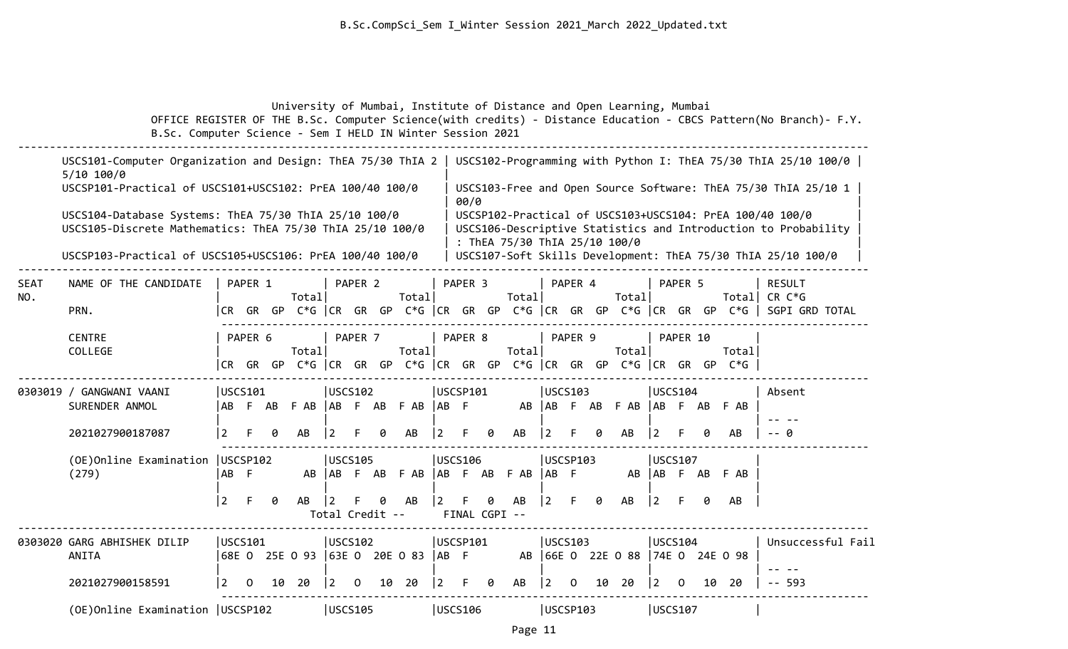University of Mumbai, Institute of Distance and Open Learning, Mumbai

 OFFICE REGISTER OF THE B.Sc. Computer Science(with credits) - Distance Education - CBCS Pattern(No Branch)- F.Y. B.Sc. Computer Science - Sem I HELD IN Winter Session 2021

|                    | USCS101-Computer Organization and Design: ThEA 75/30 ThIA 2<br>$5/10$ 100/0                                        |                |          |    |                                                                       |                        |          |    |                 |                |                    |                    |                               |    |                 |    |                                  |                |          |    |                 | USCS102-Programming with Python I: ThEA 75/30 ThIA 25/10 100/0                                                             |
|--------------------|--------------------------------------------------------------------------------------------------------------------|----------------|----------|----|-----------------------------------------------------------------------|------------------------|----------|----|-----------------|----------------|--------------------|--------------------|-------------------------------|----|-----------------|----|----------------------------------|----------------|----------|----|-----------------|----------------------------------------------------------------------------------------------------------------------------|
|                    | USCSP101-Practical of USCS101+USCS102: PrEA 100/40 100/0                                                           |                |          |    |                                                                       |                        |          |    |                 |                | 00/0               |                    |                               |    |                 |    |                                  |                |          |    |                 | USCS103-Free and Open Source Software: ThEA 75/30 ThIA 25/10 1                                                             |
|                    | USCS104-Database Systems: ThEA 75/30 ThIA 25/10 100/0<br>USCS105-Discrete Mathematics: ThEA 75/30 ThIA 25/10 100/0 |                |          |    |                                                                       |                        |          |    |                 |                |                    |                    | : ThEA 75/30 ThIA 25/10 100/0 |    |                 |    |                                  |                |          |    |                 | USCSP102-Practical of USCS103+USCS104: PrEA 100/40 100/0<br>USCS106-Descriptive Statistics and Introduction to Probability |
|                    | USCSP103-Practical of USCS105+USCS106: PrEA 100/40 100/0                                                           |                |          |    |                                                                       |                        |          |    |                 |                |                    |                    |                               |    |                 |    |                                  |                |          |    |                 | USCS107-Soft Skills Development: ThEA 75/30 ThIA 25/10 100/0                                                               |
| <b>SEAT</b><br>NO. | NAME OF THE CANDIDATE                                                                                              |                | PAPER 1  |    | Total                                                                 |                        | PAPER 2  |    | Total           |                | PAPER <sub>3</sub> |                    | Total                         |    | PAPER 4         |    | Total                            |                | PAPER 5  |    |                 | <b>RESULT</b><br>Total  CR C*G                                                                                             |
|                    | PRN.                                                                                                               |                |          |    |                                                                       |                        |          |    |                 |                |                    |                    |                               |    |                 |    |                                  |                |          |    |                 | CR GR GP C*G CR GR GP C*G CR GR GP C*G CR GR GP C*G CR GR GP C*G SGPI GRD TOTAL                                            |
|                    | <b>CENTRE</b><br>COLLEGE                                                                                           |                | PAPER 6  |    | Total<br>CR GR GP C*G CR GR GP C*G CR GR GP C*G CR GR GP C*G CR GR GP |                        | PAPER 7  |    | Total           |                | PAPER 8            |                    | Total                         |    | PAPER 9         |    | Total                            |                | PAPER 10 |    | Total<br>$C*G$  |                                                                                                                            |
|                    | 0303019 / GANGWANI VAANI<br>SURENDER ANMOL                                                                         |                | USCS101  |    | AB F AB F AB AB F AB F AB AB F                                        | $ USCS102\rangle$      |          |    |                 | USCSP101       |                    |                    |                               |    | <b>USCS103</b>  |    | AB AB F AB F AB AB F AB F AB     | USCS104        |          |    |                 | Absent                                                                                                                     |
|                    | 2021027900187087                                                                                                   | 2              |          | g  | AB                                                                    | $\overline{2}$         |          | ø  | AB              | $\overline{2}$ | F                  | 0                  | AB                            |    |                 | a  | AB                               | 2              |          | a  | AB              | -- 0                                                                                                                       |
|                    | (OE)Online Examination<br>(279)                                                                                    | AB F           | USCSP102 |    |                                                                       | USCS105                |          |    | AB AB F AB F AB | USCS106        |                    |                    | AB F AB F AB                  | AB | <b>USCSP103</b> |    |                                  | USCS107        |          |    | AB AB F AB F AB |                                                                                                                            |
|                    |                                                                                                                    | $\overline{2}$ | F.       | 0  | AB                                                                    | l 2<br>Total Credit -- |          | ø  | AB              | $\overline{2}$ | F.                 | 0<br>FINAL CGPI -- | AB                            | 2  | F.              | ø  | AB                               | $\overline{2}$ |          | a  | AB              |                                                                                                                            |
|                    | 0303020 GARG ABHISHEK DILIP                                                                                        |                | USCS101  |    |                                                                       | USCS102                |          |    |                 |                | USCSP101           |                    |                               |    | USCS103         |    |                                  | USCS104        |          |    |                 | Unsuccessful Fail                                                                                                          |
|                    | ANITA                                                                                                              |                |          |    | 68E 0 25E 0 93 63E 0 20E 0 83                                         |                        |          |    |                 | $ AB \tF$      |                    |                    |                               |    |                 |    | AB 66E 0 22E 0 88 74E 0 24E 0 98 |                |          |    |                 |                                                                                                                            |
|                    | 2021027900158591                                                                                                   | $\overline{2}$ | 0        | 10 | 20                                                                    | l 2.                   | $\Omega$ | 10 | 20              | $\overline{2}$ | F                  | 0                  | AB                            | 2  | $\Omega$        | 10 | 20                               | $ 2\rangle$    | $\Omega$ | 10 | 20              | $- - 593$                                                                                                                  |
|                    | (OE)Online Examination   USCSP102                                                                                  |                |          |    |                                                                       | <b>USCS105</b>         |          |    |                 |                | USCS106            |                    |                               |    | USCSP103        |    |                                  | <b>USCS107</b> |          |    |                 |                                                                                                                            |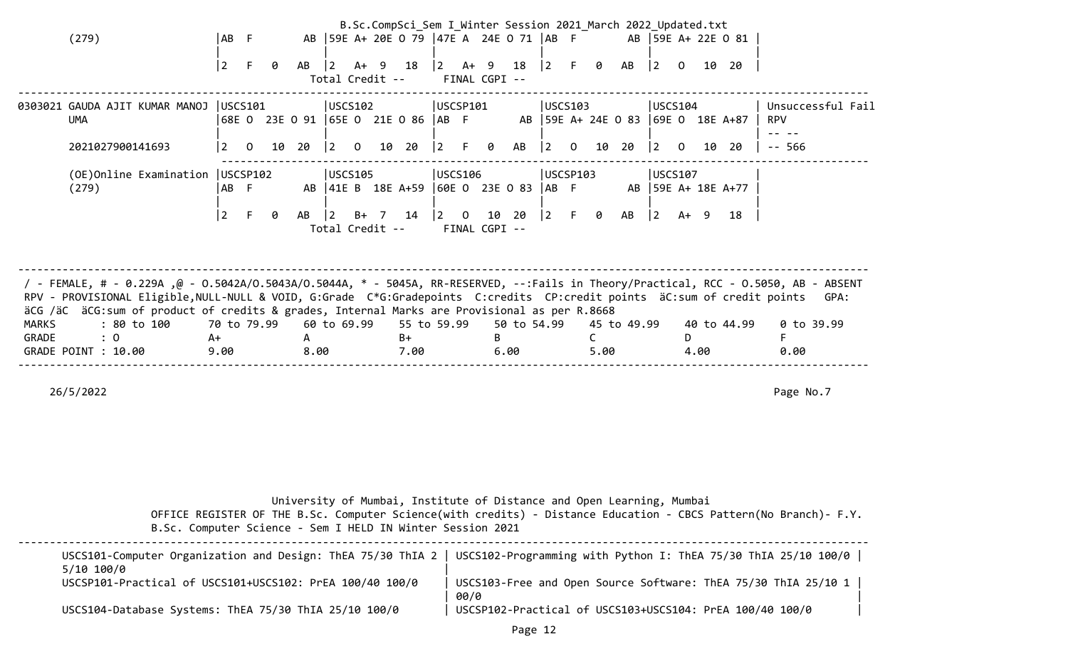|       |                                                                                                                                      |      |                |   |              |                                       |  | B.Sc.CompSci_Sem I Winter Session 2021 March 2022 Updated.txt |                                       |               |                                                         |             |                |      |             |                                       |                |      |                                                                              |                   |
|-------|--------------------------------------------------------------------------------------------------------------------------------------|------|----------------|---|--------------|---------------------------------------|--|---------------------------------------------------------------|---------------------------------------|---------------|---------------------------------------------------------|-------------|----------------|------|-------------|---------------------------------------|----------------|------|------------------------------------------------------------------------------|-------------------|
|       | (279)                                                                                                                                | AB F |                |   |              |                                       |  | AB   59E A+ 20E 0 79   47E A 24E 0 71   AB F                  |                                       |               |                                                         |             |                |      |             |                                       |                |      | AB 59E A+ 22E 0 81                                                           |                   |
|       |                                                                                                                                      |      |                |   |              |                                       |  |                                                               |                                       |               |                                                         |             |                |      |             |                                       |                |      |                                                                              |                   |
|       |                                                                                                                                      | 2    |                | 0 |              |                                       |  | AB  2 A+ 9 18  2 A+ 9 18  2                                   |                                       |               |                                                         |             |                | F 0  | AB          | $\begin{vmatrix} 2 & 0 \end{vmatrix}$ |                |      | 10 20                                                                        |                   |
|       |                                                                                                                                      |      |                |   |              | Total Credit --                       |  |                                                               |                                       | FINAL CGPI -- |                                                         |             |                |      |             |                                       |                |      |                                                                              |                   |
|       | 0303021 GAUDA AJIT KUMAR MANOJ  USCS101                                                                                              |      |                |   |              | USCS102                               |  |                                                               | USCSP101                              |               |                                                         | USCS103     |                |      |             | USCS104                               |                |      |                                                                              | Unsuccessful Fail |
|       | <b>UMA</b>                                                                                                                           |      |                |   |              |                                       |  |                                                               |                                       |               |                                                         |             |                |      |             |                                       |                |      | 68E 0 23E 0 91   65E 0 21E 0 86   AB F AB   59E A+ 24E 0 83   69E 0 18E A+87 | <b>RPV</b>        |
|       |                                                                                                                                      |      |                |   |              |                                       |  |                                                               |                                       |               |                                                         |             |                |      |             |                                       |                |      |                                                                              |                   |
|       | 2021027900141693                                                                                                                     | 12   | $\overline{0}$ |   | 10 20        | $\begin{bmatrix} 2 & 0 \end{bmatrix}$ |  | 10 20                                                         |                                       |               | $\begin{vmatrix} 2 & F & \theta & AB & \end{vmatrix}$ 2 |             | $\overline{0}$ |      | 10 20 2     |                                       | $\overline{O}$ | 10   | -20                                                                          | $- - 566$         |
|       |                                                                                                                                      |      |                |   |              |                                       |  |                                                               |                                       |               |                                                         |             |                |      |             |                                       |                |      |                                                                              |                   |
|       | (OE)Online Examination   USCSP102                                                                                                    |      |                |   |              | USCS105                               |  |                                                               | USCS106                               |               |                                                         | USCSP103    |                |      |             | USCS107                               |                |      |                                                                              |                   |
|       | (279)                                                                                                                                | AB F |                |   |              |                                       |  | AB   41E B 18E A+59   60E O 23E O 83   AB F                   |                                       |               |                                                         |             |                |      |             |                                       |                |      | AB 59E A+ 18E A+77                                                           |                   |
|       |                                                                                                                                      | l 2  |                | ø | AB           | $ 2\rangle$                           |  | B+ 7 14                                                       | $\begin{vmatrix} 2 & 0 \end{vmatrix}$ |               | 10 20                                                   | $ 2\rangle$ | F.             | - 0  | AB          | 2                                     | A+ 9           |      | 18                                                                           |                   |
|       |                                                                                                                                      |      |                |   |              | Total Credit --                       |  |                                                               |                                       | FINAL CGPI -- |                                                         |             |                |      |             |                                       |                |      |                                                                              |                   |
|       |                                                                                                                                      |      |                |   |              |                                       |  |                                                               |                                       |               |                                                         |             |                |      |             |                                       |                |      |                                                                              |                   |
|       |                                                                                                                                      |      |                |   |              |                                       |  |                                                               |                                       |               |                                                         |             |                |      |             |                                       |                |      |                                                                              |                   |
|       |                                                                                                                                      |      |                |   |              |                                       |  |                                                               |                                       |               |                                                         |             |                |      |             |                                       |                |      |                                                                              |                   |
|       | / - FEMALE, # - 0.229A ,@ - 0.5042A/0.5043A/0.5044A, * - 5045A, RR-RESERVED, --:Fails in Theory/Practical, RCC - 0.5050, AB - ABSENT |      |                |   |              |                                       |  |                                                               |                                       |               |                                                         |             |                |      |             |                                       |                |      |                                                                              |                   |
|       | RPV - PROVISIONAL Eligible, NULL-NULL & VOID, G:Grade C*G:Gradepoints C:credits CP:credit points äC:sum of credit points             |      |                |   |              |                                       |  |                                                               |                                       |               |                                                         |             |                |      |             |                                       |                |      |                                                                              | GPA:              |
|       | äCG /äC äCG:sum of product of credits & grades, Internal Marks are Provisional as per R.8668                                         |      |                |   |              |                                       |  |                                                               |                                       |               |                                                         |             |                |      |             |                                       |                |      |                                                                              |                   |
| MARKS | : 80 to 100                                                                                                                          |      | 70 to 79.99    |   |              | 60 to 69.99                           |  | 55 to 59.99                                                   |                                       |               | 50 to 54.99                                             |             |                |      | 45 to 49.99 |                                       |                |      | 40 to 44.99                                                                  | 0 to 39.99        |
| GRADE | : 0                                                                                                                                  | A+   |                |   | $\mathsf{A}$ |                                       |  | $B+$                                                          |                                       |               |                                                         |             |                |      |             |                                       | D              |      |                                                                              |                   |
|       | GRADE POINT : 10.00                                                                                                                  | 9.00 |                |   | 8.00         |                                       |  | 7.00                                                          |                                       |               | 6.00                                                    |             |                | 5.00 |             |                                       |                | 4.00 |                                                                              | 0.00              |
|       |                                                                                                                                      |      |                |   |              |                                       |  |                                                               |                                       |               |                                                         |             |                |      |             |                                       |                |      |                                                                              |                   |
|       | 26/5/2022                                                                                                                            |      |                |   |              |                                       |  |                                                               |                                       |               |                                                         |             |                |      |             |                                       |                |      |                                                                              | Page No.7         |
|       |                                                                                                                                      |      |                |   |              |                                       |  |                                                               |                                       |               |                                                         |             |                |      |             |                                       |                |      |                                                                              |                   |

 University of Mumbai, Institute of Distance and Open Learning, Mumbai OFFICE REGISTER OF THE B.Sc. Computer Science(with credits) - Distance Education - CBCS Pattern(No Branch)- F.Y. B.Sc. Computer Science - Sem I HELD IN Winter Session 2021

| 5/10 100/0                                               | USCS101-Computer Organization and Design: ThEA 75/30 ThIA 2   USCS102-Programming with Python I: ThEA 75/30 ThIA 25/10 100/0 |
|----------------------------------------------------------|------------------------------------------------------------------------------------------------------------------------------|
| USCSP101-Practical of USCS101+USCS102: PrEA 100/40 100/0 | USCS103-Free and Open Source Software: ThEA 75/30 ThIA 25/10 1<br>00/0                                                       |
| USCS104-Database Systems: ThEA 75/30 ThIA 25/10 100/0    | USCSP102-Practical of USCS103+USCS104: PrEA 100/40 100/0                                                                     |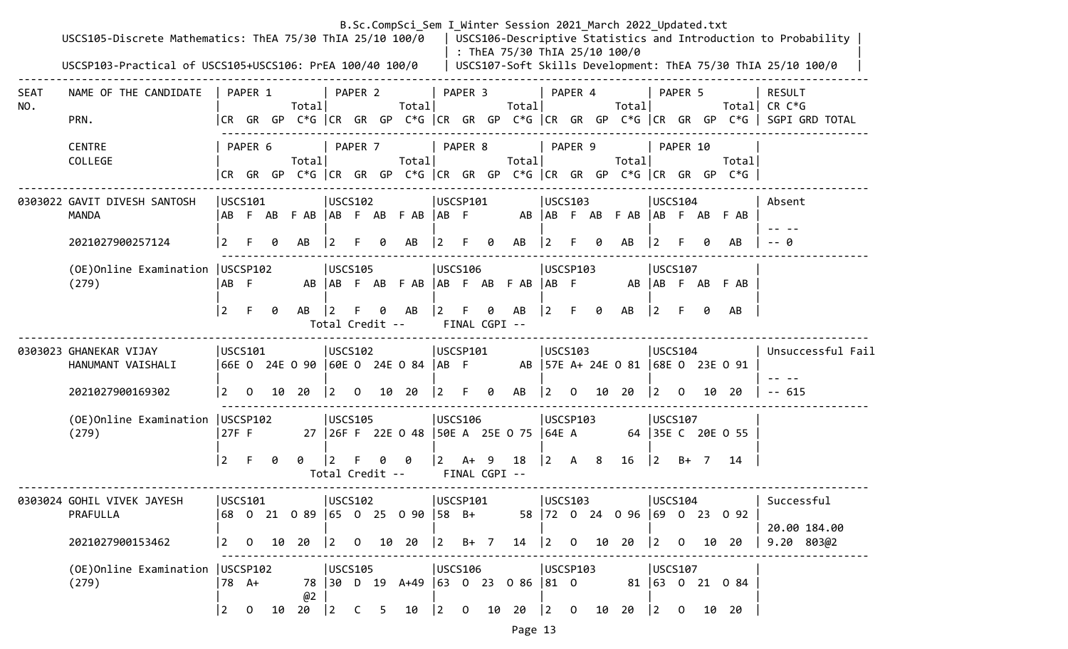|             | USCS105-Discrete Mathematics: ThEA 75/30 ThIA 25/10 100/0<br>USCSP103-Practical of USCS105+USCS106: PrEA 100/40 100/0 |                         |                       |    |                                                                                       |                            |              |   |                                                 |                          |                         |   | : ThEA 75/30 ThIA 25/10 100/0                 |                                                   |          |    | B.Sc.CompSci_Sem I Winter Session 2021 March 2022 Updated.txt |                        |              |    |                                                                                | USCS106-Descriptive Statistics and Introduction to Probability<br>USCS107-Soft Skills Development: ThEA 75/30 ThIA 25/10 100/0 |
|-------------|-----------------------------------------------------------------------------------------------------------------------|-------------------------|-----------------------|----|---------------------------------------------------------------------------------------|----------------------------|--------------|---|-------------------------------------------------|--------------------------|-------------------------|---|-----------------------------------------------|---------------------------------------------------|----------|----|---------------------------------------------------------------|------------------------|--------------|----|--------------------------------------------------------------------------------|--------------------------------------------------------------------------------------------------------------------------------|
| SEAT<br>NO. | NAME OF THE CANDIDATE<br>PRN.                                                                                         |                         | PAPER 1               |    | Totall                                                                                |                            | PAPER 2      |   | Total                                           |                          | PAPER 3                 |   | Total                                         | PAPER 4                                           |          |    | Total                                                         |                        | PAPER 5      |    |                                                                                | RESULT<br>Total  CR C*G<br> CR GR GP C*G  CR GR GP C*G  CR GR GP C*G  CR GR GP C*G  CR GR GP C*G   SGPI GRD TOTAL              |
|             | <b>CENTRE</b><br>COLLEGE                                                                                              |                         | PAPER 6               |    | Total                                                                                 |                            | PAPER 7      |   | Total                                           |                          | PAPER 8                 |   | Total                                         | PAPER 9                                           |          |    | Total                                                         |                        | PAPER 10     |    | Total<br> CR GR GP C*G  CR GR GP C*G  CR GR GP C*G  CR GR GP C*G  CR GR GP C*G |                                                                                                                                |
|             | 0303022 GAVIT DIVESH SANTOSH<br><b>MANDA</b>                                                                          |                         | USCS101               |    | ABF ABF AB  ABF ABF AB  ABF                                                           | USCS102                    |              |   |                                                 | USCSP101                 |                         |   |                                               | USCS103                                           |          |    | AB AB F AB F AB AB F AB F AB                                  | USCS104                |              |    |                                                                                | Absent                                                                                                                         |
|             | 2021027900257124<br>(OE) Online Examination   USCSP102<br>(279)                                                       | $\vert 2 \vert$<br>AB F | F.                    |    | AB                                                                                    | <b>USCS105</b>             |              | ø | AB                                              | <b>JUSCS106</b>          | F.                      | 0 | AB<br>AB   AB F AB F AB   AB F AB F AB   AB F | USCSP103                                          |          |    | AB                                                            | <b>USCS107</b>         |              | ø  | AB<br>AB AB F AB F AB                                                          | - ค                                                                                                                            |
|             |                                                                                                                       | $ 2\rangle$             | F.                    | 0  | AB                                                                                    | Total Credit --            |              |   | AB                                              | $\vert 2 \vert$          | FINAL CGPI --           | 0 | AB                                            | $ 2\rangle$                                       | F        | 0  | AB                                                            | $ 2\rangle$            | F.           | 0  | AB                                                                             |                                                                                                                                |
|             | 0303023 GHANEKAR VIJAY<br>HANUMANT VAISHALI<br>2021027900169302                                                       | $\vert 2 \vert$         | USCS101<br>$\Omega$   |    | 66E O 24E O 90  60E O 24E O 84  AB F<br>10 20                                         | USCS102<br>$\vert 2 \vert$ | $\Omega$     |   | 10 20                                           | USCSP101<br><u> 2</u>    | F.                      | 0 | AB                                            | USCS103<br>$ 2\rangle$                            | $\Omega$ |    | AB   57E A+ 24E 0 81   68E 0 23E 0 91<br>10 20                | USCS104<br>$ 2\rangle$ | $\Omega$     | 10 | -20                                                                            | Unsuccessful Fail<br>$-615$                                                                                                    |
|             | (OE) Online Examination   USCSP102<br>(279)                                                                           | 27F F                   |                       |    |                                                                                       | USCS105                    |              |   |                                                 | USCS106                  |                         |   | 27   26F F 22E 0 48   50E A 25E 0 75   64E A  | USCSP103                                          |          |    |                                                               | USCS107                |              |    | 64 35E C 20E O 55                                                              |                                                                                                                                |
|             |                                                                                                                       | $ 2\rangle$             | F.                    | ø  | 0                                                                                     | 2<br>Total Credit --       |              |   | 0                                               | $\vert 2 \vert$          | $A+ 9$<br>FINAL CGPI -- |   | 18                                            | $\begin{vmatrix} 2 & A & 8 \end{vmatrix}$         |          |    | 16                                                            | $ 2\rangle$            | B+ 7         |    | -14                                                                            |                                                                                                                                |
|             | 0303024 GOHIL VIVEK JAYESH<br>PRAFULLA<br>2021027900153462                                                            |                         | USCS101               |    | 68 0 21 0 89  65 0 25 0 90  58 B+<br>$\begin{array}{ccc} 2 & 0 & 10 & 20 \end{array}$ | USCS102                    |              |   | $\begin{vmatrix} 2 & 0 & 10 & 20 \end{vmatrix}$ | USCSP101<br>$ 2 \t B+7 $ |                         |   |                                               | USCS103                                           |          |    | 58 72 0 24 0 96 69 0 23 0 92<br>14 2 0 10 20 2 0              | USCS104                |              |    | 10 20                                                                          | Successful<br>20.00 184.00<br>9.20 803@2                                                                                       |
|             | (OE)Online Examination   USCSP102<br>(279)                                                                            | $ 2\rangle$             | 78 A+<br>$\mathbf{0}$ | 10 | @2<br>20                                                                              | USCS105<br>$ 2\rangle$     | $\mathsf{C}$ | 5 | 10                                              | USCS106<br>$\vert$ 2     | $\mathbf{O}$            |   | 78 30 D 19 A+49 63 0 23 0 86 81 0<br>10 20    | USCSP103<br>$\begin{vmatrix} 2 & 0 \end{vmatrix}$ |          | 10 | 20                                                            | USCS107<br>$ 2\rangle$ | $\mathbf{0}$ |    | 81 63 0 21 0 84<br>10 20                                                       |                                                                                                                                |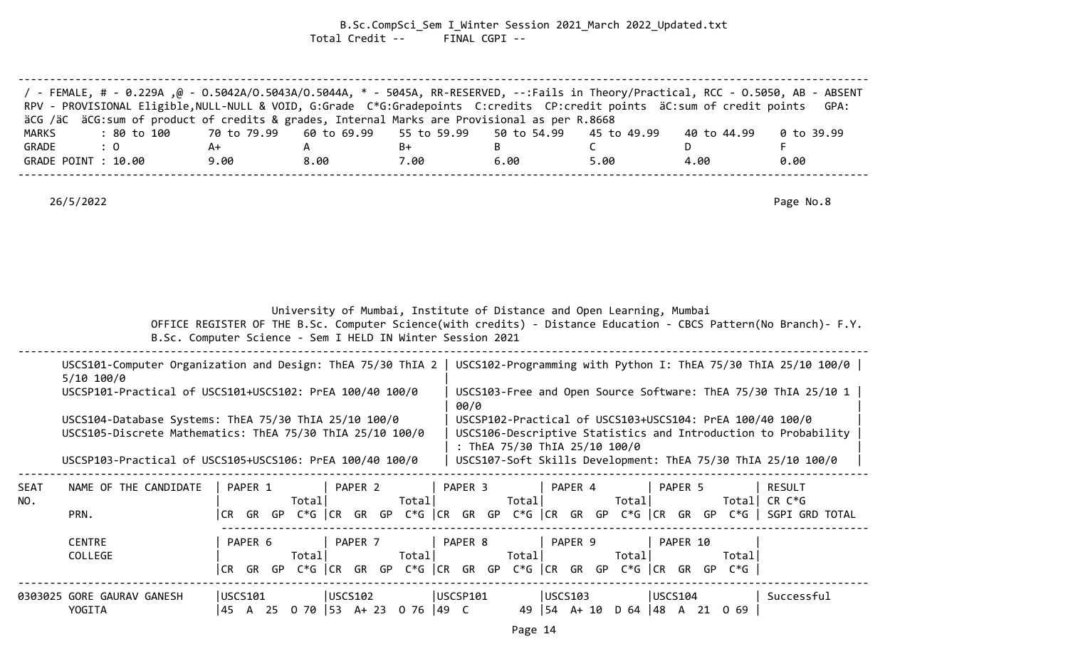B.Sc.CompSci\_Sem I\_Winter Session 2021\_March 2022\_Updated.txt Total Credit -- FINAL CGPI --

| / FEMALE, # - 0.229A, @ - 0.5042A/0.5043A/0.5044A, * - 5045A, RR-RESERVED, --:Fails in Theory/Practical, RCC - 0.5050, AB - ABSENT<br>RPV - PROVISIONAL Eligible, NULL-NULL & VOID, G:Grade C*G:Gradepoints C:credits CP:credit points äC:sum of credit points |      |      |      |      |      |             | GPA:       |
|----------------------------------------------------------------------------------------------------------------------------------------------------------------------------------------------------------------------------------------------------------------|------|------|------|------|------|-------------|------------|
| äCG /äC äCG:sum of product of credits & grades, Internal Marks are Provisional as per R.8668                                                                                                                                                                   |      |      |      |      |      |             |            |
| : 80 to 100    70 to 79.99   60 to 69.99   55 to 59.99   50 to 54.99   45 to 49.99<br>MARKS                                                                                                                                                                    |      |      |      |      |      | 40 to 44.99 | 0 to 39.99 |
| GRADE<br>$\therefore$ 0                                                                                                                                                                                                                                        | A+   |      | B+   |      |      |             |            |
| GRADE POINT : 10.00                                                                                                                                                                                                                                            | 9.00 | 8.00 | 7.00 | 6.00 | 5.00 | 4.00        | 0.00       |
|                                                                                                                                                                                                                                                                |      |      |      |      |      |             |            |

26/5/2022 Page No.8

|  |  |  |  | University of Mumbai, Institute of Distance and Open Learning, Mumbai |
|--|--|--|--|-----------------------------------------------------------------------|
|--|--|--|--|-----------------------------------------------------------------------|

 OFFICE REGISTER OF THE B.Sc. Computer Science(with credits) - Distance Education - CBCS Pattern(No Branch)- F.Y. B.Sc. Computer Science - Sem I HELD IN Winter Session 2021

| ------                                                         |                            |                                    |                                  |  |
|----------------------------------------------------------------|----------------------------|------------------------------------|----------------------------------|--|
| 115C5101<br>and Design'<br>Organi<br>∟zation<br>omnuter<br>. . | <b>ThIA</b><br>730<br>ThEA | USCS102-Programming<br>with<br>. . | 100/0<br>ThEA<br>75/30<br>Python |  |

|      | $5/10$ 100/0                                              |         |        |         |        |         |        |         |                                                                      |          |        |                                                                |  |
|------|-----------------------------------------------------------|---------|--------|---------|--------|---------|--------|---------|----------------------------------------------------------------------|----------|--------|----------------------------------------------------------------|--|
|      | USCSP101-Practical of USCS101+USCS102: PrEA 100/40 100/0  |         |        |         |        | 00/0    |        |         |                                                                      |          |        | USCS103-Free and Open Source Software: ThEA 75/30 ThIA 25/10 1 |  |
|      | USCS104-Database Systems: ThEA 75/30 ThIA 25/10 100/0     |         |        |         |        |         |        |         |                                                                      |          |        | USCSP102-Practical of USCS103+USCS104: PrEA 100/40 100/0       |  |
|      | USCS105-Discrete Mathematics: ThEA 75/30 ThIA 25/10 100/0 |         |        |         |        |         |        |         |                                                                      |          |        | USCS106-Descriptive Statistics and Introduction to Probability |  |
|      |                                                           |         |        |         |        |         |        |         | : ThEA 75/30 ThIA 25/10 100/0                                        |          |        |                                                                |  |
|      | USCSP103-Practical of USCS105+USCS106: PrEA 100/40 100/0  |         |        |         |        |         |        |         |                                                                      |          |        | USCS107-Soft Skills Development: ThEA 75/30 ThIA 25/10 100/0   |  |
| SEAT | NAME OF THE CANDIDATE                                     | PAPER 1 |        | PAPER 2 |        | PAPER 3 |        | PAPER 4 |                                                                      | PAPER 5  |        | RESULT                                                         |  |
| NO.  |                                                           |         | Totall |         | Totall |         | Total  |         | Totall                                                               |          |        | Total CR $C*G$                                                 |  |
|      | PRN.                                                      |         |        |         |        |         |        |         | CR GR GP C*G  CR GR GP C*G  CR GR GP C*G  CR GR GP C*G  CR GR GP C*G |          |        | SGPI GRD TOTAL                                                 |  |
|      | CENTRE                                                    | PAPER 6 |        | PAPER 7 |        | PAPER 8 |        | PAPER 9 |                                                                      | PAPER 10 |        |                                                                |  |
|      | COLLEGE                                                   |         | Totall |         | Totall |         | Totall |         | Totall                                                               |          | Totall |                                                                |  |
|      |                                                           |         |        |         |        |         |        |         | CR GR GP C*G  CR GR GP C*G  CR GR GP C*G  CR GR GP C*G  CR GR GP C*G |          |        |                                                                |  |
|      |                                                           |         |        |         |        |         |        |         |                                                                      |          |        |                                                                |  |

0303025 GORE GAURAV GANESH |USCS101 |USCS102 |USCSP101 |USCS103 |USCS104 | Successful YOGITA |45 A 25 O 70 |53 A+ 23 O 76 |49 C 49 |54 A+ 10 D 64 |48 A 21 O 69 |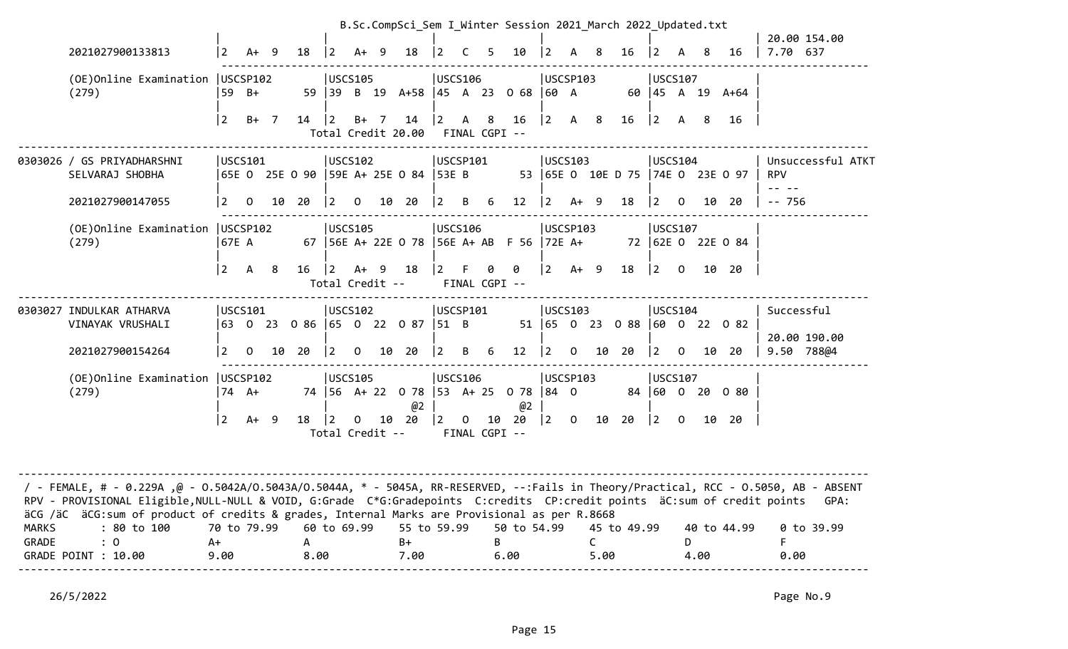|                       |                                                                                                                                                                                                                                                                                                                                                                  |                           |                |    |                           |                         |              |                |                                 |                       |              |    | B.Sc.CompSci Sem I Winter Session 2021 March 2022 Updated.txt |             |                |           |                                  |                |                |      |                     |                                 |
|-----------------------|------------------------------------------------------------------------------------------------------------------------------------------------------------------------------------------------------------------------------------------------------------------------------------------------------------------------------------------------------------------|---------------------------|----------------|----|---------------------------|-------------------------|--------------|----------------|---------------------------------|-----------------------|--------------|----|---------------------------------------------------------------|-------------|----------------|-----------|----------------------------------|----------------|----------------|------|---------------------|---------------------------------|
|                       | 2021027900133813                                                                                                                                                                                                                                                                                                                                                 | $ 2\rangle$               | $A+ 9$         |    | 18                        | $\vert 2 \vert$         | A+           | - 9            | 18                              | $\vert 2 \vert$       | C            | 5  | 10                                                            | 2           |                | 8         | 16                               | $\overline{2}$ |                | 8    | 16                  | 20.00 154.00<br>7.70 637        |
|                       | (OE)Online Examination<br>(279)                                                                                                                                                                                                                                                                                                                                  | 59 B+                     | USCSP102       |    |                           | <b>USCS105</b><br>59 39 |              |                | B 19 A+58 45 A 23               | USCS106               |              |    | $068$ 60 A                                                    | USCSP103    |                |           |                                  | USCS107        |                |      | 60   45 A 19 $A+64$ |                                 |
|                       |                                                                                                                                                                                                                                                                                                                                                                  | $\overline{2}$            | $B+ 7$         |    | 14                        | $ 2\rangle$             | $B+$         | $\overline{7}$ | 14<br>Total Credit 20.00        | 2                     | $\mathsf{A}$ | 8  | 16<br>FINAL CGPI --                                           | $ 2\rangle$ | A 8            |           | 16                               | $ 2\rangle$    | A              | 8    | 16                  |                                 |
|                       | 0303026 / GS PRIYADHARSHNI<br>SELVARAJ SHOBHA                                                                                                                                                                                                                                                                                                                    |                           | <b>USCS101</b> |    |                           | USCS102                 |              |                |                                 | USCSP101              |              |    |                                                               | USCS103     |                |           | 53 65E 0 10E D 75 74E 0 23E 0 97 | USCS104        |                |      |                     | Unsuccessful ATKT<br><b>RPV</b> |
|                       | 2021027900147055                                                                                                                                                                                                                                                                                                                                                 | $\vert$ 2                 | $\mathbf{O}$   | 10 | 20                        | 2                       | $\mathbf{O}$ | 10             | 20                              | 2                     | B.           | 6  | $12 \overline{ }$                                             | $\vert$ 2   | $A+ 9$         |           | 18                               | $ 2\rangle$    | $\mathbf 0$    | 10   | 20                  | $-- 756$                        |
|                       | (OE) Online Examination   USCSP102<br>(279)                                                                                                                                                                                                                                                                                                                      | 67E A                     |                |    |                           | USCS105                 |              |                |                                 | USCS106               |              |    | 67   56E A+ 22E 0 78   56E A+ AB F 56   72E A+                | USCSP103    |                |           |                                  | USCS107        |                |      | 72 62E 0 22E 0 84   |                                 |
|                       |                                                                                                                                                                                                                                                                                                                                                                  | <u> 2</u>                 | A 8            |    | $16 \t 2$                 | Total Credit --         | $A+ 9$       |                | 18                              | $\vert 2 \vert$       | F.           | 0  | 0<br>FINAL CGPI --                                            | $ 2 \tA+ 9$ |                |           | 18                               | 2              | $\overline{0}$ |      | 10 20               |                                 |
|                       | 0303027 INDULKAR ATHARVA<br>VINAYAK VRUSHALI                                                                                                                                                                                                                                                                                                                     |                           | USCS101        |    | 63 0 23 0 86 65 0 22 0 87 | USCS102                 |              |                |                                 | USCSP101<br>$ 51 \tB$ |              |    |                                                               | USCS103     |                |           | 51 65 0 23 0 88 60 0 22 0 82     | USCS104        |                |      |                     | Successful<br>20.00 190.00      |
|                       | 2021027900154264                                                                                                                                                                                                                                                                                                                                                 | $\vert 2 \vert$           | $\mathbf{O}$   | 10 | 20                        | $\vert$ 2               | $\mathbf 0$  |                | 10 20                           | $\vert$ 2             | B            | 6  | 12                                                            | $ 2\rangle$ | $\mathsf{O}$   | 10        | 20                               | $ 2 \rangle$   | $\Omega$       |      | 10 20               | 9.50 788@4                      |
|                       | (OE)Online Examination   USCSP102<br>(279)                                                                                                                                                                                                                                                                                                                       |                           | 74 A+          |    |                           | USCS105                 |              |                | 74 56 A+ 22 0 78 53 A+ 25<br>@2 | USCS106               |              |    | $078$ 84 0<br>@2                                              | USCSP103    |                |           |                                  | <b>USCS107</b> |                |      | 84 60 0 20 0 80     |                                 |
|                       |                                                                                                                                                                                                                                                                                                                                                                  | $ 2\rangle$               | $A+ 9$         |    | 18                        | Total Credit --         | 0            | 10             | 20                              | 2                     | $\Omega$     | 10 | 20<br>FINAL CGPI --                                           | 2           | $\overline{0}$ | 10        | 20                               | 2              | $\mathsf{O}$   | 10   | 20                  |                                 |
|                       | FeMALE, # - 0.229A ,@ - 0.5042A/0.5043A/0.5044A, * - 5045A, RR-RESERVED, --:Fails in Theory/Practical, RCC - 0.5050, AB - ABSENT - /<br>RPV - PROVISIONAL Eligible, NULL-NULL & VOID, G:Grade C*G:Gradepoints C:credits CP:credit points äC:sum of credit points<br>äCG /äC äCG:sum of product of credits & grades, Internal Marks are Provisional as per R.8668 |                           |                |    |                           |                         |              |                |                                 |                       |              |    |                                                               |             |                |           |                                  |                |                |      |                     | GPA:                            |
| <b>MARKS</b><br>GRADE | : 80 to 100<br>: 0<br>GRADE POINT : 10.00                                                                                                                                                                                                                                                                                                                        | 70 to 79.99<br>A+<br>9.00 |                |    | A<br>8.00                 | 60 to 69.99             |              |                | 55 to 59.99<br>B+<br>7.00       |                       |              | B  | 50 to 54.99<br>6.00                                           |             |                | C<br>5.00 | 45 to 49.99                      |                | D.             | 4.00 | 40 to 44.99         | 0 to 39.99<br>0.00              |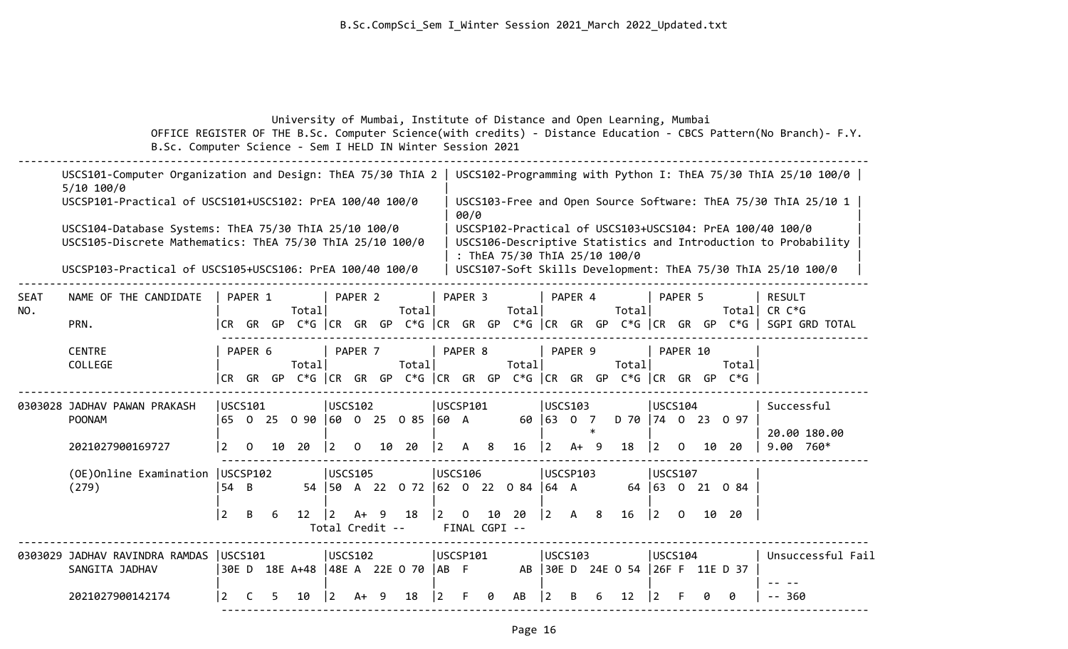|  | University of Mumbai, Institute of Distance and Open Learning, Mumbai                                            |  |  |
|--|------------------------------------------------------------------------------------------------------------------|--|--|
|  | OFFICE REGISTER OF THE B.Sc. Computer Science(with credits) - Distance Education - CBCS Pattern(No Branch)- F.Y. |  |  |
|  | B.Sc. Computer Science - Sem I HELD IN Winter Session 2021                                                       |  |  |

|             | USCS101-Computer Organization and Design: ThEA 75/30 ThIA 2<br>$5/10$ 100/0                                        |                |          |   |                                                                             |                |                       |     |                                         |                 |                               |    |                               |                |              |        |                                  |             |                |    |                 | USCS102-Programming with Python I: ThEA 75/30 ThIA 25/10 100/0                                                             |
|-------------|--------------------------------------------------------------------------------------------------------------------|----------------|----------|---|-----------------------------------------------------------------------------|----------------|-----------------------|-----|-----------------------------------------|-----------------|-------------------------------|----|-------------------------------|----------------|--------------|--------|----------------------------------|-------------|----------------|----|-----------------|----------------------------------------------------------------------------------------------------------------------------|
|             | USCSP101-Practical of USCS101+USCS102: PrEA 100/40 100/0                                                           |                |          |   |                                                                             |                |                       |     |                                         |                 | 00/0                          |    |                               |                |              |        |                                  |             |                |    |                 | USCS103-Free and Open Source Software: ThEA 75/30 ThIA 25/10 1                                                             |
|             | USCS104-Database Systems: ThEA 75/30 ThIA 25/10 100/0<br>USCS105-Discrete Mathematics: ThEA 75/30 ThIA 25/10 100/0 |                |          |   |                                                                             |                |                       |     |                                         |                 |                               |    | : ThEA 75/30 ThIA 25/10 100/0 |                |              |        |                                  |             |                |    |                 | USCSP102-Practical of USCS103+USCS104: PrEA 100/40 100/0<br>USCS106-Descriptive Statistics and Introduction to Probability |
|             | USCSP103-Practical of USCS105+USCS106: PrEA 100/40 100/0                                                           |                |          |   |                                                                             |                |                       |     |                                         |                 |                               |    |                               |                |              |        |                                  |             |                |    |                 | USCS107-Soft Skills Development: ThEA 75/30 ThIA 25/10 100/0                                                               |
| SEAT<br>NO. | NAME OF THE CANDIDATE                                                                                              |                | PAPER 1  |   | Total                                                                       |                | PAPER 2               |     | Total                                   |                 | PAPER <sub>3</sub>            |    | Totall                        |                | PAPER 4      |        | Totall                           |             | PAPER 5        |    | Totall          | <b>RESULT</b><br>$CR C*G$                                                                                                  |
|             | PRN.                                                                                                               |                |          |   |                                                                             |                |                       |     |                                         |                 |                               |    |                               |                |              |        |                                  |             |                |    |                 | CR GR GP C*G  CR GR GP C*G  CR GR GP C*G  CR GR GP C*G  CR GR GP C*G   SGPI GRD TOTAL                                      |
|             | <b>CENTRE</b><br>COLLEGE                                                                                           |                | PAPER 6  |   | Totall<br> CR GR GP C*G  CR GR GP C*G  CR GR GP C*G  CR GR GP C*G  CR GR GP |                | PAPER 7               |     | Total                                   |                 | PAPER 8                       |    | Total                         |                | PAPER 9      |        | Total                            |             | PAPER 10       |    | Total<br>$C*G$  |                                                                                                                            |
|             | 0303028 JADHAV PAWAN PRAKASH                                                                                       |                | USCS101  |   |                                                                             |                | <b>USCS102</b>        |     |                                         |                 | USCSP101                      |    |                               |                | USCS103      |        |                                  |             | USCS104        |    |                 | Successful                                                                                                                 |
|             | POONAM                                                                                                             |                |          |   | 65 0 25 0 90 60 0 25 0 85 60 A                                              |                |                       |     |                                         |                 |                               |    |                               |                | 60 63 0 7    | $\ast$ | D 70 74 0 23 0 97                |             |                |    |                 | 20.00 180.00                                                                                                               |
|             | 2021027900169727                                                                                                   | $\overline{2}$ | $\Omega$ |   | 10 20                                                                       | $\overline{2}$ | $\Omega$              | 10  | - 20                                    | $\vert 2 \vert$ | $\mathsf{A}$                  | 8  | 16                            | $\overline{2}$ | $A+ 9$       |        | 18                               | $\vert$ 2   | $\Omega$       | 10 | 20              | $9.00760*$                                                                                                                 |
|             | (OE) Online Examination   USCSP102<br>(279)                                                                        | 54 B           |          |   |                                                                             |                | <b>USCS105</b>        |     | 54   50 A 22 0 72   62 0 22 0 84   64 A |                 | <b>USCS106</b>                |    |                               |                | USCSP103     |        |                                  |             | <b>USCS107</b> |    | 64 63 0 21 0 84 |                                                                                                                            |
|             |                                                                                                                    | $ 2\rangle$    | B        | 6 | 12                                                                          | $\overline{2}$ | A+<br>Total Credit -- | - 9 | 18                                      | $\vert 2 \vert$ | $\mathbf{0}$<br>FINAL CGPI -- | 10 | 20                            | $ 2\rangle$    | $\mathsf{A}$ | 8      | 16                               | $ 2\rangle$ | $\Omega$       |    | 10 20           |                                                                                                                            |
|             | 0303029 JADHAV RAVINDRA RAMDAS  USCS101<br>SANGITA JADHAV                                                          |                |          |   | 30E D 18E A+48   48E A 22E O 70   AB F                                      |                | USCS102               |     |                                         |                 | USCSP101                      |    |                               |                | USCS103      |        | AB 30E D 24E 0 54 26F F 11E D 37 |             | USCS104        |    |                 | Unsuccessful Fail                                                                                                          |
|             | 2021027900142174                                                                                                   | $\overline{2}$ |          |   | 10                                                                          | 2              | A+                    | -9  | 18                                      |                 |                               | ø  | AB                            |                |              |        | 12                               | 12          |                |    | 0               | $- - 360$                                                                                                                  |
|             |                                                                                                                    |                |          |   |                                                                             |                |                       |     |                                         |                 |                               |    |                               |                |              |        |                                  |             |                |    |                 |                                                                                                                            |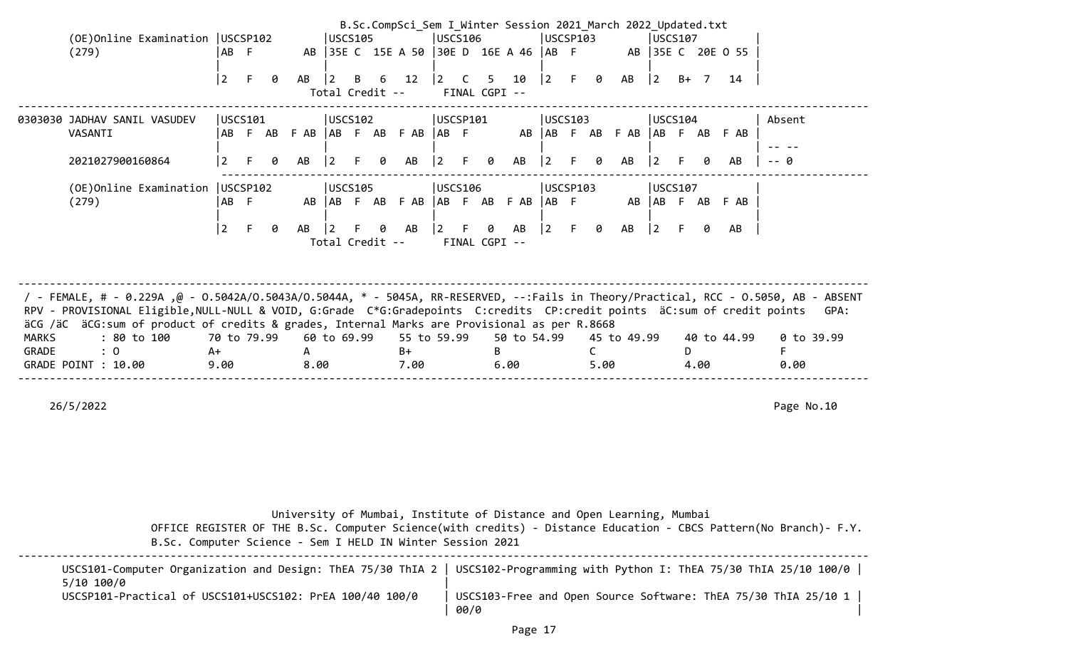|              |                                                                                                                                                                                                                                                                                                                                                                        |                |         |   |      |                 |         |   | B.Sc.CompSci_Sem I Winter Session 2021 March 2022 Updated.txt |             |                |               |             |             |         |                                                |                              |             |    |      |                   |            |  |
|--------------|------------------------------------------------------------------------------------------------------------------------------------------------------------------------------------------------------------------------------------------------------------------------------------------------------------------------------------------------------------------------|----------------|---------|---|------|-----------------|---------|---|---------------------------------------------------------------|-------------|----------------|---------------|-------------|-------------|---------|------------------------------------------------|------------------------------|-------------|----|------|-------------------|------------|--|
|              | (OE) Online Examination   USCSP102                                                                                                                                                                                                                                                                                                                                     |                |         |   |      | USCS105         |         |   |                                                               | USCS106     |                |               |             | USCSP103    |         |                                                |                              | USCS107     |    |      |                   |            |  |
|              | (279)                                                                                                                                                                                                                                                                                                                                                                  | AB F           |         |   |      |                 |         |   | AB 35E C 15E A 50 30E D 16E A 46 AB F                         |             |                |               |             |             |         |                                                |                              |             |    |      | AB 35E C 20E 0 55 |            |  |
|              |                                                                                                                                                                                                                                                                                                                                                                        | $\overline{2}$ | F.      | 0 | AB   | $\vert$ 2       | B.      | 6 | 12                                                            | $ 2\rangle$ | $\overline{C}$ | $5 -$         | 10          |             |         | $\begin{vmatrix} 2 & F & \theta \end{vmatrix}$ | AB                           | 2           |    | B+ 7 | 14                |            |  |
|              |                                                                                                                                                                                                                                                                                                                                                                        |                |         |   |      | Total Credit -- |         |   |                                                               |             |                | FINAL CGPI -- |             |             |         |                                                |                              |             |    |      |                   |            |  |
|              | 0303030 JADHAV SANIL VASUDEV                                                                                                                                                                                                                                                                                                                                           | USCS101        |         |   |      | USCS102         |         |   |                                                               | USCSP101    |                |               |             | USCS103     |         |                                                |                              | USCS104     |    |      |                   | Absent     |  |
|              | VASANTI                                                                                                                                                                                                                                                                                                                                                                |                | AB F AB |   |      |                 |         |   | $F$ AB $ AB$ $F$ AB $F$ AB $ AB$ $F$                          |             |                |               |             |             |         |                                                | AB AB F AB F AB AB F AB F AB |             |    |      |                   |            |  |
|              | 2021027900160864                                                                                                                                                                                                                                                                                                                                                       | 2              |         | ø | AB   |                 |         | ø | AB                                                            | $\vert$ 2   |                | 0             | AB          | $\vert$ 2   |         | ø                                              | AB                           |             |    |      | AB                | -- A       |  |
|              | (OE) Online Examination   USCSP102                                                                                                                                                                                                                                                                                                                                     |                | USCS105 |   |      |                 | USCS106 |   |                                                               |             | USCSP103       |               |             |             | USCS107 |                                                |                              |             |    |      |                   |            |  |
|              | (279)                                                                                                                                                                                                                                                                                                                                                                  | AB F           |         |   |      |                 |         |   | AB AB F AB F AB AB F AB F AB                                  |             |                |               |             | $AB$ F      |         |                                                |                              |             |    |      | AB AB F AB F AB   |            |  |
|              |                                                                                                                                                                                                                                                                                                                                                                        | $\overline{2}$ | F.      | 0 | AB   |                 |         | 0 | AB                                                            | $\vert$ 2   | -F.            | 0             | AB          | $ 2\rangle$ | F.      | 0                                              | AB                           | $ 2\rangle$ | F  | ø    | AB                |            |  |
|              |                                                                                                                                                                                                                                                                                                                                                                        |                |         |   |      | Total Credit -- |         |   |                                                               |             |                | FINAL CGPI -- |             |             |         |                                                |                              |             |    |      |                   |            |  |
|              |                                                                                                                                                                                                                                                                                                                                                                        |                |         |   |      |                 |         |   |                                                               |             |                |               |             |             |         |                                                |                              |             |    |      |                   |            |  |
|              | / FEMALE, # - 0.229A ,@ - 0.5042A/0.5043A/0.5044A, * - 5045A, RR-RESERVED, --:Fails in Theory/Practical, RCC - 0.5050, AB - ABSENT<br>RPV - PROVISIONAL Eligible, NULL-NULL & VOID, G:Grade C*G:Gradepoints C:credits CP:credit points äC:sum of credit points<br>GPA:<br>äCG /äC äCG:sum of product of credits & grades, Internal Marks are Provisional as per R.8668 |                |         |   |      |                 |         |   |                                                               |             |                |               |             |             |         |                                                |                              |             |    |      |                   |            |  |
| <b>MARKS</b> | : 80 to 100                                                                                                                                                                                                                                                                                                                                                            | 70 to 79.99    |         |   |      | 60 to 69.99     |         |   | 55 to 59.99                                                   |             |                |               | 50 to 54.99 |             |         |                                                | 45 to 49.99                  |             |    |      | 40 to 44.99       | 0 to 39.99 |  |
| GRADE        | $\colon 0$                                                                                                                                                                                                                                                                                                                                                             | A+             |         |   | A    |                 |         |   | $B+$                                                          |             |                |               |             |             |         |                                                |                              |             | D. |      |                   |            |  |
|              | GRADE POINT : 10.00                                                                                                                                                                                                                                                                                                                                                    | 9.00           |         |   | 8.00 |                 |         |   | 7.00                                                          |             |                |               | 6.00        |             |         | 5.00                                           |                              |             |    | 4.00 |                   | 0.00       |  |
|              |                                                                                                                                                                                                                                                                                                                                                                        |                |         |   |      |                 |         |   |                                                               |             |                |               |             |             |         |                                                |                              |             |    |      |                   |            |  |

University of Mumbai, Institute of Distance and Open Learning, Mumbai

 OFFICE REGISTER OF THE B.Sc. Computer Science(with credits) - Distance Education - CBCS Pattern(No Branch)- F.Y. B.Sc. Computer Science - Sem I HELD IN Winter Session 2021

|                                                          | USCS101-Computer Organization and Design: ThEA 75/30 ThIA 2   USCS102-Programming with Python I: ThEA 75/30 ThIA 25/10 100/0 |
|----------------------------------------------------------|------------------------------------------------------------------------------------------------------------------------------|
| $5/10$ $100/0$                                           |                                                                                                                              |
| USCSP101-Practical of USCS101+USCS102: PrEA 100/40 100/0 | USCS103-Free and Open Source Software: ThEA 75/30 ThIA 25/10 1                                                               |
|                                                          | 00/0                                                                                                                         |

--------------------------------------------------------------------------------------------------------------------------------------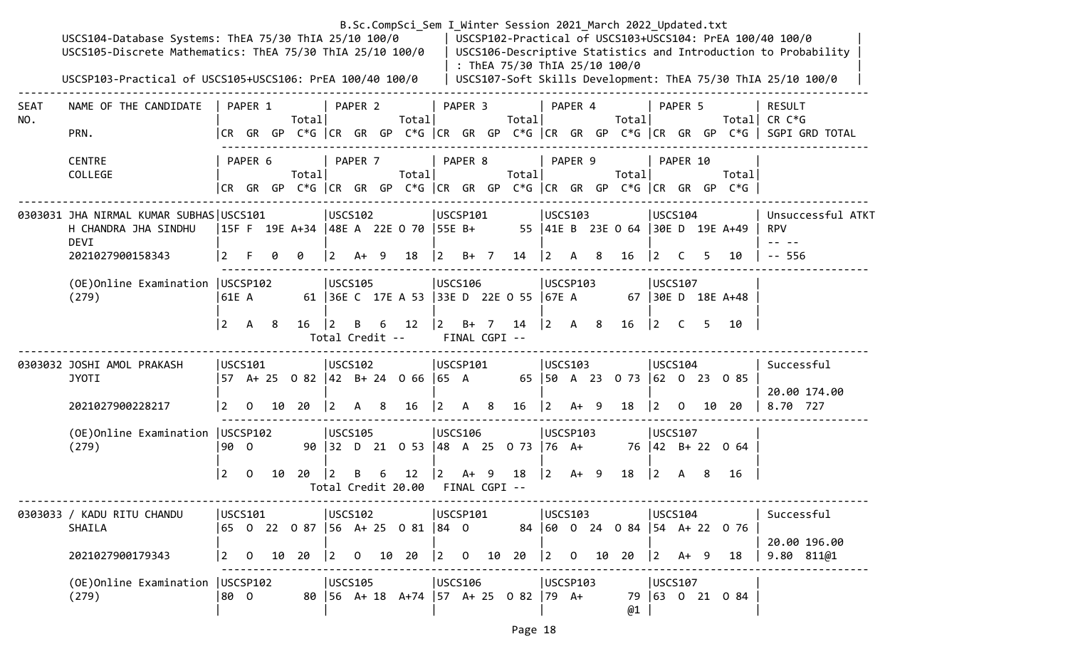|                    | USCS104-Database Systems: ThEA 75/30 ThIA 25/10 100/0<br>USCS105-Discrete Mathematics: ThEA 75/30 ThIA 25/10 100/0<br>USCSP103-Practical of USCS105+USCS106: PrEA 100/40 100/0 |           |          |    |                                        |                                |         |  |                          |                                  |               | B.Sc.CompSci_Sem I Winter Session 2021 March 2022 Updated.txt<br>: ThEA 75/30 ThIA 25/10 100/0 |             |                                           |                                    |                                       |          |    |                                                                                | USCSP102-Practical of USCS103+USCS104: PrEA 100/40 100/0<br>USCS106-Descriptive Statistics and Introduction to Probability<br>USCS107-Soft Skills Development: ThEA 75/30 ThIA 25/10 100/0 |
|--------------------|--------------------------------------------------------------------------------------------------------------------------------------------------------------------------------|-----------|----------|----|----------------------------------------|--------------------------------|---------|--|--------------------------|----------------------------------|---------------|------------------------------------------------------------------------------------------------|-------------|-------------------------------------------|------------------------------------|---------------------------------------|----------|----|--------------------------------------------------------------------------------|--------------------------------------------------------------------------------------------------------------------------------------------------------------------------------------------|
| <b>SEAT</b><br>NO. | NAME OF THE CANDIDATE<br>PRN.                                                                                                                                                  |           | PAPER 1  |    | Totall                                 |                                | PAPER 2 |  | Totall                   |                                  | PAPER 3       | Total                                                                                          |             | PAPER 4                                   | Total                              |                                       | PAPER 5  |    |                                                                                | <b>RESULT</b><br>Total CR $C*G$<br> CR GR GP C*G  CR GR GP C*G  CR GR GP C*G  CR GR GP C*G  CR GR GP C*G   SGPI GRD TOTAL                                                                  |
|                    | <b>CENTRE</b><br>COLLEGE                                                                                                                                                       |           | PAPER 6  |    | Total                                  |                                | PAPER 7 |  | Total                    | PAPER 8                          |               | Total                                                                                          |             | PAPER 9                                   | Total                              |                                       | PAPER 10 |    | Total<br> CR GR GP C*G  CR GR GP C*G  CR GR GP C*G  CR GR GP C*G  CR GR GP C*G |                                                                                                                                                                                            |
|                    | 0303031 JHA NIRMAL KUMAR SUBHAS USCS101<br>H CHANDRA JHA SINDHU<br>DEVI                                                                                                        |           |          |    | 15F F 19E A+34  48E A 22E 0 70  55E B+ | USCS102                        |         |  |                          | USCSP101                         |               |                                                                                                |             | USCS103                                   | 55  41E B 23E 0 64  30E D 19E A+49 | USCS104                               |          |    |                                                                                | Unsuccessful ATKT<br><b>RPV</b>                                                                                                                                                            |
|                    | 2021027900158343                                                                                                                                                               |           |          |    | 0                                      | $\vert 2 \vert$                | $A+ 9$  |  | 18                       | $ 2 \t B+7$                      |               | $14 \mid 2 \mid A \mid 8$                                                                      |             |                                           | 16                                 | $\vert 2 \vert$                       | C.       | 5. | 10                                                                             | $- - 556$                                                                                                                                                                                  |
|                    | (OE) Online Examination   USCSP102<br>(279)                                                                                                                                    | 61E A     |          |    |                                        | USCS105                        |         |  |                          | USCS106                          |               | 61   36E C 17E A 53   33E D 22E O 55   67E A                                                   |             | USCSP103                                  |                                    | USCS107                               |          |    | 67 30E D 18E A+48                                                              |                                                                                                                                                                                            |
|                    |                                                                                                                                                                                | $\vert$ 2 | A 8      |    | 16                                     | $ 2\rangle$<br>Total Credit -- | В       |  | 6 12                     | $ 2\rangle$                      | FINAL CGPI -- | B+ 7 14                                                                                        |             | $\begin{vmatrix} 2 & A & 8 \end{vmatrix}$ | 16                                 | $\begin{vmatrix} 2 & C \end{vmatrix}$ |          |    | 5 10                                                                           |                                                                                                                                                                                            |
|                    | 0303032 JOSHI AMOL PRAKASH<br><b>JYOTI</b>                                                                                                                                     | USCS101   |          |    | 57 A+ 25 O 82  42 B+ 24 O 66  65 A     | USCS102                        |         |  |                          | USCSP101                         |               |                                                                                                |             | USCS103                                   | 65   50 A 23 0 73   62 0 23 0 85   | USCS104                               |          |    |                                                                                | Successful<br>20.00 174.00                                                                                                                                                                 |
|                    | 2021027900228217                                                                                                                                                               | <u> 2</u> |          |    | $0$ 10 20                              | $ 2\rangle$                    | A 8     |  | 16                       |                                  |               | $\begin{vmatrix} 2 & A & 8 & 16 \end{vmatrix}$                                                 |             | $ 2 + 9 $                                 | 18                                 |                                       |          |    | $\begin{array}{ccc} 2 & 0 & 10 & 20 \end{array}$                               | 8.70 727                                                                                                                                                                                   |
|                    | (OE) Online Examination   USCSP102<br>(279)                                                                                                                                    | 90 0      |          |    |                                        | USCS105                        |         |  |                          | USCS106                          |               | 90 32 D 21 0 53 48 A 25 0 73 76 A+                                                             |             | USCSP103                                  |                                    | USCS107                               |          |    | 76 42 B+ 22 0 64                                                               |                                                                                                                                                                                            |
|                    |                                                                                                                                                                                | l 2.      | $\Omega$ | 10 | 20                                     |                                |         |  | 12<br>Total Credit 20.00 | $\vert 2 \vert$<br>FINAL CGPI -- |               | A+ 9 18                                                                                        | $ 2\rangle$ | A+ 9                                      | 18                                 | $ 2\rangle$                           | A        | -8 | 16                                                                             |                                                                                                                                                                                            |
|                    | 0303033 / KADU RITU CHANDU<br>SHAILA                                                                                                                                           | USCS101   |          |    | 65 0 22 0 87  56 A+ 25 0 81  84 0      | USCS102                        |         |  |                          | USCSP101                         |               |                                                                                                |             | USCS103                                   | 84 60 0 24 0 84 54 A + 22 0 76     | USCS104                               |          |    |                                                                                | Successful                                                                                                                                                                                 |
|                    | 2021027900179343                                                                                                                                                               |           |          |    | 2 0 10 20                              |                                |         |  |                          |                                  |               |                                                                                                |             |                                           | 10 20                              | $ 2 \tA+ 9$                           |          |    | 18                                                                             | 20.00 196.00<br>$9.80$ $811@1$                                                                                                                                                             |
|                    | (OE)Online Examination   USCSP102<br>(279)                                                                                                                                     | 80 O      |          |    |                                        | USCS105                        |         |  |                          | USCS106                          |               | 80 56 A+ 18 A+74 57 A+ 25 0 82 79 A+                                                           |             | USCSP103                                  | @1                                 | USCS107                               |          |    | 79 63 0 21 0 84                                                                |                                                                                                                                                                                            |
|                    |                                                                                                                                                                                |           |          |    |                                        |                                |         |  |                          |                                  |               | Page 18                                                                                        |             |                                           |                                    |                                       |          |    |                                                                                |                                                                                                                                                                                            |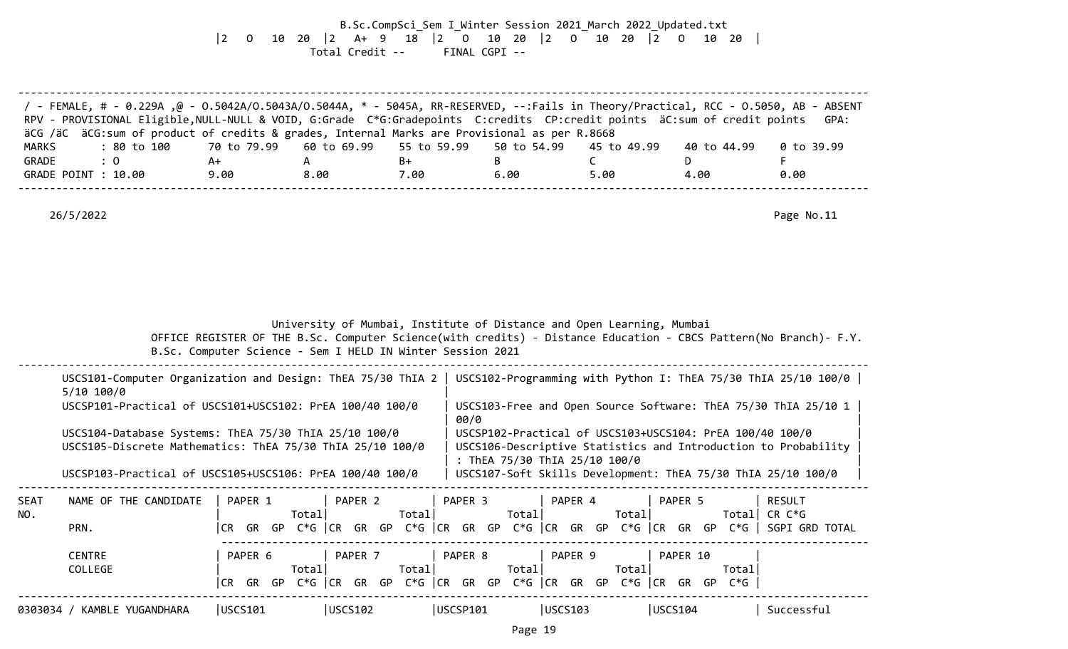B.Sc.CompSci\_Sem I\_Winter Session 2021\_March 2022\_Updated.txt |2 O 10 20 |2 A+ 9 18 |2 O 10 20 |2 O 10 20 |2 O 10 20 | Total Credit -- FINAL CGPI --

|              | / FEMALE, # - 0.229A ,@ - 0.5042A/0.5043A/0.5044A, * - 5045A, RR-RESERVED, --:Fails in Theory/Practical, RCC - 0.5050, AB - ABSENT<br>RPV - PROVISIONAL Eligible, NULL-NULL & VOID, G:Grade C*G:Gradepoints C:credits CP:credit points äC:sum of credit points<br>GPA:<br>äCG /äC äCG:sum of product of credits & grades, Internal Marks are Provisional as per R.8668 |                                                            |             |             |             |                                                                       |                                                                                                                            |                                                                                                                  |  |  |
|--------------|------------------------------------------------------------------------------------------------------------------------------------------------------------------------------------------------------------------------------------------------------------------------------------------------------------------------------------------------------------------------|------------------------------------------------------------|-------------|-------------|-------------|-----------------------------------------------------------------------|----------------------------------------------------------------------------------------------------------------------------|------------------------------------------------------------------------------------------------------------------|--|--|
| <b>MARKS</b> | : 80 to 100                                                                                                                                                                                                                                                                                                                                                            | 70 to 79.99                                                | 60 to 69.99 | 55 to 59.99 | 50 to 54.99 | 45 to 49.99                                                           | 40 to 44.99                                                                                                                | $0$ to 39.99                                                                                                     |  |  |
| GRADE        | $\colon 0$                                                                                                                                                                                                                                                                                                                                                             | $A+$                                                       | A           | $B+$        | B           | $\mathsf{C}$                                                          | D.                                                                                                                         | F.                                                                                                               |  |  |
|              | GRADE POINT : 10.00                                                                                                                                                                                                                                                                                                                                                    | 9.00                                                       | 8.00        | 7.00        | 6.00        | 5.00                                                                  | 4.00                                                                                                                       | 0.00                                                                                                             |  |  |
|              | 26/5/2022                                                                                                                                                                                                                                                                                                                                                              |                                                            |             |             |             |                                                                       |                                                                                                                            | Page No.11                                                                                                       |  |  |
|              |                                                                                                                                                                                                                                                                                                                                                                        | B.Sc. Computer Science - Sem I HELD IN Winter Session 2021 |             |             |             | University of Mumbai, Institute of Distance and Open Learning, Mumbai |                                                                                                                            | OFFICE REGISTER OF THE B.Sc. Computer Science(with credits) - Distance Education - CBCS Pattern(No Branch)- F.Y. |  |  |
|              | USCS101-Computer Organization and Design: ThEA 75/30 ThIA 2   USCS102-Programming with Python I: ThEA 75/30 ThIA 25/10 100/0  <br>5/10 100/0                                                                                                                                                                                                                           |                                                            |             |             |             |                                                                       |                                                                                                                            |                                                                                                                  |  |  |
|              | USCSP101-Practical of USCS101+USCS102: PrEA 100/40 100/0                                                                                                                                                                                                                                                                                                               |                                                            |             |             | 00/0        |                                                                       | USCS103-Free and Open Source Software: ThEA 75/30 ThIA 25/10 1                                                             |                                                                                                                  |  |  |
|              | USCS104-Database Systems: ThEA 75/30 ThIA 25/10 100/0<br>USCS105-Discrete Mathematics: ThEA 75/30 ThIA 25/10 100/0                                                                                                                                                                                                                                                     |                                                            |             |             |             | : ThEA 75/30 ThIA 25/10 100/0                                         | USCSP102-Practical of USCS103+USCS104: PrEA 100/40 100/0<br>USCS106-Descriptive Statistics and Introduction to Probability |                                                                                                                  |  |  |
|              | USCSP103-Practical of USCS105+USCS106: PrEA 100/40 100/0                                                                                                                                                                                                                                                                                                               |                                                            |             |             |             |                                                                       | USCS107-Soft Skills Development: ThEA 75/30 ThIA 25/10 100/0                                                               |                                                                                                                  |  |  |
| <b>SEAT</b>  | NAME OF THE CANDIDATE                                                                                                                                                                                                                                                                                                                                                  | PAPER 1                                                    | PAPER 2     |             | PAPER 3     | PAPER 4<br>Total                                                      | PAPER 5                                                                                                                    | <b>RESULT</b><br>Total CR C*G                                                                                    |  |  |
| NO.          | PRN.                                                                                                                                                                                                                                                                                                                                                                   |                                                            | Total       | Total       | Total       |                                                                       | CR GR GP C*G  CR GR GP C*G  CR GR GP C*G  CR GR GP C*G  CR GR GP C*G   SGPI GRD TOTAL                                      |                                                                                                                  |  |  |
|              | <b>CENTRE</b>                                                                                                                                                                                                                                                                                                                                                          | PAPER 6                                                    | PAPER 7     |             | PAPER 8     | PAPER 9                                                               | PAPER 10                                                                                                                   |                                                                                                                  |  |  |
|              | COLLEGE                                                                                                                                                                                                                                                                                                                                                                |                                                            | Total       | Total       | Total       | Total                                                                 | Total<br> CR GR GP C*G  CR GR GP C*G  CR GR GP C*G  CR GR GP C*G  CR GR GP C*G                                             |                                                                                                                  |  |  |
|              | 0303034 / KAMBLE YUGANDHARA                                                                                                                                                                                                                                                                                                                                            | USCS101                                                    | USCS102     |             | USCSP101    | USCS103                                                               | USCS104                                                                                                                    | Successful                                                                                                       |  |  |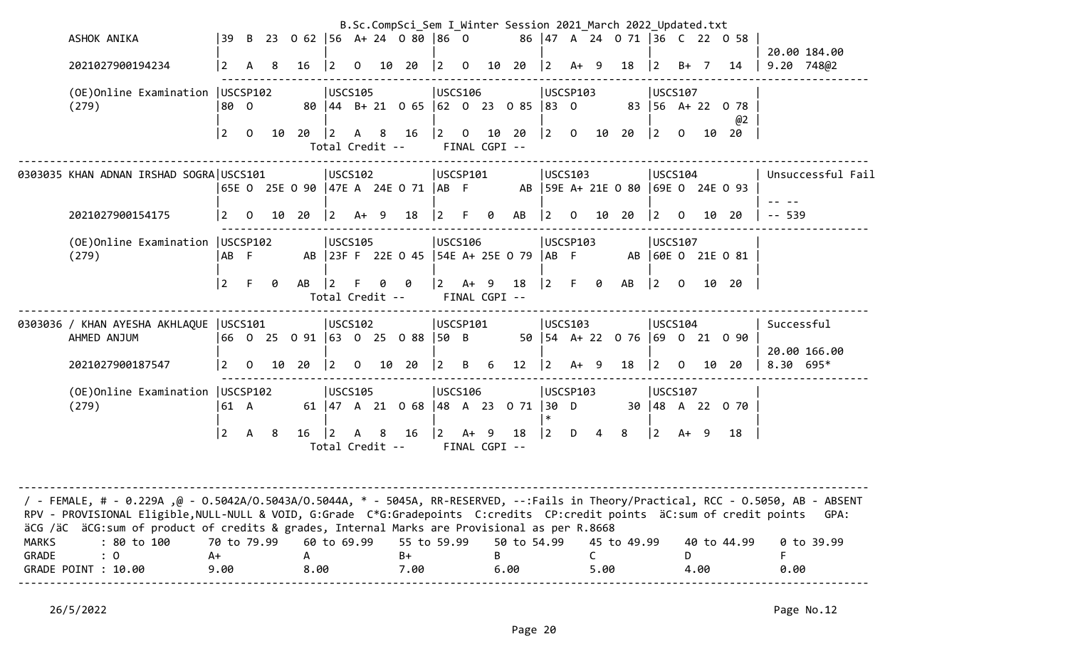|                       | ASHOK ANIKA                                                                                                                                                                                                                                                                                                                                                    |             |              |    | 39 B 23 0 62 56 A+ 24 0 80 86 0        |                                |                |     |                                        |                                       |                |                       |                     |                                       |                |                | B.Sc.CompSci_Sem I Winter Session 2021 March 2022 Updated.txt<br>86 47 A 24 0 71 36 C 22 0 58 |                                       |                |      |                        |                            |
|-----------------------|----------------------------------------------------------------------------------------------------------------------------------------------------------------------------------------------------------------------------------------------------------------------------------------------------------------------------------------------------------------|-------------|--------------|----|----------------------------------------|--------------------------------|----------------|-----|----------------------------------------|---------------------------------------|----------------|-----------------------|---------------------|---------------------------------------|----------------|----------------|-----------------------------------------------------------------------------------------------|---------------------------------------|----------------|------|------------------------|----------------------------|
|                       | 2021027900194234                                                                                                                                                                                                                                                                                                                                               | <u> 2</u>   | A            | -8 | 16                                     | $\overline{2}$                 | $\mathbf 0$    |     | 10 20                                  | $\vert$ 2                             | $\overline{0}$ | 10                    | 20                  | 2                                     | $A+ 9$         |                | 18                                                                                            | $ 2\rangle$                           | B+ 7           |      | 14                     | 20.00 184.00<br>9.20 748@2 |
|                       | (OE) Online Examination   USCSP102<br>(279)                                                                                                                                                                                                                                                                                                                    | 80 0        |              |    |                                        | <b>USCS105</b>                 |                |     | 80 44 B + 21 0 65 62 0 23 0 85         | USCS106                               |                |                       |                     | USCSP103<br>$ 83 \t0$                 |                |                |                                                                                               | USCS107                               |                |      | 83 56 A+ 22 0 78<br>@2 |                            |
|                       |                                                                                                                                                                                                                                                                                                                                                                | $\vert$ 2   | $\Omega$     | 10 | 20                                     | 2 <br>Total Credit --          | $\mathsf{A}$   | - 8 | 16                                     | $\begin{vmatrix} 2 & 0 \end{vmatrix}$ |                | FINAL CGPI --         | 10 20               | $\begin{vmatrix} 2 & 0 \end{vmatrix}$ |                | 10             | 20                                                                                            | $ 2\rangle$                           | $\Omega$       | 10   | 20                     |                            |
|                       | 0303035 KHAN ADNAN IRSHAD SOGRA USCS101                                                                                                                                                                                                                                                                                                                        |             |              |    | 65E 0 25E 0 90   47E A 24E 0 71   AB F | USCS102                        |                |     |                                        | USCSP101                              |                |                       |                     | USCS103                               |                |                | AB 59E A+ 21E 0 80 69E 0 24E 0 93                                                             | USCS104                               |                |      |                        | Unsuccessful Fail          |
|                       | 2021027900154175                                                                                                                                                                                                                                                                                                                                               | $ 2 -$      |              |    | $0$ 10 20                              | $ 2 \tA+ 9$                    |                |     | 18                                     | <u> 2</u>                             | $-F$           | 0                     | AB                  | $ 2\rangle$                           | $\overline{0}$ |                | 10 20                                                                                         | $\begin{vmatrix} 2 & 0 \end{vmatrix}$ |                | 10   | 20                     | $-- 539$                   |
|                       | (OE) Online Examination   USCSP102<br>(279)                                                                                                                                                                                                                                                                                                                    | AB F        |              |    |                                        | USCS105                        |                |     | AB 23F F 22E 0 45 54E A+ 25E 0 79 AB F | <b>USCS106</b>                        |                |                       |                     | USCSP103                              |                |                |                                                                                               | USCS107                               |                |      | AB 60E 0 21E 0 81      |                            |
|                       |                                                                                                                                                                                                                                                                                                                                                                | $ 2\rangle$ | $\mathsf{F}$ | 0  | AB                                     | l 2.<br>Total Credit --        |                | 0   | 0                                      | $\vert 2 \vert$                       |                | A+ 9<br>FINAL CGPI -- | 18                  | $ 2\rangle$                           | F 0            |                | AB                                                                                            | 2                                     | $\overline{0}$ |      | 10 20                  |                            |
|                       | 0303036 / KHAN AYESHA AKHLAQUE  USCS101<br>AHMED ANJUM                                                                                                                                                                                                                                                                                                         |             |              |    | 66 0 25 0 91 63 0 25 0 88 50 B         | USCS102                        |                |     |                                        | USCSP101                              |                |                       |                     | USCS103                               |                |                | 50   54 A + 22 0 76   69 0 21 0 90                                                            | USCS104                               |                |      |                        | Successful<br>20.00 166.00 |
|                       | 2021027900187547                                                                                                                                                                                                                                                                                                                                               | $\vert$ 2   | $0\quad 10$  |    | 20                                     | $ 2\rangle$                    | $\overline{0}$ |     | 10 20                                  | $\vert$ 2                             | B              | 6                     | 12 <sub>2</sub>     | 2                                     | $A+ 9$         |                | 18                                                                                            | $\vert$ 2                             | $\overline{0}$ | 10   | 20                     | $8.30$ 695*                |
|                       | (OE) Online Examination   USCSP102<br>(279)                                                                                                                                                                                                                                                                                                                    | 61 A        |              |    |                                        | USCS105                        |                |     | 61 47 A 21 0 68 48 A 23 0 71 30 D      | USCS106                               |                |                       |                     | USCSP103                              |                |                |                                                                                               | USCS107                               |                |      | 30 48 A 22 0 70        |                            |
|                       |                                                                                                                                                                                                                                                                                                                                                                | $ 2\rangle$ | $\mathsf{A}$ | 8  | 16                                     | $ 2\rangle$<br>Total Credit -- | A              | -8  | 16                                     | 2                                     | $A+9$          | FINAL CGPI --         | 18                  | $ 2\rangle$                           | D              | $\overline{4}$ | 8                                                                                             | $ 2\rangle$                           | $A+ 9$         |      | 18                     |                            |
|                       |                                                                                                                                                                                                                                                                                                                                                                |             |              |    |                                        |                                |                |     |                                        |                                       |                |                       |                     |                                       |                |                |                                                                                               |                                       |                |      |                        |                            |
|                       | / FEMALE, # - 0.229A ,@ - 0.5042A/0.5043A/0.5044A, * - 5045A, RR-RESERVED, --:Fails in Theory/Practical, RCC - 0.5050, AB - ABSENT<br>RPV - PROVISIONAL Eligible, NULL-NULL & VOID, G:Grade C*G:Gradepoints C:credits CP:credit points äC:sum of credit points<br>äCG /äC äCG:sum of product of credits & grades, Internal Marks are Provisional as per R.8668 |             |              |    |                                        |                                |                |     |                                        |                                       |                |                       |                     |                                       |                |                |                                                                                               |                                       |                |      |                        | GPA:                       |
| <b>MARKS</b><br>GRADE | : 80 to 100<br>$\colon 0$<br>A+<br>GRADE POINT : 10.00                                                                                                                                                                                                                                                                                                         | 9.00        | 70 to 79.99  |    | A<br>8.00                              | 60 to 69.99                    |                |     | 55 to 59.99<br>B+<br>7.00              |                                       |                | B                     | 50 to 54.99<br>6.00 |                                       |                | C<br>5.00      | 45 to 49.99                                                                                   |                                       | D              | 4.00 | 40 to 44.99            | 0 to 39.99<br>0.00         |
|                       |                                                                                                                                                                                                                                                                                                                                                                |             |              |    |                                        |                                |                |     |                                        |                                       |                |                       |                     |                                       |                |                |                                                                                               |                                       |                |      |                        |                            |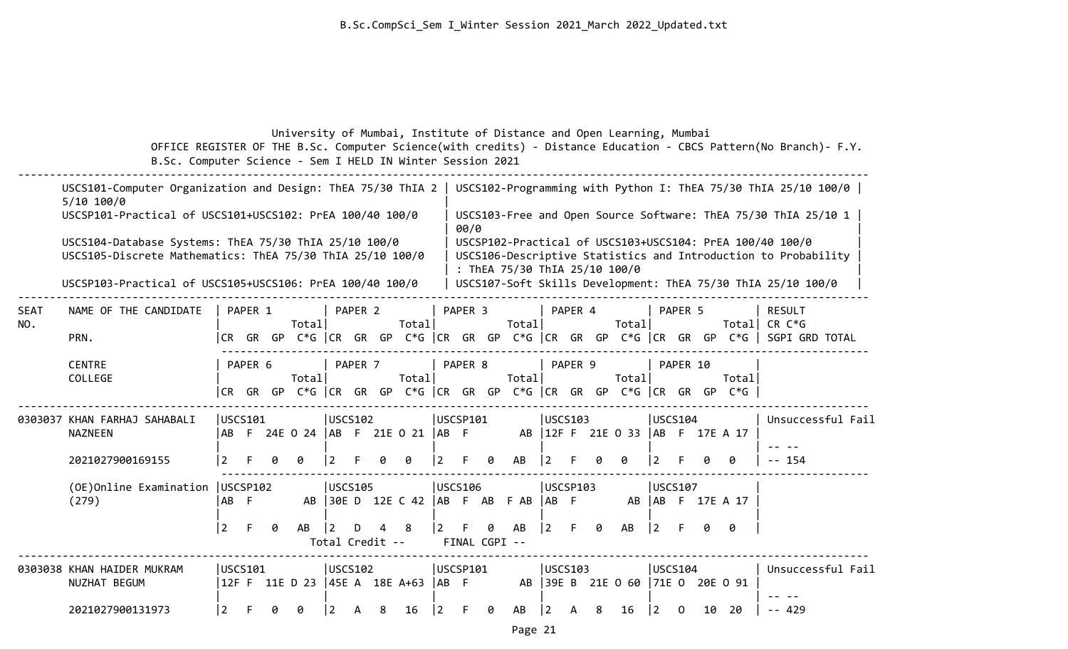### University of Mumbai, Institute of Distance and Open Learning, Mumbai OFFICE REGISTER OF THE B.Sc. Computer Science(with credits) - Distance Education - CBCS Pattern(No Branch)- F.Y. B.Sc. Computer Science - Sem I HELD IN Winter Session 2021

|                    | USCS101-Computer Organization and Design: ThEA 75/30 ThIA 2<br>$5/10$ 100/0                                        |                |          |   |                |   |                |                 |                                 |                    |   |                               |                |                |   |                                     |                |          |    |                                                                                | USCS102-Programming with Python I: ThEA 75/30 ThIA 25/10 100/0                                                             |
|--------------------|--------------------------------------------------------------------------------------------------------------------|----------------|----------|---|----------------|---|----------------|-----------------|---------------------------------|--------------------|---|-------------------------------|----------------|----------------|---|-------------------------------------|----------------|----------|----|--------------------------------------------------------------------------------|----------------------------------------------------------------------------------------------------------------------------|
|                    | USCSP101-Practical of USCS101+USCS102: PrEA 100/40 100/0                                                           |                |          |   |                |   |                |                 |                                 | 00/0               |   |                               |                |                |   |                                     |                |          |    |                                                                                | USCS103-Free and Open Source Software: ThEA 75/30 ThIA 25/10 1                                                             |
|                    | USCS104-Database Systems: ThEA 75/30 ThIA 25/10 100/0<br>USCS105-Discrete Mathematics: ThEA 75/30 ThIA 25/10 100/0 |                |          |   |                |   |                |                 |                                 |                    |   | : ThEA 75/30 ThIA 25/10 100/0 |                |                |   |                                     |                |          |    |                                                                                | USCSP102-Practical of USCS103+USCS104: PrEA 100/40 100/0<br>USCS106-Descriptive Statistics and Introduction to Probability |
|                    | USCSP103-Practical of USCS105+USCS106: PrEA 100/40 100/0                                                           |                |          |   |                |   |                |                 |                                 |                    |   |                               |                |                |   |                                     |                |          |    |                                                                                | USCS107-Soft Skills Development: ThEA 75/30 ThIA 25/10 100/0                                                               |
| <b>SEAT</b><br>NO. | NAME OF THE CANDIDATE                                                                                              |                | PAPER 1  |   | Total          |   | PAPER 2        |                 | Total                           | PAPER <sub>3</sub> |   | Total                         |                | PAPER 4        |   | Total                               |                | PAPER 5  |    | Total                                                                          | <b>RESULT</b><br>CR C*G                                                                                                    |
|                    | PRN.                                                                                                               |                |          |   |                |   |                |                 |                                 |                    |   |                               |                |                |   |                                     |                |          |    |                                                                                | CR GR GP C*G  CR GR GP C*G  CR GR GP C*G  CR GR GP C*G  CR GR GP C*G   SGPI GRD TOTAL                                      |
|                    | <b>CENTRE</b><br>COLLEGE                                                                                           |                | PAPER 6  |   | Total          |   | PAPER 7        |                 | Total                           | PAPER 8            |   | Total                         |                | PAPER 9        |   | Total                               |                | PAPER 10 |    | Total<br> CR GR GP C*G  CR GR GP C*G  CR GR GP C*G  CR GR GP C*G  CR GR GP C*G |                                                                                                                            |
|                    | 0303037 KHAN FARHAJ SAHABALI<br><b>NAZNEEN</b>                                                                     |                | USCS101  |   |                |   | USCS102        |                 | ABF 24E 0 24  ABF 21E 0 21  ABF | USCSP101           |   |                               |                | <b>USCS103</b> |   | AB   12F F 21E 0 33   AB F 17E A 17 | USCS104        |          |    |                                                                                | Unsuccessful Fail                                                                                                          |
|                    | 2021027900169155                                                                                                   | 2              |          |   | ø              | 2 |                |                 | 0                               |                    | 0 | AB                            |                |                |   |                                     |                |          |    | 0                                                                              | 154                                                                                                                        |
|                    | (OE)Online Examination<br>(279)                                                                                    | IAB F          | USCSP102 |   | AB             |   | USCS105        |                 | 30E D 12E C 42                  | <b>USCS106</b>     |   | AB F AB F AB   AB F           |                | USCSP103       |   |                                     | <b>USCS107</b> |          |    | AB   AB F 17E A 17                                                             |                                                                                                                            |
|                    |                                                                                                                    | $ 2\rangle$    | F.       | 0 | AB             | 2 | D              | Total Credit -- | 8                               | FINAL CGPI --      | ø | AB                            | $\overline{2}$ | F.             | 0 | AB                                  | $\frac{12}{2}$ | F.       | ø  | 0                                                                              |                                                                                                                            |
|                    | 0303038 KHAN HAIDER MUKRAM<br>NUZHAT BEGUM                                                                         |                | USCS101  |   | 12F F 11E D 23 |   | <b>USCS102</b> |                 | $ 45E A 18E A+63  AB F$         | USCSP101           |   |                               |                | luscs103       |   | AB 39E B 21E 0 60 71E 0 20E 0 91    | USCS104        |          |    |                                                                                | Unsuccessful Fail                                                                                                          |
|                    | 2021027900131973                                                                                                   | $\overline{2}$ |          |   | ø              | 2 | A              | 8               | 16                              |                    | 0 | AB                            | -2             |                | 8 | 16                                  | $ 2\rangle$    | $\Omega$ | 10 | 20                                                                             | $-- 429$                                                                                                                   |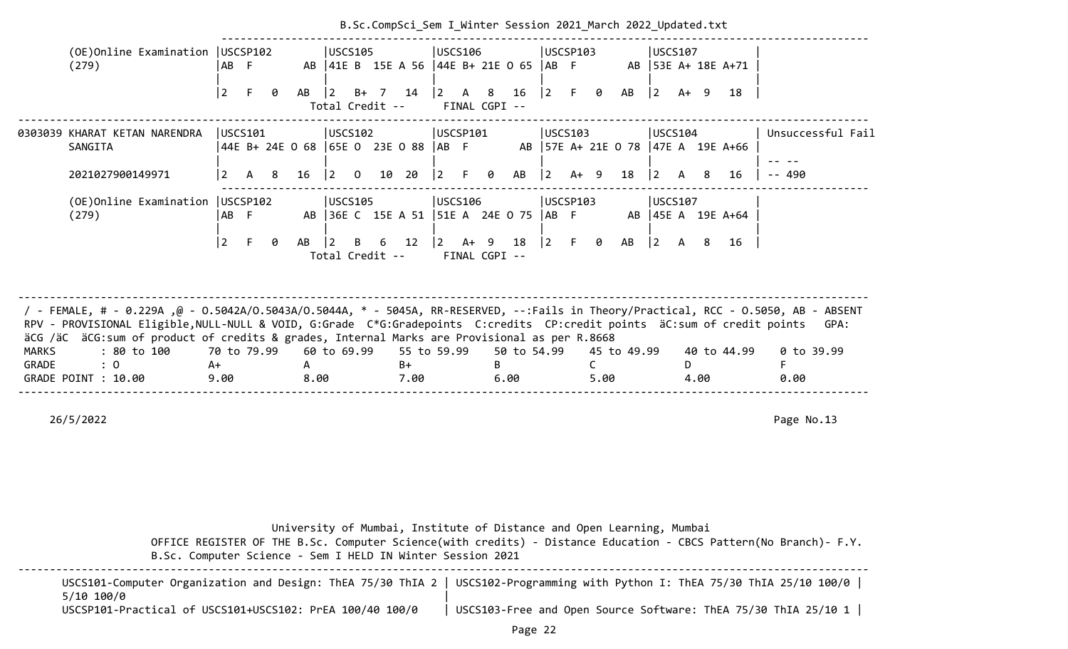|                       |                                                                                                                                                                                                                                                                                                                                                                | B.Sc.CompSci_Sem I Winter Session 2021 March 2022 Updated.txt           |           |                                                                                 |              |                               |                                           |          |                     |                                                                                                 |                                |  |  |
|-----------------------|----------------------------------------------------------------------------------------------------------------------------------------------------------------------------------------------------------------------------------------------------------------------------------------------------------------------------------------------------------------|-------------------------------------------------------------------------|-----------|---------------------------------------------------------------------------------|--------------|-------------------------------|-------------------------------------------|----------|---------------------|-------------------------------------------------------------------------------------------------|--------------------------------|--|--|
|                       | (OE) Online Examination   USCSP102<br>(279)                                                                                                                                                                                                                                                                                                                    | AB F<br>$\overline{2}$<br>ø                                             | AB        | USCS105<br>AB   41E B 15E A 56   44E B+ 21E O 65   AB F<br>$\vert$ 2<br>B+ 7 14 |              | USCS106                       |                                           | USCSP103 | AB<br>$\theta$      | USCS107<br>AB 53E A+ 18E A+71<br>$\begin{vmatrix} 2 & A+ & 9 \end{vmatrix}$<br>18               |                                |  |  |
|                       |                                                                                                                                                                                                                                                                                                                                                                |                                                                         |           | Total Credit --                                                                 |              | FINAL CGPI --                 |                                           |          |                     |                                                                                                 |                                |  |  |
|                       | 0303039 KHARAT KETAN NARENDRA<br>SANGITA<br>2021027900149971                                                                                                                                                                                                                                                                                                   | USCS101<br>44E B+ 24E 0 68 65E 0 23E 0 88 AB F<br>$\vert$ 2<br>A 8 16 2 |           | USCS102<br>$0$ 10 20                                                            |              | USCSP101<br>$\vert 2 \vert$ F |                                           | USCS103  |                     | USCS104<br>AB 57E A+ 21E 0 78 47E A 19E A+66<br>$\begin{vmatrix} 2 & A & 8 \end{vmatrix}$<br>16 | Unsuccessful Fail<br>$- - 490$ |  |  |
|                       |                                                                                                                                                                                                                                                                                                                                                                |                                                                         |           |                                                                                 |              |                               |                                           |          |                     |                                                                                                 |                                |  |  |
|                       | (OE) Online Examination   USCSP102<br>(279)                                                                                                                                                                                                                                                                                                                    | AB F                                                                    |           | USCS105<br>AB 36E C 15E A 51   51E A 24E 0 75   AB F                            |              | USCS106                       |                                           | USCSP103 |                     | USCS107<br>AB   45E A 19E A+64                                                                  |                                |  |  |
|                       |                                                                                                                                                                                                                                                                                                                                                                | $ 2\rangle$<br>0                                                        | $AB$  2   | Total Credit --                                                                 |              |                               | B 6 12  2 A+ 9 18  2 F 0<br>FINAL CGPI -- |          | AB                  | $\begin{vmatrix} 2 & A & 8 \end{vmatrix}$<br>- 16                                               |                                |  |  |
|                       | / FEMALE, # - 0.229A ,@ - 0.5042A/0.5043A/0.5044A, * - 5045A, RR-RESERVED, --:Fails in Theory/Practical, RCC - 0.5050, AB - ABSENT<br>RPV - PROVISIONAL Eligible, NULL-NULL & VOID, G:Grade C*G:Gradepoints C:credits CP:credit points äC:sum of credit points<br>äCG /äC äCG:sum of product of credits & grades, Internal Marks are Provisional as per R.8668 |                                                                         |           |                                                                                 |              |                               |                                           |          |                     |                                                                                                 | GPA:                           |  |  |
| <b>MARKS</b><br>GRADE | : 80 to 100<br>: 0<br>GRADE POINT : 10.00                                                                                                                                                                                                                                                                                                                      | 70 to 79.99<br>A+<br>9.00                                               | A<br>8.00 | 60 to 69.99                                                                     | $B+$<br>7.00 | 55 to 59.99                   | 50 to 54.99<br>6.00                       |          | 45 to 49.99<br>5.00 | 40 to 44.99<br>D.<br>4.00                                                                       | 0 to 39.99<br>0.00             |  |  |
|                       |                                                                                                                                                                                                                                                                                                                                                                |                                                                         |           |                                                                                 |              |                               |                                           |          |                     |                                                                                                 |                                |  |  |

| B.Sc. Computer Science - Sem I HELD IN Winter Session 2021 | University of Mumbai, Institute of Distance and Open Learning, Mumbai<br>OFFICE REGISTER OF THE B.Sc. Computer Science(with credits) - Distance Education - CBCS Pattern(No Branch)- F.Y. |
|------------------------------------------------------------|-------------------------------------------------------------------------------------------------------------------------------------------------------------------------------------------|
| $5/10$ $100/0$                                             | USCS101-Computer Organization and Design: ThEA 75/30 ThIA 2   USCS102-Programming with Python I: ThEA 75/30 ThIA 25/10 100/0                                                              |
| USCSP101-Practical of USCS101+USCS102: PrEA 100/40 100/0   | USCS103-Free and Open Source Software: ThEA 75/30 ThIA 25/10 1                                                                                                                            |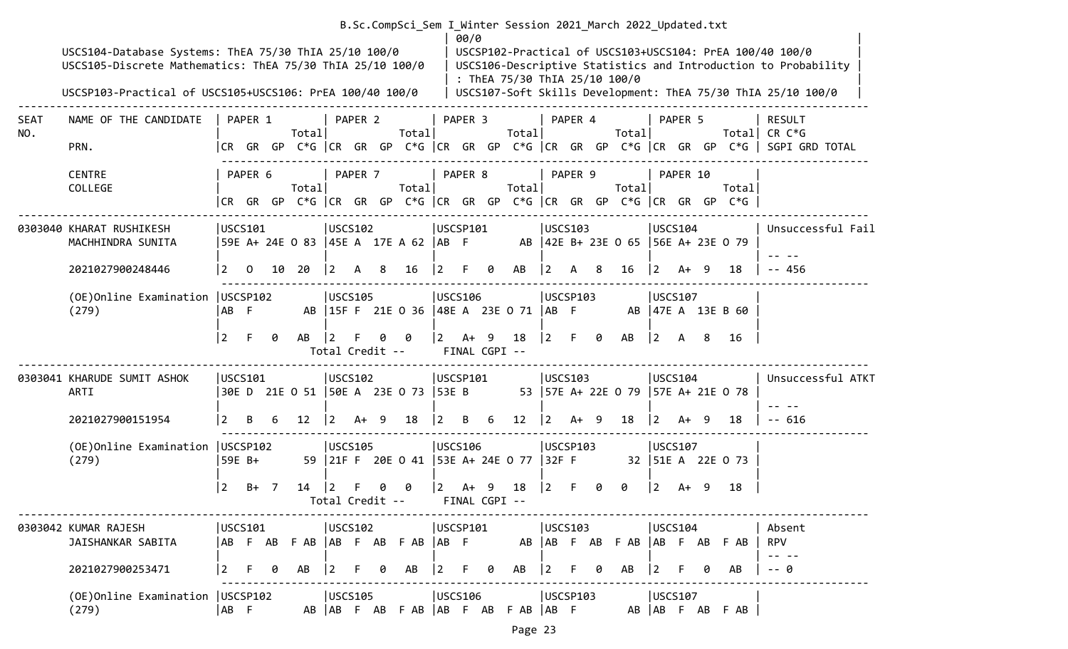|             | USCS104-Database Systems: ThEA 75/30 ThIA 25/10 100/0<br>USCS105-Discrete Mathematics: ThEA 75/30 ThIA 25/10 100/0<br>USCSP103-Practical of USCS105+USCS106: PrEA 100/40 100/0 |                |              |                |                                         |             |         |                 |       |                 | 00/0                    |        | : ThEA 75/30 ThIA 25/10 100/0               |             |          |   | B.Sc.CompSci Sem I Winter Session 2021 March 2022 Updated.txt |                 |                |      |                                                                                | USCSP102-Practical of USCS103+USCS104: PrEA 100/40 100/0<br>USCS106-Descriptive Statistics and Introduction to Probability<br>USCS107-Soft Skills Development: ThEA 75/30 ThIA 25/10 100/0 |
|-------------|--------------------------------------------------------------------------------------------------------------------------------------------------------------------------------|----------------|--------------|----------------|-----------------------------------------|-------------|---------|-----------------|-------|-----------------|-------------------------|--------|---------------------------------------------|-------------|----------|---|---------------------------------------------------------------|-----------------|----------------|------|--------------------------------------------------------------------------------|--------------------------------------------------------------------------------------------------------------------------------------------------------------------------------------------|
| SEAT<br>NO. | NAME OF THE CANDIDATE<br>PRN.                                                                                                                                                  |                | PAPER 1      |                | Total                                   |             | PAPER 2 |                 | Total |                 | PAPER 3                 |        | Totall                                      |             | PAPER 4  |   | Total                                                         |                 | PAPER 5        |      | Totall                                                                         | <b>RESULT</b><br>CR C*G<br> CR GR GP C*G  CR GR GP C*G  CR GR GP C*G  CR GR GP C*G  CR GR GP C*G   SGPI GRD TOTAL                                                                          |
|             | <b>CENTRE</b><br>COLLEGE                                                                                                                                                       |                | PAPER 6      |                | Total                                   |             | PAPER 7 |                 | Total |                 | PAPER 8                 |        | Total                                       |             | PAPER 9  |   | Total                                                         |                 | PAPER 10       |      | Total<br> CR GR GP C*G  CR GR GP C*G  CR GR GP C*G  CR GR GP C*G  CR GR GP C*G |                                                                                                                                                                                            |
|             | 0303040 KHARAT RUSHIKESH<br>MACHHINDRA SUNITA                                                                                                                                  |                | USCS101      |                | 59E A+ 24E 0 83  45E A 17E A 62  AB F   | USCS102     |         |                 |       | USCSP101        |                         |        |                                             |             | USCS103  |   | AB   42E B+ 23E 0 65   56E A+ 23E 0 79                        |                 | USCS104        |      |                                                                                | Unsuccessful Fail                                                                                                                                                                          |
|             | 2021027900248446                                                                                                                                                               | <u> 2</u>      | $\mathbf{0}$ |                | 10 20                                   | 2           | A       | 8               | 16    |                 | F                       | 0      | AB                                          | $ 2\rangle$ | A        | 8 | 16                                                            | $\vert 2 \vert$ |                | A+ 9 | 18                                                                             | -- 456                                                                                                                                                                                     |
|             | (OE) Online Examination   USCSP102<br>(279)                                                                                                                                    | AB F           |              |                |                                         | USCS105     |         |                 |       | USCS106         |                         |        | AB   15F F 21E 0 36   48E A 23E 0 71   AB F |             | USCSP103 |   |                                                               |                 | USCS107        |      | AB 47E A 13E B 60                                                              |                                                                                                                                                                                            |
|             |                                                                                                                                                                                | 2              | F.           | 0              | AB                                      | 2           |         | Total Credit -- | 0     | $\vert$ 2       | FINAL CGPI --           | $A+ 9$ | 18                                          | $ 2\rangle$ | F.       | 0 | AB                                                            | $\vert$ 2       | A              | 8    | 16                                                                             |                                                                                                                                                                                            |
|             | 0303041 KHARUDE SUMIT ASHOK<br>ARTI                                                                                                                                            |                | USCS101      |                | 30E D 21E 0 51   50E A 23E 0 73   53E B | USCS102     |         |                 |       | USCSP101        |                         |        |                                             |             | USCS103  |   | 53   57E A+ 22E 0 79   57E A+ 21E 0 78                        |                 | USCS104        |      |                                                                                | Unsuccessful ATKT                                                                                                                                                                          |
|             | 2021027900151954                                                                                                                                                               | <u> 2</u>      | B            | -6             | 12                                      | $ 2\rangle$ | A+ 9    |                 | 18    | $\vert 2 \vert$ | B 6                     |        | 12 <sub>2</sub>                             | $ 2\rangle$ | $A+ 9$   |   | 18                                                            | $\vert$ 2       | A+             | - 9  | 18                                                                             | $- - 616$                                                                                                                                                                                  |
|             | (OE) Online Examination   USCSP102<br>(279)                                                                                                                                    |                | 59E B+       |                |                                         | USCS105     |         |                 |       | <b>USCS106</b>  |                         |        | 59 21F F 20E 0 41 53E A+ 24E 0 77 32F F     |             | USCSP103 |   |                                                               |                 | USCS107        |      | 32   51E A 22E 0 73                                                            |                                                                                                                                                                                            |
|             |                                                                                                                                                                                | $\overline{2}$ | B+           | $\overline{7}$ | 14                                      | 2           |         | Total Credit -- |       | $\vert 2 \vert$ | $A+ 9$<br>FINAL CGPI -- |        | 18                                          |             |          |   | ø                                                             | $\overline{2}$  | A+             | - 9  | 18                                                                             |                                                                                                                                                                                            |
|             | 0303042 KUMAR RAJESH<br>JAISHANKAR SABITA                                                                                                                                      |                | USCS101      |                | ABFABFAB ABFABFAB ABF                   | USCS102     |         |                 |       | USCSP101        |                         |        | AB                                          |             | USCS103  |   | AB F AB F AB                                                  |                 | <b>USCS104</b> |      | AB F AB F AB                                                                   | Absent<br><b>RPV</b>                                                                                                                                                                       |
|             | 2021027900253471                                                                                                                                                               | <u> 2</u>      | F.           | 0              | AB                                      | $ 2\rangle$ | F.      | 0               | AB    | $ 2\rangle$     | F.                      | 0      | AB                                          | $ 2\rangle$ | F.       |   | AB                                                            | 2               |                |      | AB                                                                             | -- 0                                                                                                                                                                                       |
|             | (OE) Online Examination   USCSP102<br>(279)                                                                                                                                    | AB F           |              |                |                                         | USCS105     |         |                 |       | USCS106         |                         |        | AB AB F AB F AB AB F AB F AB AB F           |             | USCSP103 |   |                                                               |                 | USCS107        |      | AB AB F AB F AB                                                                |                                                                                                                                                                                            |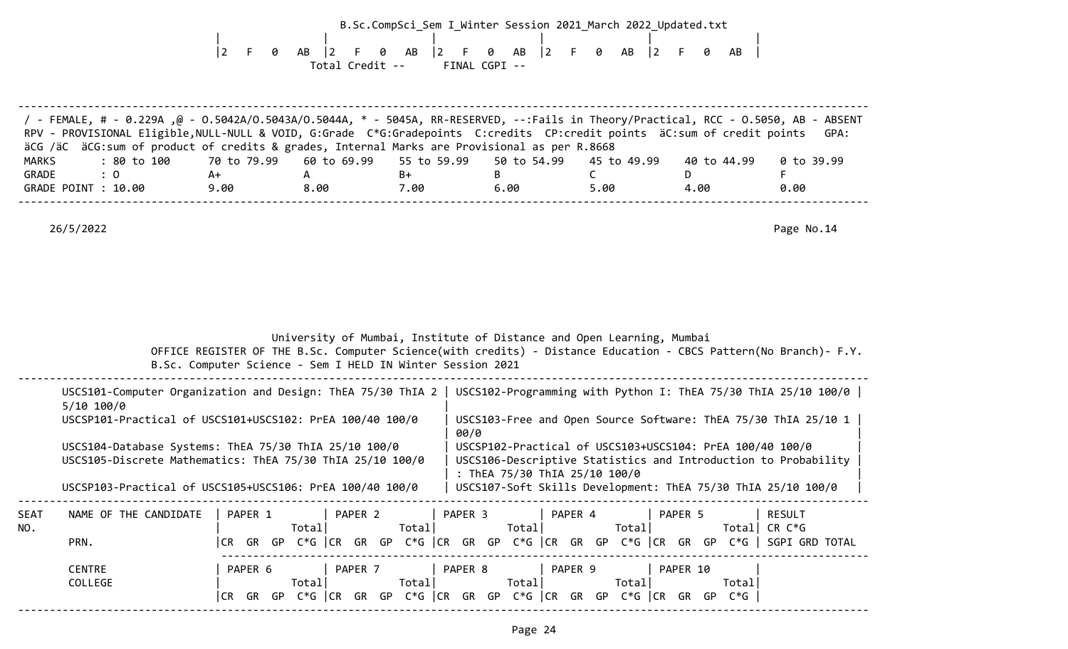|       |                                                                                                                                                                                                                                                                |                                  |                 |                                                            | B.Sc.CompSci Sem I Winter Session 2021 March 2022 Updated.txt                                                                                                                             |                   |               |            |
|-------|----------------------------------------------------------------------------------------------------------------------------------------------------------------------------------------------------------------------------------------------------------------|----------------------------------|-----------------|------------------------------------------------------------|-------------------------------------------------------------------------------------------------------------------------------------------------------------------------------------------|-------------------|---------------|------------|
|       |                                                                                                                                                                                                                                                                | $ 2\rangle$<br>$\mathsf{F}$<br>0 | $AB$   2<br>- F | $AB$  2 F<br>0                                             | AB   2 F 0<br><b>Q</b>                                                                                                                                                                    | AB<br>$ 2\rangle$ | F.<br>ø<br>AB |            |
|       |                                                                                                                                                                                                                                                                |                                  |                 | Total Credit -- FINAL CGPI --                              |                                                                                                                                                                                           |                   |               |            |
|       |                                                                                                                                                                                                                                                                |                                  |                 |                                                            |                                                                                                                                                                                           |                   |               |            |
|       |                                                                                                                                                                                                                                                                |                                  |                 |                                                            |                                                                                                                                                                                           |                   |               |            |
|       | / FEMALE, # - 0.229A ,@ - 0.5042A/0.5043A/0.5044A, * - 5045A, RR-RESERVED, --:Fails in Theory/Practical, RCC - 0.5050, AB - ABSENT<br>RPV - PROVISIONAL Eligible, NULL-NULL & VOID, G:Grade C*G:Gradepoints C:credits CP:credit points äC:sum of credit points |                                  |                 |                                                            |                                                                                                                                                                                           |                   |               | GPA:       |
| MARKS | äCG /äC äCG:sum of product of credits & grades, Internal Marks are Provisional as per R.8668<br>: 80 to 100                                                                                                                                                    | 70 to 79.99                      | 60 to 69.99     | 55 to 59.99                                                | 50 to 54.99                                                                                                                                                                               | 45 to 49.99       | 40 to 44.99   | 0 to 39.99 |
| GRADE | : 0                                                                                                                                                                                                                                                            | A+                               | A               | B+                                                         | B.                                                                                                                                                                                        | $\mathsf{C}$      | D.            | F          |
|       | GRADE POINT : 10.00                                                                                                                                                                                                                                            | 9.00                             |                 | 8.00 7.00                                                  | 6.00                                                                                                                                                                                      | 5.00              | 4.00          | 0.00       |
|       |                                                                                                                                                                                                                                                                |                                  |                 |                                                            |                                                                                                                                                                                           |                   |               |            |
|       | 26/5/2022                                                                                                                                                                                                                                                      |                                  |                 |                                                            |                                                                                                                                                                                           |                   |               | Page No.14 |
|       |                                                                                                                                                                                                                                                                |                                  |                 |                                                            |                                                                                                                                                                                           |                   |               |            |
|       |                                                                                                                                                                                                                                                                |                                  |                 | B.Sc. Computer Science - Sem I HELD IN Winter Session 2021 | University of Mumbai, Institute of Distance and Open Learning, Mumbai<br>OFFICE REGISTER OF THE B.Sc. Computer Science(with credits) - Distance Education - CBCS Pattern(No Branch)- F.Y. |                   |               |            |
|       | USCS101-Computer Organization and Design: ThEA 75/30 ThIA 2   USCS102-Programming with Python I: ThEA 75/30 ThIA 25/10 100/0                                                                                                                                   |                                  |                 |                                                            |                                                                                                                                                                                           |                   |               |            |
|       | $5/10$ 100/0<br>USCSP101-Practical of USCS101+USCS102: PrEA 100/40 100/0                                                                                                                                                                                       |                                  |                 |                                                            | USCS103-Free and Open Source Software: ThEA 75/30 ThIA 25/10 1                                                                                                                            |                   |               |            |
|       | USCS104-Database Systems: ThEA 75/30 ThIA 25/10 100/0<br>USCS105-Discrete Mathematics: ThEA 75/30 ThIA 25/10 100/0                                                                                                                                             |                                  |                 |                                                            | 00/0<br>USCSP102-Practical of USCS103+USCS104: PrEA 100/40 100/0<br>USCS106-Descriptive Statistics and Introduction to Probability                                                        |                   |               |            |
|       | USCSP103-Practical of USCS105+USCS106: PrEA 100/40 100/0                                                                                                                                                                                                       |                                  |                 |                                                            | : ThEA 75/30 ThIA 25/10 100/0<br>USCS107-Soft Skills Development: ThEA 75/30 ThIA 25/10 100/0                                                                                             |                   |               |            |
| SEAT  | NAME OF THE CANDIDATE   PAPER 1   PAPER 2   PAPER 3   PAPER 4   PAPER 5   RESULT                                                                                                                                                                               |                                  |                 |                                                            |                                                                                                                                                                                           |                   |               |            |
| NO.   | PRN.                                                                                                                                                                                                                                                           |                                  |                 |                                                            | CR GR GP C*G  CR GR GP C*G  CR GR GP C*G  CR GR GP C*G  CR GR GP C*G   SGPI GRD TOTAL                                                                                                     |                   |               |            |
|       |                                                                                                                                                                                                                                                                |                                  |                 |                                                            |                                                                                                                                                                                           |                   |               |            |
|       | <b>CENTRE</b><br>COLLEGE                                                                                                                                                                                                                                       |                                  |                 |                                                            | PAPER 6   PAPER 7   PAPER 8   PAPER 9   PAPER 10                                                                                                                                          |                   |               |            |

--------------------------------------------------------------------------------------------------------------------------------------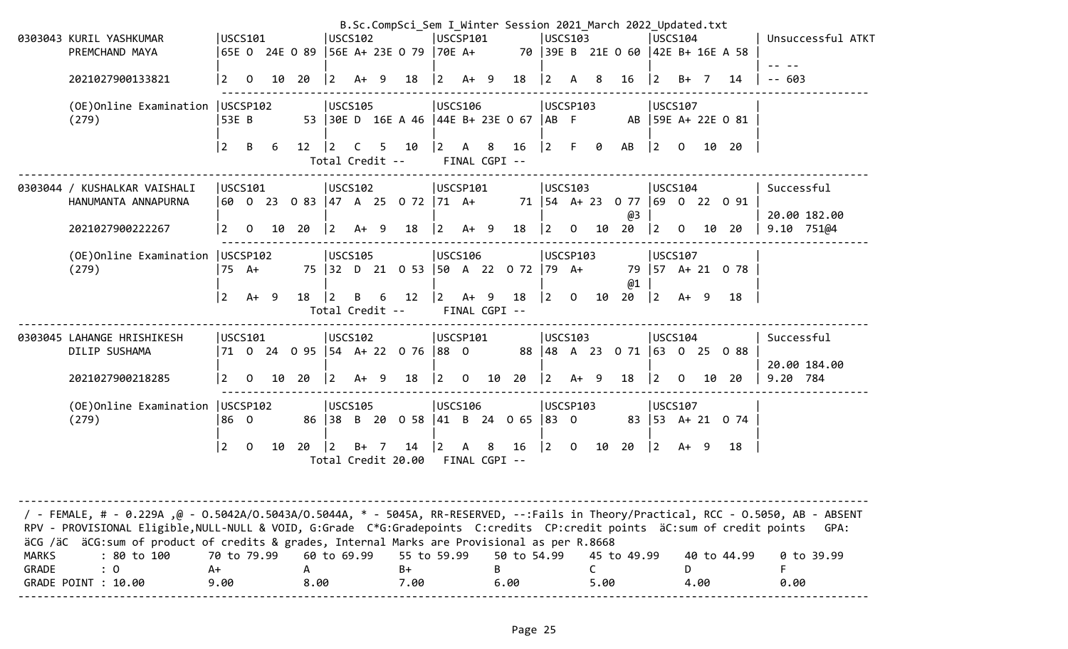|                       | 0303043 KURIL YASHKUMAR                                                                                                                                                                                                                                                                                                                                                                                              |                           | USCS101      |    |                            | USCS102                           |        |     | B.Sc.CompSci_Sem I Winter Session 2021 March 2022 Updated.txt | USCSP101              |        |    |                     |                    | USCS103     |                      |                                       | USCS104        |              |      |                                    | Unsuccessful ATKT                |
|-----------------------|----------------------------------------------------------------------------------------------------------------------------------------------------------------------------------------------------------------------------------------------------------------------------------------------------------------------------------------------------------------------------------------------------------------------|---------------------------|--------------|----|----------------------------|-----------------------------------|--------|-----|---------------------------------------------------------------|-----------------------|--------|----|---------------------|--------------------|-------------|----------------------|---------------------------------------|----------------|--------------|------|------------------------------------|----------------------------------|
|                       | PREMCHAND MAYA                                                                                                                                                                                                                                                                                                                                                                                                       |                           |              |    | 65E 0 24E 0 89             |                                   |        |     | 56E A+ 23E 0 79                                               | $ 70E A+$             |        |    |                     |                    |             |                      | 70   39E B 21E 0 60   42E B+ 16E A 58 |                |              |      |                                    |                                  |
|                       | 2021027900133821                                                                                                                                                                                                                                                                                                                                                                                                     | 2                         | $\mathbf{O}$ | 10 | 20                         | $\overline{2}$                    | $A+ 9$ |     | 18                                                            | $\overline{2}$        | $A+9$  |    | 18                  | $\vert 2 \vert$    | A           | -8                   | 16                                    | (2)            | $B+$ 7       |      | 14                                 | $- - 603$                        |
|                       | (OE) Online Examination   USCSP102<br>(279)                                                                                                                                                                                                                                                                                                                                                                          | 53E B                     |              |    |                            | USCS105                           |        |     | 53 30E D 16E A 46 44E B+ 23E 0 67                             | USCS106               |        |    |                     | USCSP103<br>AB F   |             |                      |                                       | USCS107        |              |      | AB 59E A+ 22E 0 81                 |                                  |
|                       |                                                                                                                                                                                                                                                                                                                                                                                                                      | $\overline{2}$            | B            | 6  | 12                         | $\overline{2}$<br>Total Credit -- | C      | 5.  | 10                                                            | $\mathbf{2}$          | А      | 8  | 16<br>FINAL CGPI -- | 2                  | F.          | 0                    | AB                                    | $\overline{2}$ | $\Omega$     |      | 10 20                              |                                  |
|                       | 0303044 / KUSHALKAR VAISHALI<br>HANUMANTA ANNAPURNA                                                                                                                                                                                                                                                                                                                                                                  | USCS101                   |              |    |                            | USCS102                           |        |     | 60 0 23 0 83 47 A 25 0 72 71 A+                               | USCSP101              |        |    |                     |                    | USCS103     |                      |                                       | USCS104        |              |      | 71   54 A + 23 0 77   69 0 22 0 91 | Successful                       |
|                       | 2021027900222267                                                                                                                                                                                                                                                                                                                                                                                                     | 2                         | 0            | 10 | 20                         | 2                                 | $A+ 9$ |     | 18                                                            | 2                     | $A+ 9$ |    | 18                  | $\overline{2}$     | 0           | 10                   | @3<br>20                              | $ 2\rangle$    | $\Omega$     | 10   | 20                                 | 20.00 182.00<br>$9.10$ $751@4$   |
|                       | (OE) Online Examination   USCSP102<br>(279)                                                                                                                                                                                                                                                                                                                                                                          |                           | 75 A+        |    |                            | USCS105                           |        |     | 75 32 D 21 0 53 50 A 22 0 72                                  | USCS106               |        |    |                     | USCSP103<br> 79 A+ |             |                      | @1                                    | USCS107        |              |      | 79   57 A+ 21 0 78                 |                                  |
|                       |                                                                                                                                                                                                                                                                                                                                                                                                                      | $\overline{2}$            | $A+ 9$       |    | 18                         | l 2.<br>Total Credit --           | B      |     | 12                                                            | $\vert$ 2             | A+     | -9 | 18<br>FINAL CGPI -- | <u> 2</u>          | $\mathbf 0$ | 10                   | 20                                    | $ 2\rangle$    | A+ 9         |      | 18                                 |                                  |
|                       | 0303045 LAHANGE HRISHIKESH<br>DILIP SUSHAMA                                                                                                                                                                                                                                                                                                                                                                          |                           | USCS101      |    | 71 0 24 0 95 54 A+ 22 0 76 | USCS102                           |        |     |                                                               | USCSP101<br>$ 88 \t0$ |        |    | 88                  |                    | USCS103     |                      | 48 A 23 O 71  63 O 25 O 88            | USCS104        |              |      |                                    | Successful                       |
|                       | 2021027900218285                                                                                                                                                                                                                                                                                                                                                                                                     | 2                         | $\mathbf{O}$ | 10 | 20                         | $\overline{2}$                    | A+     | - 9 | 18                                                            | $\overline{2}$        | 0      | 10 | 20                  | $\overline{2}$     | $A+ 9$      |                      | 18                                    | 2              | $\mathbf{0}$ | 10   | 20                                 | 20.00 184.00<br>9.20 784         |
|                       | (OE) Online Examination   USCSP102<br>(279)                                                                                                                                                                                                                                                                                                                                                                          | 86 0                      |              |    | 86                         | <b>USCS105</b><br> 38             | B      |     | 20 0 58 41 B 24 0 65 83 0                                     | <b>USCS106</b>        |        |    |                     | USCSP103           |             |                      |                                       | USCS107        |              |      | 83 53 A+ 21 0 74                   |                                  |
|                       |                                                                                                                                                                                                                                                                                                                                                                                                                      | $\overline{2}$            | $\Omega$     | 10 | 20                         | l 2                               | B+     |     | 14<br>Total Credit 20.00                                      |                       | A      | 8  | 16<br>FINAL CGPI -- | $\vert$ 2          | 0           | 10                   | 20                                    | $\vert$ 2      | A+ 9         |      | 18                                 |                                  |
| <b>MARKS</b><br>GRADE | / - FEMALE, # - 0.229A ,@ - 0.5042A/0.5043A/0.5044A, * - 5045A, RR-RESERVED, --:Fails in Theory/Practical, RCC - 0.5050, AB - ABSENT<br>RPV - PROVISIONAL Eligible, NULL-NULL & VOID, G:Grade C*G:Gradepoints C:credits CP:credit points äC:sum of credit points<br>äCG /äC äCG:sum of product of credits & grades, Internal Marks are Provisional as per R.8668<br>: 80 to 100<br>$\colon 0$<br>GRADE POINT : 10.00 | 70 to 79.99<br>A+<br>9.00 |              |    | A<br>8.00                  | 60 to 69.99                       |        |     | 55 to 59.99<br>B+<br>7.00                                     |                       |        | B  | 50 to 54.99<br>6.00 |                    |             | $\mathsf{C}$<br>5.00 | 45 to 49.99                           |                | D            | 4.00 | 40 to 44.99                        | GPA:<br>0 to 39.99<br>F.<br>0.00 |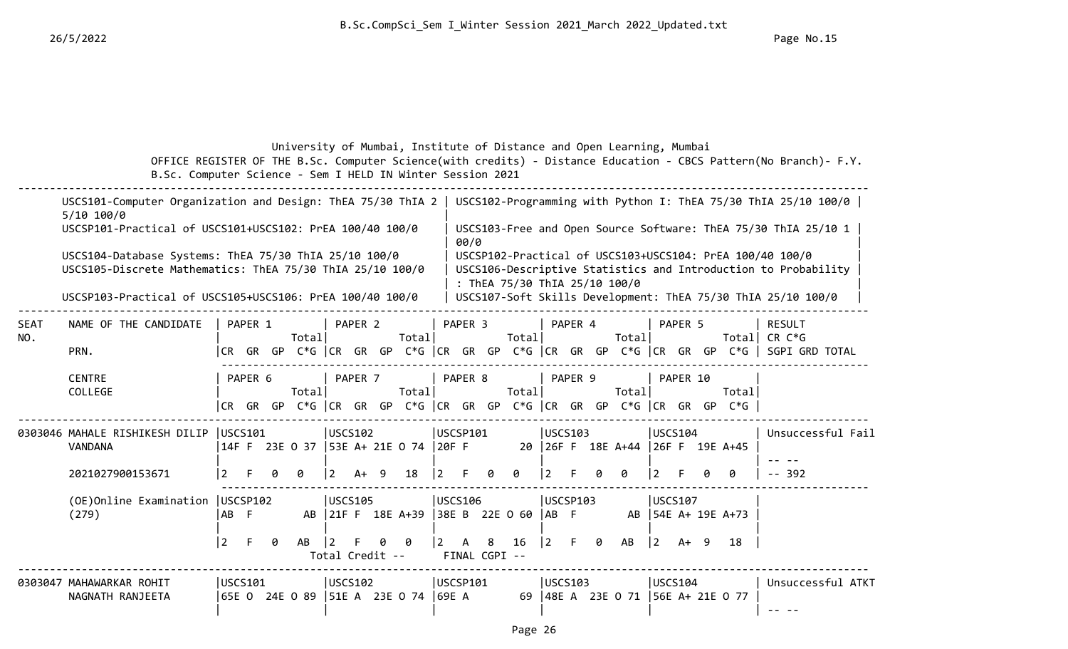### University of Mumbai, Institute of Distance and Open Learning, Mumbai OFFICE REGISTER OF THE B.Sc. Computer Science(with credits) - Distance Education - CBCS Pattern(No Branch)- F.Y. B.Sc. Computer Science - Sem I HELD IN Winter Session 2021

|                    | USCS101-Computer Organization and Design: ThEA 75/30 ThIA 2<br>$5/10$ 100/0                                        |                 |         |   |                |                   |         |    |                                        |          |         |                    |                               |                |          |   |                                                                                         |                |          |   |                      | USCS102-Programming with Python I: ThEA 75/30 ThIA 25/10 100/0 $\vert$                                                     |
|--------------------|--------------------------------------------------------------------------------------------------------------------|-----------------|---------|---|----------------|-------------------|---------|----|----------------------------------------|----------|---------|--------------------|-------------------------------|----------------|----------|---|-----------------------------------------------------------------------------------------|----------------|----------|---|----------------------|----------------------------------------------------------------------------------------------------------------------------|
|                    | USCSP101-Practical of USCS101+USCS102: PrEA 100/40 100/0                                                           |                 |         |   |                |                   |         |    |                                        |          | 00/0    |                    |                               |                |          |   |                                                                                         |                |          |   |                      | USCS103-Free and Open Source Software: ThEA 75/30 ThIA 25/10 1                                                             |
|                    | USCS104-Database Systems: ThEA 75/30 ThIA 25/10 100/0<br>USCS105-Discrete Mathematics: ThEA 75/30 ThIA 25/10 100/0 |                 |         |   |                |                   |         |    |                                        |          |         |                    | : ThEA 75/30 ThIA 25/10 100/0 |                |          |   |                                                                                         |                |          |   |                      | USCSP102-Practical of USCS103+USCS104: PrEA 100/40 100/0<br>USCS106-Descriptive Statistics and Introduction to Probability |
|                    | USCSP103-Practical of USCS105+USCS106: PrEA 100/40 100/0                                                           |                 |         |   |                |                   |         |    |                                        |          |         |                    |                               |                |          |   |                                                                                         |                |          |   |                      | USCS107-Soft Skills Development: ThEA 75/30 ThIA 25/10 100/0                                                               |
| <b>SEAT</b><br>NO. | NAME OF THE CANDIDATE                                                                                              |                 | PAPER 1 |   | Totall         |                   | PAPER 2 |    | Total                                  |          | PAPER 3 |                    | Total                         |                | PAPER 4  |   | Total                                                                                   |                | PAPER 5  |   | Totall               | <b>RESULT</b><br>CR C*G                                                                                                    |
|                    | PRN.                                                                                                               | I CR-           | GR GP   |   |                |                   |         |    |                                        |          |         |                    |                               |                |          |   | $C*G$ $ CR$ $GR$ $GP$ $C*G$ $ CR$ $GR$ $GP$ $C*G$ $ CR$ $GR$ $GP$ $C*G$ $ CR$ $GR$ $GP$ |                |          |   |                      | $C*G$   SGPI GRD TOTAL                                                                                                     |
|                    | <b>CENTRE</b><br>COLLEGE                                                                                           | CR GR GP        | PAPER 6 |   | Total          |                   | PAPER 7 |    | Total                                  |          | PAPER 8 |                    | Total                         |                | PAPER 9  |   | Total<br>C*G $ CR$ GR GP C*G $ CR$ GR GP C*G $ CR$ GR GP C*G $ CR$ GR GR GP             |                | PAPER 10 |   | Total<br>$C*G$       |                                                                                                                            |
|                    | 0303046 MAHALE RISHIKESH DILIP<br><b>VANDANA</b>                                                                   | USCS101         |         |   |                | USCS102           |         |    | 14F F 23E 0 37 53E A+ 21E 0 74 20F F   | USCSP101 |         |                    |                               |                | USCS103  |   | 20 26F F 18E A+44 26F F 19E A+45                                                        | USCS104        |          |   |                      | Unsuccessful Fail                                                                                                          |
|                    | 2021027900153671                                                                                                   | 2               | F.      |   | A              | <u>2</u>          | $A+$    | -9 | 18                                     | 2        | F.      | ø                  | ø                             |                |          | a | a                                                                                       | 2              |          | a | ø                    | $- - 392$                                                                                                                  |
|                    | (OE) Online Examination   USCSP102<br>(279)                                                                        | IAB F           |         |   |                | USCS105           |         |    | AB 21F F 18E A+39 38E B 22E 0 60  AB F | USCS106  |         |                    |                               |                | USCSP103 |   |                                                                                         | USCS107        |          |   | AB   54E A+ 19E A+73 |                                                                                                                            |
|                    |                                                                                                                    | $\vert 2 \vert$ | F.      | 0 | AB             | Total Credit --   |         |    | ø                                      |          | A       | 8<br>FINAL CGPI -- | 16                            | $\overline{2}$ |          | 0 | AB                                                                                      | $ 2\rangle$    | $A+ 9$   |   | 18                   |                                                                                                                            |
|                    | 0303047 MAHAWARKAR ROHIT<br>NAGNATH RANJEETA                                                                       | USCS101         |         |   | 65E O 24E O 89 | $ USCS102\rangle$ |         |    | $ 51E A \t23E 0 \t74  69E A$           | USCSP101 |         |                    | 69 I                          |                | USCS103  |   | 48E A 23E O 71  56E A+ 21E O 77                                                         | <b>USCS104</b> |          |   |                      | Unsuccessful ATKT                                                                                                          |
|                    |                                                                                                                    |                 |         |   |                |                   |         |    |                                        |          |         |                    |                               |                |          |   |                                                                                         |                |          |   |                      |                                                                                                                            |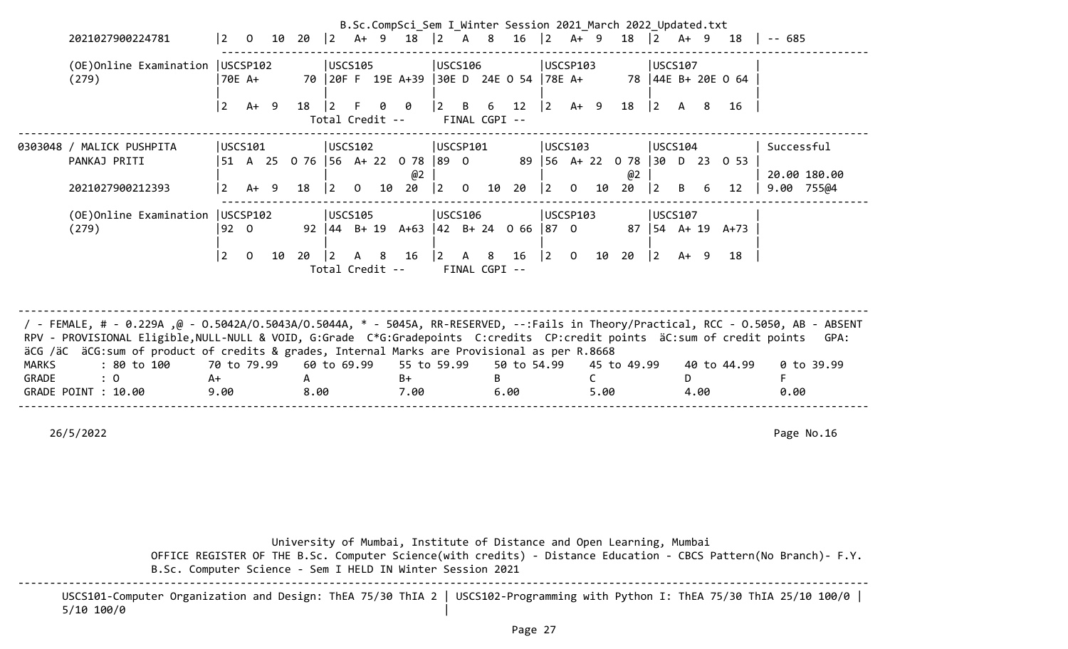|                       |                                                                                                                                                                                                                                                                                                                                                                                                             |                           |                |       |           |                                         |                |    | B.Sc.CompSci_Sem I Winter Session 2021 March 2022 Updated.txt |                               |                |                    |                     |                          |                            |                      |                                  |                        |              |      |                                   |            |                            |
|-----------------------|-------------------------------------------------------------------------------------------------------------------------------------------------------------------------------------------------------------------------------------------------------------------------------------------------------------------------------------------------------------------------------------------------------------|---------------------------|----------------|-------|-----------|-----------------------------------------|----------------|----|---------------------------------------------------------------|-------------------------------|----------------|--------------------|---------------------|--------------------------|----------------------------|----------------------|----------------------------------|------------------------|--------------|------|-----------------------------------|------------|----------------------------|
|                       | 2021027900224781                                                                                                                                                                                                                                                                                                                                                                                            | $\vert$ 2                 | $\overline{0}$ | 10 20 |           | $ 2 \tA+ 9$                             |                |    | 18                                                            | 2                             | A 8            |                    | 16                  | 2                        | A+ 9                       |                      | 18                               | 2                      | A+ 9         |      | 18                                | -- 685     |                            |
|                       | (OE) Online Examination   USCSP102<br>(279)                                                                                                                                                                                                                                                                                                                                                                 | 70E A+                    |                |       |           | USCS105                                 |                |    | 70 20F F 19E A+39 30E D 24E 0 54                              | USCS106                       |                |                    |                     | $ 78E$ A+                | USCSP103                   |                      |                                  | USCS107                |              |      | 78   44E B+ 20E 0 64              |            |                            |
|                       |                                                                                                                                                                                                                                                                                                                                                                                                             | $\overline{2}$            | $A+ 9$         |       | 18        | 2 <br>Total Credit --                   | $-F$           |    | $0 \theta$                                                    | $\vert 2 \vert$               | B              | 6<br>FINAL CGPI -- | 12                  | $ 2\rangle$              |                            | $A+ 9$               | 18                               | $ 2\rangle$            | $\mathsf{A}$ | 8    | 16                                |            |                            |
|                       | 0303048 / MALICK PUSHPITA<br>PANKAJ PRITI<br>2021027900212393                                                                                                                                                                                                                                                                                                                                               | USCS101<br>$\overline{2}$ | $A+ 9$         |       | 18        | USCS102<br>$ 2\rangle$                  | $\overline{0}$ | 10 | 51 A 25 0 76 56 A+ 22 0 78 89 0<br>@2<br>20                   | USCSP101<br>$ 2\rangle$       | $\overline{0}$ | 10                 | 89<br>20            | $ 2\rangle$              | USCS103<br>$\mathsf{O}$    | 10                   | $ 56 \tA+ 22 \tO 78$<br>@2<br>20 | USCS104<br>$ 2\rangle$ | B            | 6    | $ 30 \t D \t 23 \t D \t 53$<br>12 | Successful | 20.00 180.00<br>9.00 755@4 |
|                       | (OE)Online Examination<br>(279)                                                                                                                                                                                                                                                                                                                                                                             | USCSP102<br> 92 0<br> 2   | $\Omega$       | 10    | 20        | USCS105<br>$\vert$ 2<br>Total Credit -- |                |    | 92   44   B+ 19   A+63   42   B+ 24   0 66<br>A 8 16          | <b>USCS106</b><br>$ 2\rangle$ | $\mathsf{A}$   | 8<br>FINAL CGPI -- | 16                  | $ 87 \t0$<br>$ 2\rangle$ | USCSP103<br>$\overline{0}$ | 10 20                | 87                               | USCS107<br>$ 2\rangle$ | $A+ 9$       |      | $ 54 \tA+19 \tA+73 \t$<br>18      |            |                            |
| <b>MARKS</b><br>GRADE | / FEMALE, # - 0.229A ,@ - 0.5042A/0.5043A/0.5044A, * - 5045A, RR-RESERVED, --:Fails in Theory/Practical, RCC - 0.5050, AB - ABSENT<br>RPV - PROVISIONAL Eligible, NULL-NULL & VOID, G:Grade C*G:Gradepoints C:credits CP:credit points äC:sum of credit points<br>äCG /äC äCG:sum of product of credits & grades, Internal Marks are Provisional as per R.8668<br>: 80 to 100<br>: 0<br>GRADE POINT : 10.00 | 70 to 79.99<br>A+<br>9.00 |                |       | A<br>8.00 | 60 to 69.99                             |                |    | 55 to 59.99<br>B+<br>7.00                                     |                               |                | B                  | 50 to 54.99<br>6.00 |                          |                            | $\mathsf{C}$<br>5.00 | 45 to 49.99                      |                        | D.           | 4.00 | 40 to 44.99                       | F<br>0.00  | GPA:<br>0 to 39.99         |
|                       | 26/5/2022                                                                                                                                                                                                                                                                                                                                                                                                   |                           |                |       |           |                                         |                |    |                                                               |                               |                |                    |                     |                          |                            |                      |                                  |                        |              |      |                                   |            | Page No.16                 |

 University of Mumbai, Institute of Distance and Open Learning, Mumbai OFFICE REGISTER OF THE B.Sc. Computer Science(with credits) - Distance Education - CBCS Pattern(No Branch)- F.Y. B.Sc. Computer Science - Sem I HELD IN Winter Session 2021 --------------------------------------------------------------------------------------------------------------------------------------

 USCS101-Computer Organization and Design: ThEA 75/30 ThIA 2 | USCS102-Programming with Python I: ThEA 75/30 ThIA 25/10 100/0 |  $5/10 100/0$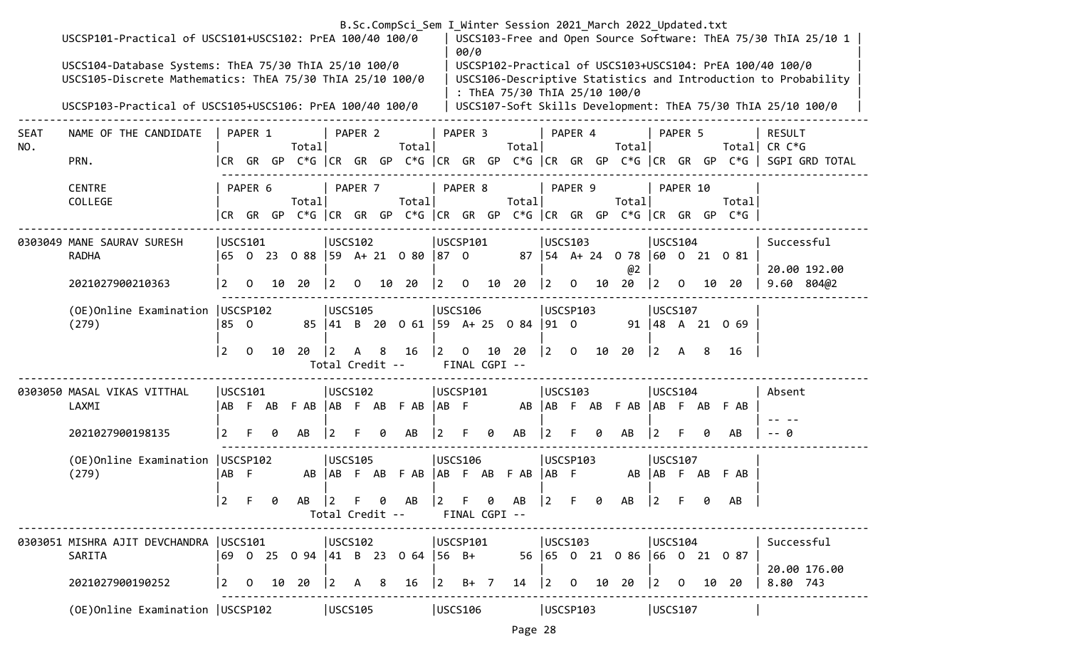|                    | USCSP101-Practical of USCS101+USCS102: PrEA 100/40 100/0<br>USCS104-Database Systems: ThEA 75/30 ThIA 25/10 100/0<br>USCS105-Discrete Mathematics: ThEA 75/30 ThIA 25/10 100/0 |                |                 |    |                            |                                |                |                | B.Sc.CompSci_Sem I Winter Session 2021 March 2022 Updated.txt             |                | 00/0                            |    |                               |             |                |    |                                          |                                       |          |    |                   | USCS103-Free and Open Source Software: ThEA 75/30 ThIA 25/10 1<br>USCSP102-Practical of USCS103+USCS104: PrEA 100/40 100/0<br>USCS106-Descriptive Statistics and Introduction to Probability |
|--------------------|--------------------------------------------------------------------------------------------------------------------------------------------------------------------------------|----------------|-----------------|----|----------------------------|--------------------------------|----------------|----------------|---------------------------------------------------------------------------|----------------|---------------------------------|----|-------------------------------|-------------|----------------|----|------------------------------------------|---------------------------------------|----------|----|-------------------|----------------------------------------------------------------------------------------------------------------------------------------------------------------------------------------------|
|                    | USCSP103-Practical of USCS105+USCS106: PrEA 100/40 100/0                                                                                                                       |                |                 |    |                            |                                |                |                |                                                                           |                |                                 |    | : ThEA 75/30 ThIA 25/10 100/0 |             |                |    |                                          |                                       |          |    |                   | USCS107-Soft Skills Development: ThEA 75/30 ThIA 25/10 100/0                                                                                                                                 |
| <b>SEAT</b><br>NO. | NAME OF THE CANDIDATE                                                                                                                                                          |                | PAPER 1         |    | Totall                     |                                | PAPER 2        |                | Total                                                                     |                | PAPER 3                         |    | Totall                        |             | PAPER 4        |    | Total                                    |                                       | PAPER 5  |    | Totall            | <b>RESULT</b><br>$CR C*G$                                                                                                                                                                    |
|                    | PRN.                                                                                                                                                                           |                |                 |    |                            |                                |                |                |                                                                           |                |                                 |    |                               |             |                |    |                                          |                                       |          |    |                   | CR GR GP C*G CR GR GP C*G CR GR GP C*G CR GR GP C*G CR GR GP C*G SGPI GRD TOTAL                                                                                                              |
|                    | <b>CENTRE</b><br>COLLEGE                                                                                                                                                       |                | PAPER 6         |    | Total                      |                                | PAPER 7        |                | Total <br>CR GR GP C*G CR GR GP C*G CR GR GP C*G CR GR GP C*G CR GR GR GP |                | PAPER 8                         |    | Total                         |             | PAPER 9        |    | Total                                    |                                       | PAPER 10 |    | Total<br>$C*G$    |                                                                                                                                                                                              |
|                    |                                                                                                                                                                                |                |                 |    |                            |                                |                |                |                                                                           |                |                                 |    |                               |             |                |    |                                          |                                       |          |    |                   |                                                                                                                                                                                              |
|                    | 0303049 MANE SAURAV SURESH<br><b>RADHA</b>                                                                                                                                     |                | USCS101         |    | 65 0 23 0 88 59 A+ 21 0 80 | USCS102                        |                |                |                                                                           | $ 87 \t0$      | USCSP101                        |    |                               |             | USCS103        |    | 87   54 A + 24 0 78   60 0 21 0 81<br>@2 | USCS104                               |          |    |                   | Successful<br>20.00 192.00                                                                                                                                                                   |
|                    | 2021027900210363                                                                                                                                                               | $\overline{2}$ | $\mathbf 0$     | 10 | - 20                       | $\vert$ 2                      | $\overline{0}$ |                | 10 20                                                                     | $ 2\rangle$    | $\overline{0}$                  | 10 | 20                            | $\vert$ 2   | $\mathsf{O}$   | 10 | 20                                       | $\begin{vmatrix} 2 & 0 \end{vmatrix}$ |          | 10 | -20               | 9.60 804@2                                                                                                                                                                                   |
|                    | (OE) Online Examination   USCSP102<br>(279)                                                                                                                                    | 85 0           |                 |    |                            | USCS105                        |                |                | 85 41 B 20 0 61 59 A + 25 0 84                                            |                | USCS106                         |    |                               | $ 91 \ 0$   | USCSP103       |    |                                          | USCS107                               |          |    | 91   48 A 21 0 69 |                                                                                                                                                                                              |
|                    |                                                                                                                                                                                | 2              | $\overline{0}$  | 10 | 20                         | $\vert$ 2<br>Total Credit --   | $\mathsf{A}$   | 8 <sup>8</sup> | 16                                                                        | $ 2\rangle$    | $\overline{0}$<br>FINAL CGPI -- |    | 10 20                         | $ 2\rangle$ | $\mathbf{0}$   | 10 | 20                                       | $ 2\rangle$                           | A 8      |    | 16                |                                                                                                                                                                                              |
|                    | 0303050 MASAL VIKAS VITTHAL<br>LAXMI                                                                                                                                           | AB             | USCS101<br>F AB |    | FAB AB FAB FAB             | USCS102                        |                |                |                                                                           | $ AB \tF$      | USCSP101                        |    |                               |             | <b>USCS103</b> |    | AB AB F AB F AB AB F AB F AB             | USCS104                               |          |    |                   | Absent                                                                                                                                                                                       |
|                    | 2021027900198135                                                                                                                                                               | 2              |                 | ø  | AB                         | $\overline{2}$                 |                | 0              | AB                                                                        | $\overline{2}$ | F.                              | 0  | AB                            |             |                | 0  | AB                                       | 2                                     |          | 0  | AB                | -- 0                                                                                                                                                                                         |
|                    | (OE) Online Examination   USCSP102<br>(279)                                                                                                                                    | AB F           |                 |    | AB                         | <b>USCS105</b>                 |                |                | AB F AB F AB                                                              |                | USCS106                         |    | AB F AB F AB                  | AB F        | USCSP103       |    |                                          | <b>USCS107</b>                        |          |    | AB   AB F AB F AB |                                                                                                                                                                                              |
|                    |                                                                                                                                                                                | 2              |                 | 0  | AB                         | $ 2\rangle$<br>Total Credit -- |                | 0              | AB                                                                        | $\vert$ 2      | F.<br>FINAL CGPI --             | 0  | AB                            | 2           | F.             | 0  | AB                                       | 2                                     |          | 0  | AB                |                                                                                                                                                                                              |
|                    | 0303051 MISHRA AJIT DEVCHANDRA   USCS101                                                                                                                                       |                |                 |    |                            | USCS102                        |                |                |                                                                           |                | USCSP101                        |    |                               |             | USCS103        |    |                                          | USCS104                               |          |    |                   | Successful                                                                                                                                                                                   |
|                    | SARITA                                                                                                                                                                         |                |                 |    |                            |                                |                |                | 69 0 25 0 94 41 B 23 0 64 56 B+                                           |                |                                 |    |                               |             |                |    | 56 65 0 21 0 86 66 0 21 0 87             |                                       |          |    |                   | 20.00 176.00                                                                                                                                                                                 |
|                    | 2021027900190252                                                                                                                                                               | $\vert$ 2      | $\mathbf{O}$    | 10 | 20                         | $ 2\rangle$                    | A              | 8              | 16                                                                        | $ 2\rangle$    | $B+$ 7                          |    | 14                            | $ 2\rangle$ | $\overline{0}$ | 10 | 20                                       | 120                                   |          | 10 | 20                | 8.80 743                                                                                                                                                                                     |
|                    | (OE) Online Examination   USCSP102                                                                                                                                             |                |                 |    |                            | USCS105                        |                |                |                                                                           |                | USCS106                         |    |                               |             | USCSP103       |    |                                          | USCS107                               |          |    |                   |                                                                                                                                                                                              |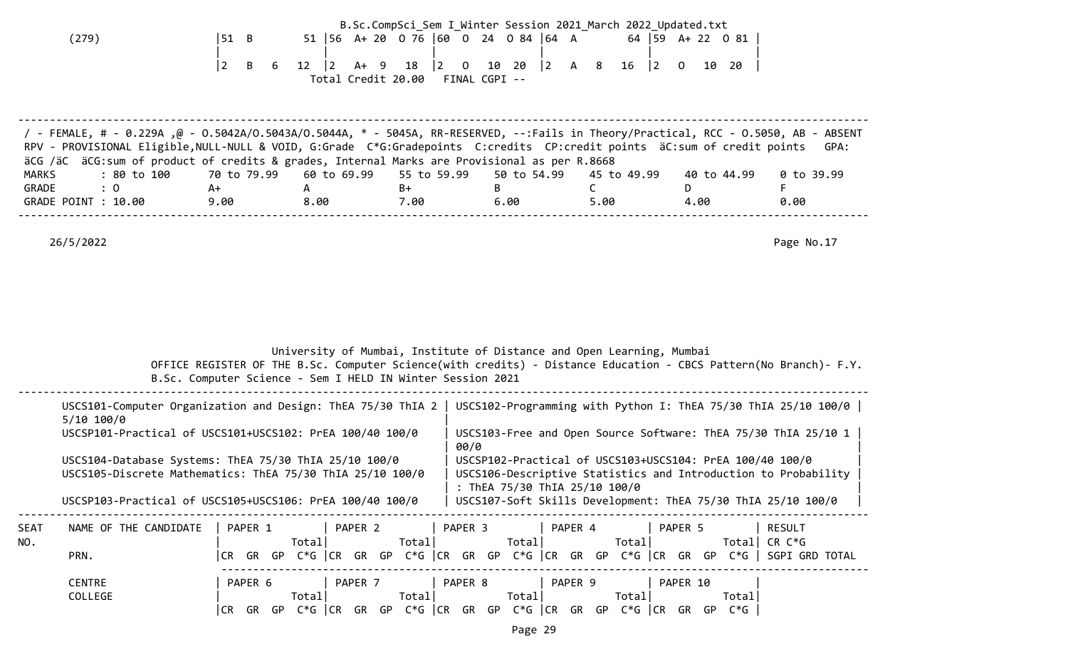| (279)                                                                                                                                                                                                                                                                                                                                                                                                                           | 51 B<br>$\overline{2}$<br>B<br>6                                | $12 \mid 2$<br>Total Credit 20.00 FINAL CGPI -- |       | B.Sc.CompSci_Sem I_Winter Session 2021_March 2022_Updated.txt<br>51   56 A + 20 0 76   60 0 24 0 84   64 A 64   59 A + 22 0 81<br>A+ 9 18  2 0 10 20  2 A 8 16  2 0 10 20                 |                                     |                                       |                                  |
|---------------------------------------------------------------------------------------------------------------------------------------------------------------------------------------------------------------------------------------------------------------------------------------------------------------------------------------------------------------------------------------------------------------------------------|-----------------------------------------------------------------|-------------------------------------------------|-------|-------------------------------------------------------------------------------------------------------------------------------------------------------------------------------------------|-------------------------------------|---------------------------------------|----------------------------------|
| 7 - FEMALE, # - 0.229Α ,@ - 0.5042Α/Ο.5043Α/Ο.5044Α, * - 5045Α, RR-RESERVED, --:Fails in Theory/Practical, RCC - 0.5050, AB - ABSENT<br>RPV - PROVISIONAL Eligible, NULL-NULL & VOID, G:Grade C*G:Gradepoints C:credits CP:credit points äC:sum of credit points<br>äCG /äC äCG:sum of product of credits & grades, Internal Marks are Provisional as per R.8668<br>: 80 to 100<br>MARKS<br>: 0<br>GRADE<br>GRADE POINT : 10.00 | 70 to 79.99  60 to 69.99  55 to 59.99<br>A+ A<br>9.00 8.00 7.00 |                                                 |       | 50 to 54.99<br>$\mathsf B$<br>6.00                                                                                                                                                        | 45 to 49.99<br>$\mathsf{C}$<br>5.00 | 40 to 44.99<br>D <sub>D</sub><br>4.00 | GPA:<br>0 to 39.99<br>F.<br>0.00 |
| 26/5/2022                                                                                                                                                                                                                                                                                                                                                                                                                       |                                                                 |                                                 |       |                                                                                                                                                                                           |                                     |                                       | Page No.17                       |
|                                                                                                                                                                                                                                                                                                                                                                                                                                 | B.Sc. Computer Science - Sem I HELD IN Winter Session 2021      |                                                 |       | University of Mumbai, Institute of Distance and Open Learning, Mumbai<br>OFFICE REGISTER OF THE B.Sc. Computer Science(with credits) - Distance Education - CBCS Pattern(No Branch)- F.Y. |                                     |                                       |                                  |
| USCS101-Computer Organization and Design: ThEA 75/30 ThIA 2   USCS102-Programming with Python I: ThEA 75/30 ThIA 25/10 100/0  <br>$5/10$ 100/0<br>USCSP101-Practical of USCS101+USCS102: PrEA 100/40 100/0                                                                                                                                                                                                                      |                                                                 |                                                 | 00/0  | USCS103-Free and Open Source Software: ThEA 75/30 ThIA 25/10 1                                                                                                                            |                                     |                                       |                                  |
| USCS104-Database Systems: ThEA 75/30 ThIA 25/10 100/0<br>USCS105-Discrete Mathematics: ThEA 75/30 ThIA 25/10 100/0<br>USCSP103-Practical of USCS105+USCS106: PrEA 100/40 100/0   USCS107-Soft Skills Development: ThEA 75/30 ThIA 25/10 100/0                                                                                                                                                                                   |                                                                 |                                                 |       | USCSP102-Practical of USCS103+USCS104: PrEA 100/40 100/0<br>USCS106-Descriptive Statistics and Introduction to Probability<br>: ThEA 75/30 ThIA 25/10 100/0                               |                                     |                                       |                                  |
| NAME OF THE CANDIDATE<br>SEAT<br>NO.<br>PRN.                                                                                                                                                                                                                                                                                                                                                                                    |                                                                 | Total                                           | Total | PAPER 1   PAPER 2   PAPER 3   PAPER 4   PAPER 5<br> CR GR GP C*G  CR GR GP C*G  CR GR GP C*G  CR GR GP C*G  CR GR GP C*G   SGPI GRD TOTAL                                                 |                                     |                                       | RESULT                           |
| <b>CENTRE</b><br>COLLEGE                                                                                                                                                                                                                                                                                                                                                                                                        |                                                                 | Total                                           |       | PAPER 6   PAPER 7   PAPER 8   PAPER 9   PAPER 10<br> CR GR GP C*G  CR GR GP C*G  CR GR GP C*G  CR GR GP C*G  CR GR GP C*G                                                                 |                                     | Total                                 |                                  |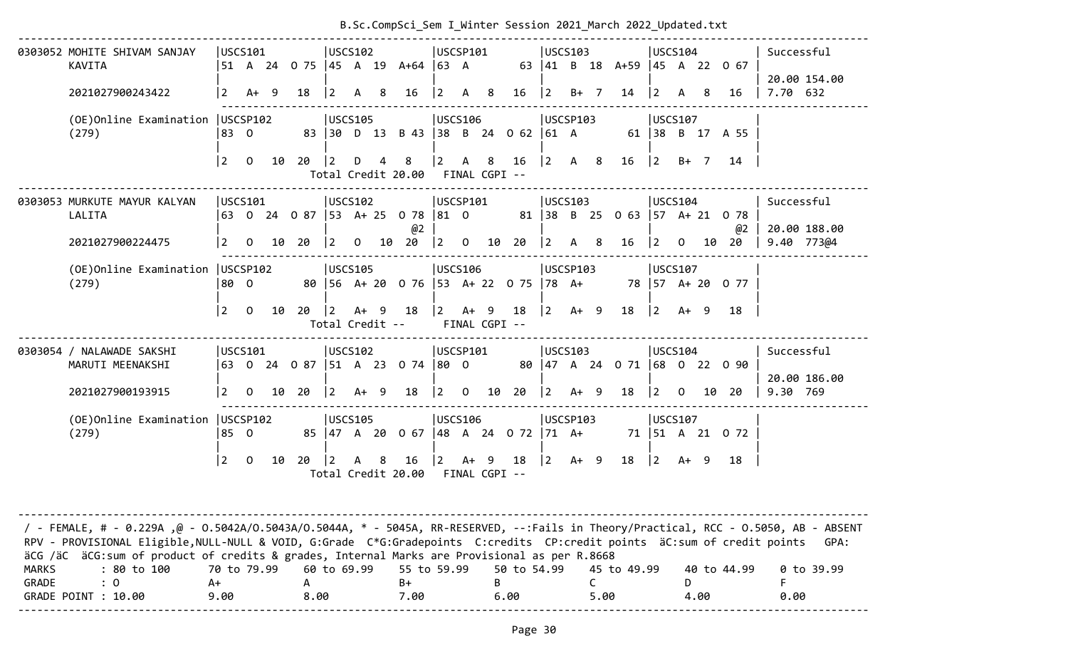| 0303052 MOHITE SHIVAM SANJAY       | USCS101   |                |              |             | USCS102         |        |             |                                                 | USCSP101                                  |     |                                                             | USCS103                                   |                                |                                            |      |     | USCS104            | Successful               |
|------------------------------------|-----------|----------------|--------------|-------------|-----------------|--------|-------------|-------------------------------------------------|-------------------------------------------|-----|-------------------------------------------------------------|-------------------------------------------|--------------------------------|--------------------------------------------|------|-----|--------------------|--------------------------|
| KAVITA                             |           |                |              |             |                 |        |             | 51 A 24 O 75  45 A 19 A+64  63 A                |                                           |     |                                                             |                                           | 63 41 B 18 A+59 45 A 22 0 67   |                                            |      |     |                    |                          |
| 2021027900243422                   | <u> 2</u> | $A+ 9$         |              | 18          | $ 2 \rangle$    | A 8    |             | 16                                              | $\begin{vmatrix} 2 & A & 8 \end{vmatrix}$ |     | 16                                                          | $ 2 \t B+7$                               | 14                             | $ 2\rangle$                                | A    | - 8 | 16                 | 20.00 154.00<br>7.70 632 |
| (OE)Online Examination   USCSP102  |           |                |              |             | USCS105         |        |             |                                                 | USCS106                                   |     |                                                             | USCSP103                                  |                                | USCS107                                    |      |     |                    |                          |
| (279)                              | 183 O     |                |              |             |                 |        |             | 83 30 D 13 B 43 38 B 24 0 62 61 A               |                                           |     |                                                             |                                           |                                |                                            |      |     | 61   38 B 17 A 55  |                          |
|                                    | 2         |                | $0\qquad 10$ | $20 \t 2$   |                 |        | $D \quad 4$ | 8 <sup>8</sup><br>Total Credit 20.00            | $ 2\rangle$                               | A 8 | 16<br>FINAL CGPI --                                         | $\begin{vmatrix} 2 & A & 8 \end{vmatrix}$ | 16                             | 2                                          |      |     | B+ 7 14            |                          |
| 0303053 MURKUTE MAYUR KALYAN       | USCS101   |                |              |             | USCS102         |        |             |                                                 | USCSP101                                  |     |                                                             | USCS103                                   |                                | USCS104                                    |      |     |                    | Successful               |
| LALITA                             |           |                |              |             |                 |        |             | 63 0 24 0 87 53 A+ 25 0 78 81 0<br>@2           |                                           |     |                                                             |                                           | 81 38 B 25 0 63 57 A + 21 0 78 |                                            |      |     | @2                 | 20.00 188.00             |
| 2021027900224475                   | <u> 2</u> | $\Omega$       |              | 10 20       |                 |        |             | $\begin{bmatrix} 2 & 0 & 10 & 20 \end{bmatrix}$ |                                           |     | $\begin{array}{ccc} \n\boxed{2} & 0 & 10 & 20\n\end{array}$ | $\begin{vmatrix} 2 & A & 8 \end{vmatrix}$ | 16                             |                                            |      |     | $ 2 \t0 \t10 \t20$ | 9.40 773@4               |
| (OE)Online Examination   USCSP102  |           |                |              |             | USCS105         |        |             |                                                 | <b>JUSCS106</b>                           |     |                                                             | USCSP103                                  |                                | USCS107                                    |      |     |                    |                          |
| (279)                              | 180 O     |                |              |             |                 |        |             | 80   56 A+ 20 0 76   53 A+ 22 0 75   78 A+      |                                           |     |                                                             |                                           |                                |                                            |      |     | 78 57 A+ 20 0 77   |                          |
|                                    | l 2       | $\overline{0}$ | 10           | $20 \mid 2$ |                 |        |             | A+ 9 18 2 A+ 9 18<br>Total Credit --            |                                           |     | FINAL CGPI --                                               | $ 2 \tA+ 9$                               | 18                             | $\begin{vmatrix} 2 & A+ & 9 \end{vmatrix}$ |      |     | 18                 |                          |
| 0303054 / NALAWADE SAKSHI          | USCS101   |                |              |             | USCS102         |        |             |                                                 | USCSP101                                  |     |                                                             | USCS103                                   |                                | USCS104                                    |      |     |                    | Successful               |
| MARUTI MEENAKSHI                   |           |                |              |             |                 |        |             | 63 0 24 0 87  51 A 23 0 74  80 0                |                                           |     |                                                             |                                           | 80 47 A 24 0 71 68 0 22 0 90   |                                            |      |     |                    |                          |
| 2021027900193915                   | <u> 2</u> | $\mathbf{0}$   |              | 10 20       | $\vert 2 \vert$ | $A+ 9$ |             | 18                                              |                                           |     | $ 2 \t0 \t10 \t20$                                          | $ 2 \tA+ 9$                               | 18                             |                                            |      |     | 12 0 10 20         | 20.00 186.00<br>9.30 769 |
| (OE) Online Examination   USCSP102 |           |                |              | USCS105     |                 |        |             |                                                 | <b>USCS106</b>                            |     |                                                             | USCSP103                                  |                                | USCS107                                    |      |     |                    |                          |
| (279)                              | 85 O      |                |              |             |                 |        |             | 85 47 A 20 0 67                                 |                                           |     | $ 48 \tA} 24 \tC} 72$                                       |                                           | $ 71 \tA+ 71 51 \tA 21 \t0 72$ |                                            |      |     |                    |                          |
|                                    | 2         | $\Omega$       | 10           | 20          | $\vert$ 2       | A 8    |             | 16                                              | $\vert$ 2                                 |     | A+ 9 18                                                     | $ 2 \tA+ 9$                               | 18                             | $\vert$ 2                                  | A+ 9 |     | 18                 |                          |
|                                    |           |                |              |             |                 |        |             | Total Credit 20.00                              | FINAL CGPI --                             |     |                                                             |                                           |                                |                                            |      |     |                    |                          |
|                                    |           |                |              |             |                 |        |             |                                                 |                                           |     |                                                             |                                           |                                |                                            |      |     |                    |                          |

### B.Sc.CompSci\_Sem I\_Winter Session 2021\_March 2022\_Updated.txt

-------------------------------------------------------------------------------------------------------------------------------------- / - FEMALE, # - 0.229A ,@ - O.5042A/O.5043A/O.5044A, \* - 5045A, RR-RESERVED, --:Fails in Theory/Practical, RCC - O.5050, AB - ABSENT RPV - PROVISIONAL Eligible, NULL-NULL & VOID, G:Grade C\*G:Gradepoints C:credits CP:credit points äC:sum of credit points GPA: äCG /äC äCG:sum of product of credits & grades, Internal Marks are Provisional as per R.8668 MARKS : 80 to 100 70 to 79.99 60 to 69.99 55 to 59.99 50 to 54.99 45 to 49.99 40 to 44.99 0 to 39.99  $GRADE$  : O  $A+$   $A$   $B+$   $B$   $C$   $D$  F GRADE POINT : 10.00 9.00 8.00 7.00 6.00 5.00 4.00 0.00 --------------------------------------------------------------------------------------------------------------------------------------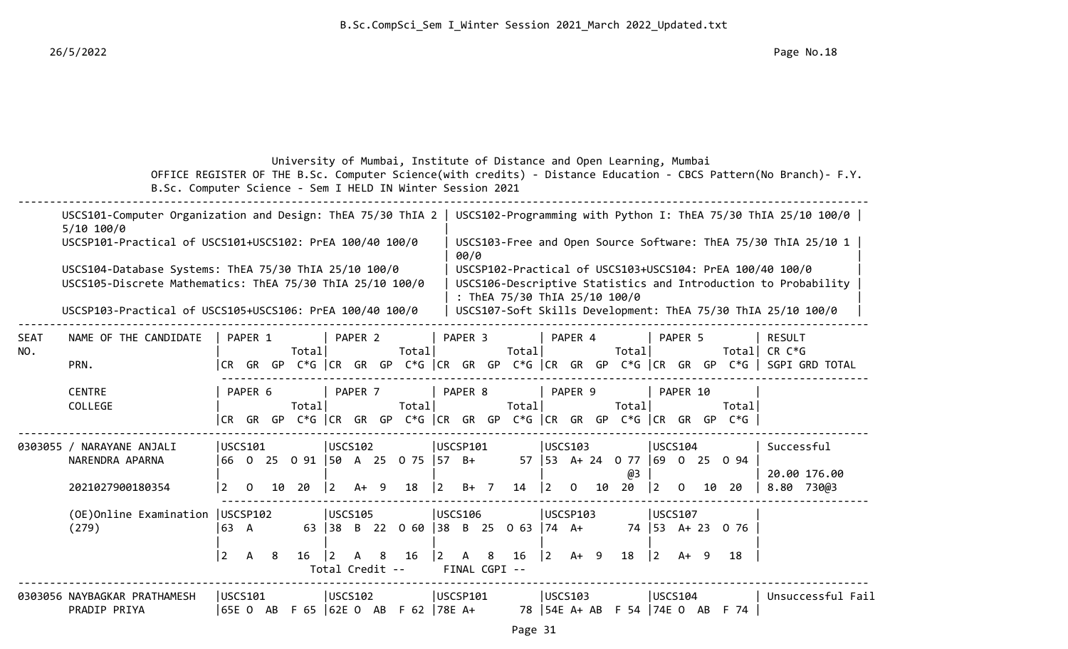# University of Mumbai, Institute of Distance and Open Learning, Mumbai

 OFFICE REGISTER OF THE B.Sc. Computer Science(with credits) - Distance Education - CBCS Pattern(No Branch)- F.Y. B.Sc. Computer Science - Sem I HELD IN Winter Session 2021

|      | USCS101-Computer Organization and Design: ThEA 75/30 ThIA 2  <br>$5/10$ 100/0                                      |           |              |   |        |                |                                 |   |                                 |                                       |               |   |                                                    |             |                |    |                                          |                                            |          |                                                                                 |                                                              | USCS102-Programming with Python I: ThEA 75/30 ThIA 25/10 100/0                        |
|------|--------------------------------------------------------------------------------------------------------------------|-----------|--------------|---|--------|----------------|---------------------------------|---|---------------------------------|---------------------------------------|---------------|---|----------------------------------------------------|-------------|----------------|----|------------------------------------------|--------------------------------------------|----------|---------------------------------------------------------------------------------|--------------------------------------------------------------|---------------------------------------------------------------------------------------|
|      | USCSP101-Practical of USCS101+USCS102: PrEA 100/40 100/0                                                           |           |              |   |        |                |                                 |   |                                 |                                       | 00/0          |   |                                                    |             |                |    |                                          |                                            |          |                                                                                 |                                                              | USCS103-Free and Open Source Software: ThEA 75/30 ThIA 25/10 1                        |
|      | USCS104-Database Systems: ThEA 75/30 ThIA 25/10 100/0<br>USCS105-Discrete Mathematics: ThEA 75/30 ThIA 25/10 100/0 |           |              |   |        |                |                                 |   |                                 |                                       |               |   | : ThEA 75/30 ThIA 25/10 100/0                      |             |                |    |                                          |                                            |          |                                                                                 | USCSP102-Practical of USCS103+USCS104: PrEA 100/40 100/0     | USCS106-Descriptive Statistics and Introduction to Probability                        |
|      | USCSP103-Practical of USCS105+USCS106: PrEA 100/40 100/0                                                           |           |              |   |        |                |                                 |   |                                 |                                       |               |   |                                                    |             |                |    |                                          |                                            |          |                                                                                 | USCS107-Soft Skills Development: ThEA 75/30 ThIA 25/10 100/0 |                                                                                       |
| SEAT | NAME OF THE CANDIDATE                                                                                              |           | PAPER 1      |   | Totall |                | PAPER <sub>2</sub>              |   | Total                           |                                       | PAPER 3       |   | Totall                                             |             | PAPER 4        |    | Total                                    |                                            | PAPER 5  |                                                                                 | <b>RESULT</b><br>Total CR $C*G$                              |                                                                                       |
| NO.  | PRN.                                                                                                               |           |              |   |        |                |                                 |   |                                 |                                       |               |   |                                                    |             |                |    |                                          |                                            |          |                                                                                 |                                                              | CR GR GP C*G  CR GR GP C*G  CR GR GP C*G  CR GR GP C*G  CR GR GP C*G   SGPI GRD TOTAL |
|      | <b>CENTRE</b><br>COLLEGE                                                                                           |           | PAPER 6      |   | Totall |                | PAPER 7                         |   | Total                           |                                       | PAPER 8       |   | Totall                                             |             | PAPER 9        |    | Total                                    |                                            | PAPER 10 | Totall<br> CR GR GP C*G  CR GR GP C*G  CR GR GP C*G  CR GR GP C*G  CR GR GP C*G |                                                              |                                                                                       |
|      | 0303055 / NARAYANE ANJALI<br>NARENDRA APARNA                                                                       |           | USCS101      |   |        |                | USCS102                         |   | 66 0 25 0 91 50 A 25 0 75 57 B+ |                                       | USCSP101      |   |                                                    |             | <b>USCS103</b> |    | 57   53 A + 24 0 77   69 0 25 0 94<br>@3 | USCS104                                    |          |                                                                                 | Successful                                                   | 20.00 176.00                                                                          |
|      | 2021027900180354                                                                                                   | <u> 2</u> | $\Omega$     |   | 10 20  | $\overline{2}$ | $A+ 9$                          |   | 18                              | $\vert 2 \vert$                       | $B+$ 7        |   | 14                                                 | $ 2\rangle$ | $\overline{0}$ | 10 | 20                                       | $\begin{bmatrix} 2 & 0 \end{bmatrix}$      |          | 10 20                                                                           |                                                              | 8.80 730@3                                                                            |
|      | (OE) Online Examination   USCSP102<br>(279)                                                                        | 63 A      |              |   |        |                | <b>USCS105</b>                  |   |                                 |                                       | USCS106       |   | 63 38 B 22 0 60 38 B 25 0 63 74 A+                 |             | USCSP103       |    |                                          | USCS107                                    |          | 74 53 A+ 23 0 76                                                                |                                                              |                                                                                       |
|      |                                                                                                                    | 2         | $\mathsf{A}$ | 8 | 16     | $\vert$ 2      | $\mathsf{A}$<br>Total Credit -- | 8 | 16                              | $\begin{vmatrix} 2 & A \end{vmatrix}$ | FINAL CGPI -- | 8 | 16                                                 | 2           | A+ 9           |    | 18                                       | $\begin{vmatrix} 2 & A+ & 9 \end{vmatrix}$ |          | 18                                                                              |                                                              |                                                                                       |
|      | 0303056 NAYBAGKAR PRATHAMESH<br>PRADIP PRIYA                                                                       |           | USCS101      |   |        |                | USCS102                         |   |                                 |                                       | USCSP101      |   | 65E O AB F 65  62E O AB F 62  78E A+ 78  54E A+ AB |             | USCS103        |    |                                          | USCS104                                    |          | F 54 74E 0 AB F 74                                                              |                                                              | Unsuccessful Fail                                                                     |
|      |                                                                                                                    |           |              |   |        |                |                                 |   |                                 |                                       |               |   | Page 31                                            |             |                |    |                                          |                                            |          |                                                                                 |                                                              |                                                                                       |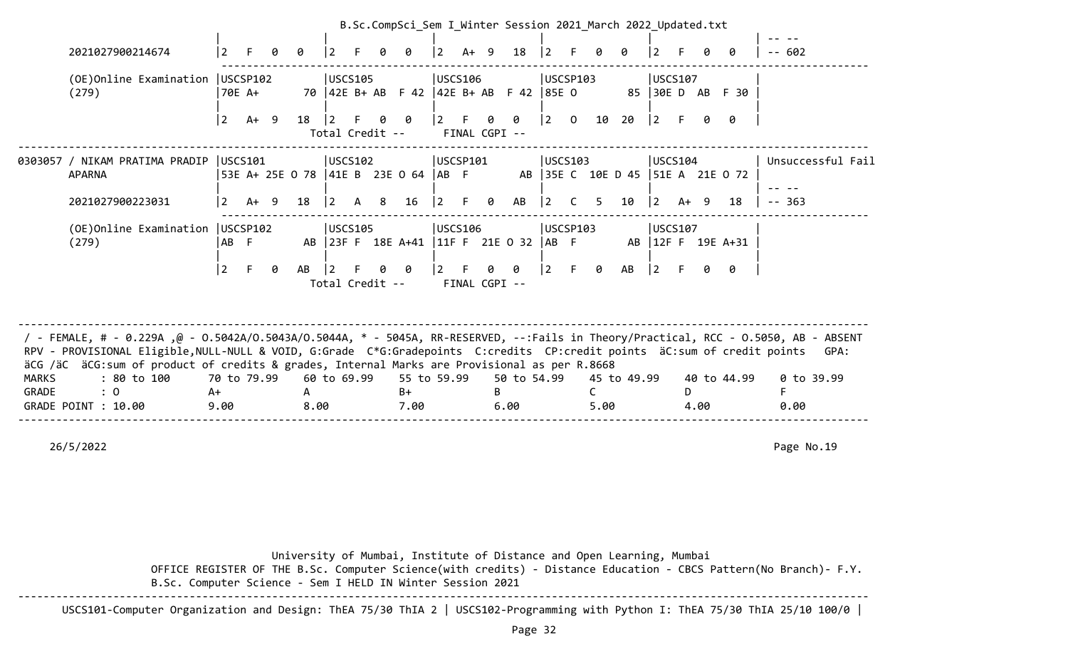|       |                                                                                                                                                                                                                                                                                                                                                                                                                                                                          |             |             |   |             |           |                 |   | B.Sc.CompSci_Sem I Winter Session 2021 March 2022 Updated.txt |                 |        |                           |                                  |                |    |                |             |                                            |   |      |                     |                      |
|-------|--------------------------------------------------------------------------------------------------------------------------------------------------------------------------------------------------------------------------------------------------------------------------------------------------------------------------------------------------------------------------------------------------------------------------------------------------------------------------|-------------|-------------|---|-------------|-----------|-----------------|---|---------------------------------------------------------------|-----------------|--------|---------------------------|----------------------------------|----------------|----|----------------|-------------|--------------------------------------------|---|------|---------------------|----------------------|
|       | 2021027900214674                                                                                                                                                                                                                                                                                                                                                                                                                                                         | $ 2\rangle$ |             |   | 0           |           |                 |   | Ø                                                             | $\vert 2 \vert$ | $A+ 9$ |                           | 18                               | $\vert$ 2      |    |                | ø           |                                            |   |      | ø                   | $- - 602$            |
|       | (OE) Online Examination   USCSP102<br>(279)                                                                                                                                                                                                                                                                                                                                                                                                                              | 70E A+      |             |   |             |           | USCS105         |   | 70   42E B + AB F 42   42E B + AB F 42   85E 0                | <b>USCS106</b>  |        |                           |                                  | USCSP103       |    |                |             | USCS107                                    |   |      | 85 30E D AB F 30    |                      |
|       |                                                                                                                                                                                                                                                                                                                                                                                                                                                                          | 2           | $A+ 9$      |   | $18 \mid 2$ |           | F.              | 0 | 0<br>Total Credit --                                          | $ 2 \quad F$    |        | $\theta$<br>FINAL CGPI -- | 0                                |                |    |                |             |                                            |   | Q.   | 0                   |                      |
|       | 0303057 / NIKAM PRATIMA PRADIP  USCS101<br><b>APARNA</b>                                                                                                                                                                                                                                                                                                                                                                                                                 |             |             |   |             |           | USCS102         |   | 53E A+ 25E 0 78   41E B 23E 0 64   AB F                       | USCSP101        |        |                           | AB 35E C 10E D 45 51E A 21E O 72 | <b>USCS103</b> |    |                |             | USCS104                                    |   |      |                     | Unsuccessful Fail    |
|       | 2021027900223031                                                                                                                                                                                                                                                                                                                                                                                                                                                         | $\vert$ 2   | $A+ 9$      |   | 18          | $\vert$ 2 | A 8             |   | 16                                                            | $\vert 2 \vert$ | F.     | 0                         | AB                               | $\vert$ 2      | C. | 5 <sub>5</sub> | 10          | $\begin{vmatrix} 2 & A+ & 9 \end{vmatrix}$ |   |      | 18                  | $-- 363$             |
|       | (OE) Online Examination   USCSP102<br>(279)                                                                                                                                                                                                                                                                                                                                                                                                                              | AB F        |             |   |             |           | USCS105         |   | AB 23F F 18E A+41   11F F 21E 0 32   AB F                     | USCS106         |        |                           |                                  | USCSP103       |    |                |             | USCS107                                    |   |      | AB   12F F 19E A+31 |                      |
|       |                                                                                                                                                                                                                                                                                                                                                                                                                                                                          | 2           |             | 0 | AB          |           | Total Credit -- | 0 | - 0                                                           | $ 2 \quad F$    |        | 0<br>FINAL CGPI --        | 0                                | $\vert$ 2      | -F | - 0            | AB          | $ 2 \text{ F} $                            |   | 0    | <b>0</b>            |                      |
| MARKS | FEMALE, # - 0.229A ,@ - 0.5042A/0.5043A/0.5044A, * - 5045A, RR-RESERVED, --:Fails in Theory/Practical, RCC - 0.5050, AB - ABSENT / - FEMALE, # - 0.229A , @ - 0.5042A/0.5043A/0.5044A, * - 5045A, RR-RESERVED, --:Fails in Th<br>RPV - PROVISIONAL Eligible, NULL-NULL & VOID, G:Grade C*G:Gradepoints C:credits CP:credit points äC:sum of credit points<br>äCG /äC äCG:sum of product of credits & grades, Internal Marks are Provisional as per R.8668<br>: 80 to 100 |             | 70 to 79.99 |   |             |           | 60 to 69.99     |   | 55 to 59.99                                                   |                 |        |                           | 50 to 54.99                      |                |    |                | 45 to 49.99 |                                            |   |      | 40 to 44.99         | GPA:<br>$0$ to 39.99 |
| GRADE | $\colon 0$<br>GRADE POINT : 10.00                                                                                                                                                                                                                                                                                                                                                                                                                                        | A+<br>9.00  |             |   | A<br>8.00   |           |                 |   | $B+$<br>7.00                                                  |                 |        | B                         | 6.00                             |                |    | C<br>5.00      |             |                                            | D | 4.00 |                     | 0.00                 |

 University of Mumbai, Institute of Distance and Open Learning, Mumbai OFFICE REGISTER OF THE B.Sc. Computer Science(with credits) - Distance Education - CBCS Pattern(No Branch)- F.Y. B.Sc. Computer Science - Sem I HELD IN Winter Session 2021 --------------------------------------------------------------------------------------------------------------------------------------

USCS101-Computer Organization and Design: ThEA 75/30 ThIA 2 | USCS102-Programming with Python I: ThEA 75/30 ThIA 25/10 100/0 |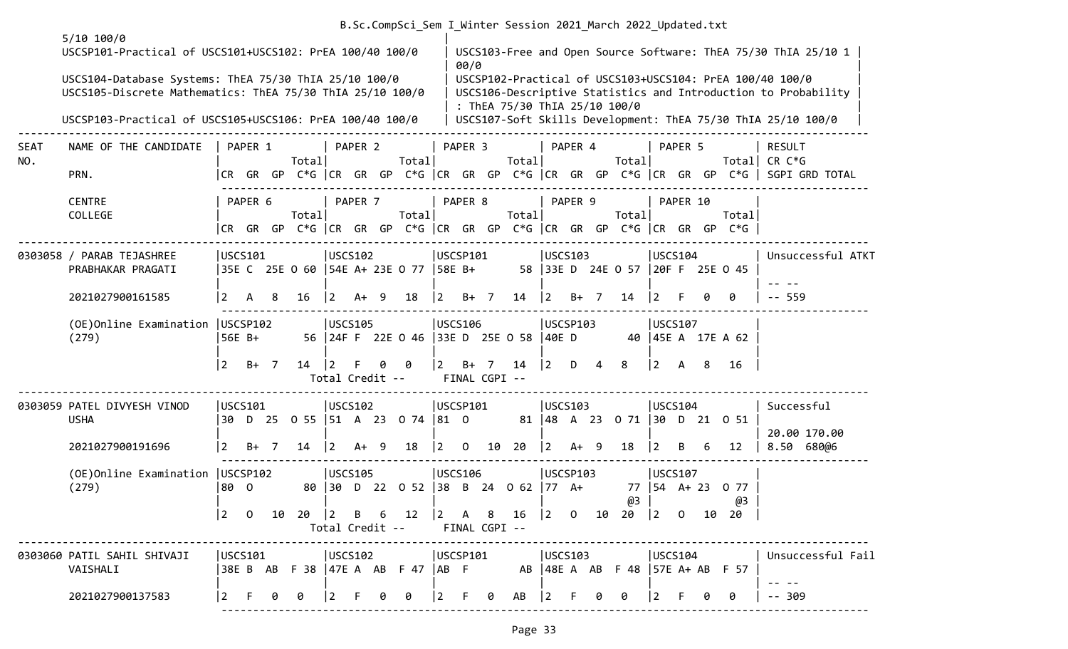| B.Sc.CompSci Sem I Winter Session 2021 March 2022 Updated.txt |  |  |  |  |
|---------------------------------------------------------------|--|--|--|--|
|                                                               |  |  |  |  |

|                    | $5/10$ 100/0<br>USCSP101-Practical of USCS101+USCS102: PrEA 100/40 100/0                                           |                 |         |    |                       |                 |         |   |                                                                           |                                                | 00/0     |                                                                  |                   |         |   |                                  |                          |          |   |                                                                                | USCS103-Free and Open Source Software: ThEA 75/30 ThIA 25/10 1                                                             |  |
|--------------------|--------------------------------------------------------------------------------------------------------------------|-----------------|---------|----|-----------------------|-----------------|---------|---|---------------------------------------------------------------------------|------------------------------------------------|----------|------------------------------------------------------------------|-------------------|---------|---|----------------------------------|--------------------------|----------|---|--------------------------------------------------------------------------------|----------------------------------------------------------------------------------------------------------------------------|--|
|                    | USCS104-Database Systems: ThEA 75/30 ThIA 25/10 100/0<br>USCS105-Discrete Mathematics: ThEA 75/30 ThIA 25/10 100/0 |                 |         |    |                       |                 |         |   |                                                                           |                                                |          | : ThEA 75/30 ThIA 25/10 100/0                                    |                   |         |   |                                  |                          |          |   |                                                                                | USCSP102-Practical of USCS103+USCS104: PrEA 100/40 100/0<br>USCS106-Descriptive Statistics and Introduction to Probability |  |
|                    | USCSP103-Practical of USCS105+USCS106: PrEA 100/40 100/0                                                           |                 |         |    |                       |                 |         |   |                                                                           |                                                |          |                                                                  |                   |         |   |                                  |                          |          |   |                                                                                | USCS107-Soft Skills Development: ThEA 75/30 ThIA 25/10 100/0                                                               |  |
| <b>SEAT</b><br>NO. | NAME OF THE CANDIDATE                                                                                              |                 | PAPER 1 |    | Totall                |                 | PAPER 2 |   | Total                                                                     |                                                | PAPER 3  | Totall                                                           |                   | PAPER 4 |   | Total                            |                          | PAPER 5  |   |                                                                                | <b>RESULT</b><br>Total  CR C*G                                                                                             |  |
|                    | PRN.                                                                                                               |                 |         |    |                       |                 |         |   |                                                                           |                                                |          |                                                                  |                   |         |   |                                  |                          |          |   |                                                                                | CR GR GP C*G  CR GR GP C*G  CR GR GP C*G  CR GR GP C*G  CR GR GP C*G   SGPI GRD TOTAL                                      |  |
|                    | <b>CENTRE</b><br>COLLEGE                                                                                           |                 | PAPER 6 |    | Total                 |                 | PAPER 7 |   | Totall                                                                    |                                                | PAPER 8  | Total                                                            |                   | PAPER 9 |   | Total                            |                          | PAPER 10 |   | Total<br> CR GR GP C*G  CR GR GP C*G  CR GR GP C*G  CR GR GP C*G  CR GR GP C*G |                                                                                                                            |  |
|                    | 0303058 / PARAB TEJASHREE<br>PRABHAKAR PRAGATI                                                                     | USCS101         |         |    |                       | USCS102         |         |   | 35E C 25E 0 60   54E A+ 23E 0 77   58E B+                                 | USCSP101                                       |          |                                                                  | USCS103           |         |   | 58 33E D 24E 0 57 20F F 25E 0 45 | USCS104                  |          |   |                                                                                | Unsuccessful ATKT                                                                                                          |  |
|                    | 2021027900161585                                                                                                   | 2               | A       | -8 | 16                    | $ 2\rangle$     | $A+ 9$  |   | 18                                                                        | $\vert$ 2                                      | $B+$ 7   | 14                                                               | $ 2\rangle$       | $B+ 7$  |   | 14                               | $ 2\rangle$              |          | ø | 0                                                                              | $-- 559$                                                                                                                   |  |
|                    | (OE) Online Examination   USCSP102<br>(279)                                                                        | 56E B+          |         |    |                       | USCS105         |         |   | 56 24F F 22E 0 46 33E D 25E 0 58                                          | USCS106                                        |          |                                                                  | USCSP103<br>40E D |         |   |                                  | USCS107                  |          |   | 40   45E A 17E A 62                                                            |                                                                                                                            |  |
|                    |                                                                                                                    | 2               | B+ 7    |    | $14 \quad  2 \quad F$ | Total Credit -- |         | 0 | - 0                                                                       |                                                |          | $\begin{vmatrix} 2 & B+ & 7 & 14 \end{vmatrix}$<br>FINAL CGPI -- | $ 2\rangle$       | D       | 4 | 8                                | $ 2\rangle$              | A 8      |   | 16                                                                             |                                                                                                                            |  |
|                    | 0303059 PATEL DIVYESH VINOD<br><b>USHA</b>                                                                         | USCS101<br>l 30 |         |    |                       | USCS102         |         |   | D 25 0 55 51 A 23 0 74 81 0                                               | USCSP101                                       |          |                                                                  | USCS103           |         |   | 81 48 A 23 0 71 30 D 21 0 51     | USCS104                  |          |   |                                                                                | Successful<br>20.00 170.00                                                                                                 |  |
|                    | 2021027900191696                                                                                                   | $\vert 2 \vert$ | $B+ 7$  |    | 14                    | $\vert 2 \vert$ | $A+ 9$  |   | 18                                                                        | l 2                                            | $\Omega$ | 10 20                                                            | $ 2\rangle$       | $A+ 9$  |   | 18                               | $ 2\rangle$              | B.       | 6 | 12                                                                             | 8.50 680@6                                                                                                                 |  |
|                    | (OE)Online Examination   USCSP102<br>(279)                                                                         | 80 O            |         |    |                       | USCS105         |         |   | 80 30 D 22 0 52 38 B 24 0 62 77 A+                                        | USCS106                                        |          |                                                                  | USCSP103          |         |   | @3                               | USCS107<br>77   54 A+ 23 |          |   | 0 77<br>@3                                                                     |                                                                                                                            |  |
|                    |                                                                                                                    | $ 2\rangle$     |         |    | $0$ 10 20 2 B 6 12    |                 |         |   | Total Credit --                                                           |                                                |          | FINAL CGPI --                                                    |                   |         |   |                                  |                          |          |   |                                                                                |                                                                                                                            |  |
|                    | 0303060 PATIL SAHIL SHIVAJI<br>VAISHALI                                                                            | USCS101         |         |    | USCS102               |                 |         |   | 38E B AB F 38   47E A AB F 47   AB F AB   48E A AB F 48   57E A + AB F 57 | USCSP101                                       |          |                                                                  | USCS103           |         |   |                                  | USCS104                  |          |   |                                                                                | Unsuccessful Fail                                                                                                          |  |
|                    | 2021027900137583                                                                                                   | 2               |         | 0  | 0                     | $ 2 \tF$        |         |   | 0                                                                         | $\begin{bmatrix} 2 & F & \theta \end{bmatrix}$ |          | AB                                                               | $ 2\rangle$       | F.      | 0 | 0                                | $ 2\rangle$              |          |   | 0                                                                              | $-- 309$                                                                                                                   |  |
|                    |                                                                                                                    |                 |         |    |                       |                 |         |   |                                                                           |                                                |          |                                                                  |                   |         |   |                                  |                          |          |   |                                                                                |                                                                                                                            |  |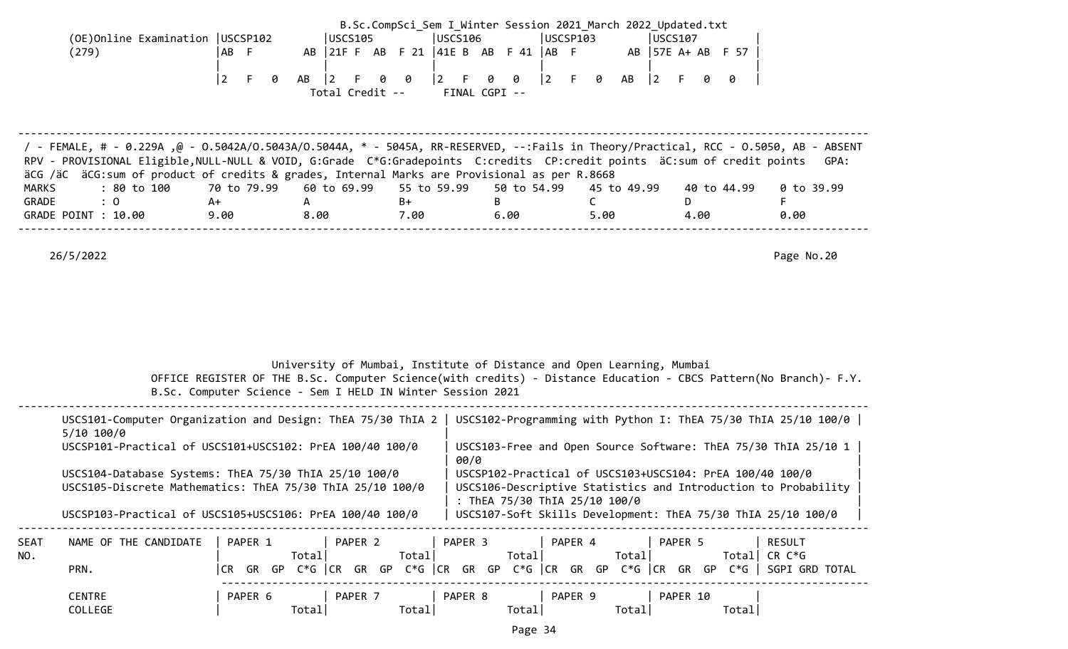| (OE)Online Examination   USCSP102 |           |     | luscs105 |  |  | lUSCS106 |                 |  | USCSP103 |  | LUSCS107 |  |                                                                                                                       |
|-----------------------------------|-----------|-----|----------|--|--|----------|-----------------|--|----------|--|----------|--|-----------------------------------------------------------------------------------------------------------------------|
|                                   |           |     |          |  |  |          |                 |  |          |  |          |  |                                                                                                                       |
|                                   |           |     |          |  |  |          |                 |  |          |  |          |  |                                                                                                                       |
|                                   | ABF<br>12 | - 0 |          |  |  |          | Total Credit -- |  |          |  |          |  | AB 21 F AB F 21   41 E B AB F 41   AB F AB   57 E A + AB F 57<br>AB 2 F 0 0 2 F 0 0 2 F 0 AB 2 F 0 0<br>FINAL CGPI -- |

| / FEMALE, # - 0.229A, @ - 0.5042A/0.5043A/0.5044A, * - 5045A, RR-RESERVED, --:Fails in Theory/Practical, RCC - 0.5050, AB - ABSENT<br>RPV - PROVISIONAL Eligible, NULL-NULL & VOID, G:Grade C*G:Gradepoints C:credits CP:credit points äC:sum of credit points |      |      |      |      |      |             | GPA:       |
|----------------------------------------------------------------------------------------------------------------------------------------------------------------------------------------------------------------------------------------------------------------|------|------|------|------|------|-------------|------------|
| äCG /äC äCG:sum of product of credits & grades, Internal Marks are Provisional as per R.8668                                                                                                                                                                   |      |      |      |      |      |             |            |
| : 80 to 100    70 to 79.99   60 to 69.99   55 to 59.99   50 to 54.99   45 to 49.99<br>MARKS                                                                                                                                                                    |      |      |      |      |      | 40 to 44.99 | 0 to 39.99 |
| GRADE<br>$\therefore$ 0                                                                                                                                                                                                                                        | A+   |      | B+   |      |      |             |            |
| GRADE POINT : 10.00                                                                                                                                                                                                                                            | 9.00 | 8.00 | 7.00 | 6.00 | 5.00 | 4.00        | 0.00       |
|                                                                                                                                                                                                                                                                |      |      |      |      |      |             |            |

|             |                                                                                                                                                                                | B.Sc. Computer Science - Sem I HELD IN Winter Session 2021 |                  |                  | University of Mumbai, Institute of Distance and Open Learning, Mumbai<br>OFFICE REGISTER OF THE B.Sc. Computer Science(with credits) - Distance Education - CBCS Pattern(No Branch)- F.Y.                                   |                   |                                                    |
|-------------|--------------------------------------------------------------------------------------------------------------------------------------------------------------------------------|------------------------------------------------------------|------------------|------------------|-----------------------------------------------------------------------------------------------------------------------------------------------------------------------------------------------------------------------------|-------------------|----------------------------------------------------|
|             | USCS101-Computer Organization and Design: ThEA 75/30 ThIA 2<br>5/10 100/0<br>USCSP101-Practical of USCS101+USCS102: PrEA 100/40 100/0                                          |                                                            |                  |                  | USCS102-Programming with Python I: ThEA 75/30 ThIA 25/10 100/0 $\vert$<br>USCS103-Free and Open Source Software: ThEA 75/30 ThIA 25/10 1                                                                                    |                   |                                                    |
|             | USCS104-Database Systems: ThEA 75/30 ThIA 25/10 100/0<br>USCS105-Discrete Mathematics: ThEA 75/30 ThIA 25/10 100/0<br>USCSP103-Practical of USCS105+USCS106: PrEA 100/40 100/0 |                                                            |                  | 00/0             | USCSP102-Practical of USCS103+USCS104: PrEA 100/40 100/0<br>USCS106-Descriptive Statistics and Introduction to Probability<br>: ThEA 75/30 ThIA 25/10 100/0<br>USCS107-Soft Skills Development: ThEA 75/30 ThIA 25/10 100/0 |                   |                                                    |
| SEAT<br>NO. | NAME OF THE CANDIDATE<br>PRN.                                                                                                                                                  | PAPER 1<br>Total <br>I CR –                                | PAPER 2<br>Total | PAPER 3<br>Total | PAPER 4<br>Totall<br>GR GP C*G  CR GR GP C*G  CR GR GP C*G  CR GR GP C*G  CR GR GP C*G                                                                                                                                      | PAPER 5           | <b>RESULT</b><br>Total  $CR C*G$<br>SGPI GRD TOTAL |
|             | <b>CENTRE</b><br>COLLEGE                                                                                                                                                       | PAPER 6<br>Total                                           | PAPER 7<br>Total | PAPER 8<br>Total | PAPER 9<br>Total                                                                                                                                                                                                            | PAPER 10<br>Total |                                                    |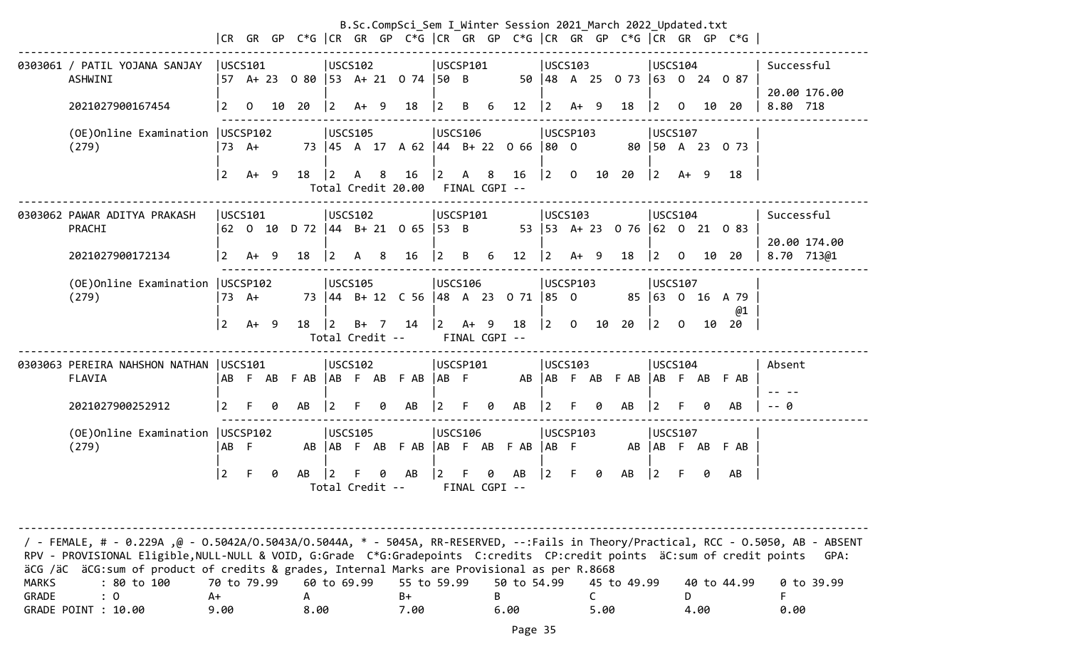|                                                                                                            |                |                 |   |       |                 |                |   | B.Sc.CompSci_Sem I_Winter Session 2021_March 2022_Updated.txt                       |                |          |                    |             |                 |                |        |                                                                                                           |                                       |    |    |                                                                                       |                            |
|------------------------------------------------------------------------------------------------------------|----------------|-----------------|---|-------|-----------------|----------------|---|-------------------------------------------------------------------------------------|----------------|----------|--------------------|-------------|-----------------|----------------|--------|-----------------------------------------------------------------------------------------------------------|---------------------------------------|----|----|---------------------------------------------------------------------------------------|----------------------------|
|                                                                                                            |                |                 |   |       |                 |                |   |                                                                                     |                |          |                    |             |                 |                |        |                                                                                                           |                                       |    |    | CR GR GP C*G  CR GR GP C*G  CR GR GP C*G  CR GR GP C*G  CR GR GP C*G                  |                            |
| 0303061 / PATIL YOJANA SANJAY<br>ASHWINI                                                                   |                | USCS101         |   |       |                 | USCS102        |   | 57 A+ 23 0 80 53 A+ 21 0 74 50 B                                                    | USCSP101       |          |                    |             | USCS103         |                |        | 50 48 A 25 0 73 63 0 24 0 87                                                                              | USCS104                               |    |    |                                                                                       | Successful                 |
| 2021027900167454                                                                                           | $\overline{2}$ | $\overline{O}$  |   | 10 20 | $\vert 2 \vert$ | $A+ 9$         |   | 18                                                                                  | 2              |          | B 6                | 12          | $\vert$ 2       | $A+ 9$         |        | 18                                                                                                        | $\begin{vmatrix} 2 & 0 \end{vmatrix}$ |    |    | 10 20                                                                                 | 20.00 176.00<br>8.80 718   |
| (OE)Online Examination   USCSP102<br>(279)                                                                 |                | $73 \text{ A+}$ |   |       |                 | USCS105        |   | 73   45 A 17 A 62   44 B + 22 0 66   80 0                                           | USCS106        |          |                    |             | USCSP103        |                |        |                                                                                                           | USCS107                               |    |    | 80 50 A 23 0 73                                                                       |                            |
|                                                                                                            | $\sqrt{2}$     | $A+ 9$          |   | 18    | $ 2\rangle$     | A 8            |   | $16 \t 2$<br>Total Credit 20.00 FINAL CGPI --                                       |                |          |                    | A 8 16      |                 |                |        | $\begin{array}{ c c c c c c c c c } \hline 2 & 0 & 10 & 20 & 2 & \text{A+} & 9 & 18 \ \hline \end{array}$ |                                       |    |    |                                                                                       |                            |
| 0303062 PAWAR ADITYA PRAKASH<br>PRACHI                                                                     |                | USCS101         |   |       |                 | USCS102        |   | 62 0 10 D 72 44 B + 21 0 65 53 B                                                    | USCSP101       |          |                    |             | USCS103         |                |        |                                                                                                           | USCS104                               |    |    | 53 53 A+ 23 0 76 62 0 21 0 83                                                         | Successful                 |
| 2021027900172134                                                                                           | $\sqrt{2}$     | $A+ 9$          |   | 18    | $ 2 \rangle$    | A 8            |   | $16 \t 2$                                                                           |                |          | B 6                | $12 \mid 2$ |                 |                | $A+ 9$ | 18                                                                                                        |                                       |    |    | $\begin{array}{ccc} \n\begin{array}{ccc} 2 & 0 & 10 & 20 \n\end{array} \n\end{array}$ | 20.00 174.00<br>8.70 713@1 |
| (OE)Online Examination   USCSP102<br>(279)                                                                 |                | $73 \quad A+$   |   |       |                 | USCS105        |   | 73 44 B+ 12 C 56 48 A 23 0 71 85 0                                                  | USCS106        |          |                    |             | USCSP103        |                |        |                                                                                                           | USCS107                               |    |    | 85 63 0 16 A 79<br>@1                                                                 |                            |
|                                                                                                            | $\overline{2}$ | $A+ 9$          |   | 18    | $ 2\rangle$     |                |   | $B+ 7$ 14 $\begin{vmatrix} 2 & A+ 9 \end{vmatrix}$<br>Total Credit -- FINAL CGPI -- |                |          |                    |             |                 |                |        | 18 2 0 10 20 2 0                                                                                          |                                       |    | 10 | -20                                                                                   |                            |
| 0303063 PEREIRA NAHSHON NATHAN   USCS101<br><b>FLAVIA</b>                                                  |                |                 |   |       |                 | USCS102        |   | AB FAB FAB AB FAB FAB AB F                                                          | USCSP101       |          |                    |             | USCS103         |                |        | AB AB F AB F AB AB F AB F AB                                                                              | USCS104                               |    |    |                                                                                       | Absent                     |
| 2021027900252912                                                                                           | $\overline{2}$ | F.              | 0 | AB    | l 2             |                | 0 | AB                                                                                  | $ 2\rangle$    | F.       | 0                  | AB          | $ 2\rangle$     | - F            | 0      | AB                                                                                                        | $ 2\rangle$                           | F. | ø  | AB                                                                                    | -- 0                       |
| (OE) Online Examination   USCSP102<br><b>USCS105</b><br>(279)<br>AB F<br>AB AB F AB F AB AB F AB F AB AB F |                |                 |   |       |                 | <b>USCS106</b> |   |                                                                                     |                | USCSP103 |                    |             |                 | <b>USCS107</b> |        |                                                                                                           | AB AB F AB F AB                       |    |    |                                                                                       |                            |
|                                                                                                            | $\overline{2}$ | F.              | a | AB    |                 |                | ø | AB<br>Total Credit --                                                               | $\overline{2}$ | F        | 0<br>FINAL CGPI -- | AB          | $\vert 2 \vert$ | $F =$          | 0      | AB                                                                                                        | $\vert$ 2                             |    | ø  | AB                                                                                    |                            |

-------------------------------------------------------------------------------------------------------------------------------------- / - FEMALE, # - 0.229A ,@ - O.5042A/O.5043A/O.5044A, \* - 5045A, RR-RESERVED, --:Fails in Theory/Practical, RCC - O.5050, AB - ABSENT RPV - PROVISIONAL Eligible, NULL-NULL & VOID, G:Grade C\*G:Gradepoints C:credits CP:credit points äC:sum of credit points GPA: äCG /äC äCG:sum of product of credits & grades, Internal Marks are Provisional as per R.8668 MARKS : 80 to 100 70 to 79.99 60 to 69.99 55 to 59.99 50 to 54.99 45 to 49.99 40 to 44.99 0 to 39.99  $GRADE$  : O  $A+$   $A$   $B+$   $B$   $C$   $D$  F GRADE POINT : 10.00 0.00 0.00 0.00 0.00 5.00 5.00 4.00 0.00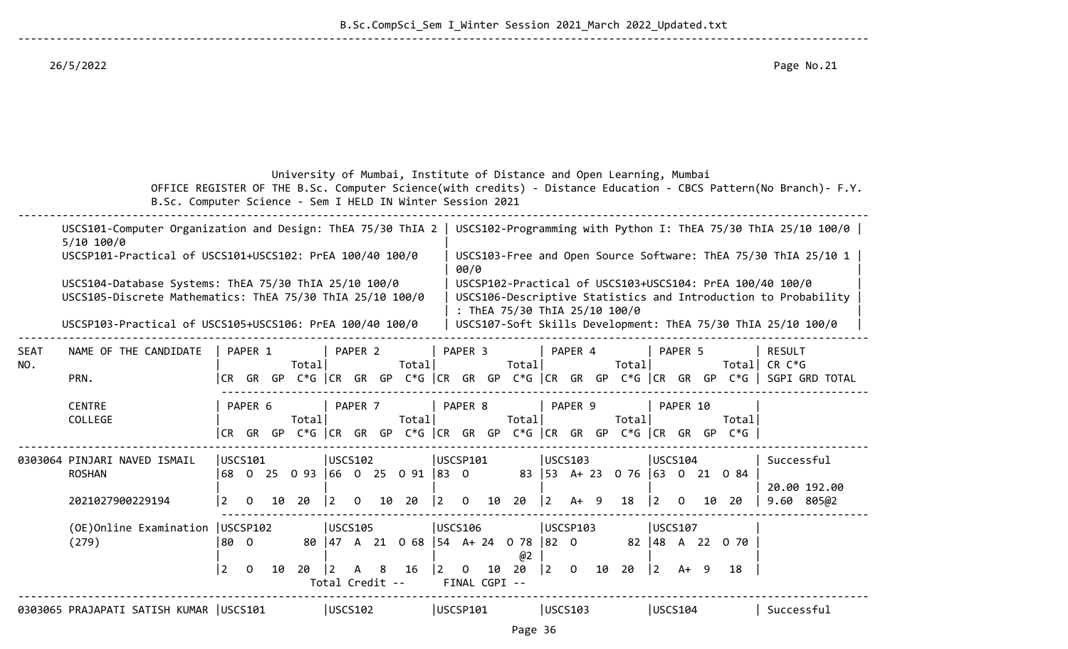--------------------------------------------------------------------------------------------------------------------------------------

 University of Mumbai, Institute of Distance and Open Learning, Mumbai OFFICE REGISTER OF THE B.Sc. Computer Science(with credits) - Distance Education - CBCS Pattern(No Branch)- F.Y. B.Sc. Computer Science - Sem I HELD IN Winter Session 2021

|                    | USCS101-Computer Organization and Design: ThEA 75/30 ThIA 2   USCS102-Programming with Python I: ThEA 75/30 ThIA 25/10 100/0  <br>$5/10$ 100/0<br>USCSP101-Practical of USCS101+USCS102: PrEA 100/40 100/0 |                            |                                                                                         |                                                            |                                           | USCS103-Free and Open Source Software: ThEA 75/30 ThIA 25/10 1                                                             |                            |
|--------------------|------------------------------------------------------------------------------------------------------------------------------------------------------------------------------------------------------------|----------------------------|-----------------------------------------------------------------------------------------|------------------------------------------------------------|-------------------------------------------|----------------------------------------------------------------------------------------------------------------------------|----------------------------|
|                    | USCS104-Database Systems: ThEA 75/30 ThIA 25/10 100/0<br>USCS105-Discrete Mathematics: ThEA 75/30 ThIA 25/10 100/0                                                                                         |                            |                                                                                         | 00/0                                                       | : ThEA 75/30 ThIA 25/10 100/0             | USCSP102-Practical of USCS103+USCS104: PrEA 100/40 100/0<br>USCS106-Descriptive Statistics and Introduction to Probability |                            |
|                    | USCSP103-Practical of USCS105+USCS106: PrEA 100/40 100/0                                                                                                                                                   |                            |                                                                                         |                                                            |                                           | USCS107-Soft Skills Development: ThEA 75/30 ThIA 25/10 100/0                                                               |                            |
| <b>SEAT</b><br>NO. | NAME OF THE CANDIDATE                                                                                                                                                                                      | PAPER 1<br>Totall          | PAPER 2<br>Total                                                                        | PAPER 3<br>Total                                           | PAPER 4<br>Totall                         | PAPER 5<br>Total                                                                                                           | <b>RESULT</b><br>CR C*G    |
|                    | PRN.                                                                                                                                                                                                       |                            |                                                                                         |                                                            |                                           | CR GR GP C*G CR GR GP C*G CR GR GP C*G CR GR GP C*G CR GR GP C*G SGPI GRD TOTAL                                            |                            |
|                    | <b>CENTRE</b><br>COLLEGE                                                                                                                                                                                   | PAPER 6<br>Total           | PAPER 7<br>Total                                                                        | PAPER 8<br>Total                                           | PAPER 9<br>Total                          | PAPER 10<br>Totall                                                                                                         |                            |
|                    |                                                                                                                                                                                                            | CR .<br>GR GP              | $C*G$ $ CR$ $GR$ $GP$ $C*G$ $ CR$ $GR$ $GP$ $C*G$ $ CR$ $GR$ $GP$ $C*G$ $ CR$ $GR$ $GP$ |                                                            |                                           | $C*G$                                                                                                                      |                            |
|                    | 0303064 PINJARI NAVED ISMAIL<br><b>ROSHAN</b>                                                                                                                                                              | USCS101<br>68              | USCS102<br>0 25 0 93 66 0 25 0 91 83 0                                                  | USCSP101                                                   | USCS103<br>83 53 A + 23 0 76 63 0 21 0 84 | USCS104                                                                                                                    | Successful<br>20.00 192.00 |
|                    | 2021027900229194                                                                                                                                                                                           | $\mathbf{O}$<br>10 20<br>2 | $\vert$ 2<br>$\mathbf{0}$<br>10 20                                                      | $ 2\rangle$<br>10 20<br>$\mathbf{0}$                       | $ 2\rangle$<br>$A+9$<br>18                | 20<br>$\vert 2 \vert$<br>$\overline{0}$<br>10                                                                              | 805@2<br>9.60              |
|                    | (OE)Online Examination   USCSP102<br>(279)                                                                                                                                                                 | 80 0                       | <b>USCS105</b><br>80   47 A 21 0 68   54 A + 24 0 78                                    | <b>USCS106</b><br>@2                                       | USCSP103<br>$ 82 \t0$<br>82               | <b>USCS107</b><br> 48 A 22 0 70                                                                                            |                            |
|                    |                                                                                                                                                                                                            | 2<br>20<br>$\Omega$<br>10  | -8<br>16<br>$\overline{2}$<br>A<br>Total Credit --                                      | 20<br>$ 2\rangle$<br>$\overline{0}$<br>10<br>FINAL CGPI -- | 10<br> 2 <br>$\overline{0}$<br>20         | $ 2\rangle$<br>18<br>$A+ 9$                                                                                                |                            |
|                    | 0303065 PRAJAPATI SATISH KUMAR   USCS101                                                                                                                                                                   |                            | USCS102                                                                                 | USCSP101                                                   | USCS103                                   | USCS104                                                                                                                    | Successful                 |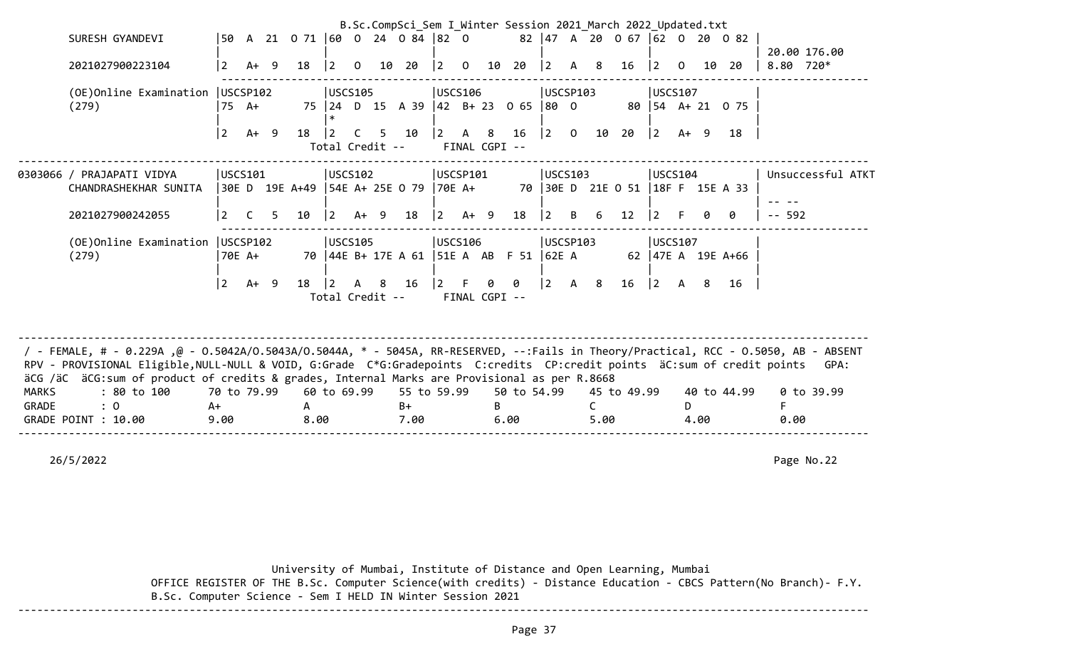|              |                                                                                                                                    |                 |                 |      |             |                        |     | B.Sc.CompSci Sem I Winter Session 2021 March 2022 Updated.txt |             |                               |     |                       |             |              |      |                                  |                                       |          |      |                     |           |                   |
|--------------|------------------------------------------------------------------------------------------------------------------------------------|-----------------|-----------------|------|-------------|------------------------|-----|---------------------------------------------------------------|-------------|-------------------------------|-----|-----------------------|-------------|--------------|------|----------------------------------|---------------------------------------|----------|------|---------------------|-----------|-------------------|
|              | SURESH GYANDEVI                                                                                                                    |                 |                 |      |             |                        |     | 50 A 21 0 71 60 0 24 0 84 82 0                                |             |                               |     |                       |             |              |      | 82 47 A 20 0 67 62 0 20 0 82     |                                       |          |      |                     |           |                   |
|              | 2021027900223104                                                                                                                   | $\vert 2 \vert$ |                 | 18   | $ 2\rangle$ | $\overline{0}$         |     | 10 20                                                         | 2           | $\overline{0}$                |     | 10 20                 | $ 2\rangle$ |              | 8    |                                  |                                       | $\Omega$ | 10   | 20                  | 8.80 720* | 20.00 176.00      |
|              |                                                                                                                                    |                 | $A+ 9$          |      |             |                        |     |                                                               |             |                               |     |                       |             | $\mathsf{A}$ |      | 16                               | $ 2 \rangle$                          |          |      |                     |           |                   |
|              | (OE)Online Examination                                                                                                             |                 | USCSP102        |      |             | USCS105                |     |                                                               |             | USCS106                       |     |                       | USCSP103    |              |      |                                  | USCS107                               |          |      |                     |           |                   |
|              | (279)                                                                                                                              |                 | $75 \text{ A+}$ |      |             |                        |     | 75 24 D 15 A 39 42 B + 23 0 65                                |             |                               |     |                       | $ 80 \t0$   |              |      |                                  |                                       |          |      | 80   54 A + 21 0 75 |           |                   |
|              |                                                                                                                                    | l 2             | $A+ 9$          | 18   | $\vert$ 2   | C<br>Total Credit --   | 5   | 10                                                            | 2           | $\mathsf{A}$<br>FINAL CGPI -- | - 8 | 16                    | $ 2\rangle$ | $\mathsf{O}$ | 10   | 20                               | $ 2\rangle$                           | $A+ 9$   |      | 18                  |           |                   |
|              | 0303066 / PRAJAPATI VIDYA                                                                                                          |                 | USCS101         |      |             | USCS102                |     |                                                               |             | USCSP101                      |     |                       | USCS103     |              |      |                                  | USCS104                               |          |      |                     |           | Unsuccessful ATKT |
|              | CHANDRASHEKHAR SUNITA                                                                                                              |                 |                 |      |             |                        |     | 30E D 19E A+49   54E A+ 25E 0 79   70E A+                     |             |                               |     |                       |             |              |      | 70 30E D 21E 0 51 18F F 15E A 33 |                                       |          |      |                     |           |                   |
|              |                                                                                                                                    |                 |                 |      |             |                        |     |                                                               |             |                               |     |                       |             |              |      |                                  |                                       |          |      |                     |           |                   |
|              | 2021027900242055                                                                                                                   |                 |                 | 10   | $\vert$ 2   | A+                     | - 9 | 18                                                            | $ 2\rangle$ | $A+ 9$                        |     | 18                    |             | B            | 6    | 12                               |                                       |          |      | ø                   | $-- 592$  |                   |
|              | (OE) Online Examination   USCSP102                                                                                                 |                 |                 |      |             | <b>USCS105</b>         |     |                                                               |             | USCS106                       |     |                       | USCSP103    |              |      |                                  | USCS107                               |          |      |                     |           |                   |
|              | (279)                                                                                                                              |                 | 70E A+          |      |             |                        |     | 70   44E B+ 17E A 61                                          |             |                               |     | 51E A AB F 51   62E A |             |              |      |                                  |                                       |          |      | 62   47E A 19E A+66 |           |                   |
|              |                                                                                                                                    |                 |                 |      |             |                        |     |                                                               |             |                               |     |                       |             |              |      |                                  |                                       |          |      |                     |           |                   |
|              |                                                                                                                                    | l 2.            | $A+ 9$          | 18   | $\vert$ 2   | A 8<br>Total Credit -- |     | - 16                                                          | $2 \quad F$ | FINAL CGPI --                 | 0   | 0                     | $\vert$ 2   | A 8          |      | 16                               | $\begin{vmatrix} 2 & A \end{vmatrix}$ |          | -8   | 16                  |           |                   |
|              |                                                                                                                                    |                 |                 |      |             |                        |     |                                                               |             |                               |     |                       |             |              |      |                                  |                                       |          |      |                     |           |                   |
|              |                                                                                                                                    |                 |                 |      |             |                        |     |                                                               |             |                               |     |                       |             |              |      |                                  |                                       |          |      |                     |           |                   |
|              | FEMALE, # - 0.229A ,@ - 0.5042A/0.5043A/0.5044A, * - 5045A, RR-RESERVED, --:Fails in Theory/Practical, RCC - 0.5050, AB - ABSENT / |                 |                 |      |             |                        |     |                                                               |             |                               |     |                       |             |              |      |                                  |                                       |          |      |                     |           |                   |
|              | RPV - PROVISIONAL Eligible, NULL-NULL & VOID, G:Grade C*G:Gradepoints C:credits CP:credit points äC:sum of credit points           |                 |                 |      |             |                        |     |                                                               |             |                               |     |                       |             |              |      |                                  |                                       |          |      |                     |           | GPA:              |
| <b>MARKS</b> | äCG /äC äCG:sum of product of credits & grades, Internal Marks are Provisional as per R.8668<br>: 80 to 100                        | 70 to 79.99     |                 |      |             | 60 to 69.99            |     | 55 to 59.99                                                   |             |                               |     | 50 to 54.99           |             |              |      | 45 to 49.99                      |                                       |          |      | 40 to 44.99         |           | 0 to 39.99        |
| GRADE        | $\colon 0$                                                                                                                         | A+              |                 | А    |             |                        |     | $B+$                                                          |             |                               |     |                       |             |              |      |                                  |                                       | D.       |      |                     |           |                   |
|              | GRADE POINT : 10.00                                                                                                                | 9.00            |                 | 8.00 |             |                        |     | 7.00                                                          |             |                               |     | 6.00                  |             |              | 5.00 |                                  |                                       |          | 4.00 |                     | 0.00      |                   |

--------------------------------------------------------------------------------------------------------------------------------------

26/5/2022 Page No.22

 University of Mumbai, Institute of Distance and Open Learning, Mumbai OFFICE REGISTER OF THE B.Sc. Computer Science(with credits) - Distance Education - CBCS Pattern(No Branch)- F.Y. B.Sc. Computer Science - Sem I HELD IN Winter Session 2021 --------------------------------------------------------------------------------------------------------------------------------------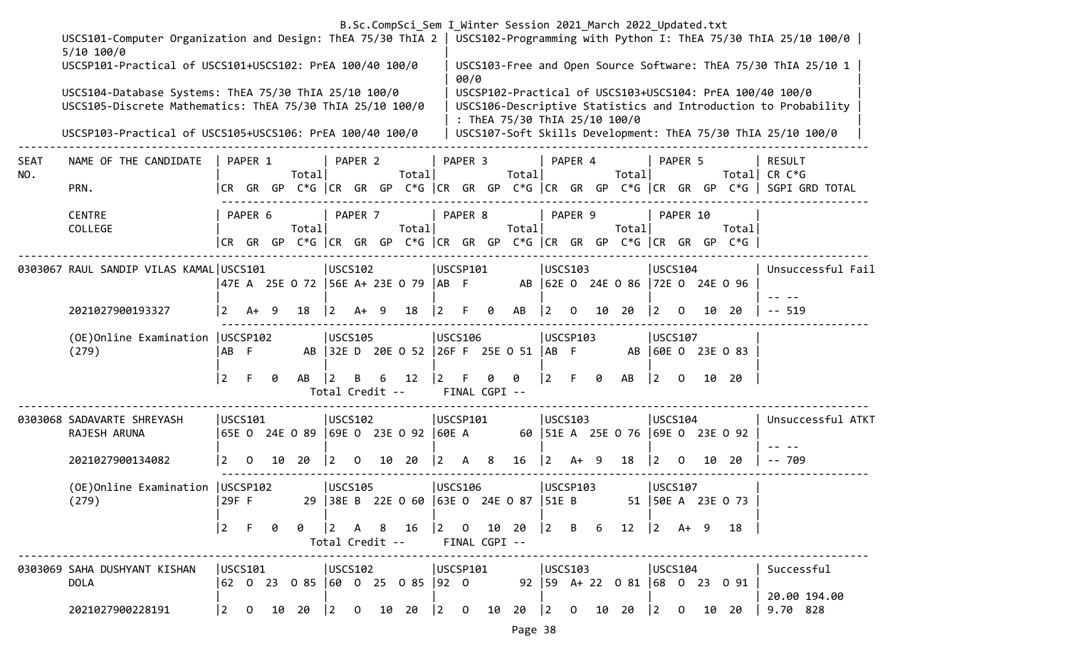|             | B.Sc.CompSci_Sem I_Winter Session 2021_March 2022_Updated.txt<br>USCS101-Computer Organization and Design: ThEA 75/30 ThIA 2   USCS102-Programming with Python I: ThEA 75/30 ThIA 25/10 100/0 |                 |                                                |    |                                     |                                       |          |                      |                 |              |                 |   |                                                                  |             |          |    |                                      |                                       |              |    |                                                                                 |                                                                                                                            |
|-------------|-----------------------------------------------------------------------------------------------------------------------------------------------------------------------------------------------|-----------------|------------------------------------------------|----|-------------------------------------|---------------------------------------|----------|----------------------|-----------------|--------------|-----------------|---|------------------------------------------------------------------|-------------|----------|----|--------------------------------------|---------------------------------------|--------------|----|---------------------------------------------------------------------------------|----------------------------------------------------------------------------------------------------------------------------|
|             | $5/10$ 100/0                                                                                                                                                                                  |                 |                                                |    |                                     |                                       |          |                      |                 |              |                 |   |                                                                  |             |          |    |                                      |                                       |              |    |                                                                                 |                                                                                                                            |
|             | USCSP101-Practical of USCS101+USCS102: PrEA 100/40 100/0                                                                                                                                      |                 |                                                |    |                                     |                                       |          |                      |                 |              | 00/0            |   |                                                                  |             |          |    |                                      |                                       |              |    |                                                                                 | USCS103-Free and Open Source Software: ThEA 75/30 ThIA 25/10 1                                                             |
|             | USCS104-Database Systems: ThEA 75/30 ThIA 25/10 100/0<br>USCS105-Discrete Mathematics: ThEA 75/30 ThIA 25/10 100/0                                                                            |                 |                                                |    |                                     |                                       |          |                      |                 |              |                 |   | : ThEA 75/30 ThIA 25/10 100/0                                    |             |          |    |                                      |                                       |              |    |                                                                                 | USCSP102-Practical of USCS103+USCS104: PrEA 100/40 100/0<br>USCS106-Descriptive Statistics and Introduction to Probability |
|             | USCSP103-Practical of USCS105+USCS106: PrEA 100/40 100/0                                                                                                                                      |                 |                                                |    |                                     |                                       |          |                      |                 |              |                 |   |                                                                  |             |          |    |                                      |                                       |              |    |                                                                                 | USCS107-Soft Skills Development: ThEA 75/30 ThIA 25/10 100/0                                                               |
| SEAT<br>NO. | NAME OF THE CANDIDATE                                                                                                                                                                         |                 | PAPER 1                                        |    | Total                               |                                       | PAPER 2  |                      | Total           |              | PAPER 3         |   | Total                                                            |             | PAPER 4  |    | Total                                |                                       | PAPER 5      |    |                                                                                 | <b>RESULT</b><br>Total  CR C*G                                                                                             |
|             | PRN.                                                                                                                                                                                          |                 |                                                |    |                                     |                                       |          |                      |                 |              |                 |   |                                                                  |             |          |    |                                      |                                       |              |    |                                                                                 | CR GR GP C*G  CR GR GP C*G  CR GR GP C*G  CR GR GP C*G  CR GR GP C*G   SGPI GRD TOTAL                                      |
|             | <b>CENTRE</b><br>COLLEGE                                                                                                                                                                      |                 | PAPER 6                                        |    | Total                               |                                       | PAPER 7  |                      | Total           |              | PAPER 8         |   | Total                                                            |             | PAPER 9  |    | Total                                |                                       | PAPER 10     |    | Totall<br> CR GR GP C*G  CR GR GP C*G  CR GR GP C*G  CR GR GP C*G  CR GR GP C*G |                                                                                                                            |
|             | 0303067 RAUL SANDIP VILAS KAMAL USCS101                                                                                                                                                       |                 |                                                |    | 47E A 25E O 72 56E A+ 23E O 79 AB F |                                       | USCS102  |                      |                 |              | USCSP101        |   |                                                                  |             | USCS103  |    | AB 62E 0 24E 0 86 72E 0 24E 0 96     | USCS104                               |              |    |                                                                                 | Unsuccessful Fail                                                                                                          |
|             | 2021027900193327                                                                                                                                                                              | $\vert 2 \vert$ | A+                                             | -9 | 18                                  | <u>2</u>                              | A+       | -9                   | 18              | 2            | F.              | 0 | AB                                                               | l 2         | 0        | 10 | 20                                   | $\vert 2 \vert$                       | $\Omega$     | 10 | -20                                                                             | $-- 519$                                                                                                                   |
|             | (OE) Online Examination   USCSP102<br>(279)                                                                                                                                                   | ∣AB F           |                                                |    |                                     |                                       | USCS105  |                      |                 |              | USCS106         |   | AB 32E D 20E 0 52 26F F 25E 0 51 AB F                            |             | USCSP103 |    |                                      | USCS107                               |              |    | AB 60E 0 23E 0 83                                                               |                                                                                                                            |
|             |                                                                                                                                                                                               | 2               | F.                                             | 0  | AB                                  |                                       | В        | 6<br>Total Credit -- | 12              |              | FINAL CGPI --   | 0 | 0                                                                | $\vert$ 2   | F.       | 0  | AB                                   | $ 2\rangle$                           | $\mathbf{0}$ |    | 10 20                                                                           |                                                                                                                            |
|             | 0303068 SADAVARTE SHREYASH<br>RAJESH ARUNA                                                                                                                                                    |                 | USCS101                                        |    |                                     | USCS102                               |          |                      |                 |              | <b>USCSP101</b> |   |                                                                  |             | USCS103  |    | 60   51E A 25E O 76   69E O 23E O 92 | <b>USCS104</b>                        |              |    |                                                                                 | Unsuccessful ATKT                                                                                                          |
|             | 2021027900134082                                                                                                                                                                              | 2               | 0                                              |    | 10 20                               | $\overline{2}$                        | $\Omega$ | 10                   | - 20            | $\mathbf{2}$ | A               | 8 | 16                                                               | $ 2\rangle$ | $A+ 9$   |    | 18                                   | $\vert$ 2                             | $\Omega$     |    | 10 20                                                                           | $- - 709$                                                                                                                  |
|             | (OE) Online Examination   USCSP102<br>(279)                                                                                                                                                   | 29F F           |                                                |    |                                     |                                       | USCS105  |                      |                 |              | USCS106         |   | 29   38E B 22E 0 60   63E 0 24E 0 87   51E B 51   50E A 23E 0 73 |             | USCSP103 |    |                                      | USCS107                               |              |    |                                                                                 |                                                                                                                            |
|             |                                                                                                                                                                                               |                 | $\begin{bmatrix} 2 & F & \theta \end{bmatrix}$ |    | 0                                   |                                       |          |                      | Total Credit -- |              | FINAL CGPI --   |   |                                                                  |             |          |    |                                      |                                       |              |    | 18                                                                              |                                                                                                                            |
|             | 0303069 SAHA DUSHYANT KISHAN<br><b>DOLA</b>                                                                                                                                                   |                 | USCS101                                        |    | 62 0 23 0 85  60 0 25 0 85  92 0    | USCS102                               |          |                      |                 |              | USCSP101        |   | USCS103                                                          |             |          |    | 92   59 A + 22 0 81   68 0 23 0 91   | USCS104                               |              |    |                                                                                 | Successful                                                                                                                 |
|             | 2021027900228191                                                                                                                                                                              |                 | $\begin{vmatrix} 2 & 0 \end{vmatrix}$          |    | 10 20                               | $\begin{bmatrix} 2 & 0 \end{bmatrix}$ |          |                      | 10 20           |              |                 |   | $\begin{array}{ccccccccc} 2 & 0 & 10 & 20 & 2 & 0 \end{array}$   |             |          |    | 10 20                                | $\begin{bmatrix} 2 & 0 \end{bmatrix}$ |              |    | 10 20                                                                           | 20.00 194.00<br>9.70 828                                                                                                   |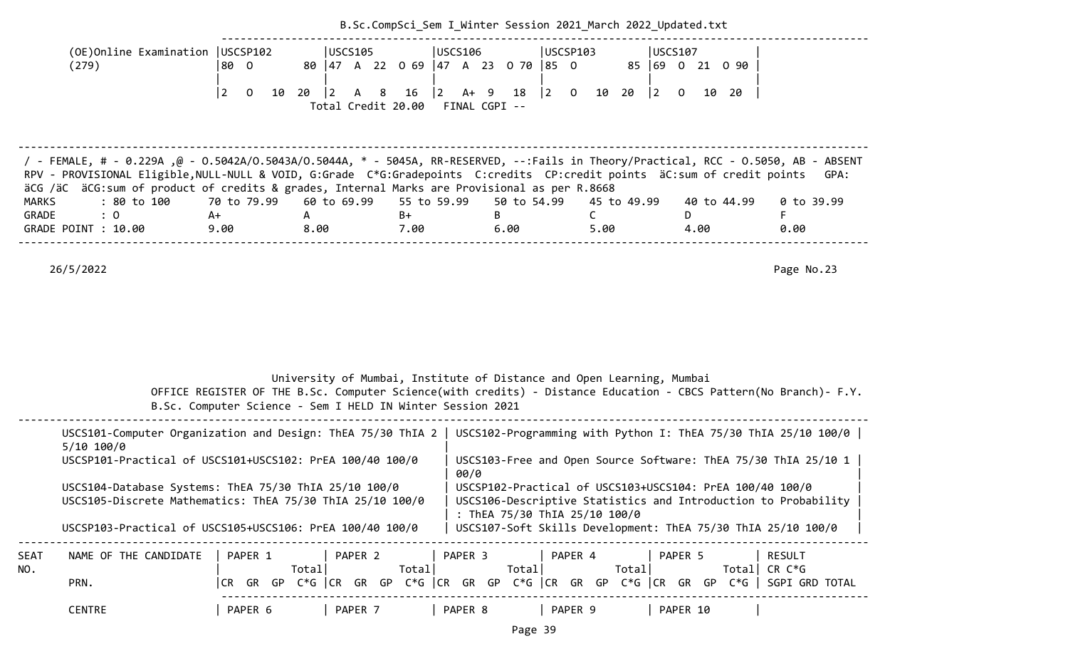|                                                                                                                                                                                                                                                                                                                                                                                              |                                        |                                                            |                 |                                              | B.Sc.CompSci Sem I Winter Session 2021 March 2022 Updated.txt                                                                                                                                                                                                                                 |                                                |                                                                                                                  |
|----------------------------------------------------------------------------------------------------------------------------------------------------------------------------------------------------------------------------------------------------------------------------------------------------------------------------------------------------------------------------------------------|----------------------------------------|------------------------------------------------------------|-----------------|----------------------------------------------|-----------------------------------------------------------------------------------------------------------------------------------------------------------------------------------------------------------------------------------------------------------------------------------------------|------------------------------------------------|------------------------------------------------------------------------------------------------------------------|
| (OE)Online Examination   USCSP102<br>(279)                                                                                                                                                                                                                                                                                                                                                   | 80 0                                   | USCS105                                                    |                 | USCS106<br>80 47 A 22 0 69 47 A 23 0 70 85 0 | USCSP103                                                                                                                                                                                                                                                                                      | <b>USCS107</b><br>85 69 0 21 0 90              |                                                                                                                  |
|                                                                                                                                                                                                                                                                                                                                                                                              | $\boxed{2}$<br>$\overline{0}$<br>10 20 | $\vert$ 2<br>8<br>Total Credit 20.00                       | $\vert$ 2<br>16 | 18<br>A+ 9<br>FINAL CGPI --                  | $\begin{vmatrix} 2 & 0 \end{vmatrix}$<br>10 20                                                                                                                                                                                                                                                | $\begin{vmatrix} 2 & 0 \end{vmatrix}$<br>10 20 |                                                                                                                  |
| 7 - FEMALE, # - 0.229Α ,@ - 0.5042Α/Ο.5043Α/Ο.5044Α, * - 5045Α, RR-RESERVED, --:Fails in Theory/Practical, RCC - 0.5050, AB - ABSENT<br>RPV - PROVISIONAL Eligible, NULL-NULL & VOID, G:Grade C*G:Gradepoints C:credits CP:credit points äC:sum of credit points<br>äCG /äC äCG:sum of product of credits & grades, Internal Marks are Provisional as per R.8668                             |                                        |                                                            |                 |                                              |                                                                                                                                                                                                                                                                                               |                                                | GPA:                                                                                                             |
| : 80 to 100<br><b>MARKS</b>                                                                                                                                                                                                                                                                                                                                                                  | 70 to 79.99                            | 60 to 69.99                                                | 55 to 59.99     | 50 to 54.99                                  | 45 to 49.99                                                                                                                                                                                                                                                                                   | 40 to 44.99                                    | $0$ to 39.99                                                                                                     |
| GRADE<br>: 0<br>GRADE POINT : 10.00                                                                                                                                                                                                                                                                                                                                                          | A+<br>9.00                             | A<br>8.00                                                  | B+<br>7.00      | B<br>6.00                                    | $\mathsf{C}$<br>5.00                                                                                                                                                                                                                                                                          | D<br>4.00                                      | F<br>0.00                                                                                                        |
|                                                                                                                                                                                                                                                                                                                                                                                              |                                        | B.Sc. Computer Science - Sem I HELD IN Winter Session 2021 |                 |                                              | University of Mumbai, Institute of Distance and Open Learning, Mumbai                                                                                                                                                                                                                         |                                                | OFFICE REGISTER OF THE B.Sc. Computer Science(with credits) - Distance Education - CBCS Pattern(No Branch)- F.Y. |
|                                                                                                                                                                                                                                                                                                                                                                                              |                                        |                                                            |                 |                                              |                                                                                                                                                                                                                                                                                               |                                                |                                                                                                                  |
| USCS101-Computer Organization and Design: ThEA 75/30 ThIA 2   USCS102-Programming with Python I: ThEA 75/30 ThIA 25/10 100/0  <br>$5/10$ 100/0<br>USCSP101-Practical of USCS101+USCS102: PrEA 100/40 100/0<br>USCS104-Database Systems: ThEA 75/30 ThIA 25/10 100/0<br>USCS105-Discrete Mathematics: ThEA 75/30 ThIA 25/10 100/0<br>USCSP103-Practical of USCS105+USCS106: PrEA 100/40 100/0 |                                        |                                                            |                 | 00/0                                         | USCS103-Free and Open Source Software: ThEA 75/30 ThIA 25/10 1<br>USCSP102-Practical of USCS103+USCS104: PrEA 100/40 100/0<br>USCS106-Descriptive Statistics and Introduction to Probability<br>: ThEA 75/30 ThIA 25/10 100/0<br>USCS107-Soft Skills Development: ThEA 75/30 ThIA 25/10 100/0 |                                                |                                                                                                                  |
| NAME OF THE CANDIDATE<br>SEAT<br>NO.<br>PRN.                                                                                                                                                                                                                                                                                                                                                 | PAPER 1                                | PAPER 2<br>Totall                                          | Total           | PAPER 3<br>Total                             | PAPER 4<br>Total<br> CR GR GP C*G  CR GR GP C*G  CR GR GP C*G  CR GR GP C*G  CR GR GP C*G   SGPI GRD TOTAL                                                                                                                                                                                    | PAPER 5                                        | <b>RESULT</b><br>Total CR $C*G$                                                                                  |

| CENTRE | <b>DADER</b><br>-1<br>.<br>ີ | PAPER | <b>DADER</b><br><u>ы </u> | <b>PAPER</b> | <b>PAPER</b><br>10 <sub>o</sub><br>ᅩひ |  |
|--------|------------------------------|-------|---------------------------|--------------|---------------------------------------|--|
|--------|------------------------------|-------|---------------------------|--------------|---------------------------------------|--|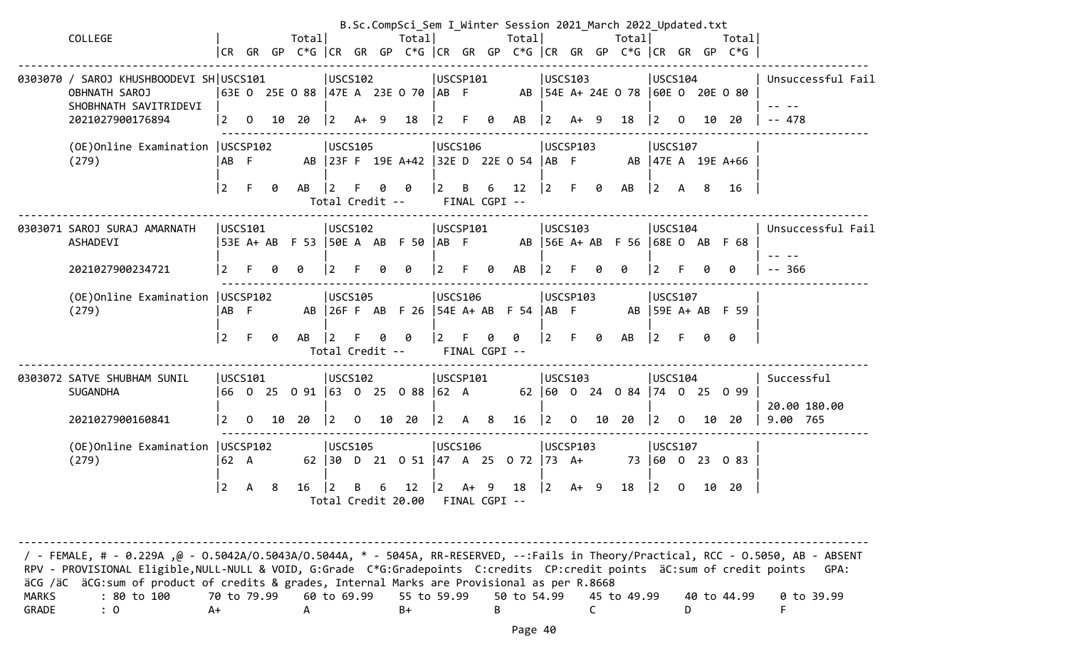| COLLEGE                                                                                                      |                             |                           |    | Totall          |                         |      |   | Total                                        |                                                  |        |        | B.Sc.CompSci_Sem I_Winter Session 2021 March 2022 Updated.txt<br>Totall                 |                 |                                                            |   | Total                                  |                                                         |    | Totall |                                        |
|--------------------------------------------------------------------------------------------------------------|-----------------------------|---------------------------|----|-----------------|-------------------------|------|---|----------------------------------------------|--------------------------------------------------|--------|--------|-----------------------------------------------------------------------------------------|-----------------|------------------------------------------------------------|---|----------------------------------------|---------------------------------------------------------|----|--------|----------------------------------------|
|                                                                                                              |                             |                           |    |                 |                         |      |   |                                              |                                                  |        |        | CR GR GP C*G  CR GR GP C*G  CR GR GP C*G  CR GR GP C*G  CR GR GP C*G                    |                 |                                                            |   |                                        |                                                         |    |        |                                        |
| 0303070 / SAROJ KHUSHBOODEVI SH USCS101<br><b>OBHNATH SAROJ</b><br>SHOBHNATH SAVITRIDEVI<br>2021027900176894 | l 2                         | $\Omega$                  |    | 10 20           | USCS102<br>$ 2 \rangle$ | A+ 9 |   | 63E 0 25E 0 88   47E A 23E 0 70   AB F<br>18 | USCSP101                                         |        |        | AB  54E A+ 24E 0 78  60E 0 20E 0 80<br>$\begin{array}{cccc} 2 & F & 0 & AB \end{array}$ | $\vert 2 \vert$ | <b>USCS103</b><br>$A+ 9$                                   |   | 18                                     | USCS104<br>$\begin{bmatrix} 2 & 0 \end{bmatrix}$        | 10 | -20    | Unsuccessful Fail<br>$- - 478$         |
| (OE) Online Examination   USCSP102<br>(279)                                                                  | AB F<br>l 2                 | $-F$                      | 0  | $AB$   2 F      | USCS105                 |      | 0 | - 0<br>Total Credit --                       | USCS106<br>$\begin{vmatrix} 2 & B \end{vmatrix}$ |        |        | AB 23F F 19E A+42 32E D 22E 0 54 AB F<br>$6 \t12 \t2$<br>FINAL CGPI --                  |                 | USCSP103                                                   |   | AB  47E A 19E A+66<br>F 0 AB  2 A 8 16 | USCS107                                                 |    |        |                                        |
| 0303071 SAROJ SURAJ AMARNATH<br>ASHADEVI                                                                     |                             | USCS101                   |    |                 | USCS102                 |      |   |                                              | USCSP101                                         |        |        | 53E A + AB F 53   50E A AB F 50   AB F AB   56E A + AB F 56   68E O AB F 68             |                 | USCS103                                                    |   |                                        | USCS104                                                 |    |        | Unsuccessful Fail                      |
| 2021027900234721<br>(OE)Online Examination   USCSP102<br>(279)                                               | 2<br>AB F<br>$\overline{2}$ | F 0                       |    | 0<br>AB         | l 2<br>USCS105          |      | ø | 0<br>0<br>Total Credit --                    | $\vert$ 2<br>USCS106<br>$\overline{2}$           | -F     | 0<br>0 | AB<br>AB 26F F AB F 26 54E A+ AB F 54 AB F AB 59E A+ AB F 59<br>0<br>FINAL CGPI --      |                 | USCSP103<br>$\begin{vmatrix} 2 & F & \theta \end{vmatrix}$ | ø | 0<br>AB                                | 2<br>USCS107<br>$\vert 2 \vert$                         | 0  | 0<br>0 | $- - 366$                              |
| 0303072 SATVE SHUBHAM SUNIL<br><b>SUGANDHA</b><br>2021027900160841                                           | 2                           | USCS101<br>$\overline{0}$ |    | 10 20 2 0 10 20 | USCS102                 |      |   | 66 0 25 0 91 63 0 25 0 88 62 A               | USCSP101                                         |        |        | $\begin{array}{ c c c c c c c c } \hline 2 & A & 8 & 16 & 2 & 0 \\ \hline \end{array}$  |                 | USCS103                                                    |   | 62 60 0 24 0 84 74 0 25 0 99<br>10 20  | USCS104<br>$\begin{vmatrix} 2 & 0 \end{vmatrix}$        |    | 10 20  | Successful<br>20.00 180.00<br>9.00 765 |
| (OE)Online Examination   USCSP102<br>(279)                                                                   | 62 A<br> 2                  | A                         | -8 | 16              | USCS105<br>$\vert$ 2    | B    | 6 | 12<br>Total Credit 20.00 FINAL CGPI --       | USCS106<br> 2                                    | $A+ 9$ |        | 62   30 D 21 0 51   47 A 25 0 72   73 A+ 73   60 0 23 0 83<br>18                        |                 | USCSP103<br>$ 2 \tA+ 9$                                    |   | 18                                     | <b>USCS107</b><br>$\begin{bmatrix} 2 & 0 \end{bmatrix}$ |    | 10 20  |                                        |

-------------------------------------------------------------------------------------------------------------------------------------- / - FEMALE, # - 0.229A ,@ - O.5042A/O.5043A/O.5044A, \* - 5045A, RR-RESERVED, --:Fails in Theory/Practical, RCC - O.5050, AB - ABSENT RPV - PROVISIONAL Eligible, NULL-NULL & VOID, G:Grade C\*G:Gradepoints C:credits CP:credit points äC:sum of credit points GPA: äCG /äC äCG:sum of product of credits & grades, Internal Marks are Provisional as per R.8668 MARKS : 80 to 100 70 to 79.99 60 to 69.99 55 to 59.99 50 to 54.99 45 to 49.99 40 to 44.99 0 to 39.99  $GRADE$  : O  $A+$   $A$   $B+$   $B$   $C$   $D$  F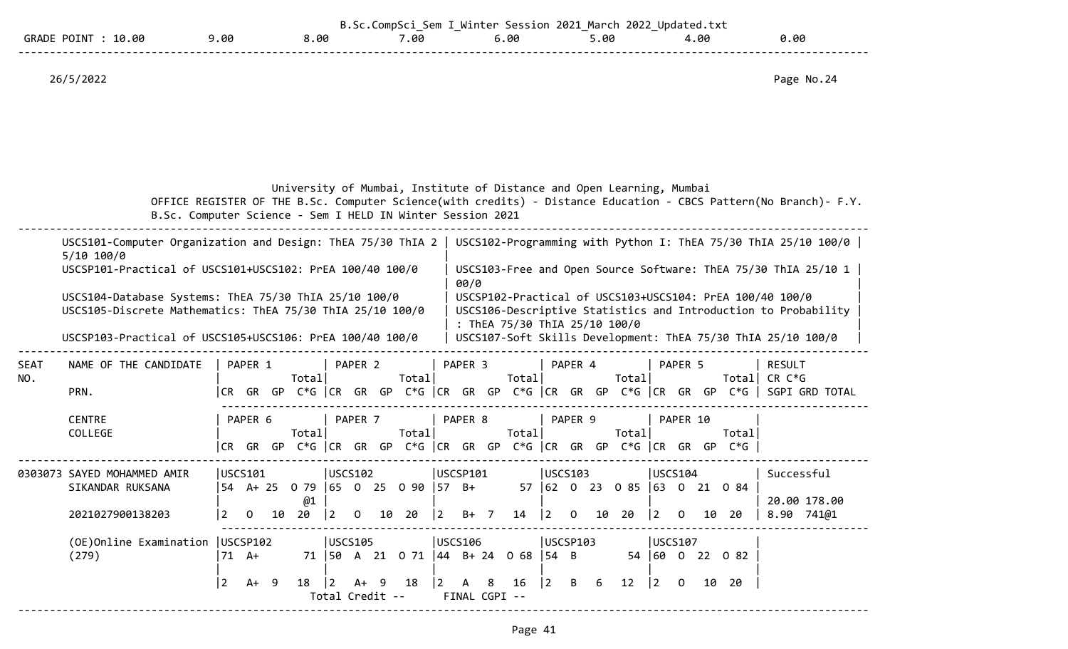|                                       |     |      | ⊆≏m  | Session 2021<br><b>WINTAR</b> | 2022<br>March<br>-- | Updated,<br>.txt |      |  |
|---------------------------------------|-----|------|------|-------------------------------|---------------------|------------------|------|--|
| 10.00<br><b>GRADE</b><br><b>POTNT</b> | .00 | 8.00 | .00. | .00 د                         | ,.00                | 4.00             | 00.ر |  |
|                                       |     |      |      |                               |                     |                  |      |  |

University of Mumbai, Institute of Distance and Open Learning, Mumbai

 OFFICE REGISTER OF THE B.Sc. Computer Science(with credits) - Distance Education - CBCS Pattern(No Branch)- F.Y. B.Sc. Computer Science - Sem I HELD IN Winter Session 2021

--------------------------------------------------------------------------------------------------------------------------------------

|             | USCS101-Computer Organization and Design: ThEA 75/30 ThIA 2<br>5/10 100/0<br>USCSP101-Practical of USCS101+USCS102: PrEA 100/40 100/0<br>USCS104-Database Systems: ThEA 75/30 ThIA 25/10 100/0<br>USCS105-Discrete Mathematics: ThEA 75/30 ThIA 25/10 100/0<br>USCSP103-Practical of USCS105+USCS106: PrEA 100/40 100/0 |                |                           |    |          |                      |                |                                           |             | 00/0               | : ThEA 75/30 ThIA 25/10 100/0             |                        |                |    |                                    |                        |                |    |                                                                                   | USCS102-Programming with Python I: ThEA 75/30 ThIA 25/10 100/0<br>USCS103-Free and Open Source Software: ThEA 75/30 ThIA 25/10 1<br>USCSP102-Practical of USCS103+USCS104: PrEA 100/40 100/0<br>USCS106-Descriptive Statistics and Introduction to Probability<br>USCS107-Soft Skills Development: ThEA 75/30 ThIA 25/10 100/0 |
|-------------|-------------------------------------------------------------------------------------------------------------------------------------------------------------------------------------------------------------------------------------------------------------------------------------------------------------------------|----------------|---------------------------|----|----------|----------------------|----------------|-------------------------------------------|-------------|--------------------|-------------------------------------------|------------------------|----------------|----|------------------------------------|------------------------|----------------|----|-----------------------------------------------------------------------------------|--------------------------------------------------------------------------------------------------------------------------------------------------------------------------------------------------------------------------------------------------------------------------------------------------------------------------------|
| SEAT<br>NO. | NAME OF THE CANDIDATE<br>PRN.                                                                                                                                                                                                                                                                                           |                | PAPER 1                   |    | Total    |                      | PAPER 2        | Total                                     |             | PAPER 3            | Total                                     |                        | PAPER 4        |    | Totall                             |                        | PAPER 5        |    | Totall                                                                            | <b>RESULT</b><br>CR C*G<br> CR GR GP C*G   CR GR GP C*G   CR GR GP C*G   CR GR GP C*G   CR GR GP C*G    SGPI GRD TOTAL                                                                                                                                                                                                         |
|             | <b>CENTRE</b><br>COLLEGE                                                                                                                                                                                                                                                                                                |                | PAPER 6                   |    | Total    |                      | PAPER 7        | Total                                     |             | PAPER 8            | Total                                     |                        | PAPER 9        |    | Total                              |                        | PAPER 10       |    | Total<br>CR GR GP C*G CR GR GP C*G CR GR GP C*G CR GR GP C*G CR GR GP C*G $\vert$ |                                                                                                                                                                                                                                                                                                                                |
|             | 0303073 SAYED MOHAMMED AMIR<br>SIKANDAR RUKSANA<br>2021027900138203                                                                                                                                                                                                                                                     | $\overline{2}$ | USCS101<br>$\overline{0}$ | 10 | @1<br>20 | USCS102<br>$\vert$ 2 | $\overline{0}$ | 54 A+ 25 0 79 65 0 25 0 90 57 B+<br>10 20 | $ 2\rangle$ | USCSP101<br>$B+ 7$ | 14                                        | USCS103<br>$ 2\rangle$ | $\overline{0}$ | 10 | 57 62 0 23 0 85 63 0 21 0 84<br>20 | USCS104<br>$ 2\rangle$ | $\overline{0}$ | 10 | 20                                                                                | Successful<br>20.00 178.00<br>$8.90$ $741@1$                                                                                                                                                                                                                                                                                   |
|             | (OE)Online Examination   USCSP102<br>(279)                                                                                                                                                                                                                                                                              |                | $71 A+$                   |    |          | USCS105              |                |                                           |             | USCS106            | 71   50 A 21 0 71   44 B + 24 0 68   54 B | USCSP103               |                |    |                                    |                        | USCS107        |    | 54 60 0 22 0 82                                                                   |                                                                                                                                                                                                                                                                                                                                |

 |2 A+ 9 18 |2 A+ 9 18 |2 A 8 16 |2 B 6 12 |2 O 10 20 | Total Credit -- FINAL CGPI -- --------------------------------------------------------------------------------------------------------------------------------------

| | | | | |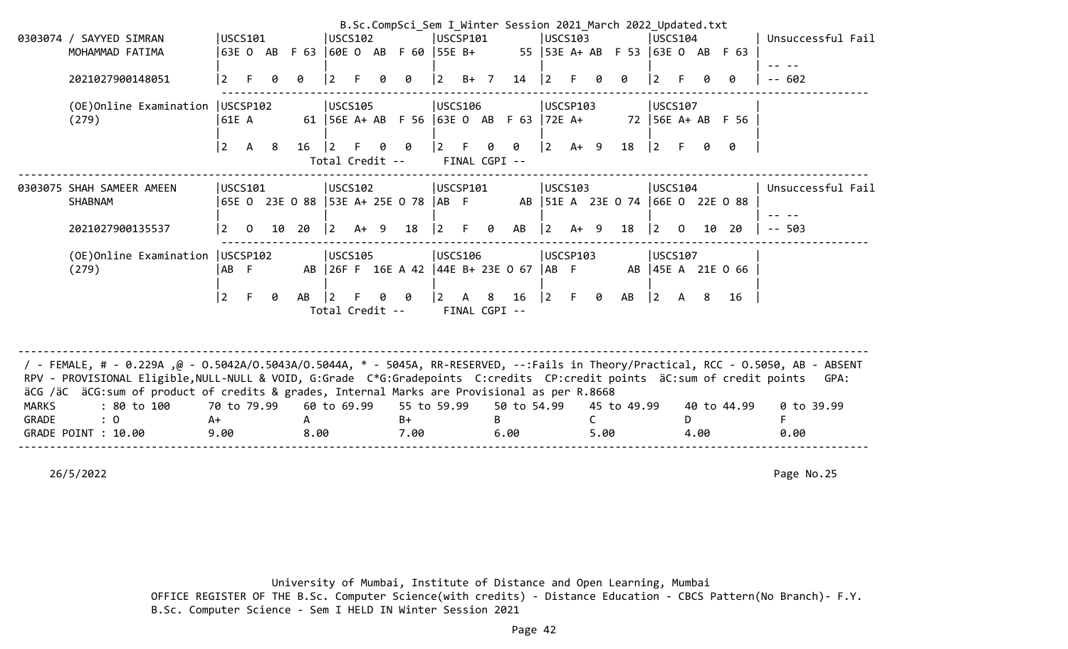|              |                                                                                                                                                                                                                                                                                                                                                                |                   |              |    |       |                              |        |    | B.Sc.CompSci Sem I Winter Session 2021 March 2022 Updated.txt |                 |              |                    |             |                    |         |      |                                      |                 |          |      |                   |                   |  |
|--------------|----------------------------------------------------------------------------------------------------------------------------------------------------------------------------------------------------------------------------------------------------------------------------------------------------------------------------------------------------------------|-------------------|--------------|----|-------|------------------------------|--------|----|---------------------------------------------------------------|-----------------|--------------|--------------------|-------------|--------------------|---------|------|--------------------------------------|-----------------|----------|------|-------------------|-------------------|--|
|              | 0303074 / SAYYED SIMRAN                                                                                                                                                                                                                                                                                                                                        | USCS101           |              |    |       | USCS102                      |        |    |                                                               | USCSP101        |              |                    |             |                    | USCS103 |      |                                      | USCS104         |          |      |                   | Unsuccessful Fail |  |
|              | MOHAMMAD FATIMA                                                                                                                                                                                                                                                                                                                                                |                   |              |    |       |                              |        |    | 63E O AB F 63  60E O AB F 60  55E B+                          |                 |              |                    |             |                    |         |      | 55   53E A + AB F 53   63E O AB F 63 |                 |          |      |                   |                   |  |
|              | 2021027900148051                                                                                                                                                                                                                                                                                                                                               | $\overline{2}$    |              |    | Ø     | $\overline{2}$               |        |    | ø                                                             | l 2             | $B+ 7$       |                    | 14          | $\vert$ 2          |         |      |                                      | $\overline{2}$  |          |      | 0                 | $- - 602$         |  |
|              | (OE) Online Examination   USCSP102<br>(279)                                                                                                                                                                                                                                                                                                                    | 61E A             |              |    |       | USCS105                      |        |    | 61   56E A + AB F 56   63E O AB F 63   72E A +                | USCS106         |              |                    |             | USCSP103           |         |      |                                      | USCS107         |          |      | 72 56E A+ AB F 56 |                   |  |
|              |                                                                                                                                                                                                                                                                                                                                                                | 2                 | A            | -8 | 16    | $\vert$ 2<br>Total Credit -- |        |    | 0                                                             |                 |              | 0<br>FINAL CGPI -- | 0           | $\overline{2}$     | $A+ 9$  |      | 18                                   | $ 2\rangle$     |          |      | 0                 |                   |  |
|              | 0303075 SHAH SAMEER AMEEN<br><b>SHABNAM</b>                                                                                                                                                                                                                                                                                                                    | USCS101           |              |    |       | USCS102                      |        |    |                                                               | USCSP101        |              |                    |             |                    | USCS103 |      | AB   51E A 23E 0 74   66E 0 22E 0 88 | USCS104         |          |      |                   | Unsuccessful Fail |  |
|              | 2021027900135537                                                                                                                                                                                                                                                                                                                                               | $\overline{2}$    | $\mathbf{0}$ |    | 10 20 | $ 2\rangle$                  | $A+ 9$ |    | 18                                                            | l 2             | F.           | 0                  | AB          | $ 2\rangle$        | $A+ 9$  |      | 18                                   | $\vert 2 \vert$ | $\Omega$ | 10   | 20                | $- - 503$         |  |
|              | (OE)Online Examination<br>(279)                                                                                                                                                                                                                                                                                                                                | USCSP102<br>IAB F |              |    |       | <b>USCS105</b>               |        |    | AB 26F F 16E A 42   44E B+ 23E 0 67                           | <b>USCS106</b>  |              |                    |             | USCSP103<br>$AB$ F |         |      |                                      | USCS107         |          |      | AB 45E A 21E 0 66 |                   |  |
|              |                                                                                                                                                                                                                                                                                                                                                                | $\vert$ 2         | F.           | 0  | AB    | $\vert$ 2<br>Total Credit -- |        | Q. | - 0                                                           | $\vert 2 \vert$ | $\mathsf{A}$ | 8<br>FINAL CGPI -- | 16          | $ 2\rangle$        | F.      | 0    | AB                                   | $\vert$ 2       | A        | -8   | 16                |                   |  |
|              | / FEMALE, # - 0.229A ,@ - 0.5042A/0.5043A/0.5044A, * - 5045A, RR-RESERVED, --:Fails in Theory/Practical, RCC - 0.5050, AB - ABSENT<br>RPV - PROVISIONAL Eligible, NULL-NULL & VOID, G:Grade C*G:Gradepoints C:credits CP:credit points äC:sum of credit points<br>äCG /äC äCG:sum of product of credits & grades, Internal Marks are Provisional as per R.8668 |                   |              |    |       |                              |        |    |                                                               |                 |              |                    |             |                    |         |      |                                      |                 |          |      |                   | GPA:              |  |
| <b>MARKS</b> | : 80 to 100                                                                                                                                                                                                                                                                                                                                                    | 70 to 79.99       |              |    |       | 60 to 69.99                  |        |    | 55 to 59.99                                                   |                 |              |                    | 50 to 54.99 |                    |         |      | 45 to 49.99                          |                 |          |      | 40 to 44.99       | $0$ to 39.99      |  |
| <b>GRADE</b> | : 0                                                                                                                                                                                                                                                                                                                                                            | A+                |              |    | A     |                              |        |    | $B+$                                                          |                 |              |                    |             |                    |         |      |                                      |                 | D        |      |                   |                   |  |
|              | GRADE POINT : 10.00                                                                                                                                                                                                                                                                                                                                            | 9.00              |              |    | 8.00  |                              |        |    | 7.00                                                          |                 |              |                    | 6.00        |                    |         | 5.00 |                                      |                 |          | 4.00 |                   | 0.00              |  |

--------------------------------------------------------------------------------------------------------------------------------------

26/5/2022 Page No.25

 University of Mumbai, Institute of Distance and Open Learning, Mumbai OFFICE REGISTER OF THE B.Sc. Computer Science(with credits) - Distance Education - CBCS Pattern(No Branch)- F.Y. B.Sc. Computer Science - Sem I HELD IN Winter Session 2021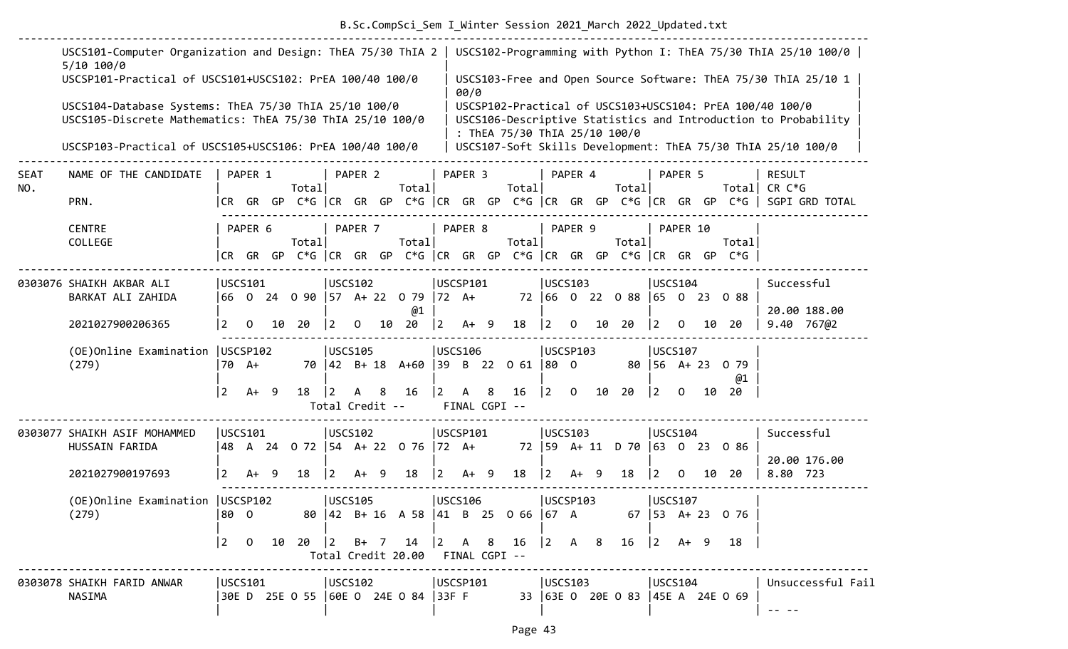# B.Sc.CompSci\_Sem I\_Winter Session 2021\_March 2022\_Updated.txt

|                    | USCS101-Computer Organization and Design: ThEA 75/30 ThIA 2<br>$5/10$ 100/0<br>USCSP101-Practical of USCS101+USCS102: PrEA 100/40 100/0 |                 |         |    |        |                                   |              |     |                                                     |             |          |                    |                               |             |                 |    |                                  |                           |                |    |                                                                                | USCS102-Programming with Python I: ThEA 75/30 ThIA 25/10 100/0  <br>USCS103-Free and Open Source Software: ThEA 75/30 ThIA 25/10 1 |
|--------------------|-----------------------------------------------------------------------------------------------------------------------------------------|-----------------|---------|----|--------|-----------------------------------|--------------|-----|-----------------------------------------------------|-------------|----------|--------------------|-------------------------------|-------------|-----------------|----|----------------------------------|---------------------------|----------------|----|--------------------------------------------------------------------------------|------------------------------------------------------------------------------------------------------------------------------------|
|                    | USCS104-Database Systems: ThEA 75/30 ThIA 25/10 100/0<br>USCS105-Discrete Mathematics: ThEA 75/30 ThIA 25/10 100/0                      |                 |         |    |        |                                   |              |     |                                                     |             | 00/0     |                    | : ThEA 75/30 ThIA 25/10 100/0 |             |                 |    |                                  |                           |                |    |                                                                                | USCSP102-Practical of USCS103+USCS104: PrEA 100/40 100/0<br>USCS106-Descriptive Statistics and Introduction to Probability         |
|                    | USCSP103-Practical of USCS105+USCS106: PrEA 100/40 100/0                                                                                |                 |         |    |        |                                   |              |     |                                                     |             |          |                    |                               |             |                 |    |                                  |                           |                |    |                                                                                | USCS107-Soft Skills Development: ThEA 75/30 ThIA 25/10 100/0                                                                       |
| <b>SEAT</b><br>NO. | NAME OF THE CANDIDATE                                                                                                                   |                 | PAPER 1 |    | Totall |                                   | PAPER 2      |     | Totall                                              |             | PAPER 3  |                    | Total                         |             | PAPER 4         |    | Total                            |                           | PAPER 5        |    | Totall                                                                         | <b>RESULT</b><br>CR C*G                                                                                                            |
|                    | PRN.                                                                                                                                    |                 |         |    |        |                                   |              |     |                                                     |             |          |                    |                               |             |                 |    |                                  |                           |                |    |                                                                                | CR GR GP C*G  CR GR GP C*G  CR GR GP C*G  CR GR GP C*G  CR GR GP C*G   SGPI GRD TOTAL                                              |
|                    | <b>CENTRE</b><br>COLLEGE                                                                                                                |                 | PAPER 6 |    | Total  |                                   | PAPER 7      |     | Total                                               |             | PAPER 8  |                    | Total                         |             | PAPER 9         |    | Total                            |                           | PAPER 10       |    | Total<br> CR GR GP C*G  CR GR GP C*G  CR GR GP C*G  CR GR GP C*G  CR GR GP C*G |                                                                                                                                    |
|                    | 0303076 SHAIKH AKBAR ALI<br>BARKAT ALI ZAHIDA                                                                                           |                 | USCS101 |    |        | USCS102                           |              |     | 66 0 24 0 90 57 A+ 22 0 79 72 A+                    |             | USCSP101 |                    |                               |             | <b>IUSCS103</b> |    | 72 66 0 22 0 88 65 0 23 0 88     |                           | <b>USCS104</b> |    |                                                                                | Successful                                                                                                                         |
|                    | 2021027900206365                                                                                                                        | $\overline{2}$  | 0       | 10 | 20     | $ 2\rangle$                       | $\mathbf{0}$ | 10  | @1<br>20                                            | $ 2\rangle$ | $A+ 9$   |                    | 18                            | $ 2\rangle$ | $\mathbf{O}$    | 10 | 20                               | $ 2\rangle$               | $\mathbf{O}$   | 10 | -20                                                                            | 20.00 188.00<br>$9.40$ 767@2                                                                                                       |
|                    | (OE) Online Examination   USCSP102<br>(279)                                                                                             |                 | 70 A+   |    |        | <b>USCS105</b>                    |              |     | 70 42 B+ 18 A+60 39 B 22 0 61                       |             | USCS106  |                    |                               | 80 0        | USCSP103        |    |                                  | $80 \mid 56 \quad A + 23$ | USCS107        |    | 0 79<br>@1                                                                     |                                                                                                                                    |
|                    |                                                                                                                                         | $\vert 2 \vert$ | $A+ 9$  |    | 18     | $\overline{2}$<br>Total Credit -- | A            | 8   | 16                                                  | <u> 2</u>   | A        | 8<br>FINAL CGPI -- | 16                            | $ 2\rangle$ | 0               | 10 | 20                               | $ 2\rangle$               | $\Omega$       | 10 | 20                                                                             |                                                                                                                                    |
|                    | 0303077 SHAIKH ASIF MOHAMMED<br>HUSSAIN FARIDA                                                                                          |                 | USCS101 |    |        | USCS102                           |              |     | 48 A 24 O 72  54 A+ 22 O 76  72 A+                  |             | USCSP101 |                    |                               |             | <b>USCS103</b>  |    | 72   59 A + 11 D 70   63 0 23    |                           | <b>USCS104</b> |    | 086                                                                            | Successful<br>20.00 176.00                                                                                                         |
|                    | 2021027900197693                                                                                                                        | $\overline{2}$  | $A+9$   |    | 18     | $\vert$ 2                         | $A+$         | - 9 | 18                                                  | l 2         | $A+ 9$   |                    | 18                            | $ 2\rangle$ | $A+ 9$          |    | 18                               | $ 2\rangle$               | $\Omega$       |    | 10 20                                                                          | 8.80 723                                                                                                                           |
|                    | (OE) Online Examination   USCSP102<br>(279)                                                                                             | 80 0            |         |    |        | USCS105                           |              |     | 80 42 B+ 16 A 58 41 B 25 0 66 67 A 67 53 A+ 23 0 76 |             | USCS106  |                    |                               |             | USCSP103        |    |                                  |                           | USCS107        |    |                                                                                |                                                                                                                                    |
|                    |                                                                                                                                         |                 |         |    |        |                                   |              |     | Total Credit 20.00 FINAL CGPI --                    |             |          |                    |                               |             |                 |    |                                  |                           |                |    | 18                                                                             |                                                                                                                                    |
|                    | 0303078 SHAIKH FARID ANWAR<br>NASIMA                                                                                                    |                 | USCS101 |    |        | USCS102                           |              |     | 30E D 25E O 55  60E O 24E O 84  33F F               |             | USCSP101 |                    |                               | USCS103     |                 |    | 33 63E 0 20E 0 83 45E A 24E 0 69 | USCS104                   |                |    |                                                                                | Unsuccessful Fail<br>-- --                                                                                                         |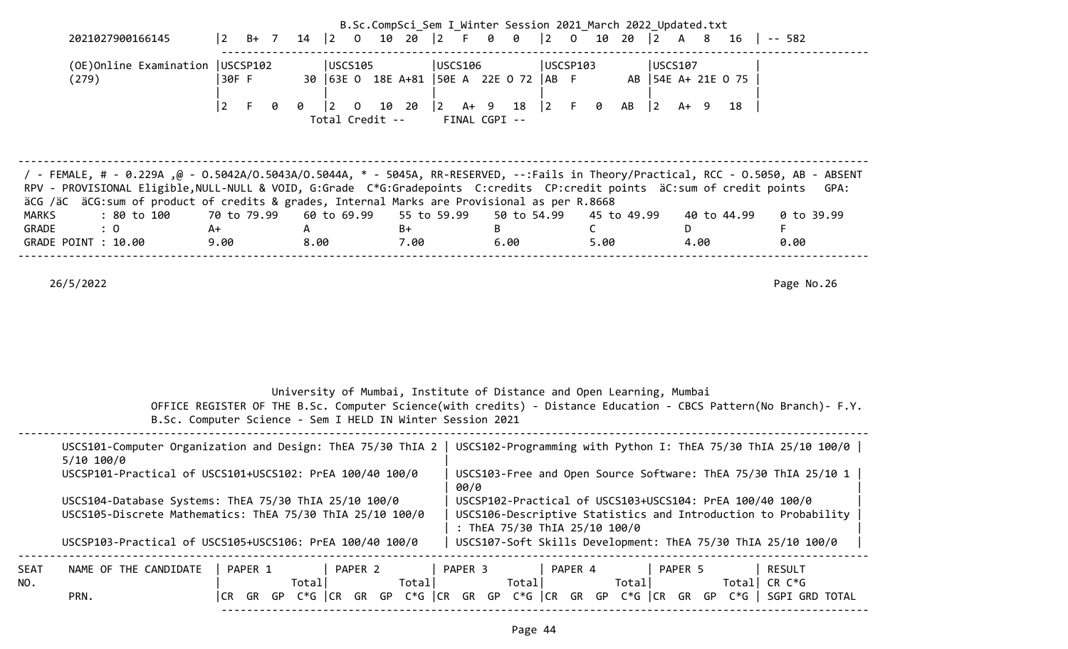|              |                                                                                                                                                                                                                                                                                                                                                                                            |                            |                                                            |                      |                                                        | B.Sc.CompSci_Sem I Winter Session 2021 March 2022 Updated.txt         |                                                                                                                                                                                                                                                              |               |
|--------------|--------------------------------------------------------------------------------------------------------------------------------------------------------------------------------------------------------------------------------------------------------------------------------------------------------------------------------------------------------------------------------------------|----------------------------|------------------------------------------------------------|----------------------|--------------------------------------------------------|-----------------------------------------------------------------------|--------------------------------------------------------------------------------------------------------------------------------------------------------------------------------------------------------------------------------------------------------------|---------------|
|              | 2021027900166145                                                                                                                                                                                                                                                                                                                                                                           | 2<br>$B+$ 7                | $14 \mid 2 \mid 0$                                         | 10 20 2 F 0          | 0                                                      | $ 2\rangle$<br>$0$ 10 20 2                                            | A 8                                                                                                                                                                                                                                                          | $16$   -- 582 |
|              | (OE) Online Examination   USCSP102<br>(279)                                                                                                                                                                                                                                                                                                                                                | 30F F                      | USCS105                                                    |                      | USCS106<br>30   63E 0 18E A+81   50E A 22E 0 72   AB F | USCSP103                                                              | USCS107<br>AB   54E A+ 21E 0 75                                                                                                                                                                                                                              |               |
|              |                                                                                                                                                                                                                                                                                                                                                                                            | $\vert 2 \vert$<br>F.<br>0 | $ 2\rangle$<br>0<br>$\overline{0}$<br>Total Credit --      | $ 2\rangle$<br>10 20 | A+ 9 18<br>FINAL CGPI --                               | $\begin{vmatrix} 2 & F & \theta \end{vmatrix}$<br>AB                  | $ 2\rangle$<br>A+ 9<br>18                                                                                                                                                                                                                                    |               |
|              | 7 - FEMALE, # - 0.229Α ,@ - 0.5042Α/Ο.5043Α/Ο.5044Α, * - 5045Α, RR-RESERVED, --:Fails in Theory/Practical, RCC - 0.5050, AB - ABSENT<br>RPV - PROVISIONAL Eligible, NULL-NULL & VOID, G:Grade C*G:Gradepoints C:credits CP:credit points äC:sum of credit points<br>äCG /äC äCG:sum of product of credits & grades, Internal Marks are Provisional as per R.8668                           |                            |                                                            |                      |                                                        |                                                                       |                                                                                                                                                                                                                                                              | GPA:          |
| <b>MARKS</b> | : 80 to 100                                                                                                                                                                                                                                                                                                                                                                                | 70 to 79.99                | 60 to 69.99                                                | 55 to 59.99          | 50 to 54.99                                            | 45 to 49.99                                                           | 40 to 44.99                                                                                                                                                                                                                                                  | 0 to 39.99    |
| GRADE        | : 0<br>GRADE POINT : 10.00                                                                                                                                                                                                                                                                                                                                                                 | A+<br>9.00                 | A<br>8.00                                                  | $B+$<br>7.00         | B<br>6.00                                              | C<br>5.00                                                             | D.<br>4.00                                                                                                                                                                                                                                                   | F<br>0.00     |
|              | 26/5/2022                                                                                                                                                                                                                                                                                                                                                                                  |                            | B.Sc. Computer Science - Sem I HELD IN Winter Session 2021 |                      |                                                        | University of Mumbai, Institute of Distance and Open Learning, Mumbai | OFFICE REGISTER OF THE B.Sc. Computer Science(with credits) - Distance Education - CBCS Pattern(No Branch)- F.Y.                                                                                                                                             | Page No.26    |
|              | USCS101-Computer Organization and Design: ThEA 75/30 ThIA 2   USCS102-Programming with Python I: ThEA 75/30 ThIA 25/10 100/0  <br>5/10 100/0<br>USCSP101-Practical of USCS101+USCS102: PrEA 100/40 100/0<br>USCS104-Database Systems: ThEA 75/30 ThIA 25/10 100/0<br>USCS105-Discrete Mathematics: ThEA 75/30 ThIA 25/10 100/0<br>USCSP103-Practical of USCS105+USCS106: PrEA 100/40 100/0 |                            |                                                            |                      | 00/0                                                   | : ThEA 75/30 ThIA 25/10 100/0                                         | USCS103-Free and Open Source Software: ThEA 75/30 ThIA 25/10 1<br>USCSP102-Practical of USCS103+USCS104: PrEA 100/40 100/0<br>USCS106-Descriptive Statistics and Introduction to Probability<br>USCS107-Soft Skills Development: ThEA 75/30 ThIA 25/10 100/0 |               |
| SEAT<br>NO.  | NAME OF THE CANDIDATE<br>PRN.                                                                                                                                                                                                                                                                                                                                                              | PAPER 1                    | PAPER 2<br>Total                                           | Total                | PAPER 3<br>Total                                       | PAPER 4<br>Total                                                      | PAPER 5<br>Total CR $C*G$<br>CR GR GP $C*G$ $ CR$ GR GP $C*G$ $ CR$ GR GP $C*G$ $ CR$ GR GP $C*G$ $ CR$ GR GP $C*G$ $ $ SGPI GRD TOTAL                                                                                                                       | <b>RESULT</b> |

------------------------------------------------------------------------------------------------------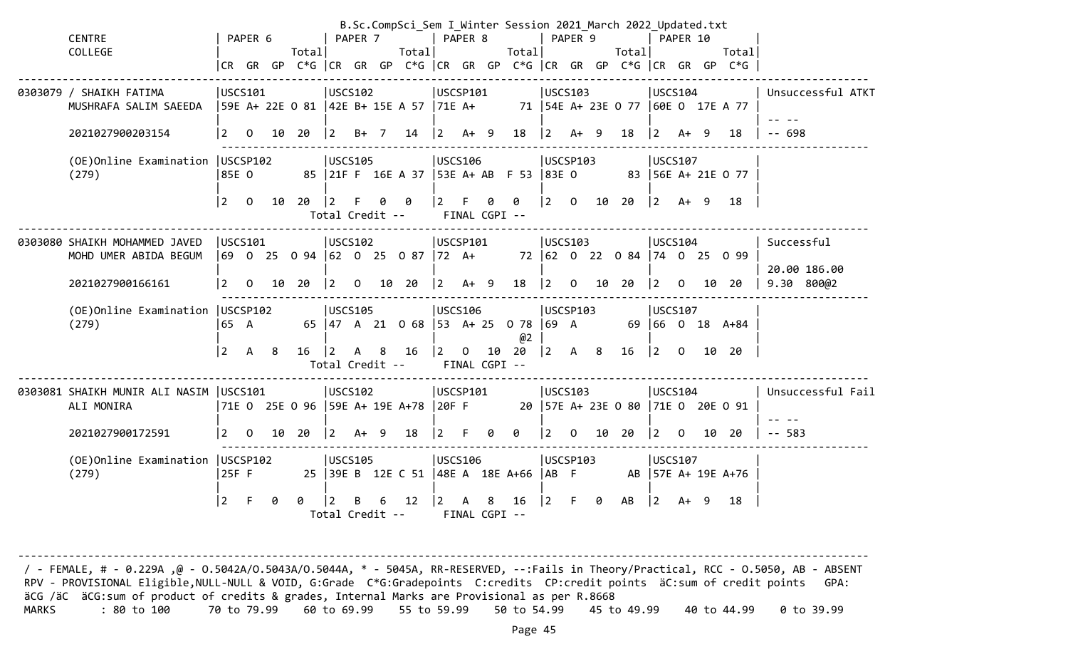|                                                        |                 |                |    |        |                       |                |      | B.Sc.CompSci_Sem I_Winter Session 2021_March 2022_Updated.txt |                 |              |        |                    |                                           |                |   |                                       |                                       |          |    |                                                                      |                            |
|--------------------------------------------------------|-----------------|----------------|----|--------|-----------------------|----------------|------|---------------------------------------------------------------|-----------------|--------------|--------|--------------------|-------------------------------------------|----------------|---|---------------------------------------|---------------------------------------|----------|----|----------------------------------------------------------------------|----------------------------|
| <b>CENTRE</b>                                          |                 | PAPER 6        |    |        |                       | PAPER 7        |      |                                                               |                 | PAPER 8      |        |                    |                                           | PAPER 9        |   |                                       |                                       | PAPER 10 |    |                                                                      |                            |
| COLLEGE                                                |                 |                |    | Totall |                       |                |      | Total                                                         |                 |              |        | Total              |                                           |                |   | Total                                 |                                       |          |    | Total                                                                |                            |
|                                                        |                 |                |    |        |                       |                |      |                                                               |                 |              |        |                    |                                           |                |   |                                       |                                       |          |    | CR GR GP C*G  CR GR GP C*G  CR GR GP C*G  CR GR GP C*G  CR GR GP C*G |                            |
| 0303079 / SHAIKH FATIMA<br>MUSHRAFA SALIM SAEEDA       | USCS101         |                |    |        | USCS102               |                |      | 59E A+ 22E O 81  42E B+ 15E A 57  71E A+                      | USCSP101        |              |        |                    |                                           | <b>USCS103</b> |   | 71   54E A+ 23E 0 77   60E 0 17E A 77 | USCS104                               |          |    |                                                                      | Unsuccessful ATKT          |
|                                                        |                 |                |    |        |                       |                |      |                                                               |                 |              |        |                    |                                           |                |   |                                       |                                       |          |    |                                                                      |                            |
| 2021027900203154                                       | 2               | 0              | 10 | 20     | $ 2\rangle$           |                | B+ 7 | 14                                                            | $ 2\rangle$     |              | $A+ 9$ | 18                 | $\vert$ 2                                 | $A+ 9$         |   | 18                                    | $\overline{2}$                        | $A+ 9$   |    | 18                                                                   | $- - 698$                  |
| (OE) Online Examination   USCSP102<br>(279)            | 85E 0           |                |    |        | USCS105               |                |      | 85   21F F 16E A 37   53E A+ AB F 53   83E O                  | USCS106         |              |        |                    |                                           | USCSP103       |   |                                       | USCS107                               |          |    | 83 56E A+ 21E 0 77                                                   |                            |
|                                                        | 2               | $\overline{0}$ | 10 | 20     | 2 <br>Total Credit -- | F.             | 0    | 0                                                             | $2^{\circ}$     | F            | 0      | 0<br>FINAL CGPI -- |                                           |                |   | $ 2 \t0 \t10 \t20$                    | 2                                     | $A+ 9$   |    | 18                                                                   |                            |
|                                                        |                 |                |    |        |                       |                |      |                                                               |                 |              |        |                    |                                           |                |   |                                       |                                       |          |    |                                                                      |                            |
| 0303080 SHAIKH MOHAMMED JAVED<br>MOHD UMER ABIDA BEGUM | USCS101         |                |    |        | USCS102               |                |      | 69 0 25 0 94  62 0 25 0 87  72 A+                             | USCSP101        |              |        |                    |                                           | USCS103        |   | 72 62 0 22 0 84 74 0 25 0 99          | USCS104                               |          |    |                                                                      | Successful                 |
| 2021027900166161                                       | 2               | $\overline{0}$ |    | 10 20  | $ 2\rangle$           | $\overline{0}$ |      | 10 20                                                         | $\vert$ 2       |              | $A+ 9$ | 18                 | $ 2\rangle$                               | 0              |   | 10 20                                 | $\vert$ 2                             | 0        | 10 | -20                                                                  | 20.00 186.00<br>9.30 80002 |
| (OE) Online Examination   USCSP102<br>(279)            | 65 A            |                |    |        | USCS105               |                |      | 65   47 A 21 0 68   53 A + 25 0 78   69 A                     | <b>USCS106</b>  |              |        |                    |                                           | USCSP103       |   |                                       | USCS107                               |          |    | 69 66 0 18 A+84                                                      |                            |
|                                                        | 2               | A              | 8  | 16     | $\vert$ 2             | A              | 8    | 16                                                            | $\vert 2 \vert$ | $\mathbf{0}$ | 10     | @2<br>20           | $\begin{vmatrix} 2 & A & 8 \end{vmatrix}$ |                |   | 16                                    | $\vert 2 \vert$                       | $\Omega$ |    | 10 20                                                                |                            |
|                                                        |                 |                |    |        | Total Credit --       |                |      |                                                               |                 |              |        | FINAL CGPI --      |                                           |                |   |                                       |                                       |          |    |                                                                      |                            |
| 0303081 SHAIKH MUNIR ALI NASIM   USCS101<br>ALI MONIRA |                 |                |    |        | USCS102               |                |      | 71E 0 25E 0 96   59E A+ 19E A+78   20F F                      | USCSP101        |              |        |                    |                                           | USCS103        |   | 20   57E A+ 23E 0 80   71E 0 20E 0 91 | USCS104                               |          |    |                                                                      | Unsuccessful Fail          |
| 2021027900172591                                       | $\vert 2 \vert$ | $\Omega$       | 10 | 20     | $ 2\rangle$           | $A+ 9$         |      | 18                                                            | $ 2\rangle$     | -F           | 0      | 0                  | <u> 2</u>                                 | $\overline{0}$ |   | 10 20                                 | $\begin{vmatrix} 2 & 0 \end{vmatrix}$ |          |    | 10 20                                                                | $-- 583$                   |
| (OE) Online Examination   USCSP102<br>(279)            | 25F F           |                |    |        | USCS105               |                |      | 25   39E B 12E C 51   48E A 18E A+66   AB F                   | USCS106         |              |        |                    |                                           | USCSP103       |   |                                       | USCS107                               |          |    | AB 57E A+ 19E A+76                                                   |                            |
|                                                        | $\vert$ 2       | F.             | 0  | Ø      | 12.                   | B              | 6    | 12                                                            | $\vert 2 \vert$ | A            | 8      | 16                 | $ 2\rangle$                               | F.             | 0 | AB                                    | $\vert$ 2                             | $A+ 9$   |    | 18                                                                   |                            |
|                                                        |                 |                |    |        | Total Credit --       |                |      |                                                               |                 |              |        | FINAL CGPI --      |                                           |                |   |                                       |                                       |          |    |                                                                      |                            |

 / - FEMALE, # - 0.229A ,@ - O.5042A/O.5043A/O.5044A, \* - 5045A, RR-RESERVED, --:Fails in Theory/Practical, RCC - O.5050, AB - ABSENT RPV - PROVISIONAL Eligible, NULL-NULL & VOID, G:Grade C\*G:Gradepoints C:credits CP:credit points äC:sum of credit points GPA: äCG /äC äCG:sum of product of credits & grades, Internal Marks are Provisional as per R.8668 MARKS : 80 to 100 70 to 79.99 60 to 69.99 55 to 59.99 50 to 54.99 45 to 49.99 40 to 44.99 0 to 39.99

--------------------------------------------------------------------------------------------------------------------------------------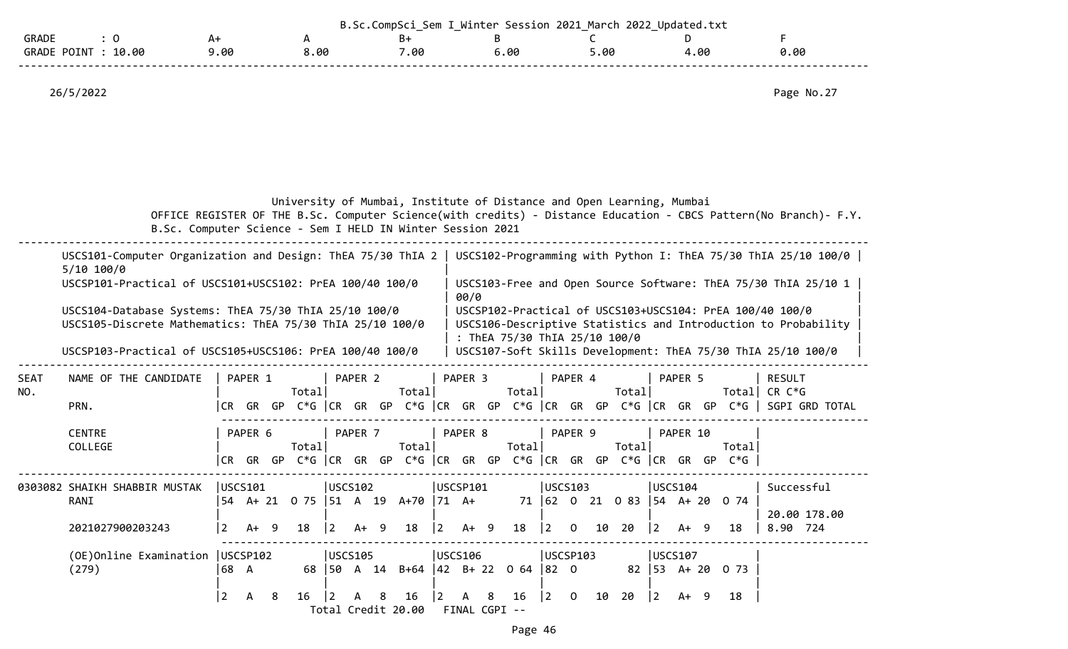|                             |      |      | ⊂om<br>ิกฑกเ | Session 2021<br>Winter | March 2022<br>_ | Updated.txt U |      |
|-----------------------------|------|------|--------------|------------------------|-----------------|---------------|------|
| <b>GRADE</b>                | ∸    |      |              |                        |                 |               |      |
| 10.00<br><b>GRADE POINT</b> | 9.00 | 00.د | .00          | .00                    | .00             | .00           | 0.00 |
|                             |      |      |              |                        |                 |               |      |

|  |  |  | University of Mumbai, Institute of Distance and Open Learning, Mumbai |  |  |  |  |  |
|--|--|--|-----------------------------------------------------------------------|--|--|--|--|--|
|--|--|--|-----------------------------------------------------------------------|--|--|--|--|--|

 OFFICE REGISTER OF THE B.Sc. Computer Science(with credits) - Distance Education - CBCS Pattern(No Branch)- F.Y. B.Sc. Computer Science - Sem I HELD IN Winter Session 2021

|             | USCS101-Computer Organization and Design: ThEA 75/30 ThIA 2<br>USCS102-Programming with Python I: ThEA 75/30 ThIA 25/10 100/0  <br>5/10 100/0<br>USCSP101-Practical of USCS101+USCS102: PrEA 100/40 100/0<br>USCS103-Free and Open Source Software: ThEA 75/30 ThIA 25/10 1<br>00/0<br>USCS104-Database Systems: ThEA 75/30 ThIA 25/10 100/0<br>USCSP102-Practical of USCS103+USCS104: PrEA 100/40 100/0<br>USCS105-Discrete Mathematics: ThEA 75/30 ThIA 25/10 100/0<br>USCS106-Descriptive Statistics and Introduction to Probability<br>: ThEA 75/30 ThIA 25/10 100/0<br>USCSP103-Practical of USCS105+USCS106: PrEA 100/40 100/0<br>USCS107-Soft Skills Development: ThEA 75/30 ThIA 25/10 100/0<br>PAPER 2<br>PAPER 3<br>PAPER 4<br>NAME OF THE CANDIDATE<br>PAPER 1<br>PAPER 5<br><b>RESULT</b><br>Total<br>Total<br>Total<br>Total<br>CR C*G<br>Totall<br> CR GR GP C*G   CR GR GP C*G   CR GR GP C*G   CR GR GP C*G   CR GR GP C*G    SGPI GRD TOTAL<br>PRN.<br><b>CENTRE</b><br>PAPER 8<br>PAPER 9<br>PAPER 6<br>PAPER 7<br>PAPER 10<br>Total <br>Total<br>Total<br>Total<br>COLLEGE<br>Total<br>GR GP C*G CR GR GP C*G CR GR GP C*G CR GR GP C*G CR GR GP C*G $ $<br>CR -<br>USCS101<br>USCS102<br>USCSP101<br>USCS103<br>USCS104<br>Successful<br>0303082 SHAIKH SHABBIR MUSTAK<br>RANI<br>54 A+ 21 0 75 51 A 19 A+70 71 A+<br>71 62 0 21 0 83<br> 54 A+ 20<br>0 74<br>20.00 178.00<br>$A+ 9$<br>$A+ 9$<br>$A+ 9$ |                |   |   |    |             |         |   |                              |             |                    |   |    |             |                |    |     |           |         |     |                     |          |
|-------------|------------------------------------------------------------------------------------------------------------------------------------------------------------------------------------------------------------------------------------------------------------------------------------------------------------------------------------------------------------------------------------------------------------------------------------------------------------------------------------------------------------------------------------------------------------------------------------------------------------------------------------------------------------------------------------------------------------------------------------------------------------------------------------------------------------------------------------------------------------------------------------------------------------------------------------------------------------------------------------------------------------------------------------------------------------------------------------------------------------------------------------------------------------------------------------------------------------------------------------------------------------------------------------------------------------------------------------------------------------------------------------------------------------------------------|----------------|---|---|----|-------------|---------|---|------------------------------|-------------|--------------------|---|----|-------------|----------------|----|-----|-----------|---------|-----|---------------------|----------|
|             |                                                                                                                                                                                                                                                                                                                                                                                                                                                                                                                                                                                                                                                                                                                                                                                                                                                                                                                                                                                                                                                                                                                                                                                                                                                                                                                                                                                                                              |                |   |   |    |             |         |   |                              |             |                    |   |    |             |                |    |     |           |         |     |                     |          |
|             |                                                                                                                                                                                                                                                                                                                                                                                                                                                                                                                                                                                                                                                                                                                                                                                                                                                                                                                                                                                                                                                                                                                                                                                                                                                                                                                                                                                                                              |                |   |   |    |             |         |   |                              |             |                    |   |    |             |                |    |     |           |         |     |                     |          |
|             |                                                                                                                                                                                                                                                                                                                                                                                                                                                                                                                                                                                                                                                                                                                                                                                                                                                                                                                                                                                                                                                                                                                                                                                                                                                                                                                                                                                                                              |                |   |   |    |             |         |   |                              |             |                    |   |    |             |                |    |     |           |         |     |                     |          |
|             |                                                                                                                                                                                                                                                                                                                                                                                                                                                                                                                                                                                                                                                                                                                                                                                                                                                                                                                                                                                                                                                                                                                                                                                                                                                                                                                                                                                                                              |                |   |   |    |             |         |   |                              |             |                    |   |    |             |                |    |     |           |         |     |                     |          |
| SEAT<br>NO. |                                                                                                                                                                                                                                                                                                                                                                                                                                                                                                                                                                                                                                                                                                                                                                                                                                                                                                                                                                                                                                                                                                                                                                                                                                                                                                                                                                                                                              |                |   |   |    |             |         |   |                              |             |                    |   |    |             |                |    |     |           |         |     |                     |          |
|             |                                                                                                                                                                                                                                                                                                                                                                                                                                                                                                                                                                                                                                                                                                                                                                                                                                                                                                                                                                                                                                                                                                                                                                                                                                                                                                                                                                                                                              |                |   |   |    |             |         |   |                              |             |                    |   |    |             |                |    |     |           |         |     |                     |          |
|             |                                                                                                                                                                                                                                                                                                                                                                                                                                                                                                                                                                                                                                                                                                                                                                                                                                                                                                                                                                                                                                                                                                                                                                                                                                                                                                                                                                                                                              |                |   |   |    |             |         |   |                              |             |                    |   |    |             |                |    |     |           |         |     |                     |          |
|             |                                                                                                                                                                                                                                                                                                                                                                                                                                                                                                                                                                                                                                                                                                                                                                                                                                                                                                                                                                                                                                                                                                                                                                                                                                                                                                                                                                                                                              |                |   |   |    |             |         |   |                              |             |                    |   |    |             |                |    |     |           |         |     |                     |          |
|             |                                                                                                                                                                                                                                                                                                                                                                                                                                                                                                                                                                                                                                                                                                                                                                                                                                                                                                                                                                                                                                                                                                                                                                                                                                                                                                                                                                                                                              |                |   |   |    |             |         |   |                              |             |                    |   |    |             |                |    |     |           |         |     |                     |          |
|             | 2021027900203243                                                                                                                                                                                                                                                                                                                                                                                                                                                                                                                                                                                                                                                                                                                                                                                                                                                                                                                                                                                                                                                                                                                                                                                                                                                                                                                                                                                                             | $\overline{2}$ |   |   | 18 | $ 2\rangle$ |         |   | 18                           | $ 2\rangle$ |                    |   | 18 | $\vert$ 2   | $\mathbf{O}$   | 10 | 20  | $\vert$ 2 | A+      | - 9 | 18                  | 8.90 724 |
|             | (OE) Online Examination   USCSP102                                                                                                                                                                                                                                                                                                                                                                                                                                                                                                                                                                                                                                                                                                                                                                                                                                                                                                                                                                                                                                                                                                                                                                                                                                                                                                                                                                                           |                |   |   |    |             | USCS105 |   |                              |             | USCS106            |   |    |             | luscsP103      |    |     |           | USCS107 |     |                     |          |
|             | (279)                                                                                                                                                                                                                                                                                                                                                                                                                                                                                                                                                                                                                                                                                                                                                                                                                                                                                                                                                                                                                                                                                                                                                                                                                                                                                                                                                                                                                        | 68 A           |   |   |    |             |         |   | 68 50 A 14 B+64 42 B+22 0 64 |             |                    |   |    | $ 82 \t0$   |                |    | 82  |           |         |     | $ 53 \tA+20 \tO 73$ |          |
|             |                                                                                                                                                                                                                                                                                                                                                                                                                                                                                                                                                                                                                                                                                                                                                                                                                                                                                                                                                                                                                                                                                                                                                                                                                                                                                                                                                                                                                              | $\overline{2}$ | A | 8 | 16 |             |         | 8 | 16<br>Total Credit 20.00     | I 2         | A<br>FINAL CGPI -- | 8 | 16 | $ 2\rangle$ | $\overline{0}$ | 10 | -20 | $\vert$ 2 | A+      | -9  | 18                  |          |
|             |                                                                                                                                                                                                                                                                                                                                                                                                                                                                                                                                                                                                                                                                                                                                                                                                                                                                                                                                                                                                                                                                                                                                                                                                                                                                                                                                                                                                                              |                |   |   |    |             |         |   |                              |             |                    |   |    |             |                |    |     |           |         |     |                     |          |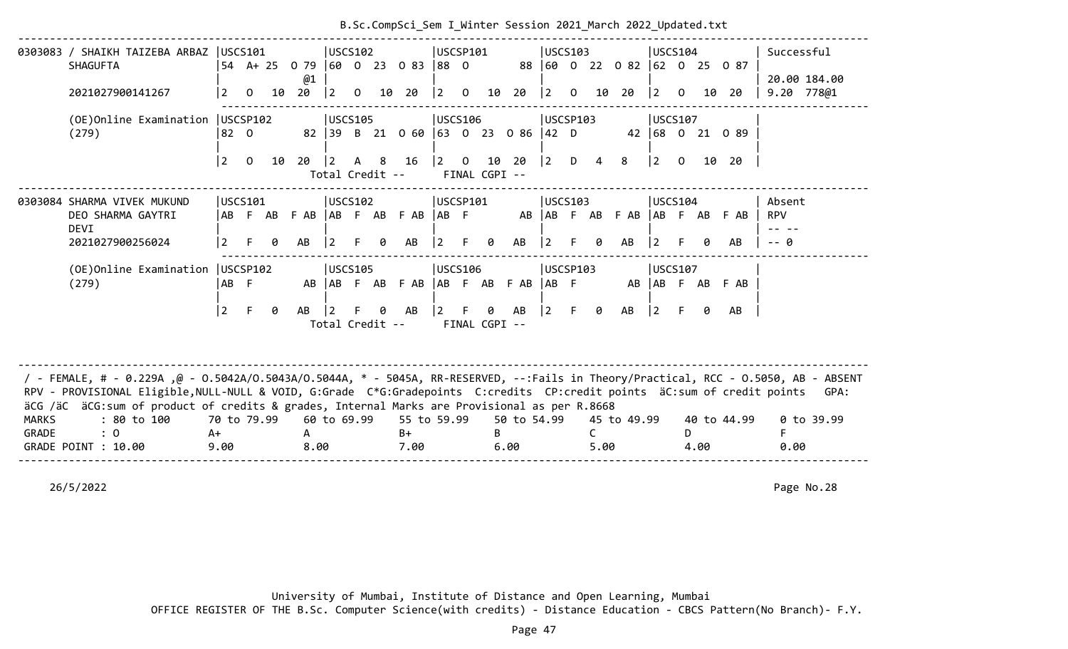|                       | 0303083 / SHAIKH TAIZEBA ARBAZ<br><b>SHAGUFTA</b>                                                                                                                                                                                                                                                                                                                | USCS101                   |                |    |           |                | USCS102         |     | 54 A + 25 0 79 60 0 23 0 83 88 0  | USCSP101                              |                |                        |                     | USCS103                                        |                |           | 88 60 0 22 0 82 62 0 25 0 87 | USCS104        |                |      |                 |                      | Successful                 |
|-----------------------|------------------------------------------------------------------------------------------------------------------------------------------------------------------------------------------------------------------------------------------------------------------------------------------------------------------------------------------------------------------|---------------------------|----------------|----|-----------|----------------|-----------------|-----|-----------------------------------|---------------------------------------|----------------|------------------------|---------------------|------------------------------------------------|----------------|-----------|------------------------------|----------------|----------------|------|-----------------|----------------------|----------------------------|
|                       | 2021027900141267                                                                                                                                                                                                                                                                                                                                                 | $\overline{2}$            | $\overline{0}$ | 10 | @1<br>20  | $ 2\rangle$    | $\overline{O}$  |     | 10 20                             | $ 2\rangle$                           | $\overline{O}$ |                        | 10 20               | $ 2\rangle$                                    | $\overline{0}$ |           | 10 20                        | <u> 2</u>      | $\overline{0}$ | 10   | -20             |                      | 20.00 184.00<br>9.20 778@1 |
|                       | (OE) Online Examination   USCSP102<br>(279)                                                                                                                                                                                                                                                                                                                      | 82 0                      |                |    |           |                | USCS105         |     | 82 39 B 21 0 60 63 0 23 0 86 42 D | <b>USCS106</b>                        |                |                        |                     | USCSP103                                       |                |           |                              | USCS107        |                |      | 42 68 0 21 0 89 |                      |                            |
|                       |                                                                                                                                                                                                                                                                                                                                                                  | l 2.                      | $\overline{0}$ | 10 | 20        | $\vert$ 2      | Total Credit -- |     | A 8 16                            | $\begin{vmatrix} 2 & 0 \end{vmatrix}$ |                | 10 20<br>FINAL CGPI -- |                     | $\begin{vmatrix} 2 & D & 4 \end{vmatrix}$      |                |           | 8                            | $\vert$ 2      | $\overline{0}$ |      | 10 20           |                      |                            |
|                       | 0303084 SHARMA VIVEK MUKUND<br>DEO SHARMA GAYTRI<br><b>DEVI</b>                                                                                                                                                                                                                                                                                                  |                           | USCS101        |    |           |                | USCS102         |     | ABFABFAB ABFABFAB ABF             | USCSP101                              |                |                        |                     | USCS103                                        |                |           | AB AB F AB F AB              | USCS104        |                |      | AB F AB F AB    | Absent<br><b>RPV</b> |                            |
|                       | 2021027900256024                                                                                                                                                                                                                                                                                                                                                 | $\overline{2}$            | F.             | 0  | AB        | $\overline{2}$ |                 | ø   | AB                                | $ 2\rangle$                           | F.             | 0                      | AB                  | 2                                              | F.             | 0         | AB                           | 2              | F.             | ø    | AB              | -- A                 |                            |
|                       | (OE) Online Examination   USCSP102<br>(279)                                                                                                                                                                                                                                                                                                                      | AB F                      |                |    | AB        |                | USCS105         |     | AB F AB F AB                      | <b>USCS106</b>                        |                |                        | AB F AB F AB        | USCSP103<br>$AB$ F                             |                |           | AB                           | <b>USCS107</b> |                |      | AB F AB F AB    |                      |                            |
|                       |                                                                                                                                                                                                                                                                                                                                                                  | $ 2\rangle$               | F              | 0  | AB        | $\vert$ 2      | Total Credit -- | ิ ค | AB                                | $ 2\rangle$                           | E.             | 0<br>FINAL CGPI --     | AB                  | $\begin{bmatrix} 2 & F & \theta \end{bmatrix}$ |                |           | AB                           | $ 2\rangle$    | F.             | 0    | AB              |                      |                            |
|                       | / - FEMALE, # - 0.229A ,@ - 0.5042A/0.5043A/0.5044A, * - 5045A, RR-RESERVED, --:Fails in Theory/Practical, RCC - 0.5050, AB - ABSENT<br>RPV - PROVISIONAL Eligible, NULL-NULL & VOID, G:Grade C*G:Gradepoints C:credits CP:credit points äC:sum of credit points<br>äCG /äC äCG:sum of product of credits & grades, Internal Marks are Provisional as per R.8668 |                           |                |    |           |                |                 |     |                                   |                                       |                |                        |                     |                                                |                |           |                              |                |                |      |                 |                      | GPA:                       |
| <b>MARKS</b><br>GRADE | : 80 to 100<br>: 0<br>GRADE POINT : 10.00                                                                                                                                                                                                                                                                                                                        | 70 to 79.99<br>A+<br>9.00 |                |    | A<br>8.00 |                | 60 to 69.99     |     | 55 to 59.99<br>$B+$<br>7.00       |                                       |                | B.                     | 50 to 54.99<br>6.00 |                                                |                | C<br>5.00 | 45 to 49.99                  |                | D.             | 4.00 | 40 to 44.99     | 0.00                 | $0$ to 39.99               |
|                       |                                                                                                                                                                                                                                                                                                                                                                  |                           |                |    |           |                |                 |     |                                   |                                       |                |                        |                     |                                                |                |           |                              |                |                |      |                 |                      |                            |

# B.Sc.CompSci\_Sem I\_Winter Session 2021\_March 2022\_Updated.txt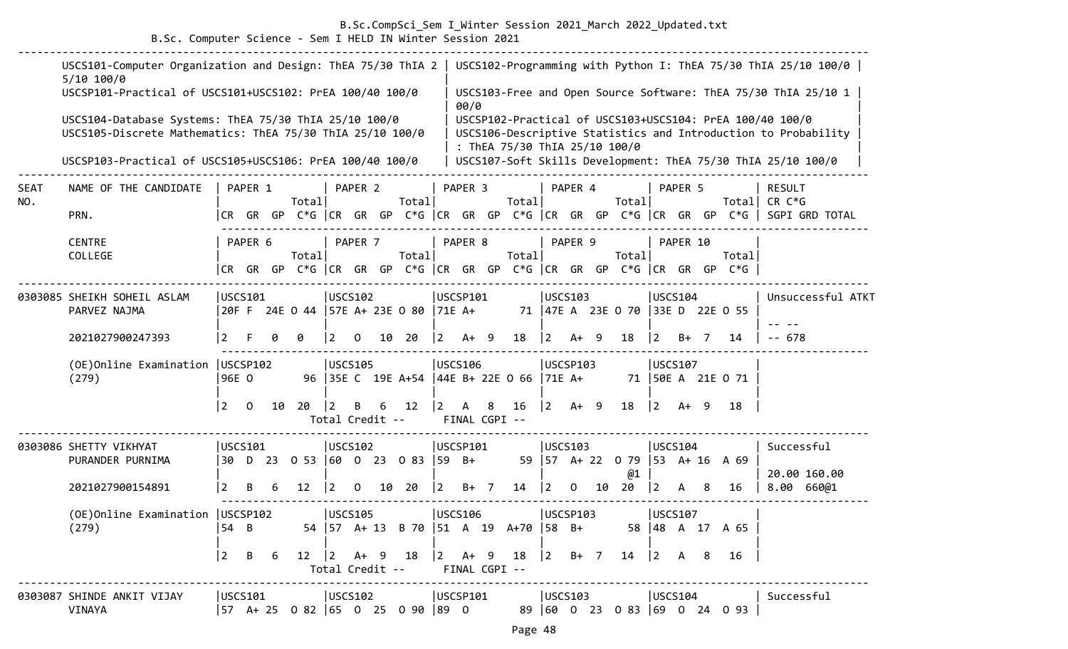### B.Sc.CompSci\_Sem I\_Winter Session 2021\_March 2022\_Updated.txt

B.Sc. Computer Science - Sem I HELD IN Winter Session 2021

|             | USCS101-Computer Organization and Design: ThEA 75/30 ThIA 2   USCS102-Programming with Python I: ThEA 75/30 ThIA 25/10 100/0  <br>$5/10$ 100/0<br>USCSP101-Practical of USCS101+USCS102: PrEA 100/40 100/0 |                |                |    |         |                 |                      |    |                                                                                                                                                    |                |                    |   |                               |             |          |    |                                      |             |          |     |                                                                          | USCS103-Free and Open Source Software: ThEA 75/30 ThIA 25/10 1                                                             |
|-------------|------------------------------------------------------------------------------------------------------------------------------------------------------------------------------------------------------------|----------------|----------------|----|---------|-----------------|----------------------|----|----------------------------------------------------------------------------------------------------------------------------------------------------|----------------|--------------------|---|-------------------------------|-------------|----------|----|--------------------------------------|-------------|----------|-----|--------------------------------------------------------------------------|----------------------------------------------------------------------------------------------------------------------------|
|             | USCS104-Database Systems: ThEA 75/30 ThIA 25/10 100/0<br>USCS105-Discrete Mathematics: ThEA 75/30 ThIA 25/10 100/0                                                                                         |                |                |    |         |                 |                      |    |                                                                                                                                                    |                | 00/0               |   | : ThEA 75/30 ThIA 25/10 100/0 |             |          |    |                                      |             |          |     |                                                                          | USCSP102-Practical of USCS103+USCS104: PrEA 100/40 100/0<br>USCS106-Descriptive Statistics and Introduction to Probability |
|             | USCSP103-Practical of USCS105+USCS106: PrEA 100/40 100/0                                                                                                                                                   |                |                |    |         |                 |                      |    |                                                                                                                                                    |                |                    |   |                               |             |          |    |                                      |             |          |     |                                                                          | USCS107-Soft Skills Development: ThEA 75/30 ThIA 25/10 100/0                                                               |
| SEAT<br>NO. | NAME OF THE CANDIDATE                                                                                                                                                                                      |                | PAPER 1        |    | Totall  |                 | PAPER 2              |    | Total                                                                                                                                              |                | PAPER 3            |   | Total                         |             | PAPER 4  |    | Total                                |             | PAPER 5  |     | Totall                                                                   | <b>RESULT</b><br>CR C*G                                                                                                    |
|             | PRN.                                                                                                                                                                                                       |                |                |    |         |                 |                      |    |                                                                                                                                                    |                |                    |   |                               |             |          |    |                                      |             |          |     |                                                                          | CR GR GP C*G  CR GR GP C*G  CR GR GP C*G  CR GR GP C*G  CR GR GP C*G   SGPI GRD TOTAL                                      |
|             | <b>CENTRE</b><br>COLLEGE                                                                                                                                                                                   |                | PAPER 6        |    | Total   |                 | PAPER 7              |    | Total                                                                                                                                              |                | PAPER 8            |   | Total                         |             | PAPER 9  |    | Total                                |             | PAPER 10 |     | Total                                                                    |                                                                                                                            |
|             |                                                                                                                                                                                                            |                |                |    |         |                 |                      |    |                                                                                                                                                    |                |                    |   |                               |             |          |    |                                      |             |          |     | CR GR GP C*G CR GR GP C*G CR GR GP C*G CR GR GP C*G CR GR GP C*G $\vert$ |                                                                                                                            |
|             | 0303085 SHEIKH SOHEIL ASLAM<br>PARVEZ NAJMA                                                                                                                                                                | USCS101        |                |    |         |                 | <b>USCS102</b>       |    | 20F F 24E 0 44   57E A+ 23E 0 80   71E A+                                                                                                          |                | USCSP101           |   |                               |             | USCS103  |    | 71 47E A 23E O 70 33E D 22E O 55     | USCS104     |          |     |                                                                          | Unsuccessful ATKT                                                                                                          |
|             | 2021027900247393                                                                                                                                                                                           |                |                |    | ø       | $\vert 2 \vert$ | 0                    | 10 | 20                                                                                                                                                 | $\overline{2}$ | $A+9$              |   | 18                            | $ 2\rangle$ | A+       | -9 | 18                                   | $ 2\rangle$ | $B+$ 7   |     | 14                                                                       | $- - 678$                                                                                                                  |
|             | (OE) Online Examination   USCSP102<br>(279)                                                                                                                                                                | 96E 0          |                |    |         |                 | <b>USCS105</b>       |    | 96 35E C 19E A+54 44E B+ 22E 0 66                                                                                                                  |                | USCS106            |   |                               | $ 71E A+$   | USCSP103 |    |                                      | USCS107     |          |     | 71 50E A 21E O 71                                                        |                                                                                                                            |
|             |                                                                                                                                                                                                            | l 2            | $\overline{0}$ | 10 | 20      | 12              | B<br>Total Credit -- | 6  | 12                                                                                                                                                 | $\mathbf{2}$   | A<br>FINAL CGPI -- | 8 | 16                            | $\vert$ 2   | $A+ 9$   |    | 18                                   | $ 2\rangle$ | $A+ 9$   |     | 18                                                                       |                                                                                                                            |
|             | 0303086 SHETTY VIKHYAT<br>PURANDER PURNIMA                                                                                                                                                                 | USCS101        |                |    |         |                 | <b>USCS102</b>       |    | 30 D 23 0 53 60 0 23 0 83 59 B+                                                                                                                    |                | USCSP101           |   |                               |             | USCS103  |    | 59   57 A + 22 0 79   53 A + 16 A 69 | USCS104     |          |     |                                                                          | Successful                                                                                                                 |
|             | 2021027900154891                                                                                                                                                                                           | 2              | B              | 6  | 12      | $\vert 2 \vert$ | $\Omega$             |    | 10 20                                                                                                                                              | $\vert$ 2      | $B+$ 7             |   | 14                            | $ 2\rangle$ | $\Omega$ | 10 | @1<br>20                             | $ 2\rangle$ | A        | - 8 | 16                                                                       | 20.00 160.00<br>8.00 66001                                                                                                 |
|             | (OE) Online Examination   USCSP102<br>(279)                                                                                                                                                                | 54 B           |                |    |         |                 | USCS105              |    | 54   57 A + 13 B 70   51 A 19 A + 70   58 B + 58   48 A 17 A 65                                                                                    |                | USCS106            |   |                               |             | USCSP103 |    |                                      | USCS107     |          |     |                                                                          |                                                                                                                            |
|             |                                                                                                                                                                                                            | $ 2 \text{ B}$ |                | 6  |         |                 |                      |    | 12 $\begin{vmatrix} 2 & 4 & 9 & 18 \end{vmatrix}$ 2 A + 9 18 $\begin{vmatrix} 2 & 8 & 7 & 14 \end{vmatrix}$ 2 A 8<br>Total Credit -- FINAL CGPI -- |                |                    |   |                               |             |          |    |                                      |             |          |     | 16                                                                       |                                                                                                                            |
|             | 0303087 SHINDE ANKIT VIJAY<br>VINAYA                                                                                                                                                                       | USCS101        |                |    | USCS102 |                 |                      |    | 57 A+ 25 0 82  65 0 25 0 90  89 0                                                                                                                  |                | USCSP101           |   |                               |             | USCS103  |    |                                      | USCS104     |          |     | 89 60 0 23 0 83 69 0 24 0 93                                             | Successful                                                                                                                 |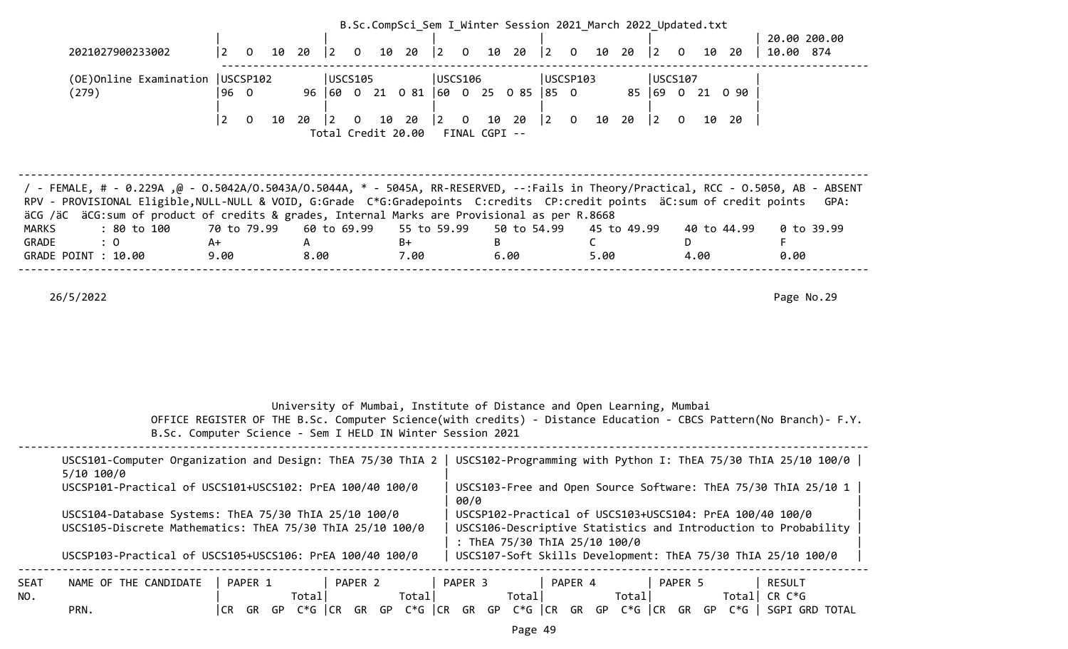|                                                                                                                                                                                                                                                                                                                                                                                                 |                                                                                                                                                                                |                                                                       |                                 |         | B.Sc.CompSci Sem I Winter Session 2021 March 2022 Updated.txt |             |                                 |           |                               |                                       |                |       |             |                 |                |                 |                                                                                                                          |                                                                                                                                  |  |
|-------------------------------------------------------------------------------------------------------------------------------------------------------------------------------------------------------------------------------------------------------------------------------------------------------------------------------------------------------------------------------------------------|--------------------------------------------------------------------------------------------------------------------------------------------------------------------------------|-----------------------------------------------------------------------|---------------------------------|---------|---------------------------------------------------------------|-------------|---------------------------------|-----------|-------------------------------|---------------------------------------|----------------|-------|-------------|-----------------|----------------|-----------------|--------------------------------------------------------------------------------------------------------------------------|----------------------------------------------------------------------------------------------------------------------------------|--|
| 2021027900233002                                                                                                                                                                                                                                                                                                                                                                                | $\vert$ 2<br>$\overline{0}$                                                                                                                                                    | 10<br>$20 \t 2$                                                       | $\overline{0}$                  | 10      | 20                                                            | $ 2\rangle$ | $\overline{0}$                  | 10 20     |                               | $ 2\rangle$                           | $\overline{0}$ | 10    | 20          | $\vert 2 \vert$ | $\mathbf{0}$   | 10 20           | 10.00 874                                                                                                                | 20.00 200.00                                                                                                                     |  |
| (OE) Online Examination   USCSP102<br>(279)                                                                                                                                                                                                                                                                                                                                                     | 96 0                                                                                                                                                                           |                                                                       | <b>USCS105</b>                  |         | 96 60 0 21 0 81 60 0 25 0 85 85 0                             | USCS106     |                                 |           |                               |                                       | USCSP103       |       |             |                 | USCS107        | 85 69 0 21 0 90 |                                                                                                                          |                                                                                                                                  |  |
|                                                                                                                                                                                                                                                                                                                                                                                                 | $\overline{2}$<br>$\overline{0}$                                                                                                                                               | 20<br>10                                                              | $\vert$ 2<br>Total Credit 20.00 | 10<br>0 | 20                                                            | $ 2\rangle$ | $\overline{0}$<br>FINAL CGPI -- | 10 20     |                               | $\begin{vmatrix} 2 & 0 \end{vmatrix}$ |                | 10 20 |             | $ 2\rangle$     | $\overline{0}$ | 10 20           |                                                                                                                          |                                                                                                                                  |  |
| 7 - FEMALE, # - 0.229Α ,@ - 0.5042Α/Ο.5043Α/Ο.5044Α, * - 5045Α, RR-RESERVED, --:Fails in Theory/Practical, RCC - 0.5050, AB - ABSENT<br>RPV - PROVISIONAL Eligible, NULL-NULL & VOID, G:Grade C*G:Gradepoints C:credits CP:credit points äC:sum of credit points<br>äCG /äC äCG:sum of product of credits & grades, Internal Marks are Provisional as per R.8668<br>: 80 to 100<br><b>MARKS</b> | 70 to 79.99                                                                                                                                                                    |                                                                       | 60 to 69.99                     |         | 55 to 59.99                                                   |             |                                 |           | 50 to 54.99                   |                                       |                |       | 45 to 49.99 |                 |                | 40 to 44.99     |                                                                                                                          | GPA:<br>$0$ to 39.99                                                                                                             |  |
| : 0<br>GRADE<br>GRADE POINT : 10.00                                                                                                                                                                                                                                                                                                                                                             | A+<br>9.00                                                                                                                                                                     | A<br>8.00                                                             |                                 |         | $B+$<br>7.00                                                  |             |                                 | B<br>6.00 |                               |                                       | $\mathsf{C}$   | 5.00  |             |                 | D<br>4.00      |                 | F<br>0.00                                                                                                                |                                                                                                                                  |  |
|                                                                                                                                                                                                                                                                                                                                                                                                 |                                                                                                                                                                                |                                                                       |                                 |         |                                                               |             |                                 |           |                               |                                       |                |       |             |                 |                |                 |                                                                                                                          |                                                                                                                                  |  |
| 26/5/2022                                                                                                                                                                                                                                                                                                                                                                                       | OFFICE REGISTER OF THE B.Sc. Computer Science(with credits) - Distance Education - CBCS Pattern(No Branch)- F.Y.<br>B.Sc. Computer Science - Sem I HELD IN Winter Session 2021 | University of Mumbai, Institute of Distance and Open Learning, Mumbai |                                 |         |                                                               |             |                                 |           |                               |                                       |                |       |             |                 |                |                 |                                                                                                                          | Page No.29                                                                                                                       |  |
| USCS101-Computer Organization and Design: ThEA 75/30 ThIA 2   USCS102-Programming with Python I: ThEA 75/30 ThIA 25/10 100/0  <br>5/10 100/0<br>USCSP101-Practical of USCS101+USCS102: PrEA 100/40 100/0<br>USCS104-Database Systems: ThEA 75/30 ThIA 25/10 100/0<br>USCS105-Discrete Mathematics: ThEA 75/30 ThIA 25/10 100/0<br>USCSP103-Practical of USCS105+USCS106: PrEA 100/40 100/0      |                                                                                                                                                                                |                                                                       |                                 |         |                                                               |             | 00/0                            |           | : ThEA 75/30 ThIA 25/10 100/0 |                                       |                |       |             |                 |                |                 | USCSP102-Practical of USCS103+USCS104: PrEA 100/40 100/0<br>USCS107-Soft Skills Development: ThEA 75/30 ThIA 25/10 100/0 | USCS103-Free and Open Source Software: ThEA 75/30 ThIA 25/10 1<br>USCS106-Descriptive Statistics and Introduction to Probability |  |
| SEAT<br>NAME OF THE CANDIDATE<br>NO.<br>PRN.                                                                                                                                                                                                                                                                                                                                                    | PAPER 1<br>$CR$ GR GP $C*G$ $CR$ GR GP                                                                                                                                         | Total                                                                 | PAPER 2                         |         | Total                                                         |             | PAPER 3                         |           | Total                         |                                       | PAPER 4        |       | Total       |                 | PAPER 5        |                 | <b>RESULT</b><br>Total CR $C*G$                                                                                          | <code>C*G</code> $ $ CR GR GP C*G $ $ CR GR GP C*G $ $ CR GR GP C*G $ $ SGPI GRD TOTAL                                           |  |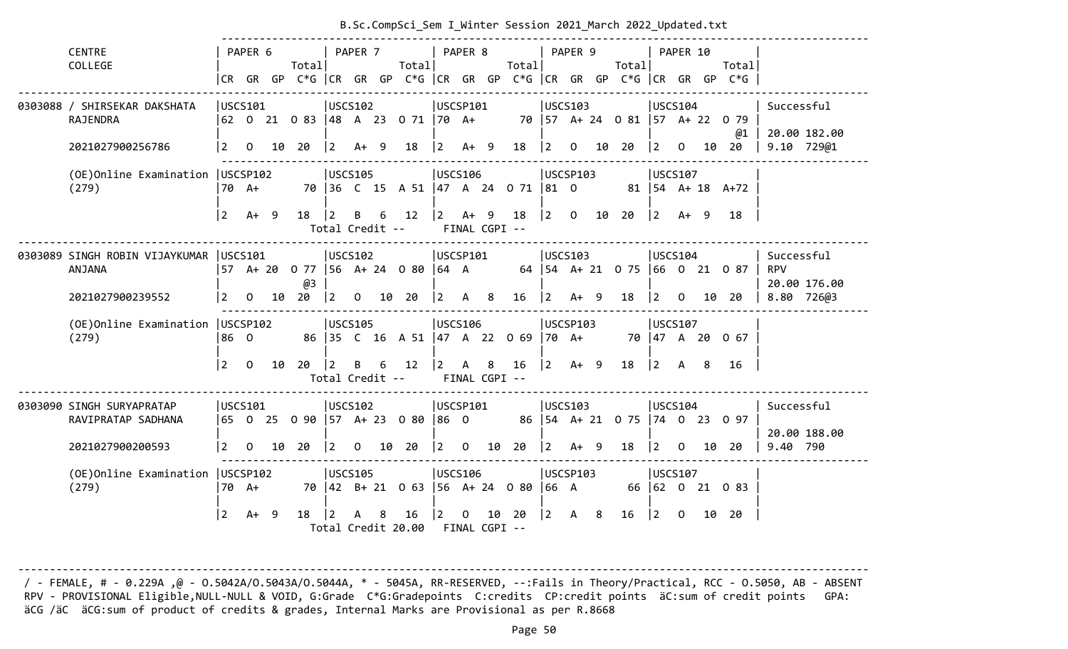|                                                                                                                          |           |                                       |    |                    |                 |         |  | B.Sc.CompSci Sem I Winter Session 2021 March 2022 Updated.txt      |                                           |  |     |                                                             |                                           |  |                                                |                                           |          |    |                                                                                                                           |                            |
|--------------------------------------------------------------------------------------------------------------------------|-----------|---------------------------------------|----|--------------------|-----------------|---------|--|--------------------------------------------------------------------|-------------------------------------------|--|-----|-------------------------------------------------------------|-------------------------------------------|--|------------------------------------------------|-------------------------------------------|----------|----|---------------------------------------------------------------------------------------------------------------------------|----------------------------|
| <b>CENTRE</b>                                                                                                            |           | PAPER 6                               |    |                    |                 | PAPER 7 |  |                                                                    | PAPER 8                                   |  |     |                                                             | PAPER 9                                   |  |                                                |                                           | PAPER 10 |    |                                                                                                                           |                            |
| COLLEGE                                                                                                                  |           |                                       |    | Totall             |                 |         |  | Total                                                              |                                           |  |     | Total                                                       |                                           |  | Totall                                         |                                           |          |    | Totall<br> CR GR GP C*G  CR GR GP C*G  CR GR GP C*G  CR GR GP C*G  CR GR GP C*G                                           |                            |
| 0303088 / SHIRSEKAR DAKSHATA                                                                                             | USCS101   |                                       |    |                    | USCS102         |         |  |                                                                    | USCSP101                                  |  |     |                                                             | USCS103                                   |  |                                                | USCS104                                   |          |    |                                                                                                                           | Successful                 |
| RAJENDRA                                                                                                                 |           |                                       |    |                    |                 |         |  | 62 0 21 0 83  48 A 23 0 71  70 A+ 70  57 A+ 24 0 81  57 A+ 22 0 79 |                                           |  |     |                                                             |                                           |  |                                                |                                           |          |    |                                                                                                                           | 20.00 182.00               |
| 2021027900256786                                                                                                         |           |                                       |    | $ 2 \t0 \t10 \t20$ | $ 2 \tA+ 9$     |         |  | $18 \mid 2 \quad A+ \quad 9$                                       |                                           |  |     |                                                             |                                           |  | 18   2 0 10 20   2 0 10 20                     |                                           |          |    | @1                                                                                                                        | 9.10 729@1                 |
| (OE)Online Examination                                                                                                   | USCSP102  |                                       |    |                    | USCS105         |         |  |                                                                    | <b>USCS106</b>                            |  |     |                                                             | USCSP103                                  |  |                                                | USCS107                                   |          |    |                                                                                                                           |                            |
| (279)                                                                                                                    |           | 70 A+                                 |    |                    |                 |         |  |                                                                    |                                           |  |     |                                                             |                                           |  |                                                |                                           |          |    | 70 36 C 15 A 51 47 A 24 0 71 81 0 81 54 A+ 18 A+72                                                                        |                            |
|                                                                                                                          | $\vert$ 2 | $A+ 9$                                |    | 18                 | 2               |         |  | B 6 12  2 A+ 9 18  2 0 10 20                                       |                                           |  |     |                                                             |                                           |  |                                                | $\vert$ 2                                 | $A+ 9$   |    | 18                                                                                                                        |                            |
| Total Credit -- FINAL CGPI --<br> USCS102<br>USCSP101<br> USCS103<br> USCS104<br>0303089 SINGH ROBIN VIJAYKUMAR  USCS101 |           |                                       |    |                    |                 |         |  |                                                                    |                                           |  |     |                                                             |                                           |  | Successful                                     |                                           |          |    |                                                                                                                           |                            |
| ANJANA                                                                                                                   |           |                                       |    |                    |                 |         |  |                                                                    |                                           |  |     |                                                             |                                           |  |                                                |                                           |          |    | 57    A+  20    0  77   56    A+  24    0  80   64    A                64   54    A+  21    0  75   66    0   21    0  87 | <b>RPV</b>                 |
| 2021027900239552                                                                                                         |           | $\begin{vmatrix} 2 & 0 \end{vmatrix}$ |    | @3<br>10 20        |                 |         |  | $\begin{vmatrix} 2 & 0 & 10 & 20 \end{vmatrix}$                    | $\begin{vmatrix} 2 & A & 8 \end{vmatrix}$ |  |     | $16 \mid 2 \quad A+ \quad 9$                                |                                           |  | 18                                             |                                           |          |    | $\begin{vmatrix} 2 & 0 & 10 & 20 \end{vmatrix}$                                                                           | 20.00 176.00<br>8.80 726@3 |
| (OE)Online Examination   USCSP102                                                                                        |           |                                       |    |                    | USCS105         |         |  |                                                                    | <b>USCS106</b>                            |  |     |                                                             | USCSP103                                  |  |                                                | USCS107                                   |          |    |                                                                                                                           |                            |
| (279)                                                                                                                    | 86 0      |                                       |    |                    |                 |         |  | 86 35 C 16 A 51 47 A 22 0 69 70 A+ 70 47 A 20 0 67                 |                                           |  |     |                                                             |                                           |  |                                                |                                           |          |    |                                                                                                                           |                            |
|                                                                                                                          | $\vert$ 2 | $\overline{O}$                        | 10 | 20   2             |                 |         |  | B 6 12 2<br>Total Credit -- FINAL CGPI --                          |                                           |  | A 8 | $16 \mid 2 \quad 4+ \quad 9$                                |                                           |  | 18                                             | $\begin{vmatrix} 2 & A & 8 \end{vmatrix}$ |          |    | 16                                                                                                                        |                            |
| 0303090 SINGH SURYAPRATAP                                                                                                | USCS101   |                                       |    |                    | USCS102         |         |  |                                                                    | USCSP101                                  |  |     |                                                             | USCS103                                   |  |                                                | USCS104                                   |          |    |                                                                                                                           | Successful                 |
| RAVIPRATAP SADHANA                                                                                                       |           |                                       |    |                    |                 |         |  | 65     0     25     0   90    57     A+   23     0  80    86     0 |                                           |  |     |                                                             |                                           |  |                                                |                                           |          |    | 86   54 A + 21 0 75   74 0 23 0 97                                                                                        |                            |
| 2021027900200593                                                                                                         |           |                                       |    | $ 2 \t0 \t10 \t20$ |                 |         |  | $\begin{bmatrix} 2 & 0 & 10 & 20 \end{bmatrix}$                    |                                           |  |     | $\begin{array}{ccc} \n\boxed{2} & 0 & 10 & 20\n\end{array}$ |                                           |  | $\begin{vmatrix} 2 & 4 & 9 & 18 \end{vmatrix}$ | $\begin{vmatrix} 2 & 0 \end{vmatrix}$     |          | 10 | 20                                                                                                                        | 20.00 188.00<br>9.40 790   |
| (OE)Online Examination   USCSP102                                                                                        |           |                                       |    |                    | USCS105         |         |  |                                                                    | <b>USCS106</b>                            |  |     |                                                             | USCSP103                                  |  |                                                | USCS107                                   |          |    |                                                                                                                           |                            |
| (279)                                                                                                                    |           | 170 A+                                |    |                    |                 |         |  | 70   42   B+ 21   0  63     56   A+  24   0  80     66   A         |                                           |  |     |                                                             |                                           |  |                                                |                                           |          |    | 66 62 0 21 0 83                                                                                                           |                            |
|                                                                                                                          | <u> 2</u> | $A+ 9$                                |    | 18                 | $\vert 2 \vert$ | A 8     |  | 16<br>Total Credit 20.00 FINAL CGPI --                             | $ 2\rangle$                               |  |     | $0$ 10 20                                                   | $\begin{vmatrix} 2 & A & 8 \end{vmatrix}$ |  | 16                                             | $\begin{bmatrix} 2 & 0 \end{bmatrix}$     |          |    | 10 20                                                                                                                     |                            |

-------------------------------------------------------------------------------------------------------------------------------------- / - FEMALE, # - 0.229A ,@ - O.5042A/O.5043A/O.5044A, \* - 5045A, RR-RESERVED, --:Fails in Theory/Practical, RCC - O.5050, AB - ABSENT RPV - PROVISIONAL Eligible,NULL-NULL & VOID, G:Grade C\*G:Gradepoints C:credits CP:credit points äC:sum of credit points GPA: äCG /äC äCG:sum of product of credits & grades, Internal Marks are Provisional as per R.8668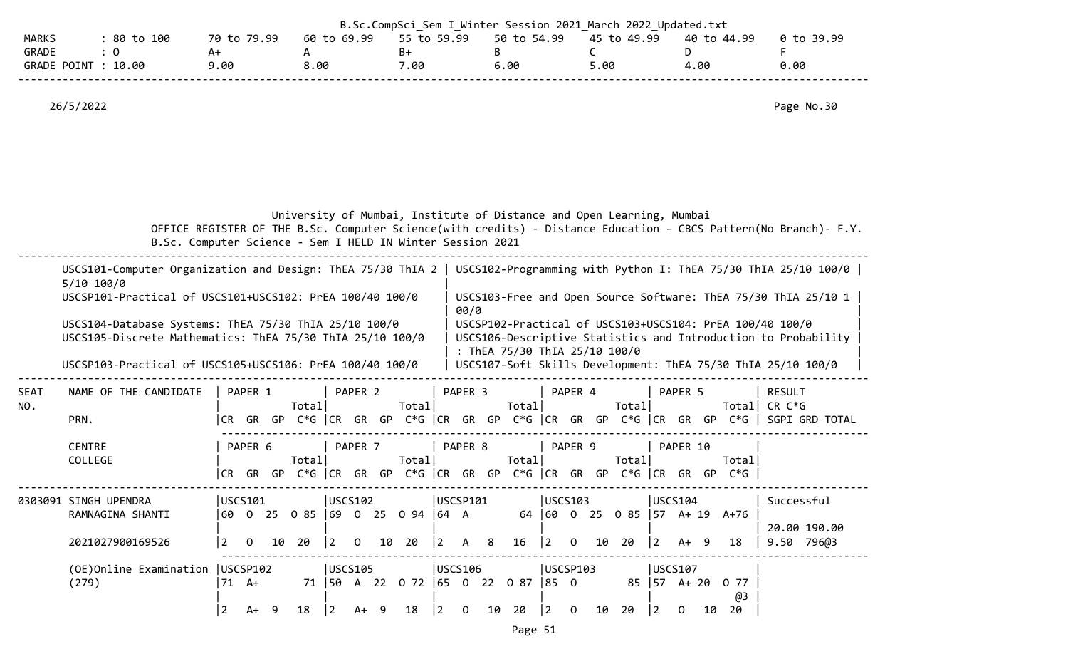|                       |                                                                                                                                                                                                                                                                                                                                                                                            |                                    |                                                                      |                             |                                                                                | B.Sc.CompSci_Sem I Winter Session 2021 March 2022 Updated.txt                             |                                                                                                                                                                                                                                                              |                                          |
|-----------------------|--------------------------------------------------------------------------------------------------------------------------------------------------------------------------------------------------------------------------------------------------------------------------------------------------------------------------------------------------------------------------------------------|------------------------------------|----------------------------------------------------------------------|-----------------------------|--------------------------------------------------------------------------------|-------------------------------------------------------------------------------------------|--------------------------------------------------------------------------------------------------------------------------------------------------------------------------------------------------------------------------------------------------------------|------------------------------------------|
| MARKS<br><b>GRADE</b> | : 80 to 100<br>$\colon 0$<br>GRADE POINT : 10.00                                                                                                                                                                                                                                                                                                                                           | 70 to 79.99<br>A+<br>9.00          | 60 to 69.99<br>A<br>8.00                                             | 55 to 59.99<br>$B+$<br>7.00 | 50 to 54.99<br>B<br>6.00                                                       | 45 to 49.99<br>C<br>5.00                                                                  | 40 to 44.99<br>D<br>4.00                                                                                                                                                                                                                                     | 0 to 39.99<br>F<br>0.00                  |
|                       | 26/5/2022                                                                                                                                                                                                                                                                                                                                                                                  |                                    |                                                                      |                             |                                                                                |                                                                                           |                                                                                                                                                                                                                                                              | Page No.30                               |
|                       |                                                                                                                                                                                                                                                                                                                                                                                            |                                    | B.Sc. Computer Science - Sem I HELD IN Winter Session 2021           |                             |                                                                                | University of Mumbai, Institute of Distance and Open Learning, Mumbai                     | OFFICE REGISTER OF THE B.Sc. Computer Science(with credits) - Distance Education - CBCS Pattern(No Branch)- F.Y.                                                                                                                                             |                                          |
|                       | USCS101-Computer Organization and Design: ThEA 75/30 ThIA 2   USCS102-Programming with Python I: ThEA 75/30 ThIA 25/10 100/0<br>$5/10$ 100/0<br>USCSP101-Practical of USCS101+USCS102: PrEA 100/40 100/0<br>USCS104-Database Systems: ThEA 75/30 ThIA 25/10 100/0<br>USCS105-Discrete Mathematics: ThEA 75/30 ThIA 25/10 100/0<br>USCSP103-Practical of USCS105+USCS106: PrEA 100/40 100/0 |                                    |                                                                      |                             | 00/0                                                                           | : ThEA 75/30 ThIA 25/10 100/0                                                             | USCS103-Free and Open Source Software: ThEA 75/30 ThIA 25/10 1<br>USCSP102-Practical of USCS103+USCS104: PrEA 100/40 100/0<br>USCS106-Descriptive Statistics and Introduction to Probability<br>USCS107-Soft Skills Development: ThEA 75/30 ThIA 25/10 100/0 |                                          |
| SEAT<br>NO.           | NAME OF THE CANDIDATE<br>PRN.                                                                                                                                                                                                                                                                                                                                                              | PAPER 1                            | PAPER 2<br>Total                                                     | Total                       | PAPER 3<br>Total                                                               | PAPER 4<br>Total                                                                          | PAPER 5<br> CR GR GP C*G  CR GR GP C*G  CR GR GP C*G  CR GR GP C*G  CR GR GP C*G   SGPI GRD TOTAL                                                                                                                                                            | <b>RESULT</b><br>Total  CR C*G           |
|                       | <b>CENTRE</b><br>COLLEGE                                                                                                                                                                                                                                                                                                                                                                   | PAPER 6                            | PAPER 7<br>Total                                                     | Total                       | PAPER 8<br>Total                                                               | PAPER 9<br>Total<br> CR GR GP C*G  CR GR GP C*G  CR GR GP C*G  CR GR GP C*G  CR GR GP C*G | PAPER 10<br>Totall                                                                                                                                                                                                                                           |                                          |
|                       | 0303091 SINGH UPENDRA<br>RAMNAGINA SHANTI<br>2021027900169526                                                                                                                                                                                                                                                                                                                              | USCS101<br>10<br>2<br>$\mathbf{0}$ | USCS102 <br>60 0 25 0 85 69 0 25 0 94 64 A<br>20<br>$ 2\rangle$<br>0 | 10 20<br>$\vert$ 2          | USCSP101<br>16<br>$\mathsf{A}$<br>- 8                                          | USCS103<br>64 60 0 25 0 85 57 A+ 19 A+76<br>$ 2\rangle$<br>20<br>$\Omega$<br>10           | USCS104<br>$ 2\rangle$<br>18<br>A+ 9                                                                                                                                                                                                                         | Successful<br>20.00 190.00<br>9.50 796@3 |
|                       | (OE)Online Examination<br>(279)                                                                                                                                                                                                                                                                                                                                                            | USCSP102<br>71 A+<br>$A+ 9$<br>2   | USCS105<br>18<br>$ 2\rangle$<br>$A+ 9$                               | 18<br>$\vert$ 2             | USCS106<br>71   50 A 22 0 72   65 0 22 0 87   85 0<br>10<br>20<br>$\mathbf{0}$ | USCSP103<br>$ 2\rangle$<br>20<br>$\overline{0}$<br>10                                     | USCS107<br>85   57 A+ 20<br>0 77<br>@3<br>10 20<br> 2 <br>$\mathbf{0}$                                                                                                                                                                                       |                                          |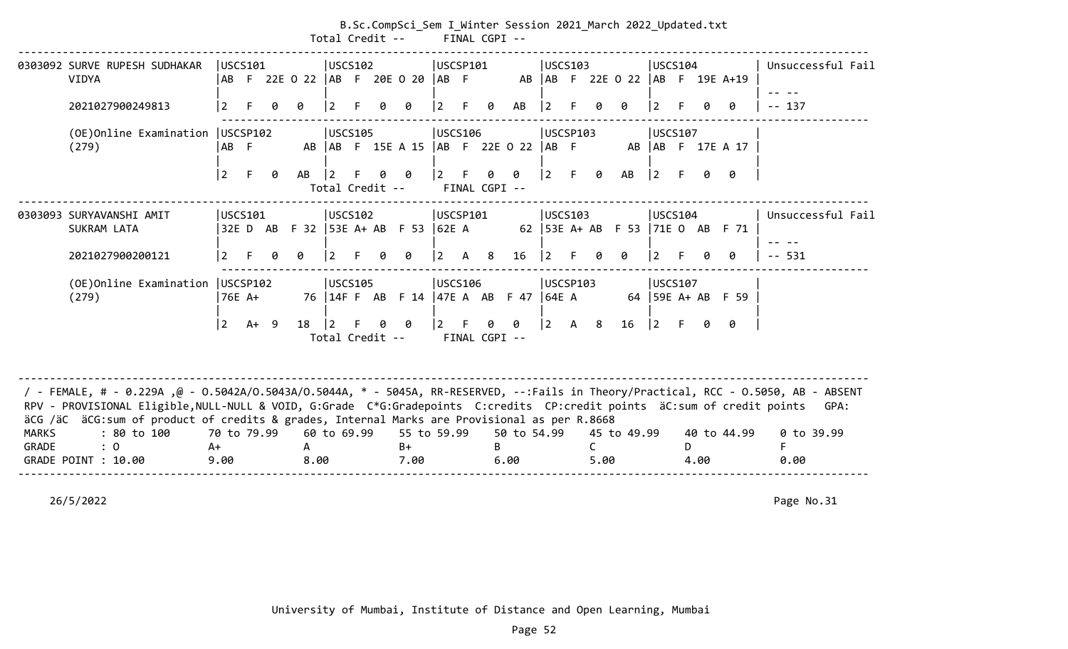|              |                                                                                                                                                                                                                                                                                                                                                                                      |                    |        |   |           | Total Credit --              |   | B.Sc.CompSci_Sem I_Winter Session 2021_March 2022_Updated.txt |                 |              | FINAL CGPI --      |             |                 |          |            |                                     |                 |                |      |                     |                   |
|--------------|--------------------------------------------------------------------------------------------------------------------------------------------------------------------------------------------------------------------------------------------------------------------------------------------------------------------------------------------------------------------------------------|--------------------|--------|---|-----------|------------------------------|---|---------------------------------------------------------------|-----------------|--------------|--------------------|-------------|-----------------|----------|------------|-------------------------------------|-----------------|----------------|------|---------------------|-------------------|
|              | 0303092 SURVE RUPESH SUDHAKAR<br><b>VIDYA</b>                                                                                                                                                                                                                                                                                                                                        | USCS101            |        |   |           | USCS102                      |   | AB F 22E O 22  AB F 20E O 20  AB F                            | USCSP101        |              |                    |             |                 | USCS103  |            | AB   AB F 22E 0 22   AB F 19E A+19  |                 | USCS104        |      |                     | Unsuccessful Fail |
|              | 2021027900249813                                                                                                                                                                                                                                                                                                                                                                     | $\overline{2}$     |        | a |           |                              |   | 0                                                             | $\vert 2 \vert$ | F.           | 0                  | AB          | 12              |          |            |                                     |                 |                |      | 0                   | $-- 137$          |
|              | (OE)Online Examination<br>(279)                                                                                                                                                                                                                                                                                                                                                      | USCSP102<br>AB F   |        |   |           | <b>USCS105</b>               |   | AB   AB F 15E A 15   AB F 22E 0 22   AB F                     | <b>USCS106</b>  |              |                    |             |                 | USCSP103 |            |                                     |                 | <b>USCS107</b> |      | AB   AB F 17E A 17  |                   |
|              |                                                                                                                                                                                                                                                                                                                                                                                      | 2                  | F.     | 0 | AB        | $\vert$ 2<br>Total Credit -- | Ø | - 0                                                           | $ 2 -$          | -F           | 0<br>FINAL CGPI -- | 0           | $ 2\rangle$     | F.       | 0          | AB                                  | $ 2\rangle$     |                | Ø.   | ø                   |                   |
|              | 0303093 SURYAVANSHI AMIT<br>SUKRAM LATA                                                                                                                                                                                                                                                                                                                                              | USCS101            |        |   |           | USCS102                      |   | 32E D AB F 32  53E A+ AB F 53  62E A                          | USCSP101        |              |                    |             |                 | USCS103  |            | 62   53E A+ AB F 53   71E O AB F 71 |                 | USCS104        |      |                     | Unsuccessful Fail |
|              | 2021027900200121                                                                                                                                                                                                                                                                                                                                                                     | 2                  |        | g | a         | 2                            |   | 0                                                             | <u> 2</u>       | $\mathsf{A}$ | 8 <sup>8</sup>     | 16          | l 2             |          | g          | Ø                                   | 2               |                |      | ø                   | $- - 531$         |
|              | (OE)Online Examination<br>(279)                                                                                                                                                                                                                                                                                                                                                      | USCSP102<br>76E A+ |        |   |           | <b>IUSCS105</b>              |   | 76   14F F AB F 14   47E A AB F 47   64E A                    | USCS106         |              |                    |             |                 | USCSP103 |            |                                     |                 | USCS107        |      | 64   59E A+ AB F 59 |                   |
|              |                                                                                                                                                                                                                                                                                                                                                                                      | 2                  | $A+ 9$ |   | 18        | 2 <br>Total Credit --        | 0 | - 0                                                           | $\vert 2 \vert$ | F            | 0<br>FINAL CGPI -- | 0           | $\vert 2 \vert$ |          | A 8        | 16                                  | $\vert 2 \vert$ |                | 0    | 0                   |                   |
| <b>MARKS</b> | / - FEMALE, # - 0.229A ,@ - 0.5042A/0.5043A/0.5044A, * - 5045A, RR-RESERVED, --:Fails in Theory/Practical, RCC - 0.5050, AB - ABSENT<br>RPV - PROVISIONAL Eligible, NULL-NULL & VOID, G:Grade C*G:Gradepoints C:credits CP:credit points äC:sum of credit points GPA:<br>äCG /äC äCG:sum of product of credits & grades, Internal Marks are Provisional as per R.8668<br>: 80 to 100 | 70 to 79.99        |        |   |           | 60 to 69.99                  |   | 55 to 59.99                                                   |                 |              |                    | 50 to 54.99 |                 |          |            | 45 to 49.99                         |                 |                |      | 40 to 44.99         | 0 to 39.99        |
| GRADE        | $\therefore$ 0<br>GRADE POINT : 10.00                                                                                                                                                                                                                                                                                                                                                | $A+$<br>9.00       |        |   | A<br>8.00 |                              |   | $B+$<br>7.00                                                  |                 |              | B.                 | 6.00        |                 |          | C.<br>5.00 |                                     |                 | D              | 4.00 |                     | F.<br>0.00        |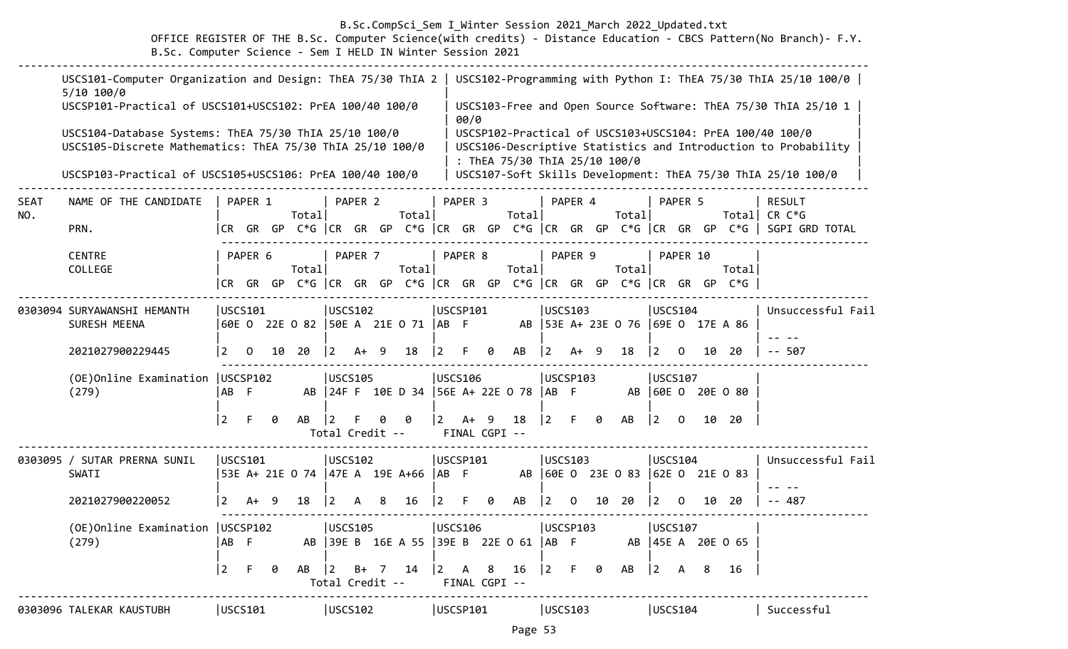# B.Sc.CompSci\_Sem I\_Winter Session 2021\_March 2022\_Updated.txt

 OFFICE REGISTER OF THE B.Sc. Computer Science(with credits) - Distance Education - CBCS Pattern(No Branch)- F.Y. B.Sc. Computer Science - Sem I HELD IN Winter Session 2021

|             | USCS101-Computer Organization and Design: ThEA 75/30 ThIA 2<br>$5/10$ 100/0                                        |                 |                      |     |                                                                    |                 |                    |   |                                                                    |                                                                 |                       |   |                               |                                       |          |    |                                       |                |          |    |                                                                      | USCS102-Programming with Python I: ThEA 75/30 ThIA 25/10 100/0                                                             |
|-------------|--------------------------------------------------------------------------------------------------------------------|-----------------|----------------------|-----|--------------------------------------------------------------------|-----------------|--------------------|---|--------------------------------------------------------------------|-----------------------------------------------------------------|-----------------------|---|-------------------------------|---------------------------------------|----------|----|---------------------------------------|----------------|----------|----|----------------------------------------------------------------------|----------------------------------------------------------------------------------------------------------------------------|
|             | USCSP101-Practical of USCS101+USCS102: PrEA 100/40 100/0                                                           |                 |                      |     |                                                                    |                 |                    |   |                                                                    |                                                                 | 00/0                  |   |                               |                                       |          |    |                                       |                |          |    |                                                                      | USCS103-Free and Open Source Software: ThEA 75/30 ThIA 25/10 1                                                             |
|             | USCS104-Database Systems: ThEA 75/30 ThIA 25/10 100/0<br>USCS105-Discrete Mathematics: ThEA 75/30 ThIA 25/10 100/0 |                 |                      |     |                                                                    |                 |                    |   |                                                                    |                                                                 |                       |   | : ThEA 75/30 ThIA 25/10 100/0 |                                       |          |    |                                       |                |          |    |                                                                      | USCSP102-Practical of USCS103+USCS104: PrEA 100/40 100/0<br>USCS106-Descriptive Statistics and Introduction to Probability |
|             | USCSP103-Practical of USCS105+USCS106: PrEA 100/40 100/0                                                           |                 |                      |     |                                                                    |                 |                    |   |                                                                    |                                                                 |                       |   |                               |                                       |          |    |                                       |                |          |    |                                                                      | USCS107-Soft Skills Development: ThEA 75/30 ThIA 25/10 100/0                                                               |
| SEAT<br>NO. | NAME OF THE CANDIDATE                                                                                              |                 | PAPER 1              |     | Total                                                              |                 | PAPER 2            |   | Total                                                              |                                                                 | PAPER 3               |   | Total                         |                                       | PAPER 4  |    | Total                                 |                | PAPER 5  |    | Total                                                                | <b>RESULT</b><br>CR C*G                                                                                                    |
|             | PRN.                                                                                                               |                 |                      |     |                                                                    |                 |                    |   |                                                                    |                                                                 |                       |   |                               |                                       |          |    |                                       |                |          |    | CR GR GP C*G  CR GR GP C*G  CR GR GP C*G  CR GR GP C*G  CR GR GP C*G | SGPI GRD TOTAL                                                                                                             |
|             | <b>CENTRE</b><br>COLLEGE                                                                                           |                 | PAPER 6<br>ICR GR GP |     | Total<br>C*G $ CR$ GR GP C*G $ CR$ GR GP C*G $ CR$ GR GP C*G $ CR$ |                 | PAPER <sub>7</sub> |   | Total                                                              |                                                                 | PAPER 8               |   | Total                         |                                       | PAPER 9  |    | Total                                 |                | PAPER 10 |    | Total<br>GR GP C*G                                                   |                                                                                                                            |
|             |                                                                                                                    |                 |                      |     |                                                                    |                 |                    |   |                                                                    |                                                                 |                       |   |                               |                                       |          |    |                                       |                |          |    |                                                                      |                                                                                                                            |
|             | 0303094 SURYAWANSHI HEMANTH<br>SURESH MEENA                                                                        |                 | USCS101              |     | 60E 0 22E 0 82                                                     | USCS102         |                    |   | 50E A 21E O 71  AB F                                               | USCSP101                                                        |                       |   |                               | <b>USCS103</b>                        |          |    | AB   53E A+ 23E 0 76   69E 0 17E A 86 | <b>USCS104</b> |          |    |                                                                      | Unsuccessful Fail                                                                                                          |
|             | 2021027900229445                                                                                                   | 2               | $\Omega$             | 10  | 20                                                                 | 2               | A+                 | 9 | 18                                                                 |                                                                 | F                     | 0 | AB                            | 2                                     | A+       | 9  | 18                                    | $\overline{2}$ | 0        | 10 | 20                                                                   | $- - 507$                                                                                                                  |
|             | (OE) Online Examination   USCSP102<br>(279)                                                                        | AB              | - F                  |     |                                                                    | USCS105         |                    |   | AB 24F F 10E D 34 56E A+ 22E 0 78                                  |                                                                 | USCS106               |   |                               | USCSP103<br>$AB$ F                    |          |    | AB                                    | USCS107        |          |    | 60E 0 20E 0 80                                                       |                                                                                                                            |
|             |                                                                                                                    | $\vert 2 \vert$ | F.                   | 0   | AB                                                                 | Total Credit -- |                    |   | ø                                                                  | $\overline{2}$                                                  | $A+$<br>FINAL CGPI -- | 9 | 18                            | $\vert 2 \vert$                       | F.       | 0  | AB                                    | $\overline{2}$ | $\Omega$ |    | 10 20                                                                |                                                                                                                            |
|             | 0303095 / SUTAR PRERNA SUNIL<br>SWATI                                                                              |                 | USCS101              |     | 53E A+ 21E 0 74   47E A 19E A+66   AB F                            | USCS102         |                    |   |                                                                    | USCSP101                                                        |                       |   | AB                            | <b>USCS103</b>                        |          |    | 60E 0 23E 0 83                        | USCS104        |          |    | $ 62E \tO \t21E \tO \t83$                                            | Unsuccessful Fail                                                                                                          |
|             | 2021027900220052                                                                                                   | 2               | A+                   | - 9 | 18                                                                 | $\vert 2 \vert$ | A                  | 8 | 16                                                                 | l 2                                                             | F.                    | 0 | AB                            | 2                                     | $\Omega$ | 10 | 20                                    | $\overline{2}$ | $\Omega$ | 10 | 20                                                                   | 487                                                                                                                        |
|             | (OE) Online Examination   USCSP102<br>(279)                                                                        | AB F            |                      |     |                                                                    | USCS105         |                    |   | AB   39E B 16E A 55   39E B 22E O 61   AB F                        | USCS106                                                         |                       |   |                               | <b>USCSP103</b>                       |          |    |                                       | USCS107        |          |    | AB   45E A 20E O 65                                                  |                                                                                                                            |
|             |                                                                                                                    | $ 2\rangle$     | F.                   | 0   | AB                                                                 |                 |                    |   | $\begin{vmatrix} 2 & B+ & 7 & 14 \end{vmatrix}$<br>Total Credit -- | $\begin{vmatrix} 2 & A & 8 & 16 \end{vmatrix}$<br>FINAL CGPI -- |                       |   |                               | $\begin{vmatrix} 2 & F \end{vmatrix}$ |          | 0  | AB                                    | 2              | A        | 8  | 16                                                                   |                                                                                                                            |
|             | 0303096 TALEKAR KAUSTUBH                                                                                           | USCS101         |                      |     |                                                                    | USCS102         |                    |   |                                                                    | USCSP101                                                        |                       |   |                               | USCS103                               |          |    |                                       | USCS104        |          |    |                                                                      | Successful                                                                                                                 |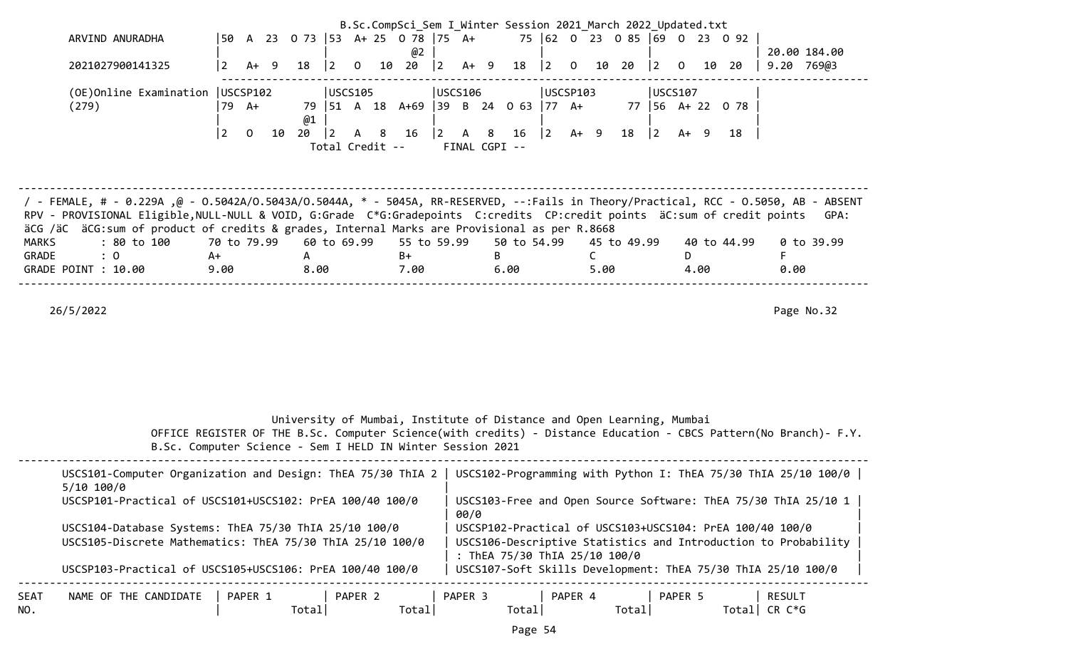| B.Sc.CompSci_Sem I Winter Session 2021 March 2022 Updated.txt<br>75 62 0 23 0 85 69 0 23 0 92<br>50 A 23 O 73 53 A+ 25 O 78 75 A+<br>ARVIND ANURADHA<br>20.00 184.00                                                                                           |                |                |        |      |             |                |    |                         |   |        |                                                |             |           |      |      |                                                 |             |                |      |             |      |            |  |
|----------------------------------------------------------------------------------------------------------------------------------------------------------------------------------------------------------------------------------------------------------------|----------------|----------------|--------|------|-------------|----------------|----|-------------------------|---|--------|------------------------------------------------|-------------|-----------|------|------|-------------------------------------------------|-------------|----------------|------|-------------|------|------------|--|
|                                                                                                                                                                                                                                                                |                |                |        |      |             |                |    |                         |   |        |                                                |             |           |      |      |                                                 |             |                |      |             |      |            |  |
|                                                                                                                                                                                                                                                                |                |                |        |      |             |                |    | @2                      |   |        |                                                |             |           |      |      |                                                 |             |                |      |             |      |            |  |
| 2021027900141325                                                                                                                                                                                                                                               | $\overline{2}$ |                | $A+ 9$ | 18   | $ 2\rangle$ | $\overline{0}$ | 10 | 20                      | 2 | $A+ 9$ |                                                | 18          |           |      |      | $\begin{vmatrix} 2 & 0 & 10 & 20 \end{vmatrix}$ | $\vert$ 2   | $\overline{0}$ | 10   | 20          |      | 9.20 769@3 |  |
|                                                                                                                                                                                                                                                                |                |                |        |      |             |                |    |                         |   |        |                                                |             |           |      |      |                                                 |             |                |      |             |      |            |  |
| USCS106<br>(OE)Online Examination   USCSP102<br>USCS105<br>USCSP103<br>USCS107                                                                                                                                                                                 |                |                |        |      |             |                |    |                         |   |        |                                                |             |           |      |      |                                                 |             |                |      |             |      |            |  |
| $\begin{vmatrix} 51 & A & 18 & A+69 \end{vmatrix}$ 39 B 24 0 63 77 A+<br>77 56 A+ 22 0 78<br>(279)<br>79 A+<br>79                                                                                                                                              |                |                |        |      |             |                |    |                         |   |        |                                                |             |           |      |      |                                                 |             |                |      |             |      |            |  |
|                                                                                                                                                                                                                                                                |                |                |        | @1   |             |                |    |                         |   |        |                                                |             |           |      |      |                                                 |             |                |      |             |      |            |  |
|                                                                                                                                                                                                                                                                | $\overline{2}$ | $\overline{0}$ | 10     | 20   | $ 2\rangle$ |                |    | A 8 16                  |   |        | $\begin{vmatrix} 2 & A & 8 & 16 \end{vmatrix}$ |             | $\vert$ 2 | A+ 9 |      | 18                                              | $ 2\rangle$ | $A+ 9$         |      | 18          |      |            |  |
|                                                                                                                                                                                                                                                                |                |                |        |      |             |                |    | Total Credit --         |   |        | FINAL CGPI --                                  |             |           |      |      |                                                 |             |                |      |             |      |            |  |
|                                                                                                                                                                                                                                                                |                |                |        |      |             |                |    |                         |   |        |                                                |             |           |      |      |                                                 |             |                |      |             |      |            |  |
|                                                                                                                                                                                                                                                                |                |                |        |      |             |                |    |                         |   |        |                                                |             |           |      |      |                                                 |             |                |      |             |      |            |  |
|                                                                                                                                                                                                                                                                |                |                |        |      |             |                |    |                         |   |        |                                                |             |           |      |      |                                                 |             |                |      |             |      |            |  |
|                                                                                                                                                                                                                                                                |                |                |        |      |             |                |    |                         |   |        |                                                |             |           |      |      |                                                 |             |                |      |             |      |            |  |
|                                                                                                                                                                                                                                                                |                |                |        |      |             |                |    |                         |   |        |                                                |             |           |      |      |                                                 |             |                |      |             |      |            |  |
| FemaLE, # - 0.229A ,@ - 0.5042A/O.5043A/O.5044A, * - 5045A, RR-RESERVED, --:Fails in Theory/Practical, RCC - 0.5050, AB - ABSENT /<br>RPV - PROVISIONAL Eligible, NULL-NULL & VOID, G:Grade C*G:Gradepoints C:credits CP:credit points äC:sum of credit points |                |                |        |      |             |                |    |                         |   |        |                                                |             |           |      |      |                                                 |             |                |      |             |      |            |  |
| äCG /äC äCG:sum of product of credits & grades, Internal Marks are Provisional as per R.8668                                                                                                                                                                   |                |                |        |      |             |                |    |                         |   |        |                                                |             |           |      |      |                                                 |             |                |      |             |      | GPA:       |  |
| <b>MARKS</b><br>: 80 to 100                                                                                                                                                                                                                                    | 70 to 79.99    |                |        |      |             |                |    | 60 to 69.99 55 to 59.99 |   |        |                                                | 50 to 54.99 |           |      |      | 45 to 49.99                                     |             |                |      | 40 to 44.99 |      | 0 to 39.99 |  |
| GRADE<br>: 0                                                                                                                                                                                                                                                   | A+             |                |        | A    |             |                |    | B+                      |   |        | B                                              |             |           |      | C    |                                                 |             | D              |      |             | F    |            |  |
| GRADE POINT : 10.00                                                                                                                                                                                                                                            | 9.00           |                |        | 8.00 |             |                |    | 7.00                    |   |        | 6.00                                           |             |           |      | 5.00 |                                                 |             |                | 4.00 |             | 0.00 |            |  |
|                                                                                                                                                                                                                                                                |                |                |        |      |             |                |    |                         |   |        |                                                |             |           |      |      |                                                 |             |                |      |             |      |            |  |
|                                                                                                                                                                                                                                                                |                |                |        |      |             |                |    |                         |   |        |                                                |             |           |      |      |                                                 |             |                |      |             |      |            |  |
| 26/5/2022                                                                                                                                                                                                                                                      |                |                |        |      |             |                |    |                         |   |        |                                                |             |           |      |      |                                                 |             |                |      |             |      | Page No.32 |  |
|                                                                                                                                                                                                                                                                |                |                |        |      |             |                |    |                         |   |        |                                                |             |           |      |      |                                                 |             |                |      |             |      |            |  |
|                                                                                                                                                                                                                                                                |                |                |        |      |             |                |    |                         |   |        |                                                |             |           |      |      |                                                 |             |                |      |             |      |            |  |
|                                                                                                                                                                                                                                                                |                |                |        |      |             |                |    |                         |   |        |                                                |             |           |      |      |                                                 |             |                |      |             |      |            |  |

| University of Mumbai, Institute of Distance and Open Learning, Mumbai |  |
|-----------------------------------------------------------------------|--|
|-----------------------------------------------------------------------|--|

|  |                                                            | OFFICE REGISTER OF THE B.Sc. Computer Science(with credits) - Distance Education - CBCS Pattern(No Branch)- F.Y. |
|--|------------------------------------------------------------|------------------------------------------------------------------------------------------------------------------|
|  | B.Sc. Computer Science - Sem I HELD IN Winter Session 2021 |                                                                                                                  |

|             | USCS101-Computer Organization and Design: ThEA 75/30 ThIA 2<br>$5/10$ $100/0$ |                   |                   | USCS102-Programming with Python I: ThEA 75/30 ThIA 25/10 100/0                                  |                   |                  |
|-------------|-------------------------------------------------------------------------------|-------------------|-------------------|-------------------------------------------------------------------------------------------------|-------------------|------------------|
|             | USCSP101-Practical of USCS101+USCS102: PrEA 100/40 100/0                      |                   | 00/0              | USCS103-Free and Open Source Software: ThEA 75/30 ThIA 25/10 1                                  |                   |                  |
|             | USCS104-Database Systems: ThEA 75/30 ThIA 25/10 100/0                         |                   |                   | USCSP102-Practical of USCS103+USCS104: PrEA 100/40 100/0                                        |                   |                  |
|             | USCS105-Discrete Mathematics: ThEA 75/30 ThIA 25/10 100/0                     |                   |                   | USCS106-Descriptive Statistics and Introduction to Probability<br>: ThEA 75/30 ThIA 25/10 100/0 |                   |                  |
|             | USCSP103-Practical of USCS105+USCS106: PrEA 100/40 100/0                      |                   |                   | USCS107-Soft Skills Development: ThEA 75/30 ThIA 25/10 100/0                                    |                   |                  |
| SEAT<br>NO. | NAME OF THE CANDIDATE<br>PAPER 1<br>Total                                     | PAPER 2<br>Totall | PAPER 3<br>Totall | PAPER 4<br>Totall                                                                               | PAPER 5<br>Totall | RESULT<br>CR C*G |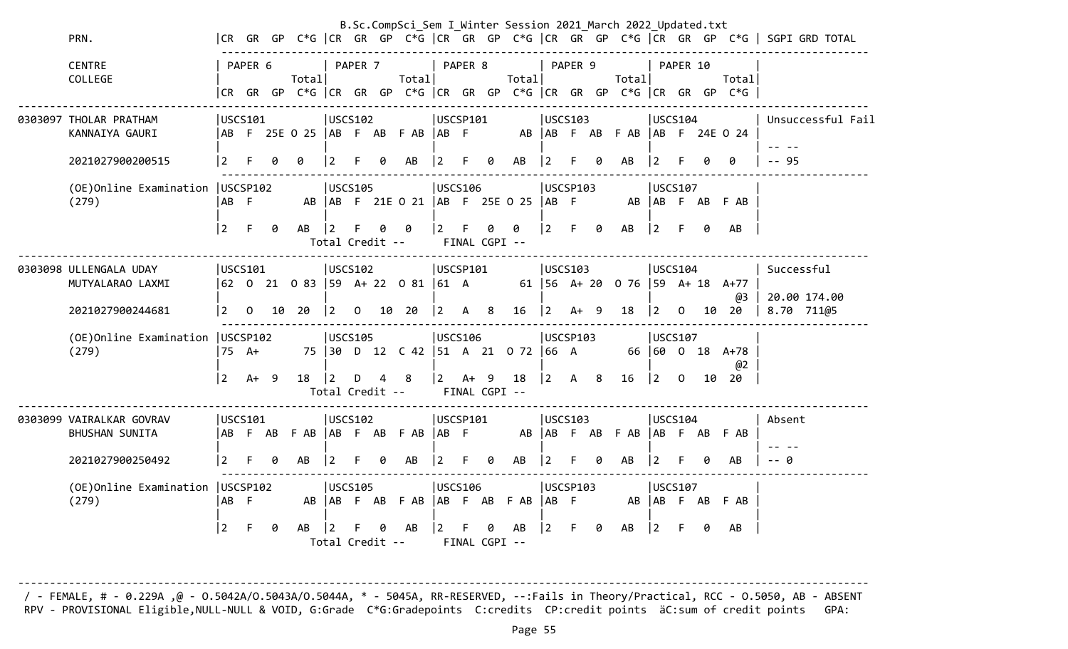|                                             |                |                 |   |                              |                                                     |          |   | B.Sc.CompSci Sem I Winter Session 2021 March 2022 Updated.txt |                                   |         |        |                     |                         |         |   |                                        |                        |          |    |                                                                                |                                                                                       |
|---------------------------------------------|----------------|-----------------|---|------------------------------|-----------------------------------------------------|----------|---|---------------------------------------------------------------|-----------------------------------|---------|--------|---------------------|-------------------------|---------|---|----------------------------------------|------------------------|----------|----|--------------------------------------------------------------------------------|---------------------------------------------------------------------------------------|
| PRN.                                        |                |                 |   |                              |                                                     |          |   |                                                               |                                   |         |        |                     |                         |         |   |                                        |                        |          |    |                                                                                | CR GR GP C*G  CR GR GP C*G  CR GR GP C*G  CR GR GP C*G  CR GR GP C*G   SGPI GRD TOTAL |
| <b>CENTRE</b><br>COLLEGE                    |                | PAPER 6         |   | Total                        |                                                     | PAPER 7  |   | Total                                                         |                                   | PAPER 8 |        | Total               |                         | PAPER 9 |   | Total                                  |                        | PAPER 10 |    | Total<br> CR GR GP C*G  CR GR GP C*G  CR GR GP C*G  CR GR GP C*G  CR GR GP C*G |                                                                                       |
| 0303097 THOLAR PRATHAM<br>KANNAIYA GAURI    |                | USCS101         |   | AB F 25E 0 25   AB F AB F AB | <b>USCS102</b>                                      |          |   |                                                               | USCSP101<br> AB F                 |         |        |                     | <b>USCS103</b>          |         |   | AB   AB F AB F AB   AB F 24E 0 24      | <b>USCS104</b>         |          |    |                                                                                | Unsuccessful Fail                                                                     |
| 2021027900200515                            | 2              |                 | a | ø                            | $\overline{2}$                                      |          | a | AB                                                            | $\overline{2}$                    | F       | 0      | AB                  | 2                       |         | g | AB                                     | 2                      |          |    | 0                                                                              | $-95$                                                                                 |
| (OE) Online Examination   USCSP102<br>(279) | AB F           |                 |   |                              | <b>USCS105</b>                                      |          |   | AB   AB F 21E O 21   AB F 25E O 25   AB F                     | <b>USCS106</b>                    |         |        |                     | USCSP103                |         |   |                                        | USCS107                |          |    | AB AB F AB F AB                                                                |                                                                                       |
|                                             | $\overline{2}$ | F               | 0 | AB                           | $ 2\rangle$<br>Total Credit --                      | F.       | a | 0                                                             | $2^{\circ}$                       | F.      | 0      | 0<br>FINAL CGPI --  | $\vert$ 2               | F.      | 0 | AB                                     | $ 2\rangle$            | F.       | 0  | AB                                                                             |                                                                                       |
| 0303098 ULLENGALA UDAY<br>MUTYALARAO LAXMI  |                | USCS101         |   |                              | <b>USCS102</b>                                      |          |   | 62 0 21 0 83 59 A+ 22 0 81 61 A                               | USCSP101                          |         |        |                     | <b>USCS103</b>          |         |   | 61   56 A + 20 0 76   59 A + 18 A + 77 | USCS104                |          |    |                                                                                | Successful                                                                            |
| 2021027900244681                            | $\overline{2}$ | $\Omega$        |   | 10 20                        | $ 2\rangle$                                         | $\Omega$ |   | 10 20                                                         | <u> 2</u>                         | A 8     |        | $16 \quad  2$       |                         | A+ 9    |   | 18                                     | $\overline{2}$         | $\Omega$ |    | @3<br>10 20                                                                    | 20.00 174.00<br>8.70 711@5                                                            |
| (OE) Online Examination   USCSP102<br>(279) | l 2            | 75 A+<br>$A+ 9$ |   | 18                           | <b>USCS105</b><br>$\overline{2}$<br>Total Credit -- | D        | 4 | 75 30 D 12 C 42 51 A 21 0 72 66 A<br>8                        | <b>USCS106</b><br>$\vert 2 \vert$ |         | $A+ 9$ | 18<br>FINAL CGPI -- | USCSP103<br>$ 2\rangle$ | A 8     |   | 16                                     | USCS107<br>$ 2\rangle$ | 0        | 10 | 66 60 0 18 A+78<br>@2<br>20                                                    |                                                                                       |
| 0303099 VAIRALKAR GOVRAV<br>BHUSHAN SUNITA  |                | USCS101         |   | AB FAB FAB AB FAB FAB        | <b>USCS102</b>                                      |          |   |                                                               | USCSP101<br>AB F                  |         |        |                     | <b>USCS103</b>          |         |   | AB   AB F AB F AB   AB F AB F AB       | luscs104               |          |    |                                                                                | Absent                                                                                |
| 2021027900250492                            | 2              |                 | ø | AB                           | $\overline{2}$                                      |          |   | AB                                                            | $\mathbf{2}^{\prime}$             |         | 0      | AB                  |                         |         |   | AB                                     | 2                      |          |    | AB                                                                             | ø                                                                                     |
| (OE) Online Examination   USCSP102<br>(279) | AB F           |                 |   |                              | USCS105<br>AB   AB                                  |          |   | F AB F AB   AB F AB F AB   AB F                               | <b>USCS106</b>                    |         |        |                     | USCSP103                |         |   |                                        | <b>USCS107</b>         |          |    | AB AB F AB F AB                                                                |                                                                                       |
|                                             | 2              | F               | 0 | AB                           | Total Credit --                                     |          |   | AB                                                            |                                   |         | ø      | AB<br>FINAL CGPI -- | 2                       |         | 0 | AB                                     | 2                      |          | ø  | AB                                                                             |                                                                                       |

-------------------------------------------------------------------------------------------------------------------------------------- / - FEMALE, # - 0.229A ,@ - O.5042A/O.5043A/O.5044A, \* - 5045A, RR-RESERVED, --:Fails in Theory/Practical, RCC - O.5050, AB - ABSENT RPV - PROVISIONAL Eligible,NULL-NULL & VOID, G:Grade C\*G:Gradepoints C:credits CP:credit points äC:sum of credit points GPA: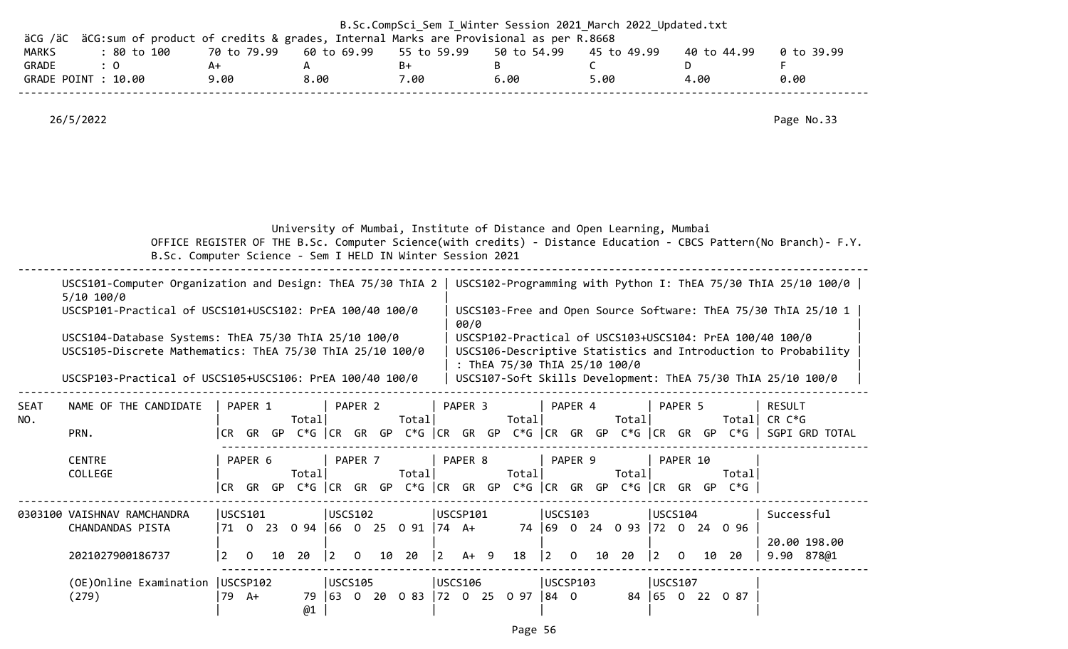| äCG /äC               | äCG: sum of product of credits & grades, Internal Marks are Provisional as per R.8668                                                                                                                      |                   |           |             | B.Sc.CompSci Sem I Winter Session 2021 March 2022 Updated.txt                             |          |         |   |                               |          |              |             |                                       |          |                                                                                               |                                                                                                                            |
|-----------------------|------------------------------------------------------------------------------------------------------------------------------------------------------------------------------------------------------------|-------------------|-----------|-------------|-------------------------------------------------------------------------------------------|----------|---------|---|-------------------------------|----------|--------------|-------------|---------------------------------------|----------|-----------------------------------------------------------------------------------------------|----------------------------------------------------------------------------------------------------------------------------|
| <b>MARKS</b><br>GRADE | : 80 to 100<br>: 0                                                                                                                                                                                         | 70 to 79.99<br>A+ | A         | 60 to 69.99 | 55 to 59.99<br>B+                                                                         |          |         | B | 50 to 54.99                   |          | C            | 45 to 49.99 |                                       | D        | 40 to 44.99                                                                                   | 0 to 39.99<br>F                                                                                                            |
|                       | GRADE POINT : 10.00                                                                                                                                                                                        | 9.00              | 8.00      |             | 7.00                                                                                      |          |         |   | 6.00                          |          | 5.00         |             |                                       | 4.00     |                                                                                               | 0.00                                                                                                                       |
|                       | 26/5/2022                                                                                                                                                                                                  |                   |           |             |                                                                                           |          |         |   |                               |          |              |             |                                       |          |                                                                                               | Page No.33                                                                                                                 |
|                       | B.Sc. Computer Science - Sem I HELD IN Winter Session 2021                                                                                                                                                 |                   |           |             | University of Mumbai, Institute of Distance and Open Learning, Mumbai                     |          |         |   |                               |          |              |             |                                       |          |                                                                                               | OFFICE REGISTER OF THE B.Sc. Computer Science(with credits) - Distance Education - CBCS Pattern(No Branch)- F.Y.           |
|                       | USCS101-Computer Organization and Design: ThEA 75/30 ThIA 2   USCS102-Programming with Python I: ThEA 75/30 ThIA 25/10 100/0  <br>$5/10$ 100/0<br>USCSP101-Practical of USCS101+USCS102: PrEA 100/40 100/0 |                   |           |             |                                                                                           |          |         |   |                               |          |              |             |                                       |          |                                                                                               | USCS103-Free and Open Source Software: ThEA 75/30 ThIA 25/10 1                                                             |
|                       | USCS104-Database Systems: ThEA 75/30 ThIA 25/10 100/0<br>USCS105-Discrete Mathematics: ThEA 75/30 ThIA 25/10 100/0                                                                                         |                   |           |             |                                                                                           |          | 00/0    |   | : ThEA 75/30 ThIA 25/10 100/0 |          |              |             |                                       |          |                                                                                               | USCSP102-Practical of USCS103+USCS104: PrEA 100/40 100/0<br>USCS106-Descriptive Statistics and Introduction to Probability |
|                       | USCSP103-Practical of USCS105+USCS106: PrEA 100/40 100/0                                                                                                                                                   |                   |           |             |                                                                                           |          |         |   |                               |          |              |             |                                       |          |                                                                                               | USCS107-Soft Skills Development: ThEA 75/30 ThIA 25/10 100/0                                                               |
| <b>SEAT</b><br>NO.    | NAME OF THE CANDIDATE                                                                                                                                                                                      | PAPER 1           | Total     | PAPER 2     | Total                                                                                     |          | PAPER 3 |   | Total                         |          | PAPER 4      | Total       |                                       | PAPER 5  |                                                                                               | <b>RESULT</b><br>Total CR $C*G$                                                                                            |
|                       | PRN.                                                                                                                                                                                                       |                   |           |             |                                                                                           |          |         |   |                               |          |              |             |                                       |          |                                                                                               | CR GR GP C*G  CR GR GP C*G  CR GR GP C*G  CR GR GP C*G  CR GR GP C*G   SGPI GRD TOTAL                                      |
|                       | <b>CENTRE</b><br>COLLEGE                                                                                                                                                                                   | PAPER 6<br> CR    | Total     | PAPER 7     | Total                                                                                     |          | PAPER 8 |   | Total                         |          | PAPER 9      | Total       |                                       | PAPER 10 | Totall<br>GR GP $C*G$ $ CR$ GR GP $C*G$ $ CR$ GR GP $C*G$ $ CR$ GR GP $C*G$ $ CR$ GR GP $C*G$ |                                                                                                                            |
|                       |                                                                                                                                                                                                            |                   |           |             |                                                                                           |          |         |   |                               |          |              |             |                                       |          |                                                                                               |                                                                                                                            |
|                       | 0303100 VAISHNAV RAMCHANDRA<br>CHANDANDAS PISTA                                                                                                                                                            | USCS101           |           | USCS102     |                                                                                           | USCSP101 |         |   |                               | USCS103  |              |             | USCS104                               |          | 71 0 23 0 94  66 0 25 0 91  74 A+  74  69 0 24 0 93  72 0 24 0 96                             | Successful                                                                                                                 |
|                       | 2021027900186737                                                                                                                                                                                           |                   | 2 0 10 20 |             | $\begin{vmatrix} 2 & 0 & 10 & 20 \end{vmatrix}$ $\begin{vmatrix} 2 & 4 & 9 \end{vmatrix}$ |          |         |   |                               |          | 18 2 0 10 20 |             | $\begin{vmatrix} 2 & 0 \end{vmatrix}$ |          | 10 20                                                                                         | 20.00 198.00<br>9.90 878@1                                                                                                 |
|                       | (OE)Online Examination   USCSP102<br>(279)                                                                                                                                                                 | 79 A+             | @1        | USCS105     | 79 63 0 20 0 83 72 0 25 0 97 84 0                                                         | USCS106  |         |   |                               | USCSP103 |              |             | USCS107                               |          | 84 65 0 22 0 87                                                                               |                                                                                                                            |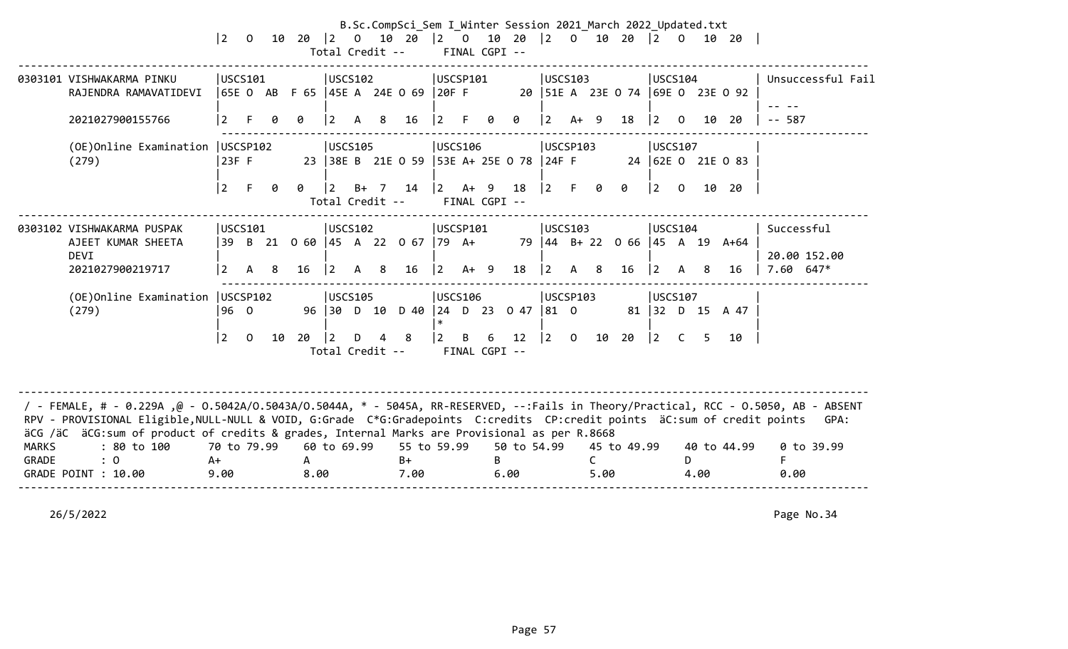|                       |                                                                                                                                                                                                                                                                                                                                                                                                                          | $ 2\rangle$                 |          |    |                      |                 |              |                | B.Sc.CompSci_Sem I Winter Session 2021 March 2022 Updated.txt<br>0 10 20 20 10 20 20 20 20 20 20 20 20 20 20 20 20<br>Total Credit -- |                |              | FINAL CGPI -- |                                                |             |     |                      |                                                                                 |                                       |    |      |                                                 |                                  |
|-----------------------|--------------------------------------------------------------------------------------------------------------------------------------------------------------------------------------------------------------------------------------------------------------------------------------------------------------------------------------------------------------------------------------------------------------------------|-----------------------------|----------|----|----------------------|-----------------|--------------|----------------|---------------------------------------------------------------------------------------------------------------------------------------|----------------|--------------|---------------|------------------------------------------------|-------------|-----|----------------------|---------------------------------------------------------------------------------|---------------------------------------|----|------|-------------------------------------------------|----------------------------------|
|                       | 0303101 VISHWAKARMA PINKU<br>RAJENDRA RAMAVATIDEVI                                                                                                                                                                                                                                                                                                                                                                       | USCS101                     |          |    |                      | USCS102         |              |                | 65E O AB F 65  45E A 24E O 69  20F F                                                                                                  | USCSP101       |              |               |                                                | USCS103     |     |                      |                                                                                 | USCS104                               |    |      | 20   51E A 23E O 74   69E O 23E O 92            | Unsuccessful Fail                |
|                       | 2021027900155766                                                                                                                                                                                                                                                                                                                                                                                                         | $\overline{2}$              | F.       |    |                      | $\sqrt{2}$      | A            | 8 <sup>8</sup> | 16                                                                                                                                    | $ 2\rangle$    | $\mathsf{F}$ | 0             | 0                                              | $ 2 \tA+ 9$ |     |                      | 18                                                                              | $\begin{bmatrix} 2 & 0 \end{bmatrix}$ |    | 10   | 20                                              | $-- 587$                         |
|                       | (OE) Online Examination   USCSP102<br>(279)                                                                                                                                                                                                                                                                                                                                                                              | 23F F                       |          |    |                      | USCS105         |              |                | 23 38E B 21E 0 59 53E A+ 25E 0 78 24F F                                                                                               | <b>USCS106</b> |              |               |                                                | USCSP103    |     |                      |                                                                                 | USCS107                               |    |      | 24 62E 0 21E 0 83                               |                                  |
|                       |                                                                                                                                                                                                                                                                                                                                                                                                                          | l 2                         | F.       | 0  | 0                    | $\vert 2 \vert$ |              |                | B+ 7 14  2 A+ 9<br>Total Credit --                                                                                                    | FINAL CGPI --  |              |               | 18                                             |             |     |                      | $\begin{array}{ccc} \n\boxed{2} & \text{F} & \text{O} & \text{O} \n\end{array}$ |                                       |    |      | $\begin{bmatrix} 2 & 0 & 10 & 20 \end{bmatrix}$ |                                  |
|                       | 0303102 VISHWAKARMA PUSPAK                                                                                                                                                                                                                                                                                                                                                                                               | USCS101                     |          |    |                      | USCS102         |              |                |                                                                                                                                       | USCSP101       |              |               |                                                | USCS103     |     |                      |                                                                                 | USCS104                               |    |      |                                                 | Successful                       |
|                       | AJEET KUMAR SHEETA                                                                                                                                                                                                                                                                                                                                                                                                       |                             |          |    |                      |                 |              |                | 39 B 21 0 60 45 A 22 0 67 79 A+                                                                                                       |                |              |               |                                                |             |     |                      |                                                                                 |                                       |    |      | 79 44 B+ 22 0 66 45 A 19 A+64                   |                                  |
|                       | <b>DEVI</b><br>2021027900219717                                                                                                                                                                                                                                                                                                                                                                                          | <u> 2</u>                   | A 8      |    | 16                   | $\vert 2 \vert$ | $\mathsf{A}$ | 8              | 16                                                                                                                                    | $ 2\rangle$    | $A+ 9$       |               | 18                                             | $ 2\rangle$ | A 8 |                      | 16                                                                              | $\begin{vmatrix} 2 & A \end{vmatrix}$ |    | -8   | 16                                              | 20.00 152.00<br>$7.60$ 647*      |
|                       | (OE)Online Examination   USCSP102                                                                                                                                                                                                                                                                                                                                                                                        |                             |          |    |                      | USCS105         |              |                |                                                                                                                                       | USCS106        |              |               |                                                | USCSP103    |     |                      |                                                                                 | USCS107                               |    |      |                                                 |                                  |
|                       | (279)                                                                                                                                                                                                                                                                                                                                                                                                                    | 96 0                        |          |    |                      |                 |              |                | 96 30 D 10 D 40 24 D 23 0 47 81 0                                                                                                     | $\ast$         |              |               |                                                |             |     |                      |                                                                                 |                                       |    |      | 81 32 D 15 A 47                                 |                                  |
|                       |                                                                                                                                                                                                                                                                                                                                                                                                                          | l 2                         | $\Omega$ | 10 | 20   2               |                 |              | $D$ 4 8        | Total Credit -- FINAL CGPI --                                                                                                         |                |              |               | $\begin{vmatrix} 2 & B & 6 & 12 \end{vmatrix}$ |             |     |                      | $\begin{vmatrix} 2 & 0 & 10 & 20 \end{vmatrix}$                                 | $\begin{vmatrix} 2 & C \end{vmatrix}$ |    | 5    | 10                                              |                                  |
| <b>MARKS</b><br>GRADE | / - FEMALE, # - 0.229A ,@ - 0.5042A/0.5043A/0.5044A, * - 5045A, RR-RESERVED, --:Fails in Theory/Practical, RCC - 0.5050, AB - ABSENT<br>RPV - PROVISIONAL Eligible, NULL-NULL & VOID, G:Grade C*G:Gradepoints C:credits CP:credit points äC:sum of credit points<br>äCG /äC äCG:sum of product of credits & grades, Internal Marks are Provisional as per R.8668<br>: 80 to 100<br>$\therefore$ 0<br>GRADE POINT : 10.00 | 70 to 79.99<br>$A+$<br>9.00 |          |    | $\mathsf{A}$<br>8.00 | 60 to 69.99     |              |                | 55 to 59.99<br>$B+$<br>7.00                                                                                                           |                |              | B.            | 50 to 54.99<br>6.00                            |             |     | $\mathsf{C}$<br>5.00 | 45 to 49.99                                                                     |                                       | D. | 4.00 | 40 to 44.99                                     | GPA:<br>0 to 39.99<br>F.<br>0.00 |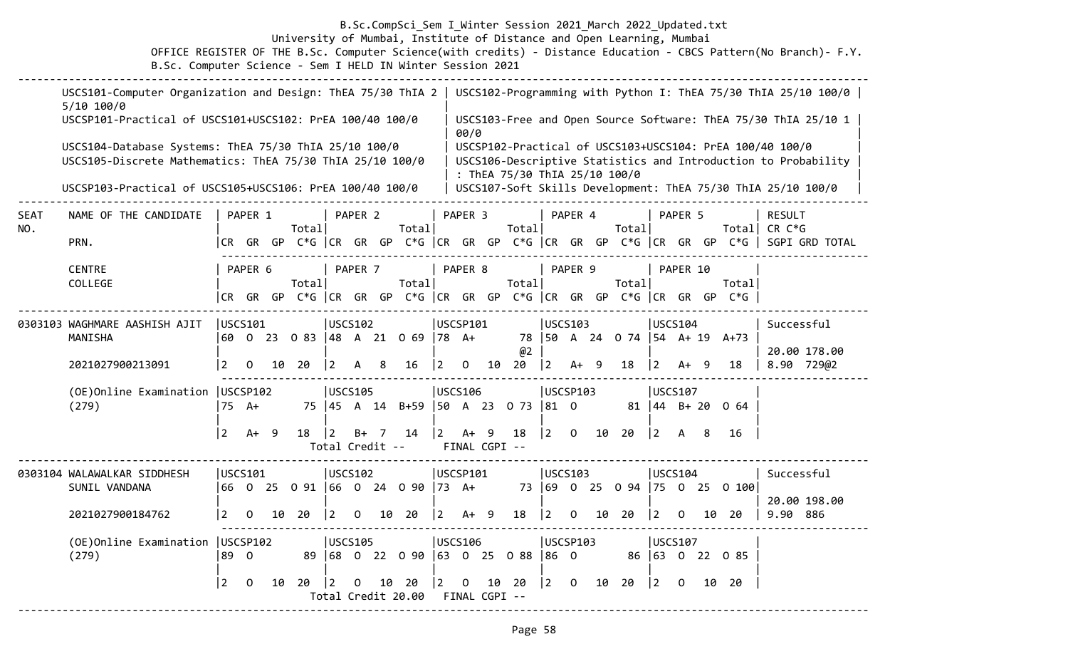### B.Sc.CompSci\_Sem I\_Winter Session 2021\_March 2022\_Updated.txt University of Mumbai, Institute of Distance and Open Learning, Mumbai OFFICE REGISTER OF THE B.Sc. Computer Science(with credits) - Distance Education - CBCS Pattern(No Branch)- F.Y. B.Sc. Computer Science - Sem I HELD IN Winter Session 2021

|             | USCS101-Computer Organization and Design: ThEA 75/30 ThIA 2   USCS102-Programming with Python I: ThEA 75/30 ThIA 25/10 100/0  <br>$5/10$ 100/0 |                 |                |    |                           |                |              |                 |                                         |                  |                         |               |                               |                |                |    |                       |                                          |              |    |                                                                                 |                                                                                                                            |
|-------------|------------------------------------------------------------------------------------------------------------------------------------------------|-----------------|----------------|----|---------------------------|----------------|--------------|-----------------|-----------------------------------------|------------------|-------------------------|---------------|-------------------------------|----------------|----------------|----|-----------------------|------------------------------------------|--------------|----|---------------------------------------------------------------------------------|----------------------------------------------------------------------------------------------------------------------------|
|             | USCSP101-Practical of USCS101+USCS102: PrEA 100/40 100/0                                                                                       |                 |                |    |                           |                |              |                 |                                         |                  | 00/0                    |               |                               |                |                |    |                       |                                          |              |    |                                                                                 | USCS103-Free and Open Source Software: ThEA 75/30 ThIA 25/10 1                                                             |
|             | USCS104-Database Systems: ThEA 75/30 ThIA 25/10 100/0<br>USCS105-Discrete Mathematics: ThEA 75/30 ThIA 25/10 100/0                             |                 |                |    |                           |                |              |                 |                                         |                  |                         |               | : ThEA 75/30 ThIA 25/10 100/0 |                |                |    |                       |                                          |              |    |                                                                                 | USCSP102-Practical of USCS103+USCS104: PrEA 100/40 100/0<br>USCS106-Descriptive Statistics and Introduction to Probability |
|             | USCSP103-Practical of USCS105+USCS106: PrEA 100/40 100/0                                                                                       |                 |                |    |                           |                |              |                 |                                         |                  |                         |               |                               |                |                |    |                       |                                          |              |    |                                                                                 | USCS107-Soft Skills Development: ThEA 75/30 ThIA 25/10 100/0                                                               |
| SEAT<br>NO. | NAME OF THE CANDIDATE                                                                                                                          |                 | PAPER 1        |    | Total                     |                | PAPER 2      |                 | Total                                   |                  | PAPER 3                 |               | Total                         |                | PAPER 4        |    | Total                 |                                          | PAPER 5      |    |                                                                                 | <b>RESULT</b><br>Total  CR C*G                                                                                             |
|             | PRN.                                                                                                                                           |                 |                |    |                           |                |              |                 |                                         |                  |                         |               |                               |                |                |    |                       |                                          |              |    |                                                                                 | CR GR GP C*G   CR GR GP C*G   CR GR GP C*G   CR GR GP C*G   CR GR GP C*G    SGPI GRD TOTAL                                 |
|             | <b>CENTRE</b><br>COLLEGE                                                                                                                       |                 | PAPER 6        |    | Totall                    |                | PAPER 7      |                 | Total                                   |                  | PAPER 8                 |               | Total                         |                | PAPER 9        |    | Total                 |                                          | PAPER 10     |    | Totall<br> CR GR GP C*G  CR GR GP C*G  CR GR GP C*G  CR GR GP C*G  CR GR GP C*G |                                                                                                                            |
|             |                                                                                                                                                |                 |                |    |                           |                |              |                 |                                         |                  |                         |               |                               |                |                |    |                       |                                          |              |    |                                                                                 |                                                                                                                            |
|             | 0303103 WAGHMARE AASHISH AJIT<br>MANISHA                                                                                                       | <b>USCS101</b>  |                |    | 60 0 23 0 83 48 A 21 0 69 | USCS102        |              |                 |                                         | $ 78 \text{ A+}$ | USCSP101                |               | 78                            | <b>USCS103</b> |                |    | $ 50 \tA} 24 \tC} 74$ | USCS104                                  |              |    | $ 54 \tA+19 \tA+73$                                                             | Successful                                                                                                                 |
|             | 2021027900213091                                                                                                                               | $\mathbf{2}$    | $\overline{O}$ |    | 10 20                     | $ 2\rangle$    | A 8          |                 | 16                                      | $ 2\rangle$      | $\overline{\mathbf{0}}$ | 10            | @2<br>20                      | $ 2\rangle$    | $A+ 9$         |    | 18                    | $ 2\rangle$                              | $A+ 9$       |    | 18                                                                              | 20.00 178.00<br>8.90 729@2                                                                                                 |
|             | (OE) Online Examination   USCSP102<br>(279)                                                                                                    | $75$ A+         |                |    |                           | <b>USCS105</b> |              |                 | 75   45 A 14 B+59   50 A 23 0 73   81 0 |                  | <b>USCS106</b>          |               |                               | USCSP103       |                |    |                       | <b>USCS107</b><br>$81 \mid 44 \mid B+20$ |              |    | 0 64                                                                            |                                                                                                                            |
|             |                                                                                                                                                | $2^{\circ}$     | $A+ 9$         |    | 18                        | $\vert$ 2      | $B+ 7$       | Total Credit -- | 14                                      | $ 2\rangle$      | $A+ 9$                  | FINAL CGPI -- | 18                            | $ 2\rangle$    | $\mathbf{O}$   | 10 | 20                    | $ 2\rangle$                              | A            | 8  | 16                                                                              |                                                                                                                            |
|             | 0303104 WALAWALKAR SIDDHESH                                                                                                                    | luscs101        |                |    |                           | USCS102        |              |                 |                                         |                  | USCSP101                |               |                               | USCS103        |                |    |                       | USCS104                                  |              |    |                                                                                 | Successful                                                                                                                 |
|             | SUNIL VANDANA                                                                                                                                  |                 |                |    |                           |                |              |                 | 66 0 25 0 91  66 0 24 0 90  73 A+       |                  |                         |               |                               |                |                |    | 73 69 0 25 0 94       |                                          |              |    | $ 75 \t0 \t25 \t0 \t100 $                                                       |                                                                                                                            |
|             | 2021027900184762                                                                                                                               | $\vert 2 \vert$ | $\mathbf 0$    | 10 | 20                        | $ 2\rangle$    | $\mathbf{0}$ |                 | 10 20                                   | $ 2\rangle$      | $A+ 9$                  |               | 18                            | $ 2\rangle$    | $\mathbf 0$    | 10 | 20                    | $\vert 2 \vert$                          | $\mathbf{0}$ | 10 | -20                                                                             | 20.00 198.00<br>9.90 886                                                                                                   |
|             | (OE) Online Examination   USCSP102                                                                                                             |                 |                |    |                           | <b>USCS105</b> |              |                 |                                         |                  | <b>USCS106</b>          |               |                               | USCSP103       |                |    |                       | USCS107                                  |              |    |                                                                                 |                                                                                                                            |
|             | (279)                                                                                                                                          | 89 0            |                |    |                           |                |              |                 | 89 68 0 22 0 90                         |                  |                         |               | $ 63 \t0 \t25 \t0 \t88$       | $ 86 \t0$      |                |    |                       |                                          |              |    | 86 63 0 22 0 85                                                                 |                                                                                                                            |
|             |                                                                                                                                                | $\overline{2}$  | $\mathbf 0$    | 10 | 20                        | $ 2\rangle$    | $\mathbf{0}$ | 10              | 20<br>Total Credit 20.00                | $ 2\rangle$      | $\mathbf 0$             | FINAL CGPI -- | 10 20                         | $ 2\rangle$    | $\overline{O}$ | 10 | 20                    | $ 2\rangle$                              | $\Omega$     | 10 | -20                                                                             |                                                                                                                            |

--------------------------------------------------------------------------------------------------------------------------------------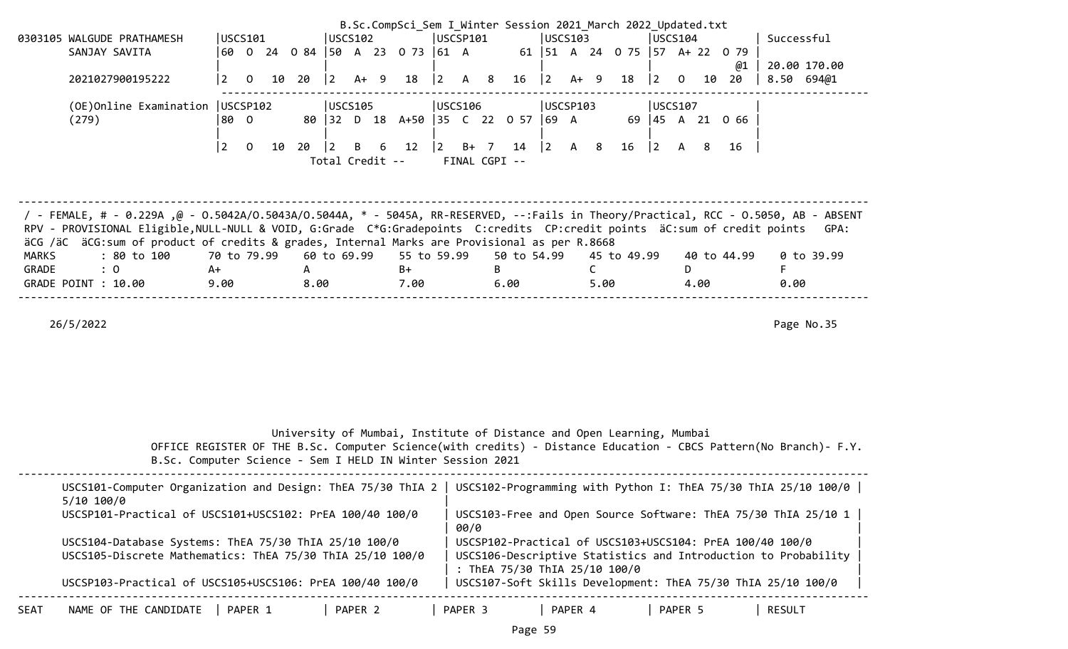|                                                                                                                                    |                                  |       |      |                 |                 |                                |           |                                           | B.Sc.CompSci_Sem I Winter Session 2021 March 2022 Updated.txt         |                                           |             |    |             |              |                                    |                                                                |                                                                                                                  |
|------------------------------------------------------------------------------------------------------------------------------------|----------------------------------|-------|------|-----------------|-----------------|--------------------------------|-----------|-------------------------------------------|-----------------------------------------------------------------------|-------------------------------------------|-------------|----|-------------|--------------|------------------------------------|----------------------------------------------------------------|------------------------------------------------------------------------------------------------------------------|
| 0303105 WALGUDE PRATHAMESH                                                                                                         | USCS101                          |       |      | USCS102         |                 |                                |           | USCSP101                                  |                                                                       | USCS103                                   |             |    |             | USCS104      |                                    | Successful                                                     |                                                                                                                  |
| SANJAY SAVITA                                                                                                                      |                                  |       |      |                 |                 | 60 0 24 0 84 50 A 23 0 73 61 A |           |                                           |                                                                       |                                           |             |    |             |              | 61   51 A 24 0 75   57 A + 22 0 79 |                                                                |                                                                                                                  |
|                                                                                                                                    |                                  |       |      |                 |                 |                                |           |                                           |                                                                       |                                           |             |    |             |              | @1                                 |                                                                | 20.00 170.00                                                                                                     |
| 2021027900195222                                                                                                                   | $\overline{2}$<br>$\mathsf{O}$   | 10 20 |      | $\vert 2 \vert$ | $A+9$           | 18                             |           | $\begin{vmatrix} 2 & A & 8 \end{vmatrix}$ |                                                                       | $16 \quad  2 \quad A+ \quad 9$            |             | 18 | $ 2\rangle$ | $\mathbf{0}$ | 10 20                              | 8.50 694@1                                                     |                                                                                                                  |
|                                                                                                                                    |                                  |       |      |                 |                 |                                |           |                                           |                                                                       |                                           |             |    |             |              |                                    |                                                                |                                                                                                                  |
| (OE) Online Examination   USCSP102                                                                                                 |                                  |       |      | USCS105         |                 |                                |           | USCS106                                   |                                                                       | USCSP103                                  |             |    |             | USCS107      |                                    |                                                                |                                                                                                                  |
| (279)                                                                                                                              | 180 O                            |       |      |                 |                 |                                |           |                                           | 80 32 D 18 A+50 35 C 22 0 57 69 A                                     |                                           |             |    |             |              | 69 45 A 21 0 66                    |                                                                |                                                                                                                  |
|                                                                                                                                    | $\overline{2}$<br>$\overline{0}$ | 10 20 |      | $ 2\rangle$     | B<br>6          | 12                             | $\vert$ 2 | $B+ 7$                                    | 14                                                                    | $\begin{vmatrix} 2 & A & 8 \end{vmatrix}$ |             | 16 | 2           | A 8          | 16                                 |                                                                |                                                                                                                  |
|                                                                                                                                    |                                  |       |      |                 | Total Credit -- |                                |           |                                           | FINAL CGPI --                                                         |                                           |             |    |             |              |                                    |                                                                |                                                                                                                  |
|                                                                                                                                    |                                  |       |      |                 |                 |                                |           |                                           |                                                                       |                                           |             |    |             |              |                                    |                                                                |                                                                                                                  |
|                                                                                                                                    |                                  |       |      |                 |                 |                                |           |                                           |                                                                       |                                           |             |    |             |              |                                    |                                                                |                                                                                                                  |
|                                                                                                                                    |                                  |       |      |                 |                 |                                |           |                                           |                                                                       |                                           |             |    |             |              |                                    |                                                                |                                                                                                                  |
| / FEMALE, # - 0.229A ,@ - 0.5042A/0.5043A/0.5044A, * - 5045A, RR-RESERVED, --:Fails in Theory/Practical, RCC - 0.5050, AB - ABSENT |                                  |       |      |                 |                 |                                |           |                                           |                                                                       |                                           |             |    |             |              |                                    |                                                                |                                                                                                                  |
| RPV - PROVISIONAL Eligible, NULL-NULL & VOID, G:Grade C*G:Gradepoints C:credits CP:credit points äC:sum of credit points           |                                  |       |      |                 |                 |                                |           |                                           |                                                                       |                                           |             |    |             |              |                                    |                                                                | GPA:                                                                                                             |
| äCG /äC äCG:sum of product of credits & grades, Internal Marks are Provisional as per R.8668                                       |                                  |       |      |                 |                 |                                |           |                                           |                                                                       |                                           |             |    |             |              |                                    |                                                                |                                                                                                                  |
| <b>MARKS</b><br>: 80 to 100                                                                                                        | 70 to 79.99                      |       |      | 60 to 69.99     |                 | 55 to 59.99                    |           |                                           | 50 to 54.99                                                           |                                           | 45 to 49.99 |    |             |              | 40 to 44.99                        |                                                                | $0$ to 39.99                                                                                                     |
| $\therefore$ 0<br>GRADE                                                                                                            | A+                               |       | A    |                 |                 | B+                             |           |                                           | B                                                                     | C.                                        |             |    |             | D.           |                                    | F.                                                             |                                                                                                                  |
| GRADE POINT : 10.00                                                                                                                | 9.00                             |       | 8.00 |                 |                 | 7.00                           |           |                                           | 6.00                                                                  |                                           | 5.00        |    |             | 4.00         |                                    | 0.00                                                           |                                                                                                                  |
|                                                                                                                                    |                                  |       |      |                 |                 |                                |           |                                           |                                                                       |                                           |             |    |             |              |                                    |                                                                |                                                                                                                  |
|                                                                                                                                    |                                  |       |      |                 |                 |                                |           |                                           |                                                                       |                                           |             |    |             |              |                                    |                                                                |                                                                                                                  |
| 26/5/2022                                                                                                                          |                                  |       |      |                 |                 |                                |           |                                           |                                                                       |                                           |             |    |             |              |                                    |                                                                | Page No.35                                                                                                       |
|                                                                                                                                    |                                  |       |      |                 |                 |                                |           |                                           |                                                                       |                                           |             |    |             |              |                                    |                                                                |                                                                                                                  |
|                                                                                                                                    |                                  |       |      |                 |                 |                                |           |                                           |                                                                       |                                           |             |    |             |              |                                    |                                                                |                                                                                                                  |
|                                                                                                                                    |                                  |       |      |                 |                 |                                |           |                                           |                                                                       |                                           |             |    |             |              |                                    |                                                                |                                                                                                                  |
|                                                                                                                                    |                                  |       |      |                 |                 |                                |           |                                           |                                                                       |                                           |             |    |             |              |                                    |                                                                |                                                                                                                  |
|                                                                                                                                    |                                  |       |      |                 |                 |                                |           |                                           |                                                                       |                                           |             |    |             |              |                                    |                                                                |                                                                                                                  |
|                                                                                                                                    |                                  |       |      |                 |                 |                                |           |                                           |                                                                       |                                           |             |    |             |              |                                    |                                                                |                                                                                                                  |
|                                                                                                                                    |                                  |       |      |                 |                 |                                |           |                                           | University of Mumbai, Institute of Distance and Open Learning, Mumbai |                                           |             |    |             |              |                                    |                                                                |                                                                                                                  |
|                                                                                                                                    |                                  |       |      |                 |                 |                                |           |                                           |                                                                       |                                           |             |    |             |              |                                    |                                                                | OFFICE REGISTER OF THE B.Sc. Computer Science(with credits) - Distance Education - CBCS Pattern(No Branch)- F.Y. |
| B.Sc. Computer Science - Sem I HELD IN Winter Session 2021                                                                         |                                  |       |      |                 |                 |                                |           |                                           |                                                                       |                                           |             |    |             |              |                                    |                                                                |                                                                                                                  |
|                                                                                                                                    |                                  |       |      |                 |                 |                                |           |                                           |                                                                       |                                           |             |    |             |              |                                    |                                                                |                                                                                                                  |
| USCS101-Computer Organization and Design: ThEA 75/30 ThIA 2   USCS102-Programming with Python I: ThEA 75/30 ThIA 25/10 100/0       |                                  |       |      |                 |                 |                                |           |                                           |                                                                       |                                           |             |    |             |              |                                    |                                                                |                                                                                                                  |
| 5/10 100/0                                                                                                                         |                                  |       |      |                 |                 |                                |           |                                           |                                                                       |                                           |             |    |             |              |                                    |                                                                |                                                                                                                  |
| USCSP101-Practical of USCS101+USCS102: PrEA 100/40 100/0                                                                           |                                  |       |      |                 |                 |                                |           |                                           |                                                                       |                                           |             |    |             |              |                                    |                                                                | USCS103-Free and Open Source Software: ThEA 75/30 ThIA 25/10 1                                                   |
|                                                                                                                                    |                                  |       |      |                 |                 |                                |           | 00/0                                      |                                                                       |                                           |             |    |             |              |                                    |                                                                |                                                                                                                  |
| USCS104-Database Systems: ThEA 75/30 ThIA 25/10 100/0                                                                              |                                  |       |      |                 |                 |                                |           |                                           |                                                                       |                                           |             |    |             |              |                                    | USCSP102-Practical of USCS103+USCS104: PrEA 100/40 100/0       |                                                                                                                  |
| USCS105-Discrete Mathematics: ThEA 75/30 ThIA 25/10 100/0                                                                          |                                  |       |      |                 |                 |                                |           |                                           |                                                                       |                                           |             |    |             |              |                                    | USCS106-Descriptive Statistics and Introduction to Probability |                                                                                                                  |
|                                                                                                                                    |                                  |       |      |                 |                 |                                |           |                                           |                                                                       |                                           |             |    |             |              |                                    |                                                                |                                                                                                                  |
| USCSP103-Practical of USCS105+USCS106: PrEA 100/40 100/0                                                                           |                                  |       |      |                 |                 |                                |           |                                           | : ThEA 75/30 ThIA 25/10 100/0                                         |                                           |             |    |             |              |                                    |                                                                |                                                                                                                  |
|                                                                                                                                    |                                  |       |      |                 |                 |                                |           |                                           |                                                                       |                                           |             |    |             |              |                                    | USCS107-Soft Skills Development: ThEA 75/30 ThIA 25/10 100/0   |                                                                                                                  |
| NAME OF THE CANDIDATE<br><b>SEAT</b>                                                                                               | PAPER 1                          |       |      |                 | PAPER 2         |                                |           | PAPER 3                                   |                                                                       | PAPER 4                                   |             |    |             | PAPER 5      |                                    | <b>RESULT</b>                                                  |                                                                                                                  |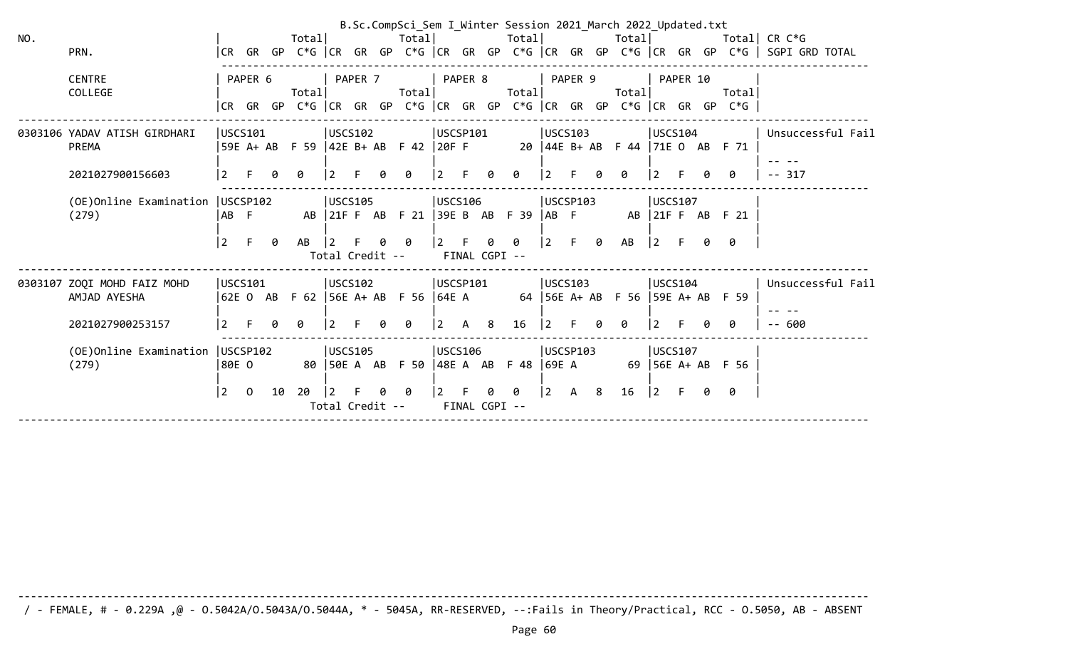|     |                                   |          |                |    |                                             |                 |   |                               |                                           |   |                                                         |             |   | B.Sc.CompSci_Sem I_Winter Session 2021_March 2022_Updated.txt           |              |  |                                                                      |                                                                                                                         |
|-----|-----------------------------------|----------|----------------|----|---------------------------------------------|-----------------|---|-------------------------------|-------------------------------------------|---|---------------------------------------------------------|-------------|---|-------------------------------------------------------------------------|--------------|--|----------------------------------------------------------------------|-------------------------------------------------------------------------------------------------------------------------|
| NO. |                                   |          |                |    | Totall                                      |                 |   |                               |                                           |   |                                                         |             |   |                                                                         |              |  |                                                                      | Total Total Total Total Total Total CR C*G                                                                              |
|     | PRN.                              |          |                |    |                                             |                 |   |                               |                                           |   |                                                         |             |   |                                                                         |              |  |                                                                      | CR GR GP C*G  CR GR GP C*G  CR GR GP C*G  CR GR GP C*G  CR GR GP C*G   SGPI GRD TOTAL                                   |
|     |                                   |          |                |    |                                             |                 |   |                               |                                           |   |                                                         |             |   |                                                                         |              |  |                                                                      |                                                                                                                         |
|     | <b>CENTRE</b>                     |          | PAPER 6        |    | PAPER 7           PAPER 8           PAPER 9 |                 |   |                               |                                           |   |                                                         |             |   | <b>PAPER 10</b>                                                         |              |  |                                                                      |                                                                                                                         |
|     | COLLEGE                           |          |                |    | Totall                                      |                 |   |                               |                                           |   |                                                         |             |   |                                                                         |              |  | Total                                                                |                                                                                                                         |
|     |                                   |          |                |    |                                             |                 |   |                               |                                           |   |                                                         |             |   |                                                                         |              |  | CR GR GP C*G  CR GR GP C*G  CR GR GP C*G  CR GR GP C*G  CR GR GP C*G |                                                                                                                         |
|     | 0303106 YADAV ATISH GIRDHARI      |          |                |    |                                             |                 |   |                               |                                           |   |                                                         |             |   |                                                                         |              |  |                                                                      | USCS101               USCS102            USCSP101           USCS103              USCS104              Unsuccessful Fail |
|     | PREMA                             |          |                |    |                                             |                 |   |                               |                                           |   |                                                         |             |   |                                                                         |              |  | 59EA + ABF 59  42EB + ABF 42  20FF 20  44EB + ABF 44  71EOABF 71     |                                                                                                                         |
|     |                                   |          |                |    |                                             |                 |   |                               |                                           |   |                                                         |             |   |                                                                         |              |  |                                                                      |                                                                                                                         |
|     | 2021027900156603                  | l 2 i    | $-$ F          |    | - 0                                         | $\vert 2 \vert$ |   | 0                             | $\vert 2 \vert$                           | F | 0 0                                                     | 2           |   | $\theta$                                                                | $ 2 \rangle$ |  | ø                                                                    | $-- 317$                                                                                                                |
|     |                                   |          |                |    |                                             |                 |   |                               |                                           |   |                                                         |             |   |                                                                         |              |  |                                                                      |                                                                                                                         |
|     | (OE)Online Examination   USCSP102 |          |                |    | $ USCS105$ $ USCS106$                       |                 |   |                               |                                           |   |                                                         | USCSP103    |   |                                                                         | USCS107      |  |                                                                      |                                                                                                                         |
|     | (279)                             | IAB F    |                |    |                                             |                 |   |                               |                                           |   |                                                         |             |   | AB 21 FF AB F21 39 E AB F39 AB F AB 21 FF AB F21                        |              |  |                                                                      |                                                                                                                         |
|     |                                   |          |                |    |                                             |                 |   |                               |                                           |   |                                                         |             |   |                                                                         |              |  |                                                                      |                                                                                                                         |
|     |                                   | l 2      |                |    | F 0 AB  2 F 0 0                             |                 |   |                               | $ 2 \tF$                                  |   | 0 0                                                     |             |   |                                                                         |              |  | <b>0</b>                                                             |                                                                                                                         |
|     |                                   |          |                |    |                                             |                 |   | Total Credit -- FINAL CGPI -- |                                           |   |                                                         |             |   |                                                                         |              |  |                                                                      |                                                                                                                         |
|     |                                   |          |                |    |                                             |                 |   |                               |                                           |   |                                                         |             |   |                                                                         |              |  |                                                                      |                                                                                                                         |
|     | 0303107 ZOQI MOHD FAIZ MOHD       |          |                |    | USCS101  USCS102  USCSP101  USCS103         |                 |   |                               |                                           |   |                                                         |             |   |                                                                         |              |  |                                                                      | USCS104   Unsuccessful Fail                                                                                             |
|     | AMJAD AYESHA                      |          |                |    |                                             |                 |   |                               |                                           |   |                                                         |             |   | 62E O AB F 62  56E A+ AB F 56  64E A 64  56E A+ AB F 56  59E A+ AB F 59 |              |  |                                                                      |                                                                                                                         |
|     |                                   |          |                |    |                                             |                 |   |                               |                                           |   |                                                         |             |   |                                                                         |              |  |                                                                      |                                                                                                                         |
|     | 2021027900253157                  | l2 F 0 0 |                |    |                                             | $\overline{2}$  | 0 | 0                             | $\begin{vmatrix} 2 & A & 8 \end{vmatrix}$ |   | 16                                                      | $ 2\rangle$ | 0 | 0                                                                       | 12 F         |  | ø                                                                    | $- - 600$                                                                                                               |
|     | (OE)Online Examination   USCSP102 |          |                |    |                                             | USCS105         |   |                               |                                           |   | <b>USCS106</b>                                          | USCSP103    |   |                                                                         | USCS107      |  |                                                                      |                                                                                                                         |
|     | (279)                             |          |                |    |                                             |                 |   |                               |                                           |   |                                                         |             |   | 80E0        80  50EA AB F50  48EA AB F48  69EA      69  56EA+AB F56     |              |  |                                                                      |                                                                                                                         |
|     |                                   |          |                |    |                                             |                 |   |                               |                                           |   |                                                         |             |   |                                                                         |              |  |                                                                      |                                                                                                                         |
|     |                                   | l 2      | $\overline{0}$ | 10 | -20                                         |                 |   | 12 F 0 0                      |                                           |   | $\begin{bmatrix} 2 & F & \theta & \theta \end{bmatrix}$ |             |   |                                                                         |              |  |                                                                      |                                                                                                                         |
|     |                                   |          |                |    |                                             |                 |   | Total Credit -- FINAL CGPI -- |                                           |   |                                                         |             |   |                                                                         |              |  |                                                                      |                                                                                                                         |
|     |                                   |          |                |    |                                             |                 |   |                               |                                           |   |                                                         |             |   |                                                                         |              |  |                                                                      |                                                                                                                         |

/ - FEMALE, # - 0.229A ,@ - O.5042A/O.5043A/O.5044A, \* - 5045A, RR-RESERVED, --:Fails in Theory/Practical, RCC - O.5050, AB - ABSENT

--------------------------------------------------------------------------------------------------------------------------------------